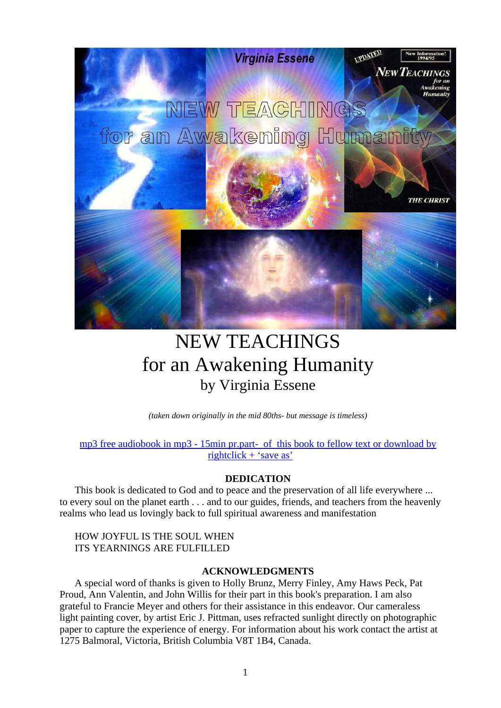

# NEW TEACHINGS for an Awakening Humanity by Virginia Essene

*(taken down originally in the mid 80ths- but message is timeless)*

## [mp3 free audiobook in mp3 - 15min pr.part- of this book to fellow text or download by](http://galactic.no/rune/lydboker/NEW_TEACHINGs_awakening_humanity/)  [rightclick + 'save as'](http://galactic.no/rune/lydboker/NEW_TEACHINGs_awakening_humanity/)

### **DEDICATION**

This book is dedicated to God and to peace and the preservation of all life everywhere ... to every soul on the planet earth . . . and to our guides, friends, and teachers from the heavenly realms who lead us lovingly back to full spiritual awareness and manifestation

HOW JOYFUL IS THE SOUL WHEN ITS YEARNINGS ARE FULFILLED

#### **ACKNOWLEDGMENTS**

A special word of thanks is given to Holly Brunz, Merry Finley, Amy Haws Peck, Pat Proud, Ann Valentin, and John Willis for their part in this book's preparation. I am also grateful to Francie Meyer and others for their assistance in this endeavor. Our cameraless light painting cover, by artist Eric J. Pittman, uses refracted sunlight directly on photographic paper to capture the experience of energy. For information about his work contact the artist at 1275 Balmoral, Victoria, British Columbia V8T 1B4, Canada.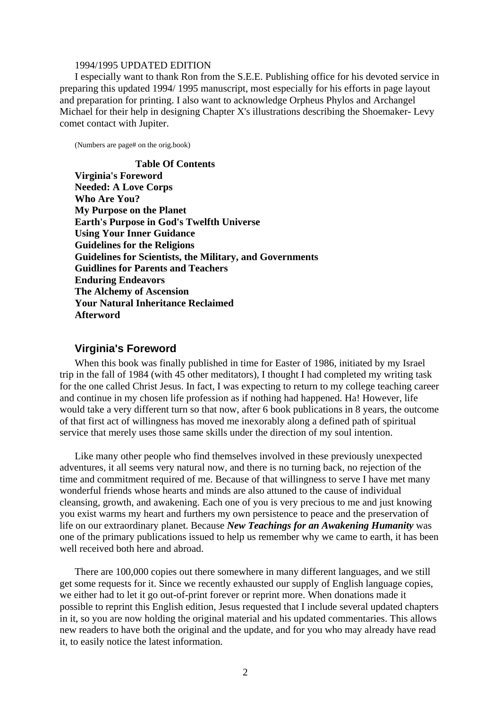#### 1994/1995 UPDATED EDITION

I especially want to thank Ron from the S.E.E. Publishing office for his devoted service in preparing this updated 1994/ 1995 manuscript, most especially for his efforts in page layout and preparation for printing. I also want to acknowledge Orpheus Phylos and Archangel Michael for their help in designing Chapter X's illustrations describing the Shoemaker- Levy comet contact with Jupiter.

(Numbers are page# on the orig.book)

**Table Of Contents Virginia's Foreword Needed: A Love Corps Who Are You? My Purpose on the Planet Earth's Purpose in God's Twelfth Universe Using Your Inner Guidance Guidelines for the Religions Guidelines for Scientists, the Military, and Governments Guidlines for Parents and Teachers Enduring Endeavors The Alchemy of Ascension Your Natural Inheritance Reclaimed Afterword** 

### **Virginia's Foreword**

When this book was finally published in time for Easter of 1986, initiated by my Israel trip in the fall of 1984 (with 45 other meditators), I thought I had completed my writing task for the one called Christ Jesus. In fact, I was expecting to return to my college teaching career and continue in my chosen life profession as if nothing had happened. Ha! However, life would take a very different turn so that now, after 6 book publications in 8 years, the outcome of that first act of willingness has moved me inexorably along a defined path of spiritual service that merely uses those same skills under the direction of my soul intention.

Like many other people who find themselves involved in these previously unexpected adventures, it all seems very natural now, and there is no turning back, no rejection of the time and commitment required of me. Because of that willingness to serve I have met many wonderful friends whose hearts and minds are also attuned to the cause of individual cleansing, growth, and awakening. Each one of you is very precious to me and just knowing you exist warms my heart and furthers my own persistence to peace and the preservation of life on our extraordinary planet. Because *New Teachings for an Awakening Humanity* was one of the primary publications issued to help us remember why we came to earth, it has been well received both here and abroad.

There are 100,000 copies out there somewhere in many different languages, and we still get some requests for it. Since we recently exhausted our supply of English language copies, we either had to let it go out-of-print forever or reprint more. When donations made it possible to reprint this English edition, Jesus requested that I include several updated chapters in it, so you are now holding the original material and his updated commentaries. This allows new readers to have both the original and the update, and for you who may already have read it, to easily notice the latest information.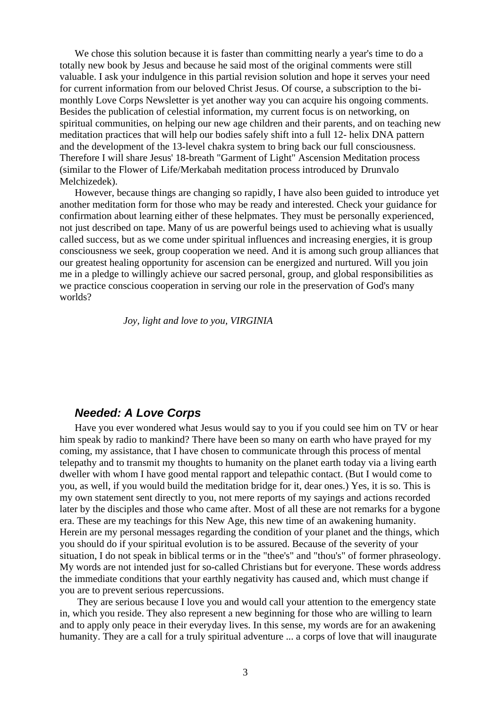We chose this solution because it is faster than committing nearly a year's time to do a totally new book by Jesus and because he said most of the original comments were still valuable. I ask your indulgence in this partial revision solution and hope it serves your need for current information from our beloved Christ Jesus. Of course, a subscription to the bimonthly Love Corps Newsletter is yet another way you can acquire his ongoing comments. Besides the publication of celestial information, my current focus is on networking, on spiritual communities, on helping our new age children and their parents, and on teaching new meditation practices that will help our bodies safely shift into a full 12- helix DNA pattern and the development of the 13-level chakra system to bring back our full consciousness. Therefore I will share Jesus' 18-breath "Garment of Light" Ascension Meditation process (similar to the Flower of Life/Merkabah meditation process introduced by Drunvalo Melchizedek).

However, because things are changing so rapidly, I have also been guided to introduce yet another meditation form for those who may be ready and interested. Check your guidance for confirmation about learning either of these helpmates. They must be personally experienced, not just described on tape. Many of us are powerful beings used to achieving what is usually called success, but as we come under spiritual influences and increasing energies, it is group consciousness we seek, group cooperation we need. And it is among such group alliances that our greatest healing opportunity for ascension can be energized and nurtured. Will you join me in a pledge to willingly achieve our sacred personal, group, and global responsibilities as we practice conscious cooperation in serving our role in the preservation of God's many worlds?

*Joy, light and love to you, VIRGINIA* 

# *Needed: A Love Corps*

Have you ever wondered what Jesus would say to you if you could see him on TV or hear him speak by radio to mankind? There have been so many on earth who have prayed for my coming, my assistance, that I have chosen to communicate through this process of mental telepathy and to transmit my thoughts to humanity on the planet earth today via a living earth dweller with whom I have good mental rapport and telepathic contact. (But I would come to you, as well, if you would build the meditation bridge for it, dear ones.) Yes, it is so. This is my own statement sent directly to you, not mere reports of my sayings and actions recorded later by the disciples and those who came after. Most of all these are not remarks for a bygone era. These are my teachings for this New Age, this new time of an awakening humanity. Herein are my personal messages regarding the condition of your planet and the things, which you should do if your spiritual evolution is to be assured. Because of the severity of your situation, I do not speak in biblical terms or in the "thee's" and "thou's" of former phraseology. My words are not intended just for so-called Christians but for everyone. These words address the immediate conditions that your earthly negativity has caused and, which must change if you are to prevent serious repercussions.

 They are serious because I love you and would call your attention to the emergency state in, which you reside. They also represent a new beginning for those who are willing to learn and to apply only peace in their everyday lives. In this sense, my words are for an awakening humanity. They are a call for a truly spiritual adventure ... a corps of love that will inaugurate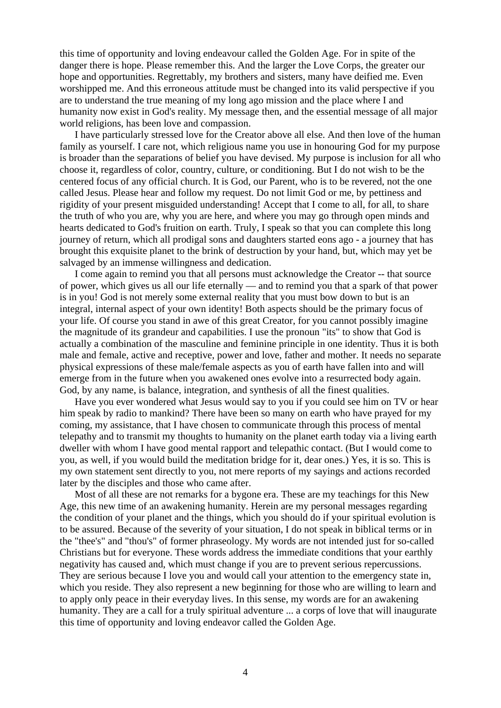this time of opportunity and loving endeavour called the Golden Age. For in spite of the danger there is hope. Please remember this. And the larger the Love Corps, the greater our hope and opportunities. Regrettably, my brothers and sisters, many have deified me. Even worshipped me. And this erroneous attitude must be changed into its valid perspective if you are to understand the true meaning of my long ago mission and the place where I and humanity now exist in God's reality. My message then, and the essential message of all major world religions, has been love and compassion.

I have particularly stressed love for the Creator above all else. And then love of the human family as yourself. I care not, which religious name you use in honouring God for my purpose is broader than the separations of belief you have devised. My purpose is inclusion for all who choose it, regardless of color, country, culture, or conditioning. But I do not wish to be the centered focus of any official church. It is God, our Parent, who is to be revered, not the one called Jesus. Please hear and follow my request. Do not limit God or me, by pettiness and rigidity of your present misguided understanding! Accept that I come to all, for all, to share the truth of who you are, why you are here, and where you may go through open minds and hearts dedicated to God's fruition on earth. Truly, I speak so that you can complete this long journey of return, which all prodigal sons and daughters started eons ago - a journey that has brought this exquisite planet to the brink of destruction by your hand, but, which may yet be salvaged by an immense willingness and dedication.

I come again to remind you that all persons must acknowledge the Creator -- that source of power, which gives us all our life eternally — and to remind you that a spark of that power is in you! God is not merely some external reality that you must bow down to but is an integral, internal aspect of your own identity! Both aspects should be the primary focus of your life. Of course you stand in awe of this great Creator, for you cannot possibly imagine the magnitude of its grandeur and capabilities. I use the pronoun "its" to show that God is actually a combination of the masculine and feminine principle in one identity. Thus it is both male and female, active and receptive, power and love, father and mother. It needs no separate physical expressions of these male/female aspects as you of earth have fallen into and will emerge from in the future when you awakened ones evolve into a resurrected body again. God, by any name, is balance, integration, and synthesis of all the finest qualities.

Have you ever wondered what Jesus would say to you if you could see him on TV or hear him speak by radio to mankind? There have been so many on earth who have prayed for my coming, my assistance, that I have chosen to communicate through this process of mental telepathy and to transmit my thoughts to humanity on the planet earth today via a living earth dweller with whom I have good mental rapport and telepathic contact. (But I would come to you, as well, if you would build the meditation bridge for it, dear ones.) Yes, it is so. This is my own statement sent directly to you, not mere reports of my sayings and actions recorded later by the disciples and those who came after.

Most of all these are not remarks for a bygone era. These are my teachings for this New Age, this new time of an awakening humanity. Herein are my personal messages regarding the condition of your planet and the things, which you should do if your spiritual evolution is to be assured. Because of the severity of your situation, I do not speak in biblical terms or in the "thee's" and "thou's" of former phraseology. My words are not intended just for so-called Christians but for everyone. These words address the immediate conditions that your earthly negativity has caused and, which must change if you are to prevent serious repercussions. They are serious because I love you and would call your attention to the emergency state in, which you reside. They also represent a new beginning for those who are willing to learn and to apply only peace in their everyday lives. In this sense, my words are for an awakening humanity. They are a call for a truly spiritual adventure ... a corps of love that will inaugurate this time of opportunity and loving endeavor called the Golden Age.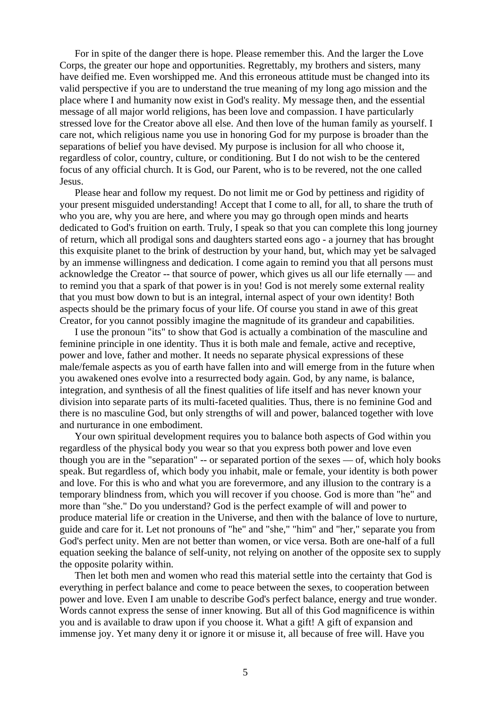For in spite of the danger there is hope. Please remember this. And the larger the Love Corps, the greater our hope and opportunities. Regrettably, my brothers and sisters, many have deified me. Even worshipped me. And this erroneous attitude must be changed into its valid perspective if you are to understand the true meaning of my long ago mission and the place where I and humanity now exist in God's reality. My message then, and the essential message of all major world religions, has been love and compassion. I have particularly stressed love for the Creator above all else. And then love of the human family as yourself. I care not, which religious name you use in honoring God for my purpose is broader than the separations of belief you have devised. My purpose is inclusion for all who choose it, regardless of color, country, culture, or conditioning. But I do not wish to be the centered focus of any official church. It is God, our Parent, who is to be revered, not the one called Jesus.

Please hear and follow my request. Do not limit me or God by pettiness and rigidity of your present misguided understanding! Accept that I come to all, for all, to share the truth of who you are, why you are here, and where you may go through open minds and hearts dedicated to God's fruition on earth. Truly, I speak so that you can complete this long journey of return, which all prodigal sons and daughters started eons ago - a journey that has brought this exquisite planet to the brink of destruction by your hand, but, which may yet be salvaged by an immense willingness and dedication. I come again to remind you that all persons must acknowledge the Creator -- that source of power, which gives us all our life eternally — and to remind you that a spark of that power is in you! God is not merely some external reality that you must bow down to but is an integral, internal aspect of your own identity! Both aspects should be the primary focus of your life. Of course you stand in awe of this great Creator, for you cannot possibly imagine the magnitude of its grandeur and capabilities.

I use the pronoun "its" to show that God is actually a combination of the masculine and feminine principle in one identity. Thus it is both male and female, active and receptive, power and love, father and mother. It needs no separate physical expressions of these male/female aspects as you of earth have fallen into and will emerge from in the future when you awakened ones evolve into a resurrected body again. God, by any name, is balance, integration, and synthesis of all the finest qualities of life itself and has never known your division into separate parts of its multi-faceted qualities. Thus, there is no feminine God and there is no masculine God, but only strengths of will and power, balanced together with love and nurturance in one embodiment.

Your own spiritual development requires you to balance both aspects of God within you regardless of the physical body you wear so that you express both power and love even though you are in the "separation" -- or separated portion of the sexes — of, which holy books speak. But regardless of, which body you inhabit, male or female, your identity is both power and love. For this is who and what you are forevermore, and any illusion to the contrary is a temporary blindness from, which you will recover if you choose. God is more than "he" and more than "she." Do you understand? God is the perfect example of will and power to produce material life or creation in the Universe, and then with the balance of love to nurture, guide and care for it. Let not pronouns of "he" and "she," "him" and "her," separate you from God's perfect unity. Men are not better than women, or vice versa. Both are one-half of a full equation seeking the balance of self-unity, not relying on another of the opposite sex to supply the opposite polarity within.

Then let both men and women who read this material settle into the certainty that God is everything in perfect balance and come to peace between the sexes, to cooperation between power and love. Even I am unable to describe God's perfect balance, energy and true wonder. Words cannot express the sense of inner knowing. But all of this God magnificence is within you and is available to draw upon if you choose it. What a gift! A gift of expansion and immense joy. Yet many deny it or ignore it or misuse it, all because of free will. Have you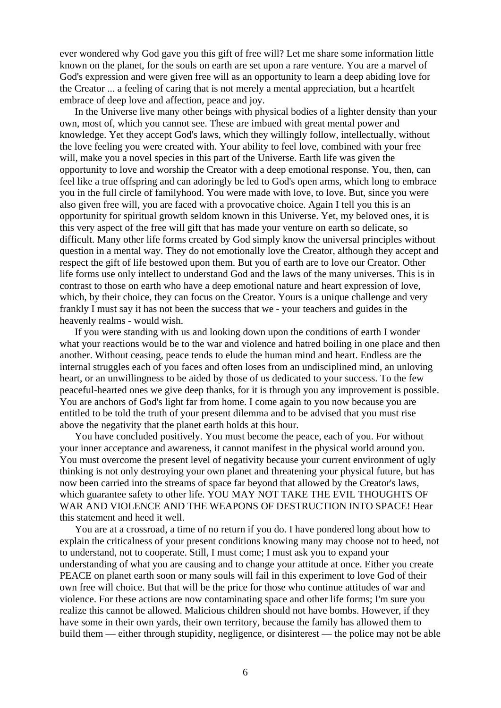ever wondered why God gave you this gift of free will? Let me share some information little known on the planet, for the souls on earth are set upon a rare venture. You are a marvel of God's expression and were given free will as an opportunity to learn a deep abiding love for the Creator ... a feeling of caring that is not merely a mental appreciation, but a heartfelt embrace of deep love and affection, peace and joy.

In the Universe live many other beings with physical bodies of a lighter density than your own, most of, which you cannot see. These are imbued with great mental power and knowledge. Yet they accept God's laws, which they willingly follow, intellectually, without the love feeling you were created with. Your ability to feel love, combined with your free will, make you a novel species in this part of the Universe. Earth life was given the opportunity to love and worship the Creator with a deep emotional response. You, then, can feel like a true offspring and can adoringly be led to God's open arms, which long to embrace you in the full circle of familyhood. You were made with love, to love. But, since you were also given free will, you are faced with a provocative choice. Again I tell you this is an opportunity for spiritual growth seldom known in this Universe. Yet, my beloved ones, it is this very aspect of the free will gift that has made your venture on earth so delicate, so difficult. Many other life forms created by God simply know the universal principles without question in a mental way. They do not emotionally love the Creator, although they accept and respect the gift of life bestowed upon them. But you of earth are to love our Creator. Other life forms use only intellect to understand God and the laws of the many universes. This is in contrast to those on earth who have a deep emotional nature and heart expression of love, which, by their choice, they can focus on the Creator. Yours is a unique challenge and very frankly I must say it has not been the success that we - your teachers and guides in the heavenly realms - would wish.

If you were standing with us and looking down upon the conditions of earth I wonder what your reactions would be to the war and violence and hatred boiling in one place and then another. Without ceasing, peace tends to elude the human mind and heart. Endless are the internal struggles each of you faces and often loses from an undisciplined mind, an unloving heart, or an unwillingness to be aided by those of us dedicated to your success. To the few peaceful-hearted ones we give deep thanks, for it is through you any improvement is possible. You are anchors of God's light far from home. I come again to you now because you are entitled to be told the truth of your present dilemma and to be advised that you must rise above the negativity that the planet earth holds at this hour.

You have concluded positively. You must become the peace, each of you. For without your inner acceptance and awareness, it cannot manifest in the physical world around you. You must overcome the present level of negativity because your current environment of ugly thinking is not only destroying your own planet and threatening your physical future, but has now been carried into the streams of space far beyond that allowed by the Creator's laws, which guarantee safety to other life. YOU MAY NOT TAKE THE EVIL THOUGHTS OF WAR AND VIOLENCE AND THE WEAPONS OF DESTRUCTION INTO SPACE! Hear this statement and heed it well.

You are at a crossroad, a time of no return if you do. I have pondered long about how to explain the criticalness of your present conditions knowing many may choose not to heed, not to understand, not to cooperate. Still, I must come; I must ask you to expand your understanding of what you are causing and to change your attitude at once. Either you create PEACE on planet earth soon or many souls will fail in this experiment to love God of their own free will choice. But that will be the price for those who continue attitudes of war and violence. For these actions are now contaminating space and other life forms; I'm sure you realize this cannot be allowed. Malicious children should not have bombs. However, if they have some in their own yards, their own territory, because the family has allowed them to build them — either through stupidity, negligence, or disinterest — the police may not be able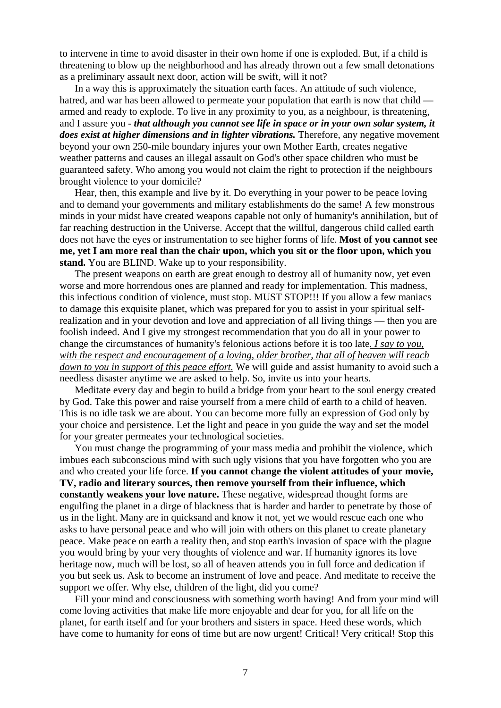to intervene in time to avoid disaster in their own home if one is exploded. But, if a child is threatening to blow up the neighborhood and has already thrown out a few small detonations as a preliminary assault next door, action will be swift, will it not?

In a way this is approximately the situation earth faces. An attitude of such violence, hatred, and war has been allowed to permeate your population that earth is now that child armed and ready to explode. To live in any proximity to you, as a neighbour, is threatening, and I assure you - *that although you cannot see life in space or in your own solar system, it does exist at higher dimensions and in lighter vibrations.* Therefore, any negative movement beyond your own 250-mile boundary injures your own Mother Earth, creates negative weather patterns and causes an illegal assault on God's other space children who must be guaranteed safety. Who among you would not claim the right to protection if the neighbours brought violence to your domicile?

Hear, then, this example and live by it. Do everything in your power to be peace loving and to demand your governments and military establishments do the same! A few monstrous minds in your midst have created weapons capable not only of humanity's annihilation, but of far reaching destruction in the Universe. Accept that the willful, dangerous child called earth does not have the eyes or instrumentation to see higher forms of life. **Most of you cannot see me, yet I am more real than the chair upon, which you sit or the floor upon, which you stand.** You are BLIND. Wake up to your responsibility.

The present weapons on earth are great enough to destroy all of humanity now, yet even worse and more horrendous ones are planned and ready for implementation. This madness, this infectious condition of violence, must stop. MUST STOP!!! If you allow a few maniacs to damage this exquisite planet, which was prepared for you to assist in your spiritual selfrealization and in your devotion and love and appreciation of all living things — then you are foolish indeed. And I give my strongest recommendation that you do all in your power to change the circumstances of humanity's felonious actions before it is too late*. I say to you, with the respect and encouragement of a loving, older brother, that all of heaven will reach down to you in support of this peace effort.* We will guide and assist humanity to avoid such a needless disaster anytime we are asked to help. So, invite us into your hearts.

Meditate every day and begin to build a bridge from your heart to the soul energy created by God. Take this power and raise yourself from a mere child of earth to a child of heaven. This is no idle task we are about. You can become more fully an expression of God only by your choice and persistence. Let the light and peace in you guide the way and set the model for your greater permeates your technological societies.

You must change the programming of your mass media and prohibit the violence, which imbues each subconscious mind with such ugly visions that you have forgotten who you are and who created your life force. **If you cannot change the violent attitudes of your movie, TV, radio and literary sources, then remove yourself from their influence, which constantly weakens your love nature.** These negative, widespread thought forms are engulfing the planet in a dirge of blackness that is harder and harder to penetrate by those of us in the light. Many are in quicksand and know it not, yet we would rescue each one who asks to have personal peace and who will join with others on this planet to create planetary peace. Make peace on earth a reality then, and stop earth's invasion of space with the plague you would bring by your very thoughts of violence and war. If humanity ignores its love heritage now, much will be lost, so all of heaven attends you in full force and dedication if you but seek us. Ask to become an instrument of love and peace. And meditate to receive the support we offer. Why else, children of the light, did you come?

Fill your mind and consciousness with something worth having! And from your mind will come loving activities that make life more enjoyable and dear for you, for all life on the planet, for earth itself and for your brothers and sisters in space. Heed these words, which have come to humanity for eons of time but are now urgent! Critical! Very critical! Stop this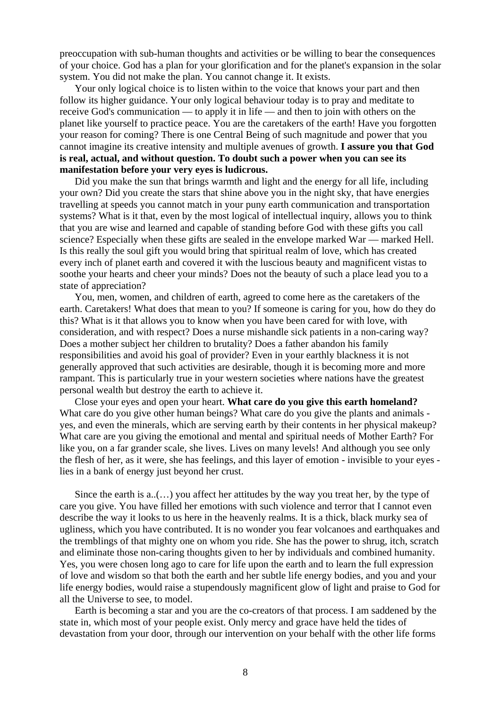preoccupation with sub-human thoughts and activities or be willing to bear the consequences of your choice. God has a plan for your glorification and for the planet's expansion in the solar system. You did not make the plan. You cannot change it. It exists.

Your only logical choice is to listen within to the voice that knows your part and then follow its higher guidance. Your only logical behaviour today is to pray and meditate to receive God's communication — to apply it in life — and then to join with others on the planet like yourself to practice peace. You are the caretakers of the earth! Have you forgotten your reason for coming? There is one Central Being of such magnitude and power that you cannot imagine its creative intensity and multiple avenues of growth. **I assure you that God is real, actual, and without question. To doubt such a power when you can see its manifestation before your very eyes is ludicrous.**

Did you make the sun that brings warmth and light and the energy for all life, including your own? Did you create the stars that shine above you in the night sky, that have energies travelling at speeds you cannot match in your puny earth communication and transportation systems? What is it that, even by the most logical of intellectual inquiry, allows you to think that you are wise and learned and capable of standing before God with these gifts you call science? Especially when these gifts are sealed in the envelope marked War — marked Hell. Is this really the soul gift you would bring that spiritual realm of love, which has created every inch of planet earth and covered it with the luscious beauty and magnificent vistas to soothe your hearts and cheer your minds? Does not the beauty of such a place lead you to a state of appreciation?

You, men, women, and children of earth, agreed to come here as the caretakers of the earth. Caretakers! What does that mean to you? If someone is caring for you, how do they do this? What is it that allows you to know when you have been cared for with love, with consideration, and with respect? Does a nurse mishandle sick patients in a non-caring way? Does a mother subject her children to brutality? Does a father abandon his family responsibilities and avoid his goal of provider? Even in your earthly blackness it is not generally approved that such activities are desirable, though it is becoming more and more rampant. This is particularly true in your western societies where nations have the greatest personal wealth but destroy the earth to achieve it.

Close your eyes and open your heart. **What care do you give this earth homeland?**  What care do you give other human beings? What care do you give the plants and animals yes, and even the minerals, which are serving earth by their contents in her physical makeup? What care are you giving the emotional and mental and spiritual needs of Mother Earth? For like you, on a far grander scale, she lives. Lives on many levels! And although you see only the flesh of her, as it were, she has feelings, and this layer of emotion - invisible to your eyes lies in a bank of energy just beyond her crust.

Since the earth is  $a_{n}(\ldots)$  you affect her attitudes by the way you treat her, by the type of care you give. You have filled her emotions with such violence and terror that I cannot even describe the way it looks to us here in the heavenly realms. It is a thick, black murky sea of ugliness, which you have contributed. It is no wonder you fear volcanoes and earthquakes and the tremblings of that mighty one on whom you ride. She has the power to shrug, itch, scratch and eliminate those non-caring thoughts given to her by individuals and combined humanity. Yes, you were chosen long ago to care for life upon the earth and to learn the full expression of love and wisdom so that both the earth and her subtle life energy bodies, and you and your life energy bodies, would raise a stupendously magnificent glow of light and praise to God for all the Universe to see, to model.

Earth is becoming a star and you are the co-creators of that process. I am saddened by the state in, which most of your people exist. Only mercy and grace have held the tides of devastation from your door, through our intervention on your behalf with the other life forms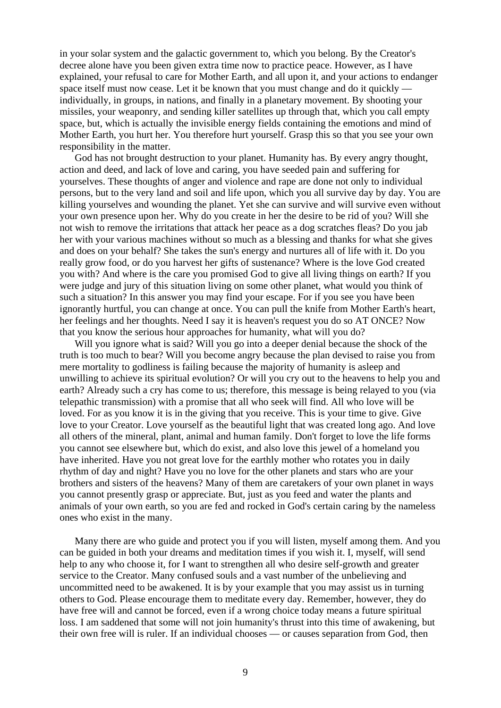in your solar system and the galactic government to, which you belong. By the Creator's decree alone have you been given extra time now to practice peace. However, as I have explained, your refusal to care for Mother Earth, and all upon it, and your actions to endanger space itself must now cease. Let it be known that you must change and do it quickly individually, in groups, in nations, and finally in a planetary movement. By shooting your missiles, your weaponry, and sending killer satellites up through that, which you call empty space, but, which is actually the invisible energy fields containing the emotions and mind of Mother Earth, you hurt her. You therefore hurt yourself. Grasp this so that you see your own responsibility in the matter.

God has not brought destruction to your planet. Humanity has. By every angry thought, action and deed, and lack of love and caring, you have seeded pain and suffering for yourselves. These thoughts of anger and violence and rape are done not only to individual persons, but to the very land and soil and life upon, which you all survive day by day. You are killing yourselves and wounding the planet. Yet she can survive and will survive even without your own presence upon her. Why do you create in her the desire to be rid of you? Will she not wish to remove the irritations that attack her peace as a dog scratches fleas? Do you jab her with your various machines without so much as a blessing and thanks for what she gives and does on your behalf? She takes the sun's energy and nurtures all of life with it. Do you really grow food, or do you harvest her gifts of sustenance? Where is the love God created you with? And where is the care you promised God to give all living things on earth? If you were judge and jury of this situation living on some other planet, what would you think of such a situation? In this answer you may find your escape. For if you see you have been ignorantly hurtful, you can change at once. You can pull the knife from Mother Earth's heart, her feelings and her thoughts. Need I say it is heaven's request you do so AT ONCE? Now that you know the serious hour approaches for humanity, what will you do?

Will you ignore what is said? Will you go into a deeper denial because the shock of the truth is too much to bear? Will you become angry because the plan devised to raise you from mere mortality to godliness is failing because the majority of humanity is asleep and unwilling to achieve its spiritual evolution? Or will you cry out to the heavens to help you and earth? Already such a cry has come to us; therefore, this message is being relayed to you (via telepathic transmission) with a promise that all who seek will find. All who love will be loved. For as you know it is in the giving that you receive. This is your time to give. Give love to your Creator. Love yourself as the beautiful light that was created long ago. And love all others of the mineral, plant, animal and human family. Don't forget to love the life forms you cannot see elsewhere but, which do exist, and also love this jewel of a homeland you have inherited. Have you not great love for the earthly mother who rotates you in daily rhythm of day and night? Have you no love for the other planets and stars who are your brothers and sisters of the heavens? Many of them are caretakers of your own planet in ways you cannot presently grasp or appreciate. But, just as you feed and water the plants and animals of your own earth, so you are fed and rocked in God's certain caring by the nameless ones who exist in the many.

Many there are who guide and protect you if you will listen, myself among them. And you can be guided in both your dreams and meditation times if you wish it. I, myself, will send help to any who choose it, for I want to strengthen all who desire self-growth and greater service to the Creator. Many confused souls and a vast number of the unbelieving and uncommitted need to be awakened. It is by your example that you may assist us in turning others to God. Please encourage them to meditate every day. Remember, however, they do have free will and cannot be forced, even if a wrong choice today means a future spiritual loss. I am saddened that some will not join humanity's thrust into this time of awakening, but their own free will is ruler. If an individual chooses — or causes separation from God, then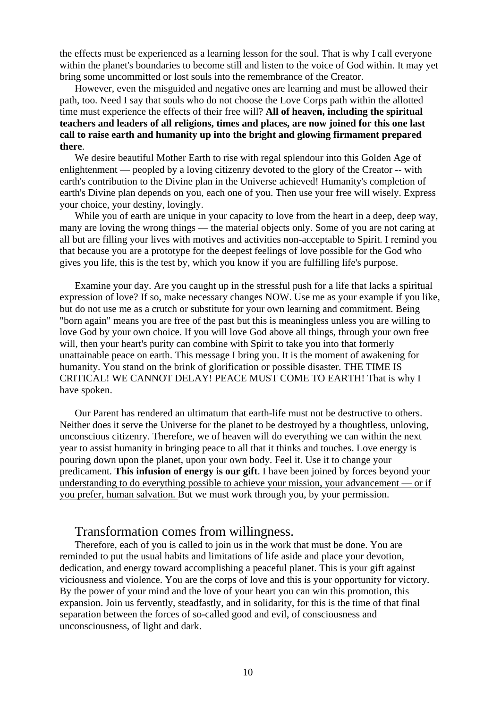the effects must be experienced as a learning lesson for the soul. That is why I call everyone within the planet's boundaries to become still and listen to the voice of God within. It may yet bring some uncommitted or lost souls into the remembrance of the Creator.

However, even the misguided and negative ones are learning and must be allowed their path, too. Need I say that souls who do not choose the Love Corps path within the allotted time must experience the effects of their free will? **All of heaven, including the spiritual teachers and leaders of all religions, times and places, are now joined for this one last call to raise earth and humanity up into the bright and glowing firmament prepared there**.

We desire beautiful Mother Earth to rise with regal splendour into this Golden Age of enlightenment — peopled by a loving citizenry devoted to the glory of the Creator -- with earth's contribution to the Divine plan in the Universe achieved! Humanity's completion of earth's Divine plan depends on you, each one of you. Then use your free will wisely. Express your choice, your destiny, lovingly.

While you of earth are unique in your capacity to love from the heart in a deep, deep way, many are loving the wrong things — the material objects only. Some of you are not caring at all but are filling your lives with motives and activities non-acceptable to Spirit. I remind you that because you are a prototype for the deepest feelings of love possible for the God who gives you life, this is the test by, which you know if you are fulfilling life's purpose.

Examine your day. Are you caught up in the stressful push for a life that lacks a spiritual expression of love? If so, make necessary changes NOW. Use me as your example if you like, but do not use me as a crutch or substitute for your own learning and commitment. Being "born again" means you are free of the past but this is meaningless unless you are willing to love God by your own choice. If you will love God above all things, through your own free will, then your heart's purity can combine with Spirit to take you into that formerly unattainable peace on earth. This message I bring you. It is the moment of awakening for humanity. You stand on the brink of glorification or possible disaster. THE TIME IS CRITICAL! WE CANNOT DELAY! PEACE MUST COME TO EARTH! That is why I have spoken.

Our Parent has rendered an ultimatum that earth-life must not be destructive to others. Neither does it serve the Universe for the planet to be destroyed by a thoughtless, unloving, unconscious citizenry. Therefore, we of heaven will do everything we can within the next year to assist humanity in bringing peace to all that it thinks and touches. Love energy is pouring down upon the planet, upon your own body. Feel it. Use it to change your predicament. **This infusion of energy is our gift**. I have been joined by forces beyond your understanding to do everything possible to achieve your mission, your advancement — or if you prefer, human salvation. But we must work through you, by your permission.

## Transformation comes from willingness.

Therefore, each of you is called to join us in the work that must be done. You are reminded to put the usual habits and limitations of life aside and place your devotion, dedication, and energy toward accomplishing a peaceful planet. This is your gift against viciousness and violence. You are the corps of love and this is your opportunity for victory. By the power of your mind and the love of your heart you can win this promotion, this expansion. Join us fervently, steadfastly, and in solidarity, for this is the time of that final separation between the forces of so-called good and evil, of consciousness and unconsciousness, of light and dark.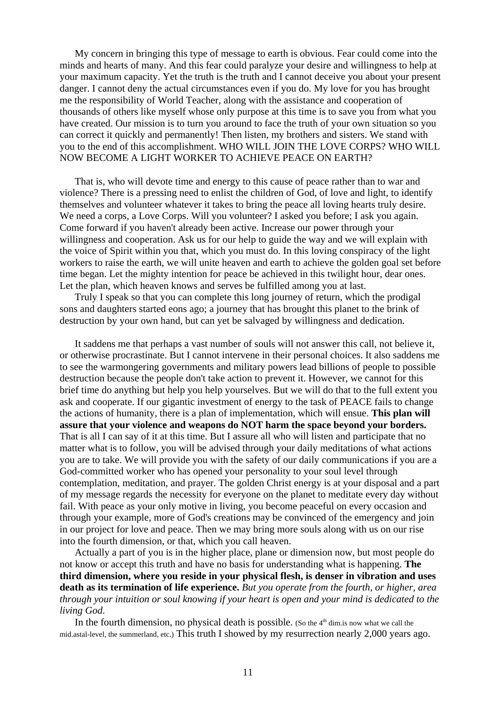My concern in bringing this type of message to earth is obvious. Fear could come into the minds and hearts of many. And this fear could paralyze your desire and willingness to help at your maximum capacity. Yet the truth is the truth and I cannot deceive you about your present danger. I cannot deny the actual circumstances even if you do. My love for you has brought me the responsibility of World Teacher, along with the assistance and cooperation of thousands of others like myself whose only purpose at this time is to save you from what you have created. Our mission is to turn you around to face the truth of your own situation so you can correct it quickly and permanently! Then listen, my brothers and sisters. We stand with you to the end of this accomplishment. WHO WILL JOIN THE LOVE CORPS? WHO WILL NOW BECOME A LIGHT WORKER TO ACHIEVE PEACE ON EARTH?

That is, who will devote time and energy to this cause of peace rather than to war and violence? There is a pressing need to enlist the children of God, of love and light, to identify themselves and volunteer whatever it takes to bring the peace all loving hearts truly desire. We need a corps, a Love Corps. Will you volunteer? I asked you before; I ask you again. Come forward if you haven't already been active. Increase our power through your willingness and cooperation. Ask us for our help to guide the way and we will explain with the voice of Spirit within you that, which you must do. In this loving conspiracy of the light workers to raise the earth, we will unite heaven and earth to achieve the golden goal set before time began. Let the mighty intention for peace be achieved in this twilight hour, dear ones. Let the plan, which heaven knows and serves be fulfilled among you at last.

Truly I speak so that you can complete this long journey of return, which the prodigal sons and daughters started eons ago; a journey that has brought this planet to the brink of destruction by your own hand, but can yet be salvaged by willingness and dedication.

It saddens me that perhaps a vast number of souls will not answer this call, not believe it, or otherwise procrastinate. But I cannot intervene in their personal choices. It also saddens me to see the warmongering governments and military powers lead billions of people to possible destruction because the people don't take action to prevent it. However, we cannot for this brief time do anything but help you help yourselves. But we will do that to the full extent you ask and cooperate. If our gigantic investment of energy to the task of PEACE fails to change the actions of humanity, there is a plan of implementation, which will ensue. **This plan will assure that your violence and weapons do NOT harm the space beyond your borders.**  That is all I can say of it at this time. But I assure all who will listen and participate that no matter what is to follow, you will be advised through your daily meditations of what actions you are to take. We will provide you with the safety of our daily communications if you are a God-committed worker who has opened your personality to your soul level through contemplation, meditation, and prayer. The golden Christ energy is at your disposal and a part of my message regards the necessity for everyone on the planet to meditate every day without fail. With peace as your only motive in living, you become peaceful on every occasion and through your example, more of God's creations may be convinced of the emergency and join in our project for love and peace. Then we may bring more souls along with us on our rise into the fourth dimension, or that, which you call heaven.

Actually a part of you is in the higher place, plane or dimension now, but most people do not know or accept this truth and have no basis for understanding what is happening. **The third dimension, where you reside in your physical flesh, is denser in vibration and uses death as its termination of life experience.** *But you operate from the fourth, or higher, area through your intuition or soul knowing if your heart is open and your mind is dedicated to the living God*.

In the fourth dimension, no physical death is possible. (So the  $4<sup>th</sup>$  dim.is now what we call the mid.astal-level, the summerland, etc.) This truth I showed by my resurrection nearly 2,000 years ago.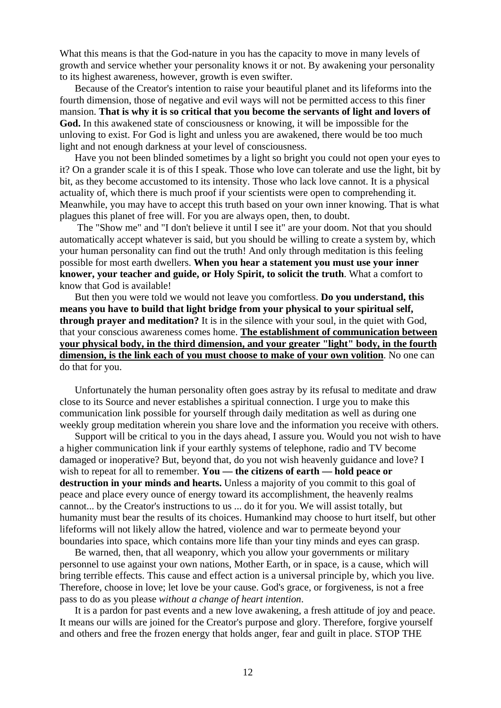What this means is that the God-nature in you has the capacity to move in many levels of growth and service whether your personality knows it or not. By awakening your personality to its highest awareness, however, growth is even swifter.

Because of the Creator's intention to raise your beautiful planet and its lifeforms into the fourth dimension, those of negative and evil ways will not be permitted access to this finer mansion. **That is why it is so critical that you become the servants of light and lovers of God.** In this awakened state of consciousness or knowing, it will be impossible for the unloving to exist. For God is light and unless you are awakened, there would be too much light and not enough darkness at your level of consciousness.

Have you not been blinded sometimes by a light so bright you could not open your eyes to it? On a grander scale it is of this I speak. Those who love can tolerate and use the light, bit by bit, as they become accustomed to its intensity. Those who lack love cannot. It is a physical actuality of, which there is much proof if your scientists were open to comprehending it. Meanwhile, you may have to accept this truth based on your own inner knowing. That is what plagues this planet of free will. For you are always open, then, to doubt.

 The "Show me" and "I don't believe it until I see it" are your doom. Not that you should automatically accept whatever is said, but you should be willing to create a system by, which your human personality can find out the truth! And only through meditation is this feeling possible for most earth dwellers. **When you hear a statement you must use your inner knower, your teacher and guide, or Holy Spirit, to solicit the truth**. What a comfort to know that God is available!

But then you were told we would not leave you comfortless. **Do you understand, this means you have to build that light bridge from your physical to your spiritual self, through prayer and meditation?** It is in the silence with your soul, in the quiet with God, that your conscious awareness comes home. **The establishment of communication between your physical body, in the third dimension, and your greater "light" body, in the fourth dimension, is the link each of you must choose to make of your own volition**. No one can do that for you.

Unfortunately the human personality often goes astray by its refusal to meditate and draw close to its Source and never establishes a spiritual connection. I urge you to make this communication link possible for yourself through daily meditation as well as during one weekly group meditation wherein you share love and the information you receive with others.

Support will be critical to you in the days ahead, I assure you. Would you not wish to have a higher communication link if your earthly systems of telephone, radio and TV become damaged or inoperative? But, beyond that, do you not wish heavenly guidance and love? I wish to repeat for all to remember. **You — the citizens of earth — hold peace or destruction in your minds and hearts.** Unless a majority of you commit to this goal of peace and place every ounce of energy toward its accomplishment, the heavenly realms cannot... by the Creator's instructions to us ... do it for you. We will assist totally, but humanity must bear the results of its choices. Humankind may choose to hurt itself, but other lifeforms will not likely allow the hatred, violence and war to permeate beyond your boundaries into space, which contains more life than your tiny minds and eyes can grasp.

Be warned, then, that all weaponry, which you allow your governments or military personnel to use against your own nations, Mother Earth, or in space, is a cause, which will bring terrible effects. This cause and effect action is a universal principle by, which you live. Therefore, choose in love; let love be your cause. God's grace, or forgiveness, is not a free pass to do as you please *without a change of heart intention*.

It is a pardon for past events and a new love awakening, a fresh attitude of joy and peace. It means our wills are joined for the Creator's purpose and glory. Therefore, forgive yourself and others and free the frozen energy that holds anger, fear and guilt in place. STOP THE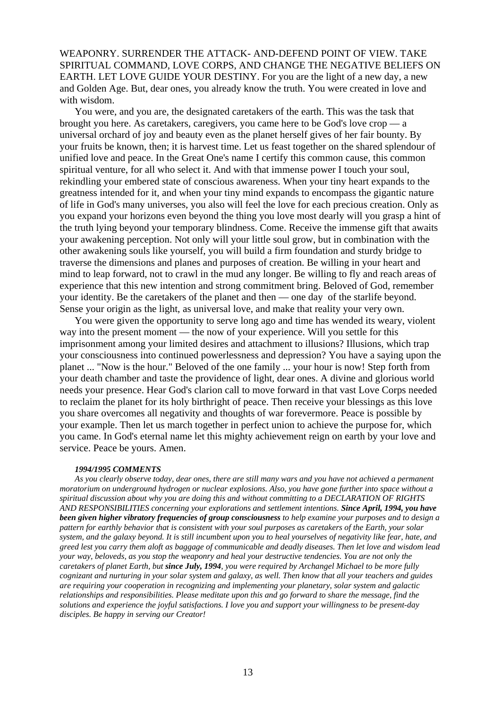WEAPONRY. SURRENDER THE ATTACK- AND-DEFEND POINT OF VIEW. TAKE SPIRITUAL COMMAND, LOVE CORPS, AND CHANGE THE NEGATIVE BELIEFS ON EARTH. LET LOVE GUIDE YOUR DESTINY. For you are the light of a new day, a new and Golden Age. But, dear ones, you already know the truth. You were created in love and with wisdom.

You were, and you are, the designated caretakers of the earth. This was the task that brought you here. As caretakers, caregivers, you came here to be God's love crop — a universal orchard of joy and beauty even as the planet herself gives of her fair bounty. By your fruits be known, then; it is harvest time. Let us feast together on the shared splendour of unified love and peace. In the Great One's name I certify this common cause, this common spiritual venture, for all who select it. And with that immense power I touch your soul, rekindling your embered state of conscious awareness. When your tiny heart expands to the greatness intended for it, and when your tiny mind expands to encompass the gigantic nature of life in God's many universes, you also will feel the love for each precious creation. Only as you expand your horizons even beyond the thing you love most dearly will you grasp a hint of the truth lying beyond your temporary blindness. Come. Receive the immense gift that awaits your awakening perception. Not only will your little soul grow, but in combination with the other awakening souls like yourself, you will build a firm foundation and sturdy bridge to traverse the dimensions and planes and purposes of creation. Be willing in your heart and mind to leap forward, not to crawl in the mud any longer. Be willing to fly and reach areas of experience that this new intention and strong commitment bring. Beloved of God, remember your identity. Be the caretakers of the planet and then — one day of the starlife beyond. Sense your origin as the light, as universal love, and make that reality your very own.

You were given the opportunity to serve long ago and time has wended its weary, violent way into the present moment — the now of your experience. Will you settle for this imprisonment among your limited desires and attachment to illusions? Illusions, which trap your consciousness into continued powerlessness and depression? You have a saying upon the planet ... "Now is the hour." Beloved of the one family ... your hour is now! Step forth from your death chamber and taste the providence of light, dear ones. A divine and glorious world needs your presence. Hear God's clarion call to move forward in that vast Love Corps needed to reclaim the planet for its holy birthright of peace. Then receive your blessings as this love you share overcomes all negativity and thoughts of war forevermore. Peace is possible by your example. Then let us march together in perfect union to achieve the purpose for, which you came. In God's eternal name let this mighty achievement reign on earth by your love and service. Peace be yours. Amen.

#### *1994/1995 COMMENTS*

*As you clearly observe today, dear ones, there are still many wars and you have not achieved a permanent moratorium on underground hydrogen or nuclear explosions. Also, you have gone further into space without a spiritual discussion about why you are doing this and without committing to a DECLARATION OF RIGHTS AND RESPONSIBILITIES concerning your explorations and settlement intentions. Since April, 1994, you have been given higher vibratory frequencies of group consciousness to help examine your purposes and to design a pattern for earthly behavior that is consistent with your soul purposes as caretakers of the Earth, your solar system, and the galaxy beyond. It is still incumbent upon you to heal yourselves of negativity like fear, hate, and greed lest you carry them aloft as baggage of communicable and deadly diseases. Then let love and wisdom lead your way, beloveds, as you stop the weaponry and heal your destructive tendencies. You are not only the caretakers of planet Earth, but since July, 1994, you were required by Archangel Michael to be more fully cognizant and nurturing in your solar system and galaxy, as well. Then know that all your teachers and guides are requiring your cooperation in recognizing and implementing your planetary, solar system and galactic relationships and responsibilities. Please meditate upon this and go forward to share the message, find the solutions and experience the joyful satisfactions. I love you and support your willingness to be present-day disciples. Be happy in serving our Creator!*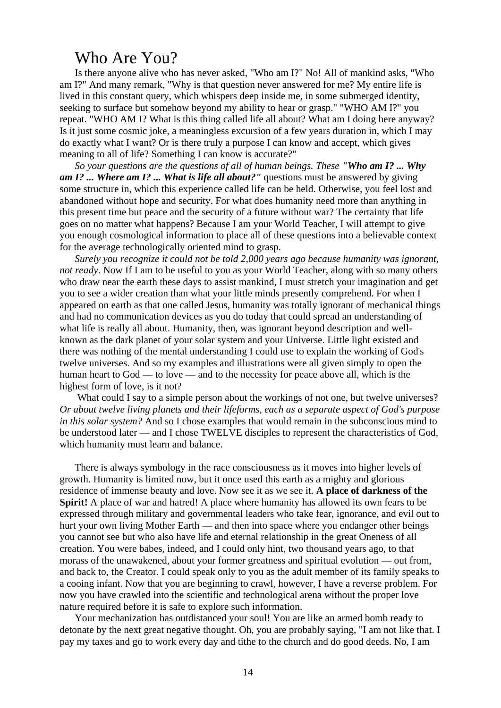# Who Are You?

Is there anyone alive who has never asked, "Who am I?" No! All of mankind asks, "Who am I?" And many remark, "Why is that question never answered for me? My entire life is lived in this constant query, which whispers deep inside me, in some submerged identity, seeking to surface but somehow beyond my ability to hear or grasp." "WHO AM I?" you repeat. "WHO AM I? What is this thing called life all about? What am I doing here anyway? Is it just some cosmic joke, a meaningless excursion of a few years duration in, which I may do exactly what I want? Or is there truly a purpose I can know and accept, which gives meaning to all of life? Something I can know is accurate?"

*So your questions are the questions of all of human beings. These "Who am I? ... Why am I? ... Where am I? ... What is life all about?"* questions must be answered by giving some structure in, which this experience called life can be held. Otherwise, you feel lost and abandoned without hope and security. For what does humanity need more than anything in this present time but peace and the security of a future without war? The certainty that life goes on no matter what happens? Because I am your World Teacher, I will attempt to give you enough cosmological information to place all of these questions into a believable context for the average technologically oriented mind to grasp.

*Surely you recognize it could not be told 2,000 years ago because humanity was ignorant, not ready*. Now If I am to be useful to you as your World Teacher, along with so many others who draw near the earth these days to assist mankind, I must stretch your imagination and get you to see a wider creation than what your little minds presently comprehend. For when I appeared on earth as that one called Jesus, humanity was totally ignorant of mechanical things and had no communication devices as you do today that could spread an understanding of what life is really all about. Humanity, then, was ignorant beyond description and wellknown as the dark planet of your solar system and your Universe. Little light existed and there was nothing of the mental understanding I could use to explain the working of God's twelve universes. And so my examples and illustrations were all given simply to open the human heart to God — to love — and to the necessity for peace above all, which is the highest form of love, is it not?

What could I say to a simple person about the workings of not one, but twelve universes? *Or about twelve living planets and their lifeforms, each as a separate aspect of God's purpose in this solar system?* And so I chose examples that would remain in the subconscious mind to be understood later — and I chose TWELVE disciples to represent the characteristics of God, which humanity must learn and balance.

There is always symbology in the race consciousness as it moves into higher levels of growth. Humanity is limited now, but it once used this earth as a mighty and glorious residence of immense beauty and love. Now see it as we see it. **A place of darkness of the Spirit!** A place of war and hatred! A place where humanity has allowed its own fears to be expressed through military and governmental leaders who take fear, ignorance, and evil out to hurt your own living Mother Earth — and then into space where you endanger other beings you cannot see but who also have life and eternal relationship in the great Oneness of all creation. You were babes, indeed, and I could only hint, two thousand years ago, to that morass of the unawakened, about your former greatness and spiritual evolution — out from, and back to, the Creator. I could speak only to you as the adult member of its family speaks to a cooing infant. Now that you are beginning to crawl, however, I have a reverse problem. For now you have crawled into the scientific and technological arena without the proper love nature required before it is safe to explore such information.

Your mechanization has outdistanced your soul! You are like an armed bomb ready to detonate by the next great negative thought. Oh, you are probably saying, "I am not like that. I pay my taxes and go to work every day and tithe to the church and do good deeds. No, I am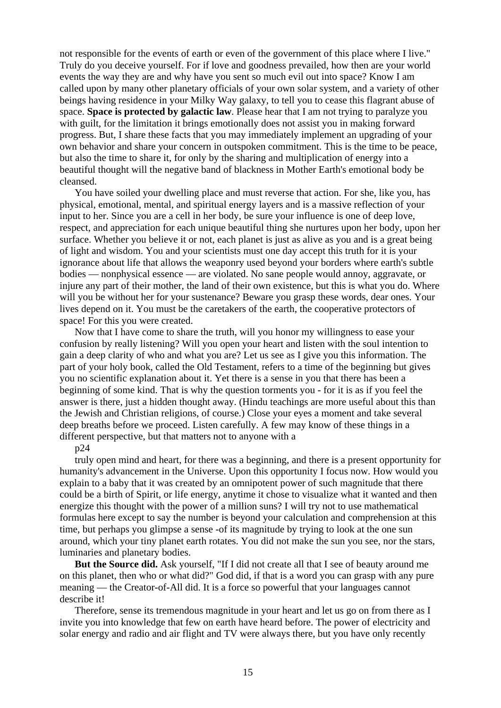not responsible for the events of earth or even of the government of this place where I live." Truly do you deceive yourself. For if love and goodness prevailed, how then are your world events the way they are and why have you sent so much evil out into space? Know I am called upon by many other planetary officials of your own solar system, and a variety of other beings having residence in your Milky Way galaxy, to tell you to cease this flagrant abuse of space. **Space is protected by galactic law**. Please hear that I am not trying to paralyze you with guilt, for the limitation it brings emotionally does not assist you in making forward progress. But, I share these facts that you may immediately implement an upgrading of your own behavior and share your concern in outspoken commitment. This is the time to be peace, but also the time to share it, for only by the sharing and multiplication of energy into a beautiful thought will the negative band of blackness in Mother Earth's emotional body be cleansed.

You have soiled your dwelling place and must reverse that action. For she, like you, has physical, emotional, mental, and spiritual energy layers and is a massive reflection of your input to her. Since you are a cell in her body, be sure your influence is one of deep love, respect, and appreciation for each unique beautiful thing she nurtures upon her body, upon her surface. Whether you believe it or not, each planet is just as alive as you and is a great being of light and wisdom. You and your scientists must one day accept this truth for it is your ignorance about life that allows the weaponry used beyond your borders where earth's subtle bodies — nonphysical essence — are violated. No sane people would annoy, aggravate, or injure any part of their mother, the land of their own existence, but this is what you do. Where will you be without her for your sustenance? Beware you grasp these words, dear ones. Your lives depend on it. You must be the caretakers of the earth, the cooperative protectors of space! For this you were created.

Now that I have come to share the truth, will you honor my willingness to ease your confusion by really listening? Will you open your heart and listen with the soul intention to gain a deep clarity of who and what you are? Let us see as I give you this information. The part of your holy book, called the Old Testament, refers to a time of the beginning but gives you no scientific explanation about it. Yet there is a sense in you that there has been a beginning of some kind. That is why the question torments you - for it is as if you feel the answer is there, just a hidden thought away. (Hindu teachings are more useful about this than the Jewish and Christian religions, of course.) Close your eyes a moment and take several deep breaths before we proceed. Listen carefully. A few may know of these things in a different perspective, but that matters not to anyone with a

#### p24

truly open mind and heart, for there was a beginning, and there is a present opportunity for humanity's advancement in the Universe. Upon this opportunity I focus now. How would you explain to a baby that it was created by an omnipotent power of such magnitude that there could be a birth of Spirit, or life energy, anytime it chose to visualize what it wanted and then energize this thought with the power of a million suns? I will try not to use mathematical formulas here except to say the number is beyond your calculation and comprehension at this time, but perhaps you glimpse a sense -of its magnitude by trying to look at the one sun around, which your tiny planet earth rotates. You did not make the sun you see, nor the stars, luminaries and planetary bodies.

**But the Source did.** Ask yourself, "If I did not create all that I see of beauty around me on this planet, then who or what did?" God did, if that is a word you can grasp with any pure meaning — the Creator-of-All did. It is a force so powerful that your languages cannot describe it!

Therefore, sense its tremendous magnitude in your heart and let us go on from there as I invite you into knowledge that few on earth have heard before. The power of electricity and solar energy and radio and air flight and TV were always there, but you have only recently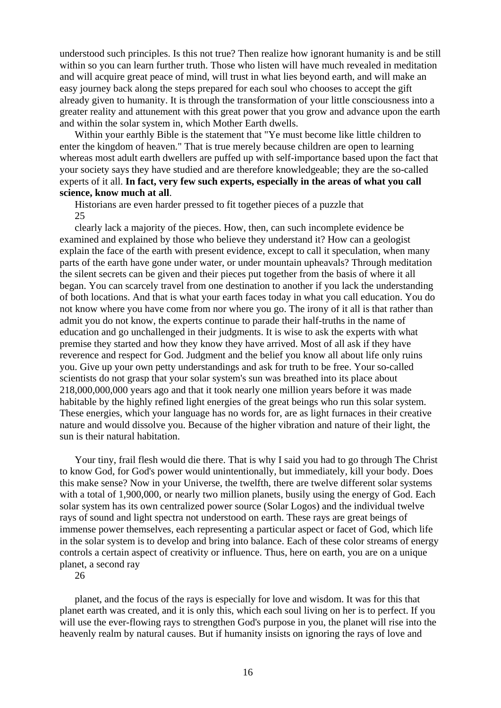understood such principles. Is this not true? Then realize how ignorant humanity is and be still within so you can learn further truth. Those who listen will have much revealed in meditation and will acquire great peace of mind, will trust in what lies beyond earth, and will make an easy journey back along the steps prepared for each soul who chooses to accept the gift already given to humanity. It is through the transformation of your little consciousness into a greater reality and attunement with this great power that you grow and advance upon the earth and within the solar system in, which Mother Earth dwells.

Within your earthly Bible is the statement that "Ye must become like little children to enter the kingdom of heaven." That is true merely because children are open to learning whereas most adult earth dwellers are puffed up with self-importance based upon the fact that your society says they have studied and are therefore knowledgeable; they are the so-called experts of it all. **In fact, very few such experts, especially in the areas of what you call science, know much at all**.

Historians are even harder pressed to fit together pieces of a puzzle that 25

clearly lack a majority of the pieces. How, then, can such incomplete evidence be examined and explained by those who believe they understand it? How can a geologist explain the face of the earth with present evidence, except to call it speculation, when many parts of the earth have gone under water, or under mountain upheavals? Through meditation the silent secrets can be given and their pieces put together from the basis of where it all began. You can scarcely travel from one destination to another if you lack the understanding of both locations. And that is what your earth faces today in what you call education. You do not know where you have come from nor where you go. The irony of it all is that rather than admit you do not know, the experts continue to parade their half-truths in the name of education and go unchallenged in their judgments. It is wise to ask the experts with what premise they started and how they know they have arrived. Most of all ask if they have reverence and respect for God. Judgment and the belief you know all about life only ruins you. Give up your own petty understandings and ask for truth to be free. Your so-called scientists do not grasp that your solar system's sun was breathed into its place about 218,000,000,000 years ago and that it took nearly one million years before it was made habitable by the highly refined light energies of the great beings who run this solar system. These energies, which your language has no words for, are as light furnaces in their creative nature and would dissolve you. Because of the higher vibration and nature of their light, the sun is their natural habitation.

Your tiny, frail flesh would die there. That is why I said you had to go through The Christ to know God, for God's power would unintentionally, but immediately, kill your body. Does this make sense? Now in your Universe, the twelfth, there are twelve different solar systems with a total of 1,900,000, or nearly two million planets, busily using the energy of God. Each solar system has its own centralized power source (Solar Logos) and the individual twelve rays of sound and light spectra not understood on earth. These rays are great beings of immense power themselves, each representing a particular aspect or facet of God, which life in the solar system is to develop and bring into balance. Each of these color streams of energy controls a certain aspect of creativity or influence. Thus, here on earth, you are on a unique planet, a second ray

#### 26

planet, and the focus of the rays is especially for love and wisdom. It was for this that planet earth was created, and it is only this, which each soul living on her is to perfect. If you will use the ever-flowing rays to strengthen God's purpose in you, the planet will rise into the heavenly realm by natural causes. But if humanity insists on ignoring the rays of love and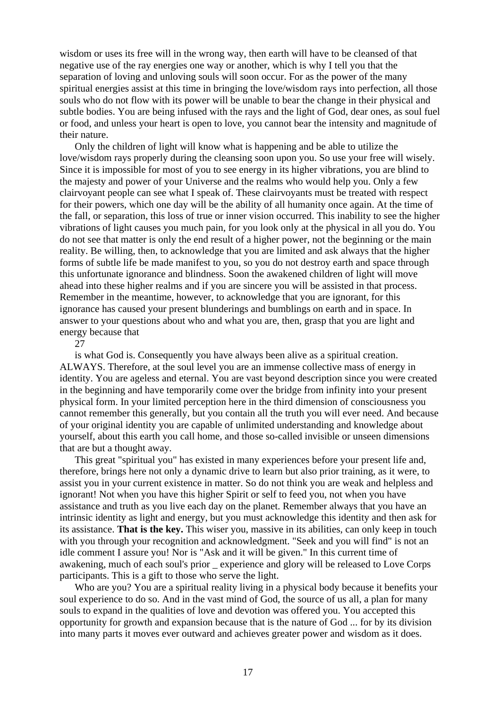wisdom or uses its free will in the wrong way, then earth will have to be cleansed of that negative use of the ray energies one way or another, which is why I tell you that the separation of loving and unloving souls will soon occur. For as the power of the many spiritual energies assist at this time in bringing the love/wisdom rays into perfection, all those souls who do not flow with its power will be unable to bear the change in their physical and subtle bodies. You are being infused with the rays and the light of God, dear ones, as soul fuel or food, and unless your heart is open to love, you cannot bear the intensity and magnitude of their nature.

Only the children of light will know what is happening and be able to utilize the love/wisdom rays properly during the cleansing soon upon you. So use your free will wisely. Since it is impossible for most of you to see energy in its higher vibrations, you are blind to the majesty and power of your Universe and the realms who would help you. Only a few clairvoyant people can see what I speak of. These clairvoyants must be treated with respect for their powers, which one day will be the ability of all humanity once again. At the time of the fall, or separation, this loss of true or inner vision occurred. This inability to see the higher vibrations of light causes you much pain, for you look only at the physical in all you do. You do not see that matter is only the end result of a higher power, not the beginning or the main reality. Be willing, then, to acknowledge that you are limited and ask always that the higher forms of subtle life be made manifest to you, so you do not destroy earth and space through this unfortunate ignorance and blindness. Soon the awakened children of light will move ahead into these higher realms and if you are sincere you will be assisted in that process. Remember in the meantime, however, to acknowledge that you are ignorant, for this ignorance has caused your present blunderings and bumblings on earth and in space. In answer to your questions about who and what you are, then, grasp that you are light and energy because that

27

is what God is. Consequently you have always been alive as a spiritual creation. ALWAYS. Therefore, at the soul level you are an immense collective mass of energy in identity. You are ageless and eternal. You are vast beyond description since you were created in the beginning and have temporarily come over the bridge from infinity into your present physical form. In your limited perception here in the third dimension of consciousness you cannot remember this generally, but you contain all the truth you will ever need. And because of your original identity you are capable of unlimited understanding and knowledge about yourself, about this earth you call home, and those so-called invisible or unseen dimensions that are but a thought away.

This great "spiritual you" has existed in many experiences before your present life and, therefore, brings here not only a dynamic drive to learn but also prior training, as it were, to assist you in your current existence in matter. So do not think you are weak and helpless and ignorant! Not when you have this higher Spirit or self to feed you, not when you have assistance and truth as you live each day on the planet. Remember always that you have an intrinsic identity as light and energy, but you must acknowledge this identity and then ask for its assistance. **That is the key.** This wiser you, massive in its abilities, can only keep in touch with you through your recognition and acknowledgment. "Seek and you will find" is not an idle comment I assure you! Nor is "Ask and it will be given." In this current time of awakening, much of each soul's prior \_ experience and glory will be released to Love Corps participants. This is a gift to those who serve the light.

Who are you? You are a spiritual reality living in a physical body because it benefits your soul experience to do so. And in the vast mind of God, the source of us all, a plan for many souls to expand in the qualities of love and devotion was offered you. You accepted this opportunity for growth and expansion because that is the nature of God ... for by its division into many parts it moves ever outward and achieves greater power and wisdom as it does.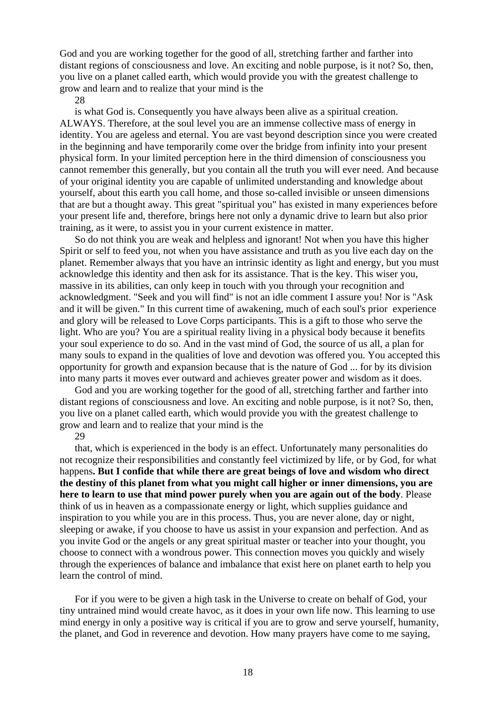God and you are working together for the good of all, stretching farther and farther into distant regions of consciousness and love. An exciting and noble purpose, is it not? So, then, you live on a planet called earth, which would provide you with the greatest challenge to grow and learn and to realize that your mind is the

#### 28

is what God is. Consequently you have always been alive as a spiritual creation. ALWAYS. Therefore, at the soul level you are an immense collective mass of energy in identity. You are ageless and eternal. You are vast beyond description since you were created in the beginning and have temporarily come over the bridge from infinity into your present physical form. In your limited perception here in the third dimension of consciousness you cannot remember this generally, but you contain all the truth you will ever need. And because of your original identity you are capable of unlimited understanding and knowledge about yourself, about this earth you call home, and those so-called invisible or unseen dimensions that are but a thought away. This great "spiritual you" has existed in many experiences before your present life and, therefore, brings here not only a dynamic drive to learn but also prior training, as it were, to assist you in your current existence in matter.

So do not think you are weak and helpless and ignorant! Not when you have this higher Spirit or self to feed you, not when you have assistance and truth as you live each day on the planet. Remember always that you have an intrinsic identity as light and energy, but you must acknowledge this identity and then ask for its assistance. That is the key. This wiser you, massive in its abilities, can only keep in touch with you through your recognition and acknowledgment. "Seek and you will find" is not an idle comment I assure you! Nor is "Ask and it will be given." In this current time of awakening, much of each soul's prior experience and glory will be released to Love Corps participants. This is a gift to those who serve the light. Who are you? You are a spiritual reality living in a physical body because it benefits your soul experience to do so. And in the vast mind of God, the source of us all, a plan for many souls to expand in the qualities of love and devotion was offered you. You accepted this opportunity for growth and expansion because that is the nature of God ... for by its division into many parts it moves ever outward and achieves greater power and wisdom as it does.

God and you are working together for the good of all, stretching farther and farther into distant regions of consciousness and love. An exciting and noble purpose, is it not? So, then, you live on a planet called earth, which would provide you with the greatest challenge to grow and learn and to realize that your mind is the

#### 29

that, which is experienced in the body is an effect. Unfortunately many personalities do not recognize their responsibilities and constantly feel victimized by life, or by God, for what happens**. But I confide that while there are great beings of love and wisdom who direct the destiny of this planet from what you might call higher or inner dimensions, you are here to learn to use that mind power purely when you are again out of the body**. Please think of us in heaven as a compassionate energy or light, which supplies guidance and inspiration to you while you are in this process. Thus, you are never alone, day or night, sleeping or awake, if you choose to have us assist in your expansion and perfection. And as you invite God or the angels or any great spiritual master or teacher into your thought, you choose to connect with a wondrous power. This connection moves you quickly and wisely through the experiences of balance and imbalance that exist here on planet earth to help you learn the control of mind.

For if you were to be given a high task in the Universe to create on behalf of God, your tiny untrained mind would create havoc, as it does in your own life now. This learning to use mind energy in only a positive way is critical if you are to grow and serve yourself, humanity, the planet, and God in reverence and devotion. How many prayers have come to me saying,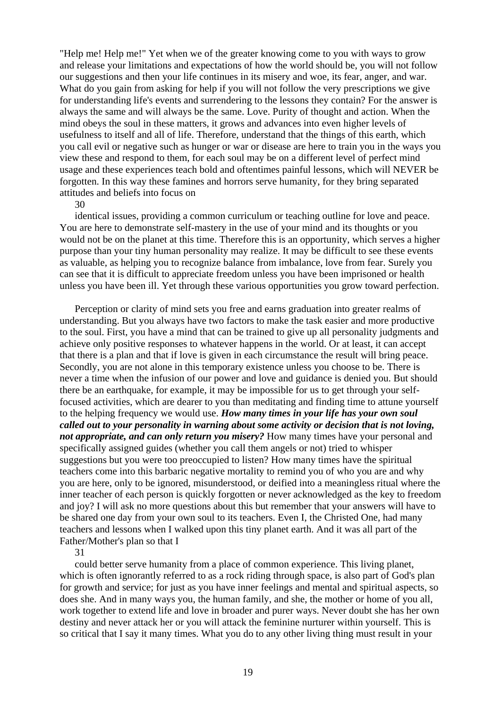"Help me! Help me!" Yet when we of the greater knowing come to you with ways to grow and release your limitations and expectations of how the world should be, you will not follow our suggestions and then your life continues in its misery and woe, its fear, anger, and war. What do you gain from asking for help if you will not follow the very prescriptions we give for understanding life's events and surrendering to the lessons they contain? For the answer is always the same and will always be the same. Love. Purity of thought and action. When the mind obeys the soul in these matters, it grows and advances into even higher levels of usefulness to itself and all of life. Therefore, understand that the things of this earth, which you call evil or negative such as hunger or war or disease are here to train you in the ways you view these and respond to them, for each soul may be on a different level of perfect mind usage and these experiences teach bold and oftentimes painful lessons, which will NEVER be forgotten. In this way these famines and horrors serve humanity, for they bring separated attitudes and beliefs into focus on

#### 30

identical issues, providing a common curriculum or teaching outline for love and peace. You are here to demonstrate self-mastery in the use of your mind and its thoughts or you would not be on the planet at this time. Therefore this is an opportunity, which serves a higher purpose than your tiny human personality may realize. It may be difficult to see these events as valuable, as helping you to recognize balance from imbalance, love from fear. Surely you can see that it is difficult to appreciate freedom unless you have been imprisoned or health unless you have been ill. Yet through these various opportunities you grow toward perfection.

Perception or clarity of mind sets you free and earns graduation into greater realms of understanding. But you always have two factors to make the task easier and more productive to the soul. First, you have a mind that can be trained to give up all personality judgments and achieve only positive responses to whatever happens in the world. Or at least, it can accept that there is a plan and that if love is given in each circumstance the result will bring peace. Secondly, you are not alone in this temporary existence unless you choose to be. There is never a time when the infusion of our power and love and guidance is denied you. But should there be an earthquake, for example, it may be impossible for us to get through your selffocused activities, which are dearer to you than meditating and finding time to attune yourself to the helping frequency we would use. *How many times in your life has your own soul called out to your personality in warning about some activity or decision that is not loving, not appropriate, and can only return you misery?* How many times have your personal and specifically assigned guides (whether you call them angels or not) tried to whisper suggestions but you were too preoccupied to listen? How many times have the spiritual teachers come into this barbaric negative mortality to remind you of who you are and why you are here, only to be ignored, misunderstood, or deified into a meaningless ritual where the inner teacher of each person is quickly forgotten or never acknowledged as the key to freedom and joy? I will ask no more questions about this but remember that your answers will have to be shared one day from your own soul to its teachers. Even I, the Christed One, had many teachers and lessons when I walked upon this tiny planet earth. And it was all part of the Father/Mother's plan so that I

#### 31

could better serve humanity from a place of common experience. This living planet, which is often ignorantly referred to as a rock riding through space, is also part of God's plan for growth and service; for just as you have inner feelings and mental and spiritual aspects, so does she. And in many ways you, the human family, and she, the mother or home of you all, work together to extend life and love in broader and purer ways. Never doubt she has her own destiny and never attack her or you will attack the feminine nurturer within yourself. This is so critical that I say it many times. What you do to any other living thing must result in your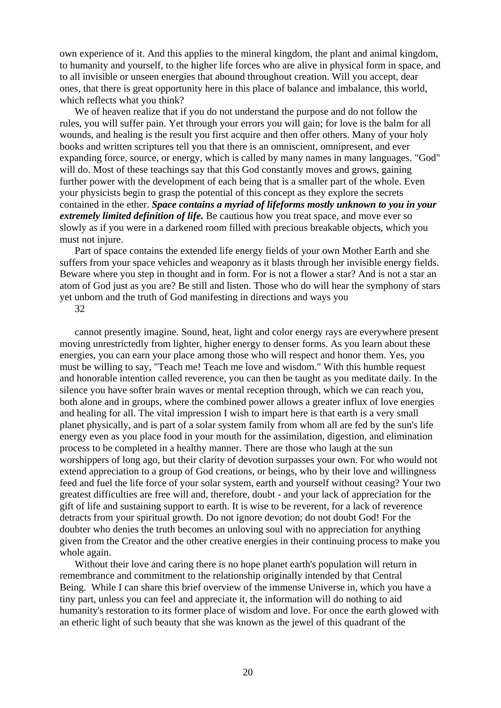own experience of it. And this applies to the mineral kingdom, the plant and animal kingdom, to humanity and yourself, to the higher life forces who are alive in physical form in space, and to all invisible or unseen energies that abound throughout creation. Will you accept, dear ones, that there is great opportunity here in this place of balance and imbalance, this world, which reflects what you think?

We of heaven realize that if you do not understand the purpose and do not follow the rules, you will suffer pain. Yet through your errors you will gain; for love is the balm for all wounds, and healing is the result you first acquire and then offer others. Many of your holy books and written scriptures tell you that there is an omniscient, omnipresent, and ever expanding force, source, or energy, which is called by many names in many languages. "God" will do. Most of these teachings say that this God constantly moves and grows, gaining further power with the development of each being that is a smaller part of the whole. Even your physicists begin to grasp the potential of this concept as they explore the secrets contained in the ether. *Space contains a myriad of lifeforms mostly unknown to you in your extremely limited definition of life.* Be cautious how you treat space, and move ever so slowly as if you were in a darkened room filled with precious breakable objects, which you must not injure.

Part of space contains the extended life energy fields of your own Mother Earth and she suffers from your space vehicles and weaponry as it blasts through her invisible energy fields. Beware where you step in thought and in form. For is not a flower a star? And is not a star an atom of God just as you are? Be still and listen. Those who do will hear the symphony of stars yet unborn and the truth of God manifesting in directions and ways you

32

cannot presently imagine. Sound, heat, light and color energy rays are everywhere present moving unrestrictedly from lighter, higher energy to denser forms. As you learn about these energies, you can earn your place among those who will respect and honor them. Yes, you must be willing to say, "Teach me! Teach me love and wisdom." With this humble request and honorable intention called reverence, you can then be taught as you meditate daily. In the silence you have softer brain waves or mental reception through, which we can reach you, both alone and in groups, where the combined power allows a greater influx of love energies and healing for all. The vital impression I wish to impart here is that earth is a very small planet physically, and is part of a solar system family from whom all are fed by the sun's life energy even as you place food in your mouth for the assimilation, digestion, and elimination process to be completed in a healthy manner. There are those who laugh at the sun worshippers of long ago, but their clarity of devotion surpasses your own. For who would not extend appreciation to a group of God creations, or beings, who by their love and willingness feed and fuel the life force of your solar system, earth and yourself without ceasing? Your two greatest difficulties are free will and, therefore, doubt - and your lack of appreciation for the gift of life and sustaining support to earth. It is wise to be reverent, for a lack of reverence detracts from your spiritual growth. Do not ignore devotion; do not doubt God! For the doubter who denies the truth becomes an unloving soul with no appreciation for anything given from the Creator and the other creative energies in their continuing process to make you whole again.

Without their love and caring there is no hope planet earth's population will return in remembrance and commitment to the relationship originally intended by that Central Being. While I can share this brief overview of the immense Universe in, which you have a tiny part, unless you can feel and appreciate it, the information will do nothing to aid humanity's restoration to its former place of wisdom and love. For once the earth glowed with an etheric light of such beauty that she was known as the jewel of this quadrant of the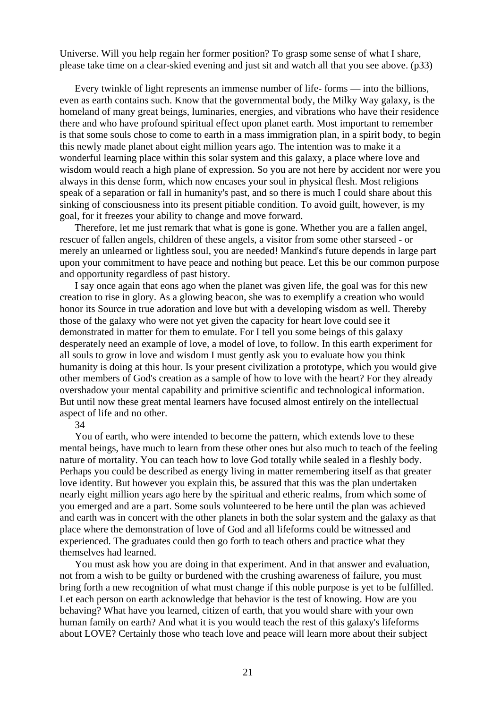Universe. Will you help regain her former position? To grasp some sense of what I share, please take time on a clear-skied evening and just sit and watch all that you see above. (p33)

Every twinkle of light represents an immense number of life- forms — into the billions, even as earth contains such. Know that the governmental body, the Milky Way galaxy, is the homeland of many great beings, luminaries, energies, and vibrations who have their residence there and who have profound spiritual effect upon planet earth. Most important to remember is that some souls chose to come to earth in a mass immigration plan, in a spirit body, to begin this newly made planet about eight million years ago. The intention was to make it a wonderful learning place within this solar system and this galaxy, a place where love and wisdom would reach a high plane of expression. So you are not here by accident nor were you always in this dense form, which now encases your soul in physical flesh. Most religions speak of a separation or fall in humanity's past, and so there is much I could share about this sinking of consciousness into its present pitiable condition. To avoid guilt, however, is my goal, for it freezes your ability to change and move forward.

Therefore, let me just remark that what is gone is gone. Whether you are a fallen angel, rescuer of fallen angels, children of these angels, a visitor from some other starseed - or merely an unlearned or lightless soul, you are needed! Mankind's future depends in large part upon your commitment to have peace and nothing but peace. Let this be our common purpose and opportunity regardless of past history.

I say once again that eons ago when the planet was given life, the goal was for this new creation to rise in glory. As a glowing beacon, she was to exemplify a creation who would honor its Source in true adoration and love but with a developing wisdom as well. Thereby those of the galaxy who were not yet given the capacity for heart love could see it demonstrated in matter for them to emulate. For I tell you some beings of this galaxy desperately need an example of love, a model of love, to follow. In this earth experiment for all souls to grow in love and wisdom I must gently ask you to evaluate how you think humanity is doing at this hour. Is your present civilization a prototype, which you would give other members of God's creation as a sample of how to love with the heart? For they already overshadow your mental capability and primitive scientific and technological information. But until now these great mental learners have focused almost entirely on the intellectual aspect of life and no other.

34

You of earth, who were intended to become the pattern, which extends love to these mental beings, have much to learn from these other ones but also much to teach of the feeling nature of mortality. You can teach how to love God totally while sealed in a fleshly body. Perhaps you could be described as energy living in matter remembering itself as that greater love identity. But however you explain this, be assured that this was the plan undertaken nearly eight million years ago here by the spiritual and etheric realms, from which some of you emerged and are a part. Some souls volunteered to be here until the plan was achieved and earth was in concert with the other planets in both the solar system and the galaxy as that place where the demonstration of love of God and all lifeforms could be witnessed and experienced. The graduates could then go forth to teach others and practice what they themselves had learned.

You must ask how you are doing in that experiment. And in that answer and evaluation, not from a wish to be guilty or burdened with the crushing awareness of failure, you must bring forth a new recognition of what must change if this noble purpose is yet to be fulfilled. Let each person on earth acknowledge that behavior is the test of knowing. How are you behaving? What have you learned, citizen of earth, that you would share with your own human family on earth? And what it is you would teach the rest of this galaxy's lifeforms about LOVE? Certainly those who teach love and peace will learn more about their subject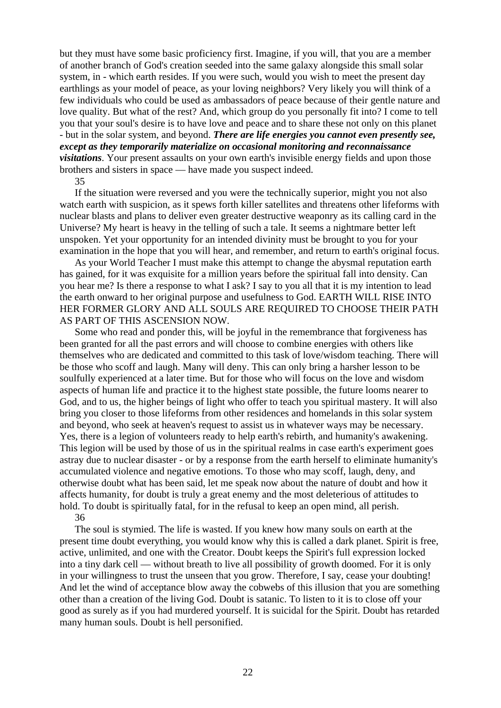but they must have some basic proficiency first. Imagine, if you will, that you are a member of another branch of God's creation seeded into the same galaxy alongside this small solar system, in - which earth resides. If you were such, would you wish to meet the present day earthlings as your model of peace, as your loving neighbors? Very likely you will think of a few individuals who could be used as ambassadors of peace because of their gentle nature and love quality. But what of the rest? And, which group do you personally fit into? I come to tell you that your soul's desire is to have love and peace and to share these not only on this planet - but in the solar system, and beyond. *There are life energies you cannot even presently see, except as they temporarily materialize on occasional monitoring and reconnaissance visitations*. Your present assaults on your own earth's invisible energy fields and upon those brothers and sisters in space — have made you suspect indeed.

#### 35

If the situation were reversed and you were the technically superior, might you not also watch earth with suspicion, as it spews forth killer satellites and threatens other lifeforms with nuclear blasts and plans to deliver even greater destructive weaponry as its calling card in the Universe? My heart is heavy in the telling of such a tale. It seems a nightmare better left unspoken. Yet your opportunity for an intended divinity must be brought to you for your examination in the hope that you will hear, and remember, and return to earth's original focus.

As your World Teacher I must make this attempt to change the abysmal reputation earth has gained, for it was exquisite for a million years before the spiritual fall into density. Can you hear me? Is there a response to what I ask? I say to you all that it is my intention to lead the earth onward to her original purpose and usefulness to God. EARTH WILL RISE INTO HER FORMER GLORY AND ALL SOULS ARE REQUIRED TO CHOOSE THEIR PATH AS PART OF THIS ASCENSION NOW.

Some who read and ponder this, will be joyful in the remembrance that forgiveness has been granted for all the past errors and will choose to combine energies with others like themselves who are dedicated and committed to this task of love/wisdom teaching. There will be those who scoff and laugh. Many will deny. This can only bring a harsher lesson to be soulfully experienced at a later time. But for those who will focus on the love and wisdom aspects of human life and practice it to the highest state possible, the future looms nearer to God, and to us, the higher beings of light who offer to teach you spiritual mastery. It will also bring you closer to those lifeforms from other residences and homelands in this solar system and beyond, who seek at heaven's request to assist us in whatever ways may be necessary. Yes, there is a legion of volunteers ready to help earth's rebirth, and humanity's awakening. This legion will be used by those of us in the spiritual realms in case earth's experiment goes astray due to nuclear disaster - or by a response from the earth herself to eliminate humanity's accumulated violence and negative emotions. To those who may scoff, laugh, deny, and otherwise doubt what has been said, let me speak now about the nature of doubt and how it affects humanity, for doubt is truly a great enemy and the most deleterious of attitudes to hold. To doubt is spiritually fatal, for in the refusal to keep an open mind, all perish. 36

The soul is stymied. The life is wasted. If you knew how many souls on earth at the present time doubt everything, you would know why this is called a dark planet. Spirit is free, active, unlimited, and one with the Creator. Doubt keeps the Spirit's full expression locked into a tiny dark cell — without breath to live all possibility of growth doomed. For it is only in your willingness to trust the unseen that you grow. Therefore, I say, cease your doubting! And let the wind of acceptance blow away the cobwebs of this illusion that you are something other than a creation of the living God. Doubt is satanic. To listen to it is to close off your good as surely as if you had murdered yourself. It is suicidal for the Spirit. Doubt has retarded many human souls. Doubt is hell personified.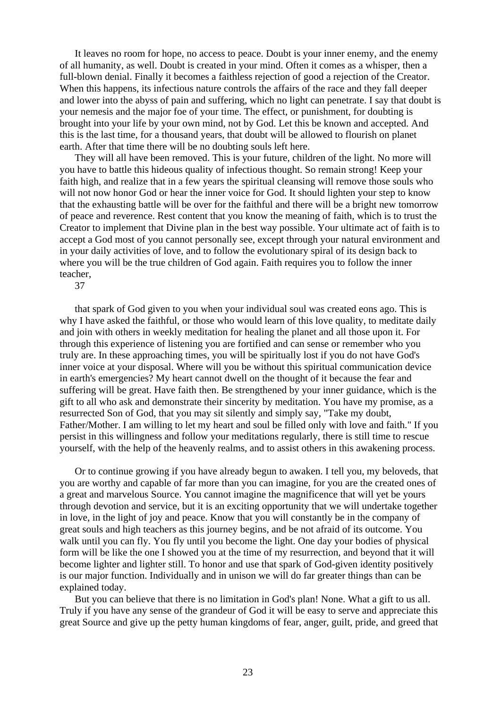It leaves no room for hope, no access to peace. Doubt is your inner enemy, and the enemy of all humanity, as well. Doubt is created in your mind. Often it comes as a whisper, then a full-blown denial. Finally it becomes a faithless rejection of good a rejection of the Creator. When this happens, its infectious nature controls the affairs of the race and they fall deeper and lower into the abyss of pain and suffering, which no light can penetrate. I say that doubt is your nemesis and the major foe of your time. The effect, or punishment, for doubting is brought into your life by your own mind, not by God. Let this be known and accepted. And this is the last time, for a thousand years, that doubt will be allowed to flourish on planet earth. After that time there will be no doubting souls left here.

They will all have been removed. This is your future, children of the light. No more will you have to battle this hideous quality of infectious thought. So remain strong! Keep your faith high, and realize that in a few years the spiritual cleansing will remove those souls who will not now honor God or hear the inner voice for God. It should lighten your step to know that the exhausting battle will be over for the faithful and there will be a bright new tomorrow of peace and reverence. Rest content that you know the meaning of faith, which is to trust the Creator to implement that Divine plan in the best way possible. Your ultimate act of faith is to accept a God most of you cannot personally see, except through your natural environment and in your daily activities of love, and to follow the evolutionary spiral of its design back to where you will be the true children of God again. Faith requires you to follow the inner teacher,

#### 37

that spark of God given to you when your individual soul was created eons ago. This is why I have asked the faithful, or those who would learn of this love quality, to meditate daily and join with others in weekly meditation for healing the planet and all those upon it. For through this experience of listening you are fortified and can sense or remember who you truly are. In these approaching times, you will be spiritually lost if you do not have God's inner voice at your disposal. Where will you be without this spiritual communication device in earth's emergencies? My heart cannot dwell on the thought of it because the fear and suffering will be great. Have faith then. Be strengthened by your inner guidance, which is the gift to all who ask and demonstrate their sincerity by meditation. You have my promise, as a resurrected Son of God, that you may sit silently and simply say, "Take my doubt, Father/Mother. I am willing to let my heart and soul be filled only with love and faith." If you persist in this willingness and follow your meditations regularly, there is still time to rescue yourself, with the help of the heavenly realms, and to assist others in this awakening process.

Or to continue growing if you have already begun to awaken. I tell you, my beloveds, that you are worthy and capable of far more than you can imagine, for you are the created ones of a great and marvelous Source. You cannot imagine the magnificence that will yet be yours through devotion and service, but it is an exciting opportunity that we will undertake together in love, in the light of joy and peace. Know that you will constantly be in the company of great souls and high teachers as this journey begins, and be not afraid of its outcome. You walk until you can fly. You fly until you become the light. One day your bodies of physical form will be like the one I showed you at the time of my resurrection, and beyond that it will become lighter and lighter still. To honor and use that spark of God-given identity positively is our major function. Individually and in unison we will do far greater things than can be explained today.

But you can believe that there is no limitation in God's plan! None. What a gift to us all. Truly if you have any sense of the grandeur of God it will be easy to serve and appreciate this great Source and give up the petty human kingdoms of fear, anger, guilt, pride, and greed that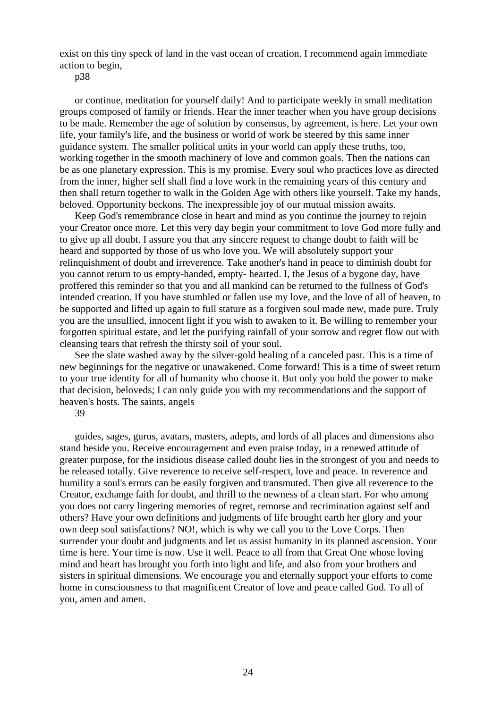exist on this tiny speck of land in the vast ocean of creation. I recommend again immediate action to begin,

p38

or continue, meditation for yourself daily! And to participate weekly in small meditation groups composed of family or friends. Hear the inner teacher when you have group decisions to be made. Remember the age of solution by consensus, by agreement, is here. Let your own life, your family's life, and the business or world of work be steered by this same inner guidance system. The smaller political units in your world can apply these truths, too, working together in the smooth machinery of love and common goals. Then the nations can be as one planetary expression. This is my promise. Every soul who practices love as directed from the inner, higher self shall find a love work in the remaining years of this century and then shall return together to walk in the Golden Age with others like yourself. Take my hands, beloved. Opportunity beckons. The inexpressible joy of our mutual mission awaits.

Keep God's remembrance close in heart and mind as you continue the journey to rejoin your Creator once more. Let this very day begin your commitment to love God more fully and to give up all doubt. I assure you that any sincere request to change doubt to faith will be heard and supported by those of us who love you. We will absolutely support your relinquishment of doubt and irreverence. Take another's hand in peace to diminish doubt for you cannot return to us empty-handed, empty- hearted. I, the Jesus of a bygone day, have proffered this reminder so that you and all mankind can be returned to the fullness of God's intended creation. If you have stumbled or fallen use my love, and the love of all of heaven, to be supported and lifted up again to full stature as a forgiven soul made new, made pure. Truly you are the unsullied, innocent light if you wish to awaken to it. Be willing to remember your forgotten spiritual estate, and let the purifying rainfall of your sorrow and regret flow out with cleansing tears that refresh the thirsty soil of your soul.

See the slate washed away by the silver-gold healing of a canceled past. This is a time of new beginnings for the negative or unawakened. Come forward! This is a time of sweet return to your true identity for all of humanity who choose it. But only you hold the power to make that decision, beloveds; I can only guide you with my recommendations and the support of heaven's hosts. The saints, angels

#### 39

guides, sages, gurus, avatars, masters, adepts, and lords of all places and dimensions also stand beside you. Receive encouragement and even praise today, in a renewed attitude of greater purpose, for the insidious disease called doubt lies in the strongest of you and needs to be released totally. Give reverence to receive self-respect, love and peace. In reverence and humility a soul's errors can be easily forgiven and transmuted. Then give all reverence to the Creator, exchange faith for doubt, and thrill to the newness of a clean start. For who among you does not carry lingering memories of regret, remorse and recrimination against self and others? Have your own definitions and judgments of life brought earth her glory and your own deep soul satisfactions? NO!, which is why we call you to the Love Corps. Then surrender your doubt and judgments and let us assist humanity in its planned ascension. Your time is here. Your time is now. Use it well. Peace to all from that Great One whose loving mind and heart has brought you forth into light and life, and also from your brothers and sisters in spiritual dimensions. We encourage you and eternally support your efforts to come home in consciousness to that magnificent Creator of love and peace called God. To all of you, amen and amen.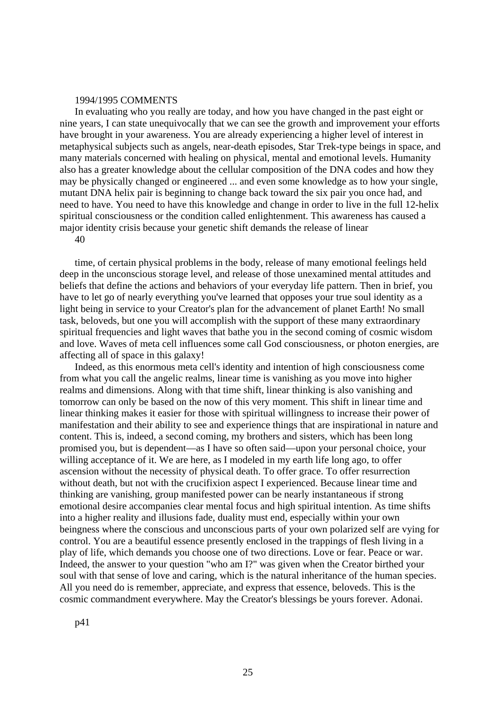#### 1994/1995 COMMENTS

In evaluating who you really are today, and how you have changed in the past eight or nine years, I can state unequivocally that we can see the growth and improvement your efforts have brought in your awareness. You are already experiencing a higher level of interest in metaphysical subjects such as angels, near-death episodes, Star Trek-type beings in space, and many materials concerned with healing on physical, mental and emotional levels. Humanity also has a greater knowledge about the cellular composition of the DNA codes and how they may be physically changed or engineered ... and even some knowledge as to how your single, mutant DNA helix pair is beginning to change back toward the six pair you once had, and need to have. You need to have this knowledge and change in order to live in the full 12-helix spiritual consciousness or the condition called enlightenment. This awareness has caused a major identity crisis because your genetic shift demands the release of linear

#### 40

time, of certain physical problems in the body, release of many emotional feelings held deep in the unconscious storage level, and release of those unexamined mental attitudes and beliefs that define the actions and behaviors of your everyday life pattern. Then in brief, you have to let go of nearly everything you've learned that opposes your true soul identity as a light being in service to your Creator's plan for the advancement of planet Earth! No small task, beloveds, but one you will accomplish with the support of these many extraordinary spiritual frequencies and light waves that bathe you in the second coming of cosmic wisdom and love. Waves of meta cell influences some call God consciousness, or photon energies, are affecting all of space in this galaxy!

Indeed, as this enormous meta cell's identity and intention of high consciousness come from what you call the angelic realms, linear time is vanishing as you move into higher realms and dimensions. Along with that time shift, linear thinking is also vanishing and tomorrow can only be based on the now of this very moment. This shift in linear time and linear thinking makes it easier for those with spiritual willingness to increase their power of manifestation and their ability to see and experience things that are inspirational in nature and content. This is, indeed, a second coming, my brothers and sisters, which has been long promised you, but is dependent—as I have so often said—upon your personal choice, your willing acceptance of it. We are here, as I modeled in my earth life long ago, to offer ascension without the necessity of physical death. To offer grace. To offer resurrection without death, but not with the crucifixion aspect I experienced. Because linear time and thinking are vanishing, group manifested power can be nearly instantaneous if strong emotional desire accompanies clear mental focus and high spiritual intention. As time shifts into a higher reality and illusions fade, duality must end, especially within your own beingness where the conscious and unconscious parts of your own polarized self are vying for control. You are a beautiful essence presently enclosed in the trappings of flesh living in a play of life, which demands you choose one of two directions. Love or fear. Peace or war. Indeed, the answer to your question "who am I?" was given when the Creator birthed your soul with that sense of love and caring, which is the natural inheritance of the human species. All you need do is remember, appreciate, and express that essence, beloveds. This is the cosmic commandment everywhere. May the Creator's blessings be yours forever. Adonai.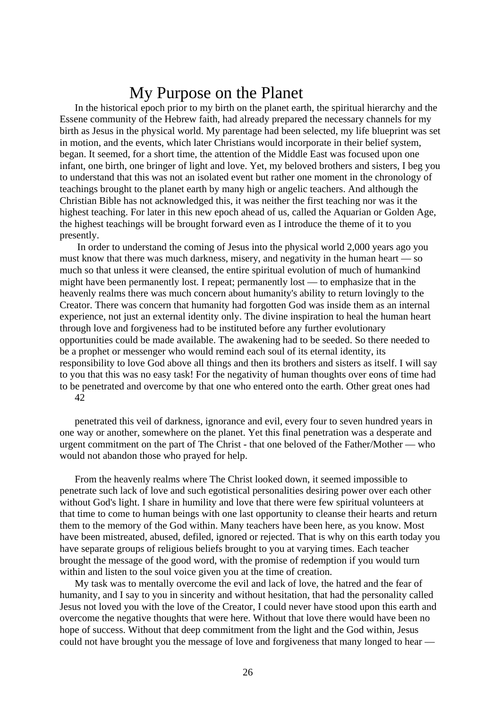# My Purpose on the Planet

In the historical epoch prior to my birth on the planet earth, the spiritual hierarchy and the Essene community of the Hebrew faith, had already prepared the necessary channels for my birth as Jesus in the physical world. My parentage had been selected, my life blueprint was set in motion, and the events, which later Christians would incorporate in their belief system, began. It seemed, for a short time, the attention of the Middle East was focused upon one infant, one birth, one bringer of light and love. Yet, my beloved brothers and sisters, I beg you to understand that this was not an isolated event but rather one moment in the chronology of teachings brought to the planet earth by many high or angelic teachers. And although the Christian Bible has not acknowledged this, it was neither the first teaching nor was it the highest teaching. For later in this new epoch ahead of us, called the Aquarian or Golden Age, the highest teachings will be brought forward even as I introduce the theme of it to you presently.

 In order to understand the coming of Jesus into the physical world 2,000 years ago you must know that there was much darkness, misery, and negativity in the human heart — so much so that unless it were cleansed, the entire spiritual evolution of much of humankind might have been permanently lost. I repeat; permanently lost — to emphasize that in the heavenly realms there was much concern about humanity's ability to return lovingly to the Creator. There was concern that humanity had forgotten God was inside them as an internal experience, not just an external identity only. The divine inspiration to heal the human heart through love and forgiveness had to be instituted before any further evolutionary opportunities could be made available. The awakening had to be seeded. So there needed to be a prophet or messenger who would remind each soul of its eternal identity, its responsibility to love God above all things and then its brothers and sisters as itself. I will say to you that this was no easy task! For the negativity of human thoughts over eons of time had to be penetrated and overcome by that one who entered onto the earth. Other great ones had 42

penetrated this veil of darkness, ignorance and evil, every four to seven hundred years in one way or another, somewhere on the planet. Yet this final penetration was a desperate and urgent commitment on the part of The Christ - that one beloved of the Father/Mother — who would not abandon those who prayed for help.

From the heavenly realms where The Christ looked down, it seemed impossible to penetrate such lack of love and such egotistical personalities desiring power over each other without God's light. I share in humility and love that there were few spiritual volunteers at that time to come to human beings with one last opportunity to cleanse their hearts and return them to the memory of the God within. Many teachers have been here, as you know. Most have been mistreated, abused, defiled, ignored or rejected. That is why on this earth today you have separate groups of religious beliefs brought to you at varying times. Each teacher brought the message of the good word, with the promise of redemption if you would turn within and listen to the soul voice given you at the time of creation.

My task was to mentally overcome the evil and lack of love, the hatred and the fear of humanity, and I say to you in sincerity and without hesitation, that had the personality called Jesus not loved you with the love of the Creator, I could never have stood upon this earth and overcome the negative thoughts that were here. Without that love there would have been no hope of success. Without that deep commitment from the light and the God within, Jesus could not have brought you the message of love and forgiveness that many longed to hear —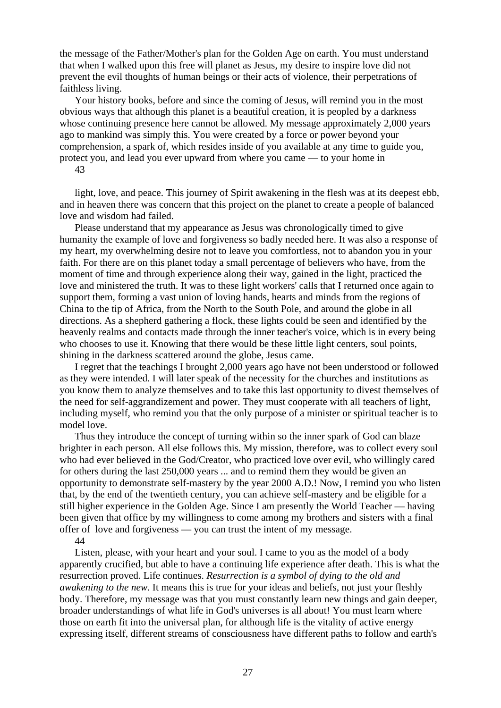the message of the Father/Mother's plan for the Golden Age on earth. You must understand that when I walked upon this free will planet as Jesus, my desire to inspire love did not prevent the evil thoughts of human beings or their acts of violence, their perpetrations of faithless living.

Your history books, before and since the coming of Jesus, will remind you in the most obvious ways that although this planet is a beautiful creation, it is peopled by a darkness whose continuing presence here cannot be allowed. My message approximately 2,000 years ago to mankind was simply this. You were created by a force or power beyond your comprehension, a spark of, which resides inside of you available at any time to guide you, protect you, and lead you ever upward from where you came — to your home in 43

light, love, and peace. This journey of Spirit awakening in the flesh was at its deepest ebb, and in heaven there was concern that this project on the planet to create a people of balanced love and wisdom had failed.

Please understand that my appearance as Jesus was chronologically timed to give humanity the example of love and forgiveness so badly needed here. It was also a response of my heart, my overwhelming desire not to leave you comfortless, not to abandon you in your faith. For there are on this planet today a small percentage of believers who have, from the moment of time and through experience along their way, gained in the light, practiced the love and ministered the truth. It was to these light workers' calls that I returned once again to support them, forming a vast union of loving hands, hearts and minds from the regions of China to the tip of Africa, from the North to the South Pole, and around the globe in all directions. As a shepherd gathering a flock, these lights could be seen and identified by the heavenly realms and contacts made through the inner teacher's voice, which is in every being who chooses to use it. Knowing that there would be these little light centers, soul points, shining in the darkness scattered around the globe, Jesus came.

I regret that the teachings I brought 2,000 years ago have not been understood or followed as they were intended. I will later speak of the necessity for the churches and institutions as you know them to analyze themselves and to take this last opportunity to divest themselves of the need for self-aggrandizement and power. They must cooperate with all teachers of light, including myself, who remind you that the only purpose of a minister or spiritual teacher is to model love.

Thus they introduce the concept of turning within so the inner spark of God can blaze brighter in each person. All else follows this. My mission, therefore, was to collect every soul who had ever believed in the God/Creator, who practiced love over evil, who willingly cared for others during the last 250,000 years ... and to remind them they would be given an opportunity to demonstrate self-mastery by the year 2000 A.D.! Now, I remind you who listen that, by the end of the twentieth century, you can achieve self-mastery and be eligible for a still higher experience in the Golden Age. Since I am presently the World Teacher — having been given that office by my willingness to come among my brothers and sisters with a final offer of love and forgiveness — you can trust the intent of my message.

44

Listen, please, with your heart and your soul. I came to you as the model of a body apparently crucified, but able to have a continuing life experience after death. This is what the resurrection proved. Life continues. *Resurrection is a symbol of dying to the old and awakening to the new*. It means this is true for your ideas and beliefs, not just your fleshly body. Therefore, my message was that you must constantly learn new things and gain deeper, broader understandings of what life in God's universes is all about! You must learn where those on earth fit into the universal plan, for although life is the vitality of active energy expressing itself, different streams of consciousness have different paths to follow and earth's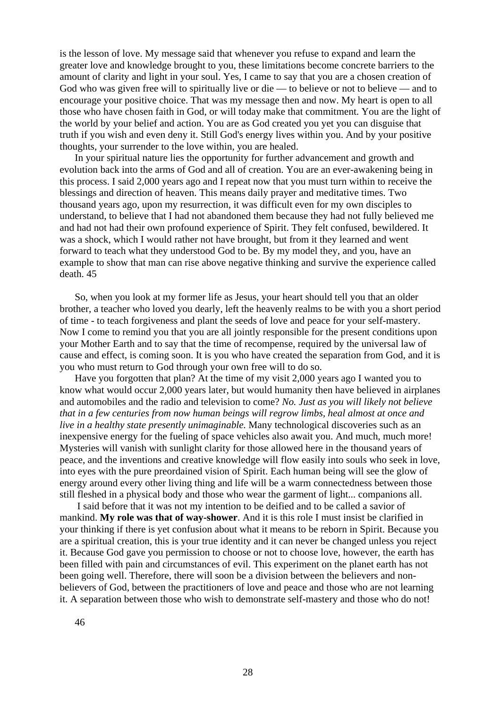is the lesson of love. My message said that whenever you refuse to expand and learn the greater love and knowledge brought to you, these limitations become concrete barriers to the amount of clarity and light in your soul. Yes, I came to say that you are a chosen creation of God who was given free will to spiritually live or die — to believe or not to believe — and to encourage your positive choice. That was my message then and now. My heart is open to all those who have chosen faith in God, or will today make that commitment. You are the light of the world by your belief and action. You are as God created you yet you can disguise that truth if you wish and even deny it. Still God's energy lives within you. And by your positive thoughts, your surrender to the love within, you are healed.

In your spiritual nature lies the opportunity for further advancement and growth and evolution back into the arms of God and all of creation. You are an ever-awakening being in this process. I said 2,000 years ago and I repeat now that you must turn within to receive the blessings and direction of heaven. This means daily prayer and meditative times. Two thousand years ago, upon my resurrection, it was difficult even for my own disciples to understand, to believe that I had not abandoned them because they had not fully believed me and had not had their own profound experience of Spirit. They felt confused, bewildered. It was a shock, which I would rather not have brought, but from it they learned and went forward to teach what they understood God to be. By my model they, and you, have an example to show that man can rise above negative thinking and survive the experience called death. 45

So, when you look at my former life as Jesus, your heart should tell you that an older brother, a teacher who loved you dearly, left the heavenly realms to be with you a short period of time - to teach forgiveness and plant the seeds of love and peace for your self-mastery. Now I come to remind you that you are all jointly responsible for the present conditions upon your Mother Earth and to say that the time of recompense, required by the universal law of cause and effect, is coming soon. It is you who have created the separation from God, and it is you who must return to God through your own free will to do so.

Have you forgotten that plan? At the time of my visit 2,000 years ago I wanted you to know what would occur 2,000 years later, but would humanity then have believed in airplanes and automobiles and the radio and television to come? *No. Just as you will likely not believe that in a few centuries from now human beings will regrow limbs, heal almost at once and live in a healthy state presently unimaginable.* Many technological discoveries such as an inexpensive energy for the fueling of space vehicles also await you. And much, much more! Mysteries will vanish with sunlight clarity for those allowed here in the thousand years of peace, and the inventions and creative knowledge will flow easily into souls who seek in love, into eyes with the pure preordained vision of Spirit. Each human being will see the glow of energy around every other living thing and life will be a warm connectedness between those still fleshed in a physical body and those who wear the garment of light... companions all.

 I said before that it was not my intention to be deified and to be called a savior of mankind. **My role was that of way-shower**. And it is this role I must insist be clarified in your thinking if there is yet confusion about what it means to be reborn in Spirit. Because you are a spiritual creation, this is your true identity and it can never be changed unless you reject it. Because God gave you permission to choose or not to choose love, however, the earth has been filled with pain and circumstances of evil. This experiment on the planet earth has not been going well. Therefore, there will soon be a division between the believers and nonbelievers of God, between the practitioners of love and peace and those who are not learning it. A separation between those who wish to demonstrate self-mastery and those who do not!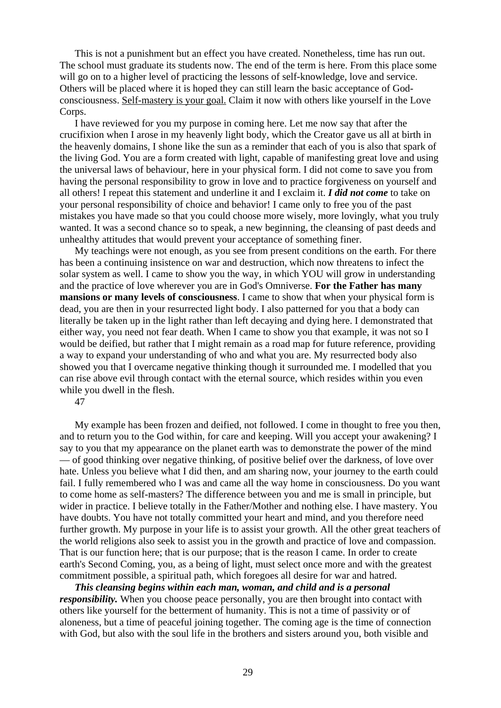This is not a punishment but an effect you have created. Nonetheless, time has run out. The school must graduate its students now. The end of the term is here. From this place some will go on to a higher level of practicing the lessons of self-knowledge, love and service. Others will be placed where it is hoped they can still learn the basic acceptance of Godconsciousness. Self-mastery is your goal. Claim it now with others like yourself in the Love Corps.

I have reviewed for you my purpose in coming here. Let me now say that after the crucifixion when I arose in my heavenly light body, which the Creator gave us all at birth in the heavenly domains, I shone like the sun as a reminder that each of you is also that spark of the living God. You are a form created with light, capable of manifesting great love and using the universal laws of behaviour, here in your physical form. I did not come to save you from having the personal responsibility to grow in love and to practice forgiveness on yourself and all others! I repeat this statement and underline it and I exclaim it. *I did not come* to take on your personal responsibility of choice and behavior! I came only to free you of the past mistakes you have made so that you could choose more wisely, more lovingly, what you truly wanted. It was a second chance so to speak, a new beginning, the cleansing of past deeds and unhealthy attitudes that would prevent your acceptance of something finer.

My teachings were not enough, as you see from present conditions on the earth. For there has been a continuing insistence on war and destruction, which now threatens to infect the solar system as well. I came to show you the way, in which YOU will grow in understanding and the practice of love wherever you are in God's Omniverse. **For the Father has many mansions or many levels of consciousness**. I came to show that when your physical form is dead, you are then in your resurrected light body. I also patterned for you that a body can literally be taken up in the light rather than left decaying and dying here. I demonstrated that either way, you need not fear death. When I came to show you that example, it was not so I would be deified, but rather that I might remain as a road map for future reference, providing a way to expand your understanding of who and what you are. My resurrected body also showed you that I overcame negative thinking though it surrounded me. I modelled that you can rise above evil through contact with the eternal source, which resides within you even while you dwell in the flesh.

#### 47

My example has been frozen and deified, not followed. I come in thought to free you then, and to return you to the God within, for care and keeping. Will you accept your awakening? I say to you that my appearance on the planet earth was to demonstrate the power of the mind — of good thinking over negative thinking, of positive belief over the darkness, of love over hate. Unless you believe what I did then, and am sharing now, your journey to the earth could fail. I fully remembered who I was and came all the way home in consciousness. Do you want to come home as self-masters? The difference between you and me is small in principle, but wider in practice. I believe totally in the Father/Mother and nothing else. I have mastery. You have doubts. You have not totally committed your heart and mind, and you therefore need further growth. My purpose in your life is to assist your growth. All the other great teachers of the world religions also seek to assist you in the growth and practice of love and compassion. That is our function here; that is our purpose; that is the reason I came. In order to create earth's Second Coming, you, as a being of light, must select once more and with the greatest commitment possible, a spiritual path, which foregoes all desire for war and hatred.

*This cleansing begins within each man, woman, and child and is a personal responsibility.* When you choose peace personally, you are then brought into contact with others like yourself for the betterment of humanity. This is not a time of passivity or of aloneness, but a time of peaceful joining together. The coming age is the time of connection with God, but also with the soul life in the brothers and sisters around you, both visible and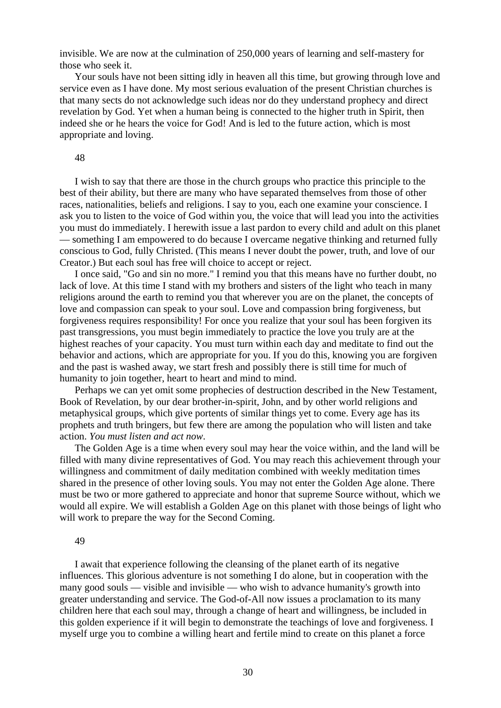invisible. We are now at the culmination of 250,000 years of learning and self-mastery for those who seek it.

Your souls have not been sitting idly in heaven all this time, but growing through love and service even as I have done. My most serious evaluation of the present Christian churches is that many sects do not acknowledge such ideas nor do they understand prophecy and direct revelation by God. Yet when a human being is connected to the higher truth in Spirit, then indeed she or he hears the voice for God! And is led to the future action, which is most appropriate and loving.

#### 48

I wish to say that there are those in the church groups who practice this principle to the best of their ability, but there are many who have separated themselves from those of other races, nationalities, beliefs and religions. I say to you, each one examine your conscience. I ask you to listen to the voice of God within you, the voice that will lead you into the activities you must do immediately. I herewith issue a last pardon to every child and adult on this planet — something I am empowered to do because I overcame negative thinking and returned fully conscious to God, fully Christed. (This means I never doubt the power, truth, and love of our Creator.) But each soul has free will choice to accept or reject.

I once said, "Go and sin no more." I remind you that this means have no further doubt, no lack of love. At this time I stand with my brothers and sisters of the light who teach in many religions around the earth to remind you that wherever you are on the planet, the concepts of love and compassion can speak to your soul. Love and compassion bring forgiveness, but forgiveness requires responsibility! For once you realize that your soul has been forgiven its past transgressions, you must begin immediately to practice the love you truly are at the highest reaches of your capacity. You must turn within each day and meditate to find out the behavior and actions, which are appropriate for you. If you do this, knowing you are forgiven and the past is washed away, we start fresh and possibly there is still time for much of humanity to join together, heart to heart and mind to mind.

Perhaps we can yet omit some prophecies of destruction described in the New Testament, Book of Revelation, by our dear brother-in-spirit, John, and by other world religions and metaphysical groups, which give portents of similar things yet to come. Every age has its prophets and truth bringers, but few there are among the population who will listen and take action. *You must listen and act now*.

The Golden Age is a time when every soul may hear the voice within, and the land will be filled with many divine representatives of God. You may reach this achievement through your willingness and commitment of daily meditation combined with weekly meditation times shared in the presence of other loving souls. You may not enter the Golden Age alone. There must be two or more gathered to appreciate and honor that supreme Source without, which we would all expire. We will establish a Golden Age on this planet with those beings of light who will work to prepare the way for the Second Coming.

#### 49

I await that experience following the cleansing of the planet earth of its negative influences. This glorious adventure is not something I do alone, but in cooperation with the many good souls — visible and invisible — who wish to advance humanity's growth into greater understanding and service. The God-of-All now issues a proclamation to its many children here that each soul may, through a change of heart and willingness, be included in this golden experience if it will begin to demonstrate the teachings of love and forgiveness. I myself urge you to combine a willing heart and fertile mind to create on this planet a force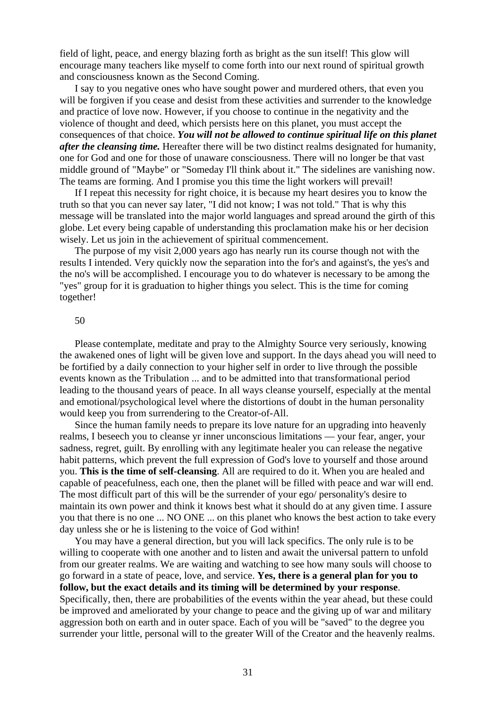field of light, peace, and energy blazing forth as bright as the sun itself! This glow will encourage many teachers like myself to come forth into our next round of spiritual growth and consciousness known as the Second Coming.

I say to you negative ones who have sought power and murdered others, that even you will be forgiven if you cease and desist from these activities and surrender to the knowledge and practice of love now. However, if you choose to continue in the negativity and the violence of thought and deed, which persists here on this planet, you must accept the consequences of that choice. *You will not be allowed to continue spiritual life on this planet after the cleansing time.* Hereafter there will be two distinct realms designated for humanity, one for God and one for those of unaware consciousness. There will no longer be that vast middle ground of "Maybe" or "Someday I'll think about it." The sidelines are vanishing now. The teams are forming. And I promise you this time the light workers will prevail!

If I repeat this necessity for right choice, it is because my heart desires you to know the truth so that you can never say later, "I did not know; I was not told." That is why this message will be translated into the major world languages and spread around the girth of this globe. Let every being capable of understanding this proclamation make his or her decision wisely. Let us join in the achievement of spiritual commencement.

The purpose of my visit 2,000 years ago has nearly run its course though not with the results I intended. Very quickly now the separation into the for's and against's, the yes's and the no's will be accomplished. I encourage you to do whatever is necessary to be among the "yes" group for it is graduation to higher things you select. This is the time for coming together!

#### 50

Please contemplate, meditate and pray to the Almighty Source very seriously, knowing the awakened ones of light will be given love and support. In the days ahead you will need to be fortified by a daily connection to your higher self in order to live through the possible events known as the Tribulation ... and to be admitted into that transformational period leading to the thousand years of peace. In all ways cleanse yourself, especially at the mental and emotional/psychological level where the distortions of doubt in the human personality would keep you from surrendering to the Creator-of-All.

Since the human family needs to prepare its love nature for an upgrading into heavenly realms, I beseech you to cleanse yr inner unconscious limitations — your fear, anger, your sadness, regret, guilt. By enrolling with any legitimate healer you can release the negative habit patterns, which prevent the full expression of God's love to yourself and those around you. **This is the time of self-cleansing**. All are required to do it. When you are healed and capable of peacefulness, each one, then the planet will be filled with peace and war will end. The most difficult part of this will be the surrender of your ego/ personality's desire to maintain its own power and think it knows best what it should do at any given time. I assure you that there is no one ... NO ONE ... on this planet who knows the best action to take every day unless she or he is listening to the voice of God within!

You may have a general direction, but you will lack specifics. The only rule is to be willing to cooperate with one another and to listen and await the universal pattern to unfold from our greater realms. We are waiting and watching to see how many souls will choose to go forward in a state of peace, love, and service. **Yes, there is a general plan for you to follow, but the exact details and its timing will be determined by your response**. Specifically, then, there are probabilities of the events within the year ahead, but these could be improved and ameliorated by your change to peace and the giving up of war and military aggression both on earth and in outer space. Each of you will be "saved" to the degree you surrender your little, personal will to the greater Will of the Creator and the heavenly realms.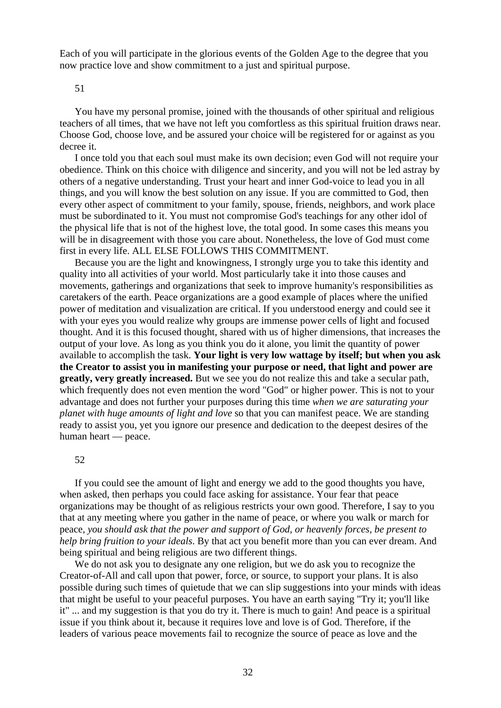Each of you will participate in the glorious events of the Golden Age to the degree that you now practice love and show commitment to a just and spiritual purpose.

51

You have my personal promise, joined with the thousands of other spiritual and religious teachers of all times, that we have not left you comfortless as this spiritual fruition draws near. Choose God, choose love, and be assured your choice will be registered for or against as you decree it.

I once told you that each soul must make its own decision; even God will not require your obedience. Think on this choice with diligence and sincerity, and you will not be led astray by others of a negative understanding. Trust your heart and inner God-voice to lead you in all things, and you will know the best solution on any issue. If you are committed to God, then every other aspect of commitment to your family, spouse, friends, neighbors, and work place must be subordinated to it. You must not compromise God's teachings for any other idol of the physical life that is not of the highest love, the total good. In some cases this means you will be in disagreement with those you care about. Nonetheless, the love of God must come first in every life. ALL ELSE FOLLOWS THIS COMMITMENT.

Because you are the light and knowingness, I strongly urge you to take this identity and quality into all activities of your world. Most particularly take it into those causes and movements, gatherings and organizations that seek to improve humanity's responsibilities as caretakers of the earth. Peace organizations are a good example of places where the unified power of meditation and visualization are critical. If you understood energy and could see it with your eyes you would realize why groups are immense power cells of light and focused thought. And it is this focused thought, shared with us of higher dimensions, that increases the output of your love. As long as you think you do it alone, you limit the quantity of power available to accomplish the task. **Your light is very low wattage by itself; but when you ask the Creator to assist you in manifesting your purpose or need, that light and power are greatly, very greatly increased.** But we see you do not realize this and take a secular path, which frequently does not even mention the word "God" or higher power. This is not to your advantage and does not further your purposes during this time *when we are saturating your planet with huge amounts of light and love* so that you can manifest peace. We are standing ready to assist you, yet you ignore our presence and dedication to the deepest desires of the human heart — peace.

#### 52

If you could see the amount of light and energy we add to the good thoughts you have, when asked, then perhaps you could face asking for assistance. Your fear that peace organizations may be thought of as religious restricts your own good. Therefore, I say to you that at any meeting where you gather in the name of peace, or where you walk or march for peace, *you should ask that the power and support of God, or heavenly forces, be present to help bring fruition to your ideals*. By that act you benefit more than you can ever dream. And being spiritual and being religious are two different things.

We do not ask you to designate any one religion, but we do ask you to recognize the Creator-of-All and call upon that power, force, or source, to support your plans. It is also possible during such times of quietude that we can slip suggestions into your minds with ideas that might be useful to your peaceful purposes. You have an earth saying "Try it; you'll like it" ... and my suggestion is that you do try it. There is much to gain! And peace is a spiritual issue if you think about it, because it requires love and love is of God. Therefore, if the leaders of various peace movements fail to recognize the source of peace as love and the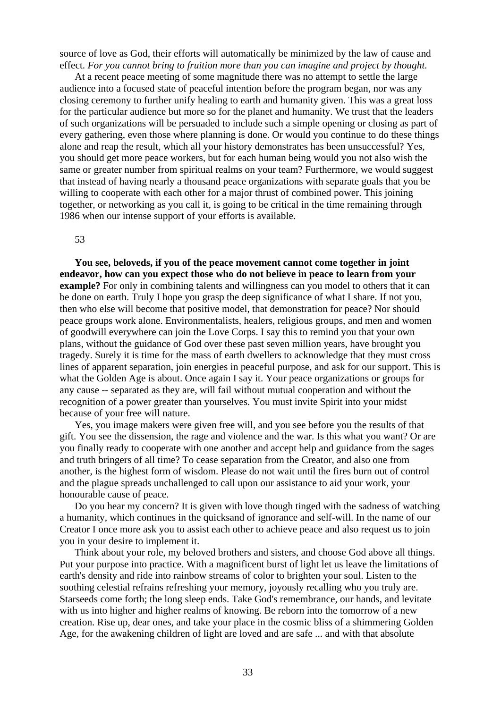source of love as God, their efforts will automatically be minimized by the law of cause and effect. *For you cannot bring to fruition more than you can imagine and project by thought.* 

At a recent peace meeting of some magnitude there was no attempt to settle the large audience into a focused state of peaceful intention before the program began, nor was any closing ceremony to further unify healing to earth and humanity given. This was a great loss for the particular audience but more so for the planet and humanity. We trust that the leaders of such organizations will be persuaded to include such a simple opening or closing as part of every gathering, even those where planning is done. Or would you continue to do these things alone and reap the result, which all your history demonstrates has been unsuccessful? Yes, you should get more peace workers, but for each human being would you not also wish the same or greater number from spiritual realms on your team? Furthermore, we would suggest that instead of having nearly a thousand peace organizations with separate goals that you be willing to cooperate with each other for a major thrust of combined power. This joining together, or networking as you call it, is going to be critical in the time remaining through 1986 when our intense support of your efforts is available.

#### 53

**You see, beloveds, if you of the peace movement cannot come together in joint endeavor, how can you expect those who do not believe in peace to learn from your example?** For only in combining talents and willingness can you model to others that it can be done on earth. Truly I hope you grasp the deep significance of what I share. If not you, then who else will become that positive model, that demonstration for peace? Nor should peace groups work alone. Environmentalists, healers, religious groups, and men and women of goodwill everywhere can join the Love Corps. I say this to remind you that your own plans, without the guidance of God over these past seven million years, have brought you tragedy. Surely it is time for the mass of earth dwellers to acknowledge that they must cross lines of apparent separation, join energies in peaceful purpose, and ask for our support. This is what the Golden Age is about. Once again I say it. Your peace organizations or groups for any cause -- separated as they are, will fail without mutual cooperation and without the recognition of a power greater than yourselves. You must invite Spirit into your midst because of your free will nature.

Yes, you image makers were given free will, and you see before you the results of that gift. You see the dissension, the rage and violence and the war. Is this what you want? Or are you finally ready to cooperate with one another and accept help and guidance from the sages and truth bringers of all time? To cease separation from the Creator, and also one from another, is the highest form of wisdom. Please do not wait until the fires burn out of control and the plague spreads unchallenged to call upon our assistance to aid your work, your honourable cause of peace.

Do you hear my concern? It is given with love though tinged with the sadness of watching a humanity, which continues in the quicksand of ignorance and self-will. In the name of our Creator I once more ask you to assist each other to achieve peace and also request us to join you in your desire to implement it.

Think about your role, my beloved brothers and sisters, and choose God above all things. Put your purpose into practice. With a magnificent burst of light let us leave the limitations of earth's density and ride into rainbow streams of color to brighten your soul. Listen to the soothing celestial refrains refreshing your memory, joyously recalling who you truly are. Starseeds come forth; the long sleep ends. Take God's remembrance, our hands, and levitate with us into higher and higher realms of knowing. Be reborn into the tomorrow of a new creation. Rise up, dear ones, and take your place in the cosmic bliss of a shimmering Golden Age, for the awakening children of light are loved and are safe ... and with that absolute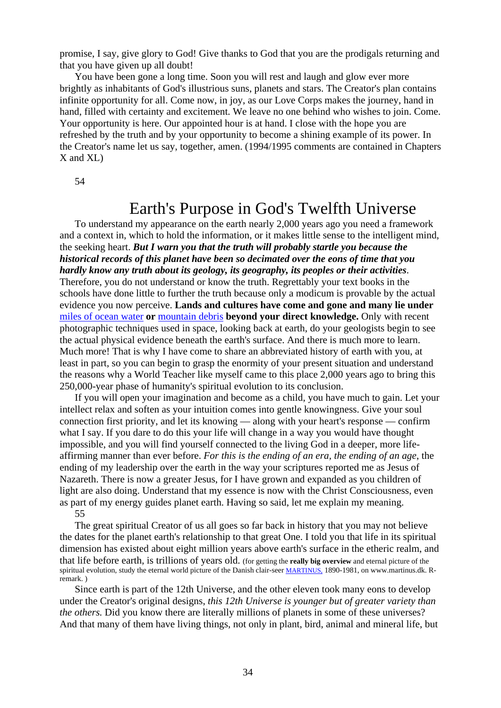promise, I say, give glory to God! Give thanks to God that you are the prodigals returning and that you have given up all doubt!

You have been gone a long time. Soon you will rest and laugh and glow ever more brightly as inhabitants of God's illustrious suns, planets and stars. The Creator's plan contains infinite opportunity for all. Come now, in joy, as our Love Corps makes the journey, hand in hand, filled with certainty and excitement. We leave no one behind who wishes to join. Come. Your opportunity is here. Our appointed hour is at hand. I close with the hope you are refreshed by the truth and by your opportunity to become a shining example of its power. In the Creator's name let us say, together, amen. (1994/1995 comments are contained in Chapters X and XL)

54

# Earth's Purpose in God's Twelfth Universe

To understand my appearance on the earth nearly 2,000 years ago you need a framework and a context in, which to hold the information, or it makes little sense to the intelligent mind, the seeking heart. *But I warn you that the truth will probably startle you because the historical records of this planet have been so decimated over the eons of time that you hardly know any truth about its geology, its geography, its peoples or their activities*. Therefore, you do not understand or know the truth. Regrettably your text books in the schools have done little to further the truth because only a modicum is provable by the actual evidence you now perceive. **Lands and cultures have come and gone and many lie under**  [miles of ocean water](http://www.google.no/#hl=no&sclient=psy-ab&q=undersea+ancient+cities&oq=undersea+anci&gs_l=hp.1.0.0i30l2j0i8i30l2.9125.22145.0.28437.13.11.0.2.2.0.367.2681.0j5j4j2.11.0...0.0...1c.U7K2TiQ9gDo&pbx=1&bav=on.2,or.r_gc.r_pw.r_qf.&fp=ca77f934628a91e5&b) **or** [mountain debris](http://lobsang-rampa.net/ramcave1.html) **beyond your direct knowledge.** Only with recent photographic techniques used in space, looking back at earth, do your geologists begin to see the actual physical evidence beneath the earth's surface. And there is much more to learn. Much more! That is why I have come to share an abbreviated history of earth with you, at least in part, so you can begin to grasp the enormity of your present situation and understand the reasons why a World Teacher like myself came to this place 2,000 years ago to bring this 250,000-year phase of humanity's spiritual evolution to its conclusion.

If you will open your imagination and become as a child, you have much to gain. Let your intellect relax and soften as your intuition comes into gentle knowingness. Give your soul connection first priority, and let its knowing — along with your heart's response — confirm what I say. If you dare to do this your life will change in a way you would have thought impossible, and you will find yourself connected to the living God in a deeper, more lifeaffirming manner than ever before. *For this is the ending of an era, the ending of an age*, the ending of my leadership over the earth in the way your scriptures reported me as Jesus of Nazareth. There is now a greater Jesus, for I have grown and expanded as you children of light are also doing. Understand that my essence is now with the Christ Consciousness, even as part of my energy guides planet earth. Having so said, let me explain my meaning. 55

The great spiritual Creator of us all goes so far back in history that you may not believe the dates for the planet earth's relationship to that great One. I told you that life in its spiritual dimension has existed about eight million years above earth's surface in the etheric realm, and that life before earth, is trillions of years old. (for getting the **really big overview** and eternal picture of the spiritual evolution, study the eternal world picture of the Danish clair-seer [MARTINUS,](http://www.martinus.dk/) 1890-1981, on www.martinus.dk. Rremark. )

Since earth is part of the 12th Universe, and the other eleven took many eons to develop under the Creator's original designs, *this 12th Universe is younger but of greater variety than the others.* Did you know there are literally millions of planets in some of these universes? And that many of them have living things, not only in plant, bird, animal and mineral life, but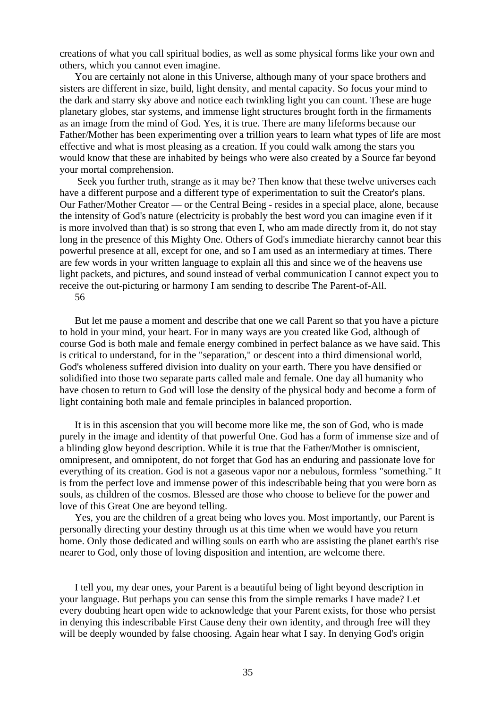creations of what you call spiritual bodies, as well as some physical forms like your own and others, which you cannot even imagine.

You are certainly not alone in this Universe, although many of your space brothers and sisters are different in size, build, light density, and mental capacity. So focus your mind to the dark and starry sky above and notice each twinkling light you can count. These are huge planetary globes, star systems, and immense light structures brought forth in the firmaments as an image from the mind of God. Yes, it is true. There are many lifeforms because our Father/Mother has been experimenting over a trillion years to learn what types of life are most effective and what is most pleasing as a creation. If you could walk among the stars you would know that these are inhabited by beings who were also created by a Source far beyond your mortal comprehension.

 Seek you further truth, strange as it may be? Then know that these twelve universes each have a different purpose and a different type of experimentation to suit the Creator's plans. Our Father/Mother Creator — or the Central Being - resides in a special place, alone, because the intensity of God's nature (electricity is probably the best word you can imagine even if it is more involved than that) is so strong that even I, who am made directly from it, do not stay long in the presence of this Mighty One. Others of God's immediate hierarchy cannot bear this powerful presence at all, except for one, and so I am used as an intermediary at times. There are few words in your written language to explain all this and since we of the heavens use light packets, and pictures, and sound instead of verbal communication I cannot expect you to receive the out-picturing or harmony I am sending to describe The Parent-of-All. 56

But let me pause a moment and describe that one we call Parent so that you have a picture to hold in your mind, your heart. For in many ways are you created like God, although of course God is both male and female energy combined in perfect balance as we have said. This is critical to understand, for in the "separation," or descent into a third dimensional world, God's wholeness suffered division into duality on your earth. There you have densified or solidified into those two separate parts called male and female. One day all humanity who have chosen to return to God will lose the density of the physical body and become a form of light containing both male and female principles in balanced proportion.

It is in this ascension that you will become more like me, the son of God, who is made purely in the image and identity of that powerful One. God has a form of immense size and of a blinding glow beyond description. While it is true that the Father/Mother is omniscient, omnipresent, and omnipotent, do not forget that God has an enduring and passionate love for everything of its creation. God is not a gaseous vapor nor a nebulous, formless "something." It is from the perfect love and immense power of this indescribable being that you were born as souls, as children of the cosmos. Blessed are those who choose to believe for the power and love of this Great One are beyond telling.

Yes, you are the children of a great being who loves you. Most importantly, our Parent is personally directing your destiny through us at this time when we would have you return home. Only those dedicated and willing souls on earth who are assisting the planet earth's rise nearer to God, only those of loving disposition and intention, are welcome there.

I tell you, my dear ones, your Parent is a beautiful being of light beyond description in your language. But perhaps you can sense this from the simple remarks I have made? Let every doubting heart open wide to acknowledge that your Parent exists, for those who persist in denying this indescribable First Cause deny their own identity, and through free will they will be deeply wounded by false choosing. Again hear what I say. In denying God's origin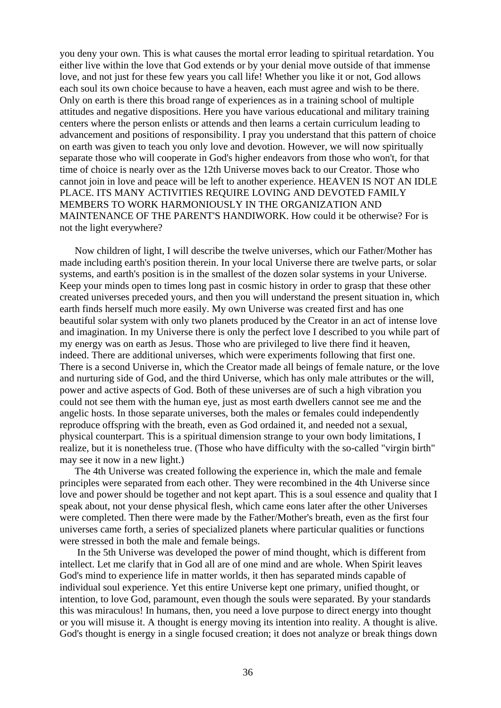you deny your own. This is what causes the mortal error leading to spiritual retardation. You either live within the love that God extends or by your denial move outside of that immense love, and not just for these few years you call life! Whether you like it or not, God allows each soul its own choice because to have a heaven, each must agree and wish to be there. Only on earth is there this broad range of experiences as in a training school of multiple attitudes and negative dispositions. Here you have various educational and military training centers where the person enlists or attends and then learns a certain curriculum leading to advancement and positions of responsibility. I pray you understand that this pattern of choice on earth was given to teach you only love and devotion. However, we will now spiritually separate those who will cooperate in God's higher endeavors from those who won't, for that time of choice is nearly over as the 12th Universe moves back to our Creator. Those who cannot join in love and peace will be left to another experience. HEAVEN IS NOT AN IDLE PLACE. ITS MANY ACTIVITIES REQUIRE LOVING AND DEVOTED FAMILY MEMBERS TO WORK HARMONIOUSLY IN THE ORGANIZATION AND MAINTENANCE OF THE PARENT'S HANDIWORK. How could it be otherwise? For is not the light everywhere?

Now children of light, I will describe the twelve universes, which our Father/Mother has made including earth's position therein. In your local Universe there are twelve parts, or solar systems, and earth's position is in the smallest of the dozen solar systems in your Universe. Keep your minds open to times long past in cosmic history in order to grasp that these other created universes preceded yours, and then you will understand the present situation in, which earth finds herself much more easily. My own Universe was created first and has one beautiful solar system with only two planets produced by the Creator in an act of intense love and imagination. In my Universe there is only the perfect love I described to you while part of my energy was on earth as Jesus. Those who are privileged to live there find it heaven, indeed. There are additional universes, which were experiments following that first one. There is a second Universe in, which the Creator made all beings of female nature, or the love and nurturing side of God, and the third Universe, which has only male attributes or the will, power and active aspects of God. Both of these universes are of such a high vibration you could not see them with the human eye, just as most earth dwellers cannot see me and the angelic hosts. In those separate universes, both the males or females could independently reproduce offspring with the breath, even as God ordained it, and needed not a sexual, physical counterpart. This is a spiritual dimension strange to your own body limitations, I realize, but it is nonetheless true. (Those who have difficulty with the so-called "virgin birth" may see it now in a new light.)

The 4th Universe was created following the experience in, which the male and female principles were separated from each other. They were recombined in the 4th Universe since love and power should be together and not kept apart. This is a soul essence and quality that I speak about, not your dense physical flesh, which came eons later after the other Universes were completed. Then there were made by the Father/Mother's breath, even as the first four universes came forth, a series of specialized planets where particular qualities or functions were stressed in both the male and female beings.

 In the 5th Universe was developed the power of mind thought, which is different from intellect. Let me clarify that in God all are of one mind and are whole. When Spirit leaves God's mind to experience life in matter worlds, it then has separated minds capable of individual soul experience. Yet this entire Universe kept one primary, unified thought, or intention, to love God, paramount, even though the souls were separated. By your standards this was miraculous! In humans, then, you need a love purpose to direct energy into thought or you will misuse it. A thought is energy moving its intention into reality. A thought is alive. God's thought is energy in a single focused creation; it does not analyze or break things down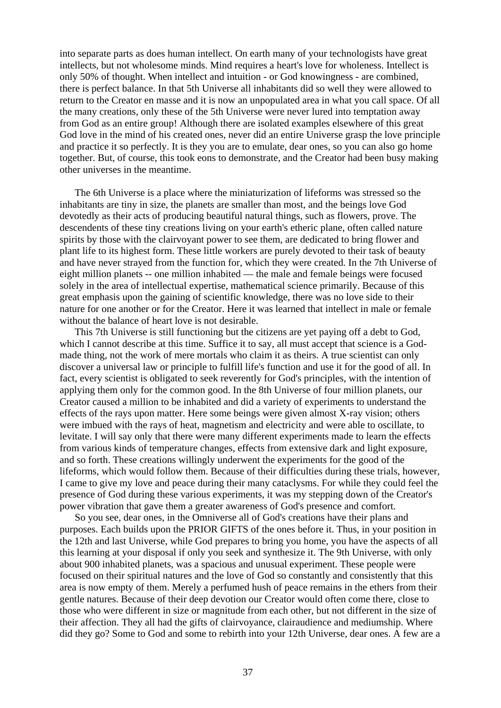into separate parts as does human intellect. On earth many of your technologists have great intellects, but not wholesome minds. Mind requires a heart's love for wholeness. Intellect is only 50% of thought. When intellect and intuition - or God knowingness - are combined, there is perfect balance. In that 5th Universe all inhabitants did so well they were allowed to return to the Creator en masse and it is now an unpopulated area in what you call space. Of all the many creations, only these of the 5th Universe were never lured into temptation away from God as an entire group! Although there are isolated examples elsewhere of this great God love in the mind of his created ones, never did an entire Universe grasp the love principle and practice it so perfectly. It is they you are to emulate, dear ones, so you can also go home together. But, of course, this took eons to demonstrate, and the Creator had been busy making other universes in the meantime.

The 6th Universe is a place where the miniaturization of lifeforms was stressed so the inhabitants are tiny in size, the planets are smaller than most, and the beings love God devotedly as their acts of producing beautiful natural things, such as flowers, prove. The descendents of these tiny creations living on your earth's etheric plane, often called nature spirits by those with the clairvoyant power to see them, are dedicated to bring flower and plant life to its highest form. These little workers are purely devoted to their task of beauty and have never strayed from the function for, which they were created. In the 7th Universe of eight million planets -- one million inhabited — the male and female beings were focused solely in the area of intellectual expertise, mathematical science primarily. Because of this great emphasis upon the gaining of scientific knowledge, there was no love side to their nature for one another or for the Creator. Here it was learned that intellect in male or female without the balance of heart love is not desirable.

This 7th Universe is still functioning but the citizens are yet paying off a debt to God, which I cannot describe at this time. Suffice it to say, all must accept that science is a Godmade thing, not the work of mere mortals who claim it as theirs. A true scientist can only discover a universal law or principle to fulfill life's function and use it for the good of all. In fact, every scientist is obligated to seek reverently for God's principles, with the intention of applying them only for the common good. In the 8th Universe of four million planets, our Creator caused a million to be inhabited and did a variety of experiments to understand the effects of the rays upon matter. Here some beings were given almost X-ray vision; others were imbued with the rays of heat, magnetism and electricity and were able to oscillate, to levitate. I will say only that there were many different experiments made to learn the effects from various kinds of temperature changes, effects from extensive dark and light exposure, and so forth. These creations willingly underwent the experiments for the good of the lifeforms, which would follow them. Because of their difficulties during these trials, however, I came to give my love and peace during their many cataclysms. For while they could feel the presence of God during these various experiments, it was my stepping down of the Creator's power vibration that gave them a greater awareness of God's presence and comfort.

So you see, dear ones, in the Omniverse all of God's creations have their plans and purposes. Each builds upon the PRIOR GIFTS of the ones before it. Thus, in your position in the 12th and last Universe, while God prepares to bring you home, you have the aspects of all this learning at your disposal if only you seek and synthesize it. The 9th Universe, with only about 900 inhabited planets, was a spacious and unusual experiment. These people were focused on their spiritual natures and the love of God so constantly and consistently that this area is now empty of them. Merely a perfumed hush of peace remains in the ethers from their gentle natures. Because of their deep devotion our Creator would often come there, close to those who were different in size or magnitude from each other, but not different in the size of their affection. They all had the gifts of clairvoyance, clairaudience and mediumship. Where did they go? Some to God and some to rebirth into your 12th Universe, dear ones. A few are a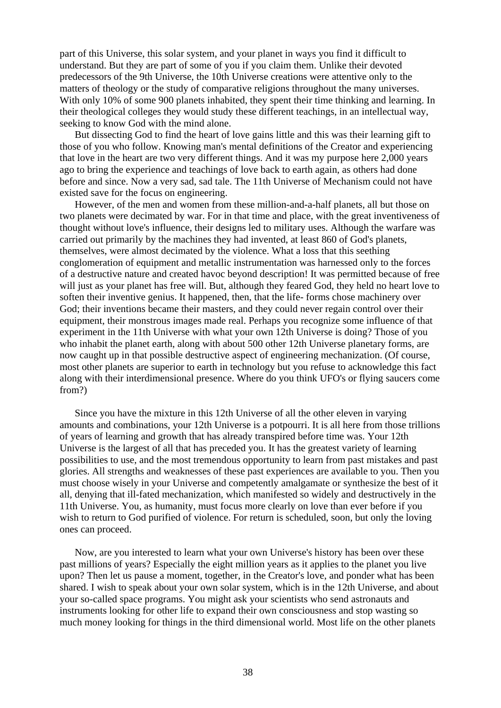part of this Universe, this solar system, and your planet in ways you find it difficult to understand. But they are part of some of you if you claim them. Unlike their devoted predecessors of the 9th Universe, the 10th Universe creations were attentive only to the matters of theology or the study of comparative religions throughout the many universes. With only 10% of some 900 planets inhabited, they spent their time thinking and learning. In their theological colleges they would study these different teachings, in an intellectual way, seeking to know God with the mind alone.

But dissecting God to find the heart of love gains little and this was their learning gift to those of you who follow. Knowing man's mental definitions of the Creator and experiencing that love in the heart are two very different things. And it was my purpose here 2,000 years ago to bring the experience and teachings of love back to earth again, as others had done before and since. Now a very sad, sad tale. The 11th Universe of Mechanism could not have existed save for the focus on engineering.

However, of the men and women from these million-and-a-half planets, all but those on two planets were decimated by war. For in that time and place, with the great inventiveness of thought without love's influence, their designs led to military uses. Although the warfare was carried out primarily by the machines they had invented, at least 860 of God's planets, themselves, were almost decimated by the violence. What a loss that this seething conglomeration of equipment and metallic instrumentation was harnessed only to the forces of a destructive nature and created havoc beyond description! It was permitted because of free will just as your planet has free will. But, although they feared God, they held no heart love to soften their inventive genius. It happened, then, that the life- forms chose machinery over God; their inventions became their masters, and they could never regain control over their equipment, their monstrous images made real. Perhaps you recognize some influence of that experiment in the 11th Universe with what your own 12th Universe is doing? Those of you who inhabit the planet earth, along with about 500 other 12th Universe planetary forms, are now caught up in that possible destructive aspect of engineering mechanization. (Of course, most other planets are superior to earth in technology but you refuse to acknowledge this fact along with their interdimensional presence. Where do you think UFO's or flying saucers come from?)

Since you have the mixture in this 12th Universe of all the other eleven in varying amounts and combinations, your 12th Universe is a potpourri. It is all here from those trillions of years of learning and growth that has already transpired before time was. Your 12th Universe is the largest of all that has preceded you. It has the greatest variety of learning possibilities to use, and the most tremendous opportunity to learn from past mistakes and past glories. All strengths and weaknesses of these past experiences are available to you. Then you must choose wisely in your Universe and competently amalgamate or synthesize the best of it all, denying that ill-fated mechanization, which manifested so widely and destructively in the 11th Universe. You, as humanity, must focus more clearly on love than ever before if you wish to return to God purified of violence. For return is scheduled, soon, but only the loving ones can proceed.

Now, are you interested to learn what your own Universe's history has been over these past millions of years? Especially the eight million years as it applies to the planet you live upon? Then let us pause a moment, together, in the Creator's love, and ponder what has been shared. I wish to speak about your own solar system, which is in the 12th Universe, and about your so-called space programs. You might ask your scientists who send astronauts and instruments looking for other life to expand their own consciousness and stop wasting so much money looking for things in the third dimensional world. Most life on the other planets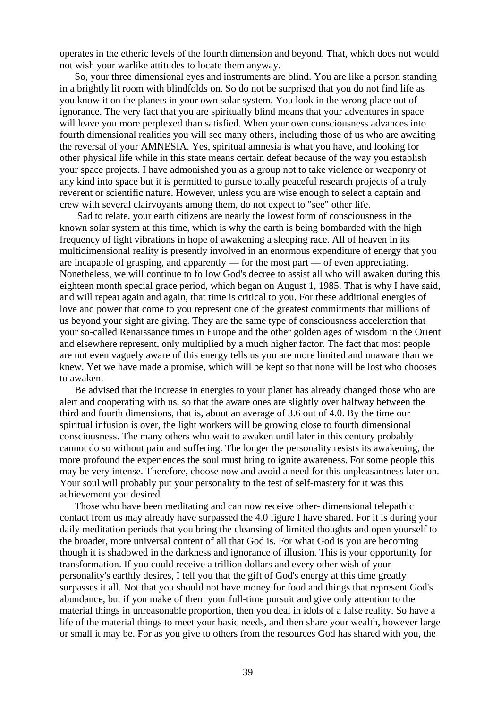operates in the etheric levels of the fourth dimension and beyond. That, which does not would not wish your warlike attitudes to locate them anyway.

So, your three dimensional eyes and instruments are blind. You are like a person standing in a brightly lit room with blindfolds on. So do not be surprised that you do not find life as you know it on the planets in your own solar system. You look in the wrong place out of ignorance. The very fact that you are spiritually blind means that your adventures in space will leave you more perplexed than satisfied. When your own consciousness advances into fourth dimensional realities you will see many others, including those of us who are awaiting the reversal of your AMNESIA. Yes, spiritual amnesia is what you have, and looking for other physical life while in this state means certain defeat because of the way you establish your space projects. I have admonished you as a group not to take violence or weaponry of any kind into space but it is permitted to pursue totally peaceful research projects of a truly reverent or scientific nature. However, unless you are wise enough to select a captain and crew with several clairvoyants among them, do not expect to "see" other life.

 Sad to relate, your earth citizens are nearly the lowest form of consciousness in the known solar system at this time, which is why the earth is being bombarded with the high frequency of light vibrations in hope of awakening a sleeping race. All of heaven in its multidimensional reality is presently involved in an enormous expenditure of energy that you are incapable of grasping, and apparently — for the most part — of even appreciating. Nonetheless, we will continue to follow God's decree to assist all who will awaken during this eighteen month special grace period, which began on August 1, 1985. That is why I have said, and will repeat again and again, that time is critical to you. For these additional energies of love and power that come to you represent one of the greatest commitments that millions of us beyond your sight are giving. They are the same type of consciousness acceleration that your so-called Renaissance times in Europe and the other golden ages of wisdom in the Orient and elsewhere represent, only multiplied by a much higher factor. The fact that most people are not even vaguely aware of this energy tells us you are more limited and unaware than we knew. Yet we have made a promise, which will be kept so that none will be lost who chooses to awaken.

Be advised that the increase in energies to your planet has already changed those who are alert and cooperating with us, so that the aware ones are slightly over halfway between the third and fourth dimensions, that is, about an average of 3.6 out of 4.0. By the time our spiritual infusion is over, the light workers will be growing close to fourth dimensional consciousness. The many others who wait to awaken until later in this century probably cannot do so without pain and suffering. The longer the personality resists its awakening, the more profound the experiences the soul must bring to ignite awareness. For some people this may be very intense. Therefore, choose now and avoid a need for this unpleasantness later on. Your soul will probably put your personality to the test of self-mastery for it was this achievement you desired.

Those who have been meditating and can now receive other- dimensional telepathic contact from us may already have surpassed the 4.0 figure I have shared. For it is during your daily meditation periods that you bring the cleansing of limited thoughts and open yourself to the broader, more universal content of all that God is. For what God is you are becoming though it is shadowed in the darkness and ignorance of illusion. This is your opportunity for transformation. If you could receive a trillion dollars and every other wish of your personality's earthly desires, I tell you that the gift of God's energy at this time greatly surpasses it all. Not that you should not have money for food and things that represent God's abundance, but if you make of them your full-time pursuit and give only attention to the material things in unreasonable proportion, then you deal in idols of a false reality. So have a life of the material things to meet your basic needs, and then share your wealth, however large or small it may be. For as you give to others from the resources God has shared with you, the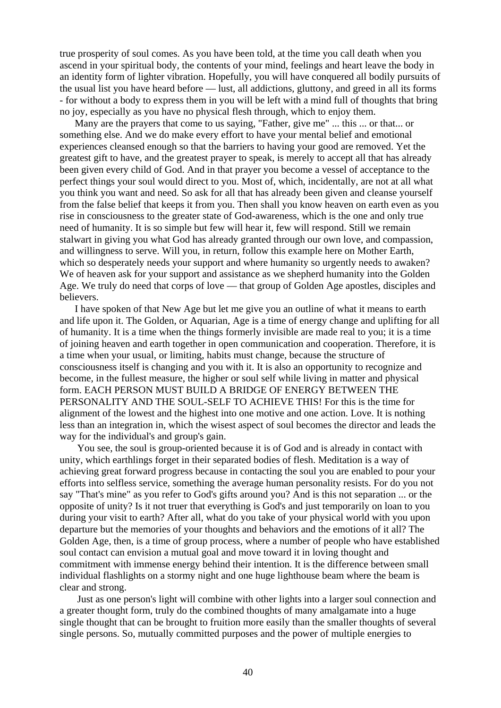true prosperity of soul comes. As you have been told, at the time you call death when you ascend in your spiritual body, the contents of your mind, feelings and heart leave the body in an identity form of lighter vibration. Hopefully, you will have conquered all bodily pursuits of the usual list you have heard before — lust, all addictions, gluttony, and greed in all its forms - for without a body to express them in you will be left with a mind full of thoughts that bring no joy, especially as you have no physical flesh through, which to enjoy them.

Many are the prayers that come to us saying, "Father, give me" ... this ... or that... or something else. And we do make every effort to have your mental belief and emotional experiences cleansed enough so that the barriers to having your good are removed. Yet the greatest gift to have, and the greatest prayer to speak, is merely to accept all that has already been given every child of God. And in that prayer you become a vessel of acceptance to the perfect things your soul would direct to you. Most of, which, incidentally, are not at all what you think you want and need. So ask for all that has already been given and cleanse yourself from the false belief that keeps it from you. Then shall you know heaven on earth even as you rise in consciousness to the greater state of God-awareness, which is the one and only true need of humanity. It is so simple but few will hear it, few will respond. Still we remain stalwart in giving you what God has already granted through our own love, and compassion, and willingness to serve. Will you, in return, follow this example here on Mother Earth, which so desperately needs your support and where humanity so urgently needs to awaken? We of heaven ask for your support and assistance as we shepherd humanity into the Golden Age. We truly do need that corps of love — that group of Golden Age apostles, disciples and believers.

I have spoken of that New Age but let me give you an outline of what it means to earth and life upon it. The Golden, or Aquarian, Age is a time of energy change and uplifting for all of humanity. It is a time when the things formerly invisible are made real to you; it is a time of joining heaven and earth together in open communication and cooperation. Therefore, it is a time when your usual, or limiting, habits must change, because the structure of consciousness itself is changing and you with it. It is also an opportunity to recognize and become, in the fullest measure, the higher or soul self while living in matter and physical form. EACH PERSON MUST BUILD A BRIDGE OF ENERGY BETWEEN THE PERSONALITY AND THE SOUL-SELF TO ACHIEVE THIS! For this is the time for alignment of the lowest and the highest into one motive and one action. Love. It is nothing less than an integration in, which the wisest aspect of soul becomes the director and leads the way for the individual's and group's gain.

 You see, the soul is group-oriented because it is of God and is already in contact with unity, which earthlings forget in their separated bodies of flesh. Meditation is a way of achieving great forward progress because in contacting the soul you are enabled to pour your efforts into selfless service, something the average human personality resists. For do you not say "That's mine" as you refer to God's gifts around you? And is this not separation ... or the opposite of unity? Is it not truer that everything is God's and just temporarily on loan to you during your visit to earth? After all, what do you take of your physical world with you upon departure but the memories of your thoughts and behaviors and the emotions of it all? The Golden Age, then, is a time of group process, where a number of people who have established soul contact can envision a mutual goal and move toward it in loving thought and commitment with immense energy behind their intention. It is the difference between small individual flashlights on a stormy night and one huge lighthouse beam where the beam is clear and strong.

 Just as one person's light will combine with other lights into a larger soul connection and a greater thought form, truly do the combined thoughts of many amalgamate into a huge single thought that can be brought to fruition more easily than the smaller thoughts of several single persons. So, mutually committed purposes and the power of multiple energies to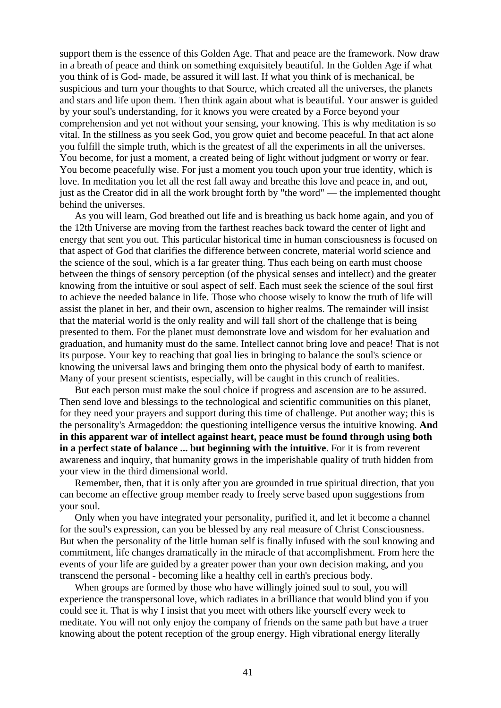support them is the essence of this Golden Age. That and peace are the framework. Now draw in a breath of peace and think on something exquisitely beautiful. In the Golden Age if what you think of is God- made, be assured it will last. If what you think of is mechanical, be suspicious and turn your thoughts to that Source, which created all the universes, the planets and stars and life upon them. Then think again about what is beautiful. Your answer is guided by your soul's understanding, for it knows you were created by a Force beyond your comprehension and yet not without your sensing, your knowing. This is why meditation is so vital. In the stillness as you seek God, you grow quiet and become peaceful. In that act alone you fulfill the simple truth, which is the greatest of all the experiments in all the universes. You become, for just a moment, a created being of light without judgment or worry or fear. You become peacefully wise. For just a moment you touch upon your true identity, which is love. In meditation you let all the rest fall away and breathe this love and peace in, and out, just as the Creator did in all the work brought forth by "the word" — the implemented thought behind the universes.

As you will learn, God breathed out life and is breathing us back home again, and you of the 12th Universe are moving from the farthest reaches back toward the center of light and energy that sent you out. This particular historical time in human consciousness is focused on that aspect of God that clarifies the difference between concrete, material world science and the science of the soul, which is a far greater thing. Thus each being on earth must choose between the things of sensory perception (of the physical senses and intellect) and the greater knowing from the intuitive or soul aspect of self. Each must seek the science of the soul first to achieve the needed balance in life. Those who choose wisely to know the truth of life will assist the planet in her, and their own, ascension to higher realms. The remainder will insist that the material world is the only reality and will fall short of the challenge that is being presented to them. For the planet must demonstrate love and wisdom for her evaluation and graduation, and humanity must do the same. Intellect cannot bring love and peace! That is not its purpose. Your key to reaching that goal lies in bringing to balance the soul's science or knowing the universal laws and bringing them onto the physical body of earth to manifest. Many of your present scientists, especially, will be caught in this crunch of realities.

But each person must make the soul choice if progress and ascension are to be assured. Then send love and blessings to the technological and scientific communities on this planet, for they need your prayers and support during this time of challenge. Put another way; this is the personality's Armageddon: the questioning intelligence versus the intuitive knowing. **And in this apparent war of intellect against heart, peace must be found through using both in a perfect state of balance ... but beginning with the intuitive**. For it is from reverent awareness and inquiry, that humanity grows in the imperishable quality of truth hidden from your view in the third dimensional world.

Remember, then, that it is only after you are grounded in true spiritual direction, that you can become an effective group member ready to freely serve based upon suggestions from your soul.

Only when you have integrated your personality, purified it, and let it become a channel for the soul's expression, can you be blessed by any real measure of Christ Consciousness. But when the personality of the little human self is finally infused with the soul knowing and commitment, life changes dramatically in the miracle of that accomplishment. From here the events of your life are guided by a greater power than your own decision making, and you transcend the personal - becoming like a healthy cell in earth's precious body.

When groups are formed by those who have willingly joined soul to soul, you will experience the transpersonal love, which radiates in a brilliance that would blind you if you could see it. That is why I insist that you meet with others like yourself every week to meditate. You will not only enjoy the company of friends on the same path but have a truer knowing about the potent reception of the group energy. High vibrational energy literally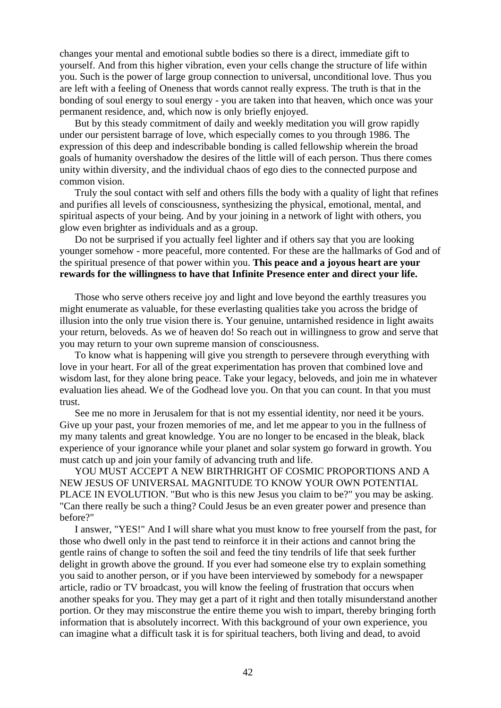changes your mental and emotional subtle bodies so there is a direct, immediate gift to yourself. And from this higher vibration, even your cells change the structure of life within you. Such is the power of large group connection to universal, unconditional love. Thus you are left with a feeling of Oneness that words cannot really express. The truth is that in the bonding of soul energy to soul energy - you are taken into that heaven, which once was your permanent residence, and, which now is only briefly enjoyed.

But by this steady commitment of daily and weekly meditation you will grow rapidly under our persistent barrage of love, which especially comes to you through 1986. The expression of this deep and indescribable bonding is called fellowship wherein the broad goals of humanity overshadow the desires of the little will of each person. Thus there comes unity within diversity, and the individual chaos of ego dies to the connected purpose and common vision.

Truly the soul contact with self and others fills the body with a quality of light that refines and purifies all levels of consciousness, synthesizing the physical, emotional, mental, and spiritual aspects of your being. And by your joining in a network of light with others, you glow even brighter as individuals and as a group.

Do not be surprised if you actually feel lighter and if others say that you are looking younger somehow - more peaceful, more contented. For these are the hallmarks of God and of the spiritual presence of that power within you. **This peace and a joyous heart are your rewards for the willingness to have that Infinite Presence enter and direct your life.**

Those who serve others receive joy and light and love beyond the earthly treasures you might enumerate as valuable, for these everlasting qualities take you across the bridge of illusion into the only true vision there is. Your genuine, untarnished residence in light awaits your return, beloveds. As we of heaven do! So reach out in willingness to grow and serve that you may return to your own supreme mansion of consciousness.

To know what is happening will give you strength to persevere through everything with love in your heart. For all of the great experimentation has proven that combined love and wisdom last, for they alone bring peace. Take your legacy, beloveds, and join me in whatever evaluation lies ahead. We of the Godhead love you. On that you can count. In that you must trust.

See me no more in Jerusalem for that is not my essential identity, nor need it be yours. Give up your past, your frozen memories of me, and let me appear to you in the fullness of my many talents and great knowledge. You are no longer to be encased in the bleak, black experience of your ignorance while your planet and solar system go forward in growth. You must catch up and join your family of advancing truth and life.

YOU MUST ACCEPT A NEW BIRTHRIGHT OF COSMIC PROPORTIONS AND A NEW JESUS OF UNIVERSAL MAGNITUDE TO KNOW YOUR OWN POTENTIAL PLACE IN EVOLUTION. "But who is this new Jesus you claim to be?" you may be asking. "Can there really be such a thing? Could Jesus be an even greater power and presence than before?"

I answer, "YES!" And I will share what you must know to free yourself from the past, for those who dwell only in the past tend to reinforce it in their actions and cannot bring the gentle rains of change to soften the soil and feed the tiny tendrils of life that seek further delight in growth above the ground. If you ever had someone else try to explain something you said to another person, or if you have been interviewed by somebody for a newspaper article, radio or TV broadcast, you will know the feeling of frustration that occurs when another speaks for you. They may get a part of it right and then totally misunderstand another portion. Or they may misconstrue the entire theme you wish to impart, thereby bringing forth information that is absolutely incorrect. With this background of your own experience, you can imagine what a difficult task it is for spiritual teachers, both living and dead, to avoid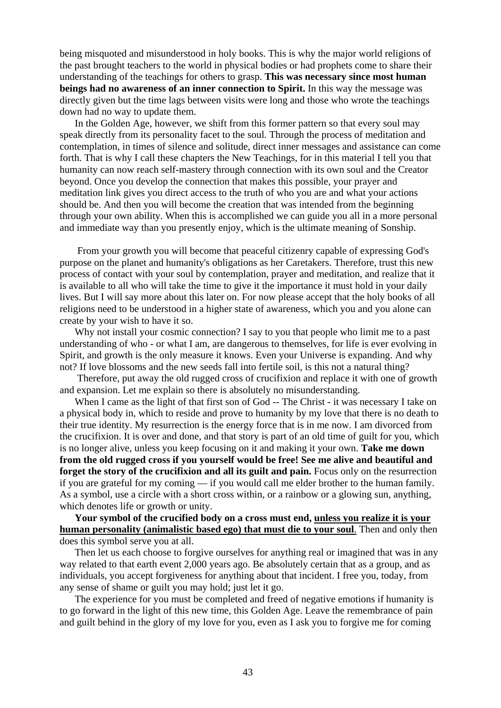being misquoted and misunderstood in holy books. This is why the major world religions of the past brought teachers to the world in physical bodies or had prophets come to share their understanding of the teachings for others to grasp. **This was necessary since most human beings had no awareness of an inner connection to Spirit.** In this way the message was directly given but the time lags between visits were long and those who wrote the teachings down had no way to update them.

In the Golden Age, however, we shift from this former pattern so that every soul may speak directly from its personality facet to the soul. Through the process of meditation and contemplation, in times of silence and solitude, direct inner messages and assistance can come forth. That is why I call these chapters the New Teachings, for in this material I tell you that humanity can now reach self-mastery through connection with its own soul and the Creator beyond. Once you develop the connection that makes this possible, your prayer and meditation link gives you direct access to the truth of who you are and what your actions should be. And then you will become the creation that was intended from the beginning through your own ability. When this is accomplished we can guide you all in a more personal and immediate way than you presently enjoy, which is the ultimate meaning of Sonship.

 From your growth you will become that peaceful citizenry capable of expressing God's purpose on the planet and humanity's obligations as her Caretakers. Therefore, trust this new process of contact with your soul by contemplation, prayer and meditation, and realize that it is available to all who will take the time to give it the importance it must hold in your daily lives. But I will say more about this later on. For now please accept that the holy books of all religions need to be understood in a higher state of awareness, which you and you alone can create by your wish to have it so.

Why not install your cosmic connection? I say to you that people who limit me to a past understanding of who - or what I am, are dangerous to themselves, for life is ever evolving in Spirit, and growth is the only measure it knows. Even your Universe is expanding. And why not? If love blossoms and the new seeds fall into fertile soil, is this not a natural thing?

 Therefore, put away the old rugged cross of crucifixion and replace it with one of growth and expansion. Let me explain so there is absolutely no misunderstanding.

When I came as the light of that first son of God -- The Christ - it was necessary I take on a physical body in, which to reside and prove to humanity by my love that there is no death to their true identity. My resurrection is the energy force that is in me now. I am divorced from the crucifixion. It is over and done, and that story is part of an old time of guilt for you, which is no longer alive, unless you keep focusing on it and making it your own. **Take me down from the old rugged cross if you yourself would be free! See me alive and beautiful and forget the story of the crucifixion and all its guilt and pain.** Focus only on the resurrection if you are grateful for my coming — if you would call me elder brother to the human family. As a symbol, use a circle with a short cross within, or a rainbow or a glowing sun, anything, which denotes life or growth or unity.

**Your symbol of the crucified body on a cross must end, unless you realize it is your human personality (animalistic based ego) that must die to your soul**. Then and only then does this symbol serve you at all.

Then let us each choose to forgive ourselves for anything real or imagined that was in any way related to that earth event 2,000 years ago. Be absolutely certain that as a group, and as individuals, you accept forgiveness for anything about that incident. I free you, today, from any sense of shame or guilt you may hold; just let it go.

The experience for you must be completed and freed of negative emotions if humanity is to go forward in the light of this new time, this Golden Age. Leave the remembrance of pain and guilt behind in the glory of my love for you, even as I ask you to forgive me for coming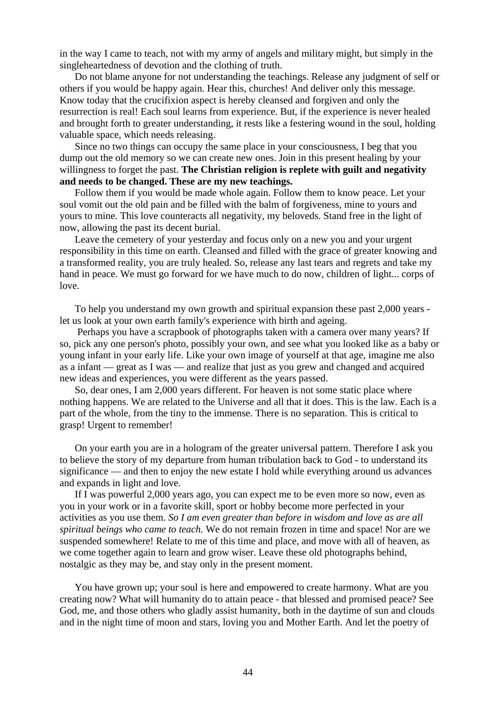in the way I came to teach, not with my army of angels and military might, but simply in the singleheartedness of devotion and the clothing of truth.

Do not blame anyone for not understanding the teachings. Release any judgment of self or others if you would be happy again. Hear this, churches! And deliver only this message. Know today that the crucifixion aspect is hereby cleansed and forgiven and only the resurrection is real! Each soul learns from experience. But, if the experience is never healed and brought forth to greater understanding, it rests like a festering wound in the soul, holding valuable space, which needs releasing.

Since no two things can occupy the same place in your consciousness, I beg that you dump out the old memory so we can create new ones. Join in this present healing by your willingness to forget the past. **The Christian religion is replete with guilt and negativity and needs to be changed. These are my new teachings.** 

Follow them if you would be made whole again. Follow them to know peace. Let your soul vomit out the old pain and be filled with the balm of forgiveness, mine to yours and yours to mine. This love counteracts all negativity, my beloveds. Stand free in the light of now, allowing the past its decent burial.

Leave the cemetery of your yesterday and focus only on a new you and your urgent responsibility in this time on earth. Cleansed and filled with the grace of greater knowing and a transformed reality, you are truly healed. So, release any last tears and regrets and take my hand in peace. We must go forward for we have much to do now, children of light... corps of love.

To help you understand my own growth and spiritual expansion these past 2,000 years let us look at your own earth family's experience with birth and ageing.

 Perhaps you have a scrapbook of photographs taken with a camera over many years? If so, pick any one person's photo, possibly your own, and see what you looked like as a baby or young infant in your early life. Like your own image of yourself at that age, imagine me also as a infant — great as I was — and realize that just as you grew and changed and acquired new ideas and experiences, you were different as the years passed.

So, dear ones, I am 2,000 years different. For heaven is not some static place where nothing happens. We are related to the Universe and all that it does. This is the law. Each is a part of the whole, from the tiny to the immense. There is no separation. This is critical to grasp! Urgent to remember!

On your earth you are in a hologram of the greater universal pattern. Therefore I ask you to believe the story of my departure from human tribulation back to God - to understand its significance — and then to enjoy the new estate I hold while everything around us advances and expands in light and love.

If I was powerful 2,000 years ago, you can expect me to be even more so now, even as you in your work or in a favorite skill, sport or hobby become more perfected in your activities as you use them. *So I am even greater than before in wisdom and love as are all spiritual beings who came to teach.* We do not remain frozen in time and space! Nor are we suspended somewhere! Relate to me of this time and place, and move with all of heaven, as we come together again to learn and grow wiser. Leave these old photographs behind, nostalgic as they may be, and stay only in the present moment.

You have grown up; your soul is here and empowered to create harmony. What are you creating now? What will humanity do to attain peace - that blessed and promised peace? See God, me, and those others who gladly assist humanity, both in the daytime of sun and clouds and in the night time of moon and stars, loving you and Mother Earth. And let the poetry of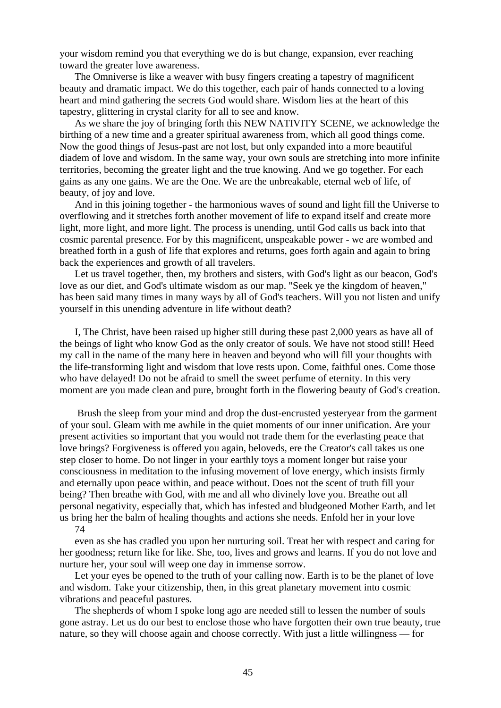your wisdom remind you that everything we do is but change, expansion, ever reaching toward the greater love awareness.

The Omniverse is like a weaver with busy fingers creating a tapestry of magnificent beauty and dramatic impact. We do this together, each pair of hands connected to a loving heart and mind gathering the secrets God would share. Wisdom lies at the heart of this tapestry, glittering in crystal clarity for all to see and know.

As we share the joy of bringing forth this NEW NATIVITY SCENE, we acknowledge the birthing of a new time and a greater spiritual awareness from, which all good things come. Now the good things of Jesus-past are not lost, but only expanded into a more beautiful diadem of love and wisdom. In the same way, your own souls are stretching into more infinite territories, becoming the greater light and the true knowing. And we go together. For each gains as any one gains. We are the One. We are the unbreakable, eternal web of life, of beauty, of joy and love.

And in this joining together - the harmonious waves of sound and light fill the Universe to overflowing and it stretches forth another movement of life to expand itself and create more light, more light, and more light. The process is unending, until God calls us back into that cosmic parental presence. For by this magnificent, unspeakable power - we are wombed and breathed forth in a gush of life that explores and returns, goes forth again and again to bring back the experiences and growth of all travelers.

Let us travel together, then, my brothers and sisters, with God's light as our beacon, God's love as our diet, and God's ultimate wisdom as our map. "Seek ye the kingdom of heaven," has been said many times in many ways by all of God's teachers. Will you not listen and unify yourself in this unending adventure in life without death?

I, The Christ, have been raised up higher still during these past 2,000 years as have all of the beings of light who know God as the only creator of souls. We have not stood still! Heed my call in the name of the many here in heaven and beyond who will fill your thoughts with the life-transforming light and wisdom that love rests upon. Come, faithful ones. Come those who have delayed! Do not be afraid to smell the sweet perfume of eternity. In this very moment are you made clean and pure, brought forth in the flowering beauty of God's creation.

 Brush the sleep from your mind and drop the dust-encrusted yesteryear from the garment of your soul. Gleam with me awhile in the quiet moments of our inner unification. Are your present activities so important that you would not trade them for the everlasting peace that love brings? Forgiveness is offered you again, beloveds, ere the Creator's call takes us one step closer to home. Do not linger in your earthly toys a moment longer but raise your consciousness in meditation to the infusing movement of love energy, which insists firmly and eternally upon peace within, and peace without. Does not the scent of truth fill your being? Then breathe with God, with me and all who divinely love you. Breathe out all personal negativity, especially that, which has infested and bludgeoned Mother Earth, and let us bring her the balm of healing thoughts and actions she needs. Enfold her in your love 74

even as she has cradled you upon her nurturing soil. Treat her with respect and caring for her goodness; return like for like. She, too, lives and grows and learns. If you do not love and nurture her, your soul will weep one day in immense sorrow.

Let your eyes be opened to the truth of your calling now. Earth is to be the planet of love and wisdom. Take your citizenship, then, in this great planetary movement into cosmic vibrations and peaceful pastures.

The shepherds of whom I spoke long ago are needed still to lessen the number of souls gone astray. Let us do our best to enclose those who have forgotten their own true beauty, true nature, so they will choose again and choose correctly. With just a little willingness — for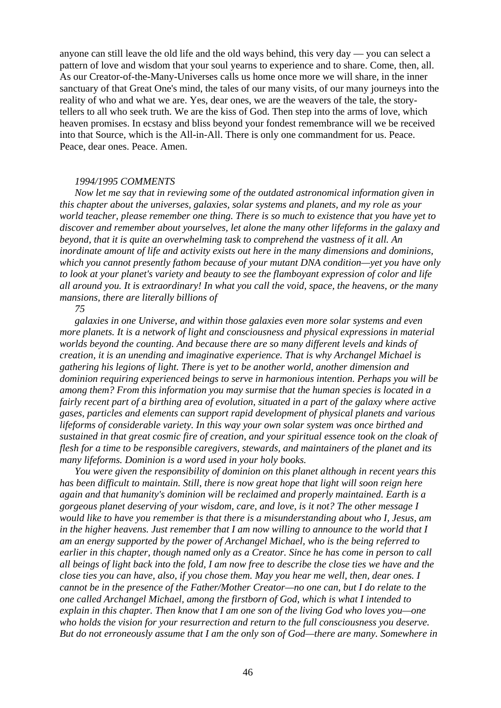anyone can still leave the old life and the old ways behind, this very day — you can select a pattern of love and wisdom that your soul yearns to experience and to share. Come, then, all. As our Creator-of-the-Many-Universes calls us home once more we will share, in the inner sanctuary of that Great One's mind, the tales of our many visits, of our many journeys into the reality of who and what we are. Yes, dear ones, we are the weavers of the tale, the storytellers to all who seek truth. We are the kiss of God. Then step into the arms of love, which heaven promises. In ecstasy and bliss beyond your fondest remembrance will we be received into that Source, which is the All-in-All. There is only one commandment for us. Peace. Peace, dear ones. Peace. Amen.

#### *1994/1995 COMMENTS*

*Now let me say that in reviewing some of the outdated astronomical information given in this chapter about the universes, galaxies, solar systems and planets, and my role as your world teacher, please remember one thing. There is so much to existence that you have yet to discover and remember about yourselves, let alone the many other lifeforms in the galaxy and beyond, that it is quite an overwhelming task to comprehend the vastness of it all. An inordinate amount of life and activity exists out here in the many dimensions and dominions, which you cannot presently fathom because of your mutant DNA condition—yet you have only to look at your planet's variety and beauty to see the flamboyant expression of color and life all around you. It is extraordinary! In what you call the void, space, the heavens, or the many mansions, there are literally billions of* 

*75* 

*galaxies in one Universe, and within those galaxies even more solar systems and even more planets. It is a network of light and consciousness and physical expressions in material worlds beyond the counting. And because there are so many different levels and kinds of creation, it is an unending and imaginative experience. That is why Archangel Michael is gathering his legions of light. There is yet to be another world, another dimension and dominion requiring experienced beings to serve in harmonious intention. Perhaps you will be among them? From this information you may surmise that the human species is located in a fairly recent part of a birthing area of evolution, situated in a part of the galaxy where active gases, particles and elements can support rapid development of physical planets and various lifeforms of considerable variety. In this way your own solar system was once birthed and sustained in that great cosmic fire of creation, and your spiritual essence took on the cloak of flesh for a time to be responsible caregivers, stewards, and maintainers of the planet and its many lifeforms. Dominion is a word used in your holy books.* 

*You were given the responsibility of dominion on this planet although in recent years this has been difficult to maintain. Still, there is now great hope that light will soon reign here again and that humanity's dominion will be reclaimed and properly maintained. Earth is a gorgeous planet deserving of your wisdom, care, and love, is it not? The other message I would like to have you remember is that there is a misunderstanding about who I, Jesus, am in the higher heavens. Just remember that I am now willing to announce to the world that I am an energy supported by the power of Archangel Michael, who is the being referred to earlier in this chapter, though named only as a Creator. Since he has come in person to call all beings of light back into the fold, I am now free to describe the close ties we have and the close ties you can have, also, if you chose them. May you hear me well, then, dear ones. I cannot be in the presence of the Father/Mother Creator—no one can, but I do relate to the one called Archangel Michael, among the firstborn of God, which is what I intended to explain in this chapter. Then know that I am one son of the living God who loves you—one who holds the vision for your resurrection and return to the full consciousness you deserve. But do not erroneously assume that I am the only son of God—there are many. Somewhere in*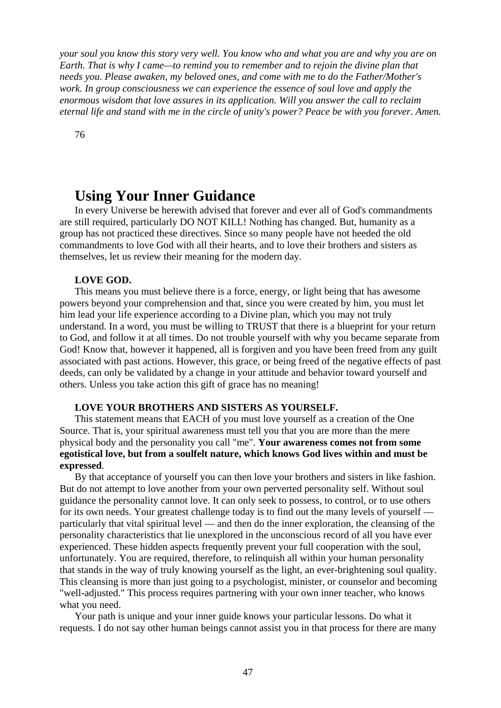*your soul you know this story very well. You know who and what you are and why you are on Earth. That is why I came—to remind you to remember and to rejoin the divine plan that needs you. Please awaken, my beloved ones, and come with me to do the Father/Mother's work. In group consciousness we can experience the essence of soul love and apply the enormous wisdom that love assures in its application. Will you answer the call to reclaim eternal life and stand with me in the circle of unity's power? Peace be with you forever. Amen.*

76

# **Using Your Inner Guidance**

In every Universe be herewith advised that forever and ever all of God's commandments are still required, particularly DO NOT KILL! Nothing has changed. But, humanity as a group has not practiced these directives. Since so many people have not heeded the old commandments to love God with all their hearts, and to love their brothers and sisters as themselves, let us review their meaning for the modern day.

### **LOVE GOD.**

This means you must believe there is a force, energy, or light being that has awesome powers beyond your comprehension and that, since you were created by him, you must let him lead your life experience according to a Divine plan, which you may not truly understand. In a word, you must be willing to TRUST that there is a blueprint for your return to God, and follow it at all times. Do not trouble yourself with why you became separate from God! Know that, however it happened, all is forgiven and you have been freed from any guilt associated with past actions. However, this grace, or being freed of the negative effects of past deeds, can only be validated by a change in your attitude and behavior toward yourself and others. Unless you take action this gift of grace has no meaning!

### **LOVE YOUR BROTHERS AND SISTERS AS YOURSELF.**

This statement means that EACH of you must love yourself as a creation of the One Source. That is, your spiritual awareness must tell you that you are more than the mere physical body and the personality you call "me". **Your awareness comes not from some egotistical love, but from a soulfelt nature, which knows God lives within and must be expressed**.

By that acceptance of yourself you can then love your brothers and sisters in like fashion. But do not attempt to love another from your own perverted personality self. Without soul guidance the personality cannot love. It can only seek to possess, to control, or to use others for its own needs. Your greatest challenge today is to find out the many levels of yourself particularly that vital spiritual level — and then do the inner exploration, the cleansing of the personality characteristics that lie unexplored in the unconscious record of all you have ever experienced. These hidden aspects frequently prevent your full cooperation with the soul, unfortunately. You are required, therefore, to relinquish all within your human personality that stands in the way of truly knowing yourself as the light, an ever-brightening soul quality. This cleansing is more than just going to a psychologist, minister, or counselor and becoming "well-adjusted." This process requires partnering with your own inner teacher, who knows what you need.

Your path is unique and your inner guide knows your particular lessons. Do what it requests. I do not say other human beings cannot assist you in that process for there are many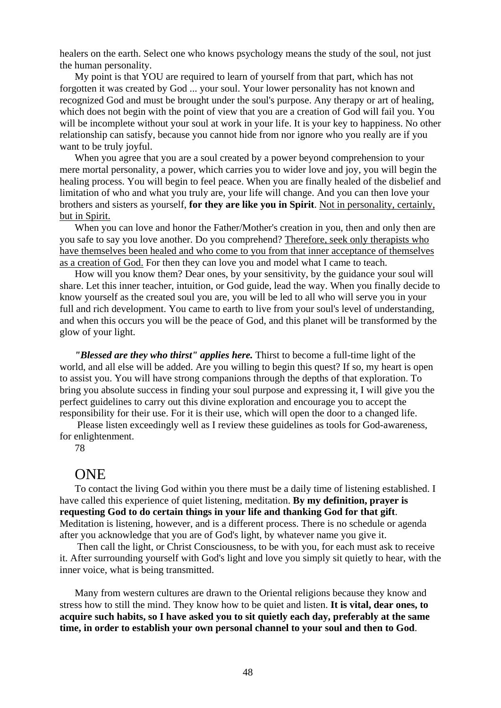healers on the earth. Select one who knows psychology means the study of the soul, not just the human personality.

My point is that YOU are required to learn of yourself from that part, which has not forgotten it was created by God ... your soul. Your lower personality has not known and recognized God and must be brought under the soul's purpose. Any therapy or art of healing, which does not begin with the point of view that you are a creation of God will fail you. You will be incomplete without your soul at work in your life. It is your key to happiness. No other relationship can satisfy, because you cannot hide from nor ignore who you really are if you want to be truly joyful.

When you agree that you are a soul created by a power beyond comprehension to your mere mortal personality, a power, which carries you to wider love and joy, you will begin the healing process. You will begin to feel peace. When you are finally healed of the disbelief and limitation of who and what you truly are, your life will change. And you can then love your brothers and sisters as yourself, **for they are like you in Spirit**. Not in personality, certainly, but in Spirit.

When you can love and honor the Father/Mother's creation in you, then and only then are you safe to say you love another. Do you comprehend? Therefore, seek only therapists who have themselves been healed and who come to you from that inner acceptance of themselves as a creation of God. For then they can love you and model what I came to teach.

How will you know them? Dear ones, by your sensitivity, by the guidance your soul will share. Let this inner teacher, intuition, or God guide, lead the way. When you finally decide to know yourself as the created soul you are, you will be led to all who will serve you in your full and rich development. You came to earth to live from your soul's level of understanding, and when this occurs you will be the peace of God, and this planet will be transformed by the glow of your light.

*"Blessed are they who thirst" applies here.* Thirst to become a full-time light of the world, and all else will be added. Are you willing to begin this quest? If so, my heart is open to assist you. You will have strong companions through the depths of that exploration. To bring you absolute success in finding your soul purpose and expressing it, I will give you the perfect guidelines to carry out this divine exploration and encourage you to accept the responsibility for their use. For it is their use, which will open the door to a changed life.

 Please listen exceedingly well as I review these guidelines as tools for God-awareness, for enlightenment.

78

### **ONE**

To contact the living God within you there must be a daily time of listening established. I have called this experience of quiet listening, meditation. **By my definition, prayer is requesting God to do certain things in your life and thanking God for that gift**. Meditation is listening, however, and is a different process. There is no schedule or agenda after you acknowledge that you are of God's light, by whatever name you give it.

 Then call the light, or Christ Consciousness, to be with you, for each must ask to receive it. After surrounding yourself with God's light and love you simply sit quietly to hear, with the inner voice, what is being transmitted.

Many from western cultures are drawn to the Oriental religions because they know and stress how to still the mind. They know how to be quiet and listen. **It is vital, dear ones, to acquire such habits, so I have asked you to sit quietly each day, preferably at the same time, in order to establish your own personal channel to your soul and then to God**.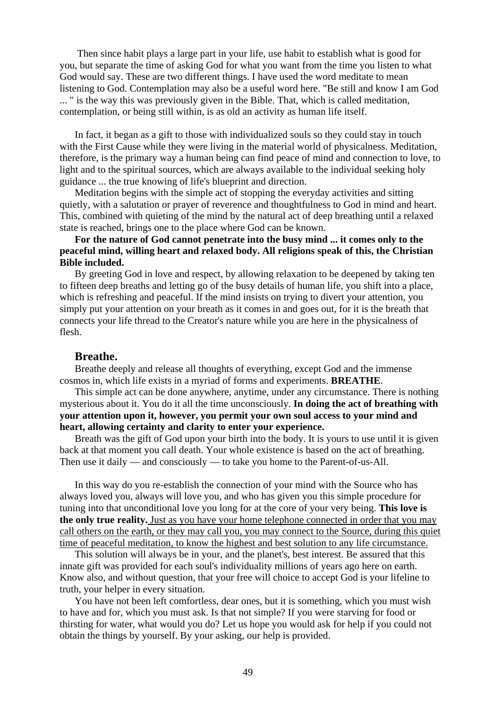Then since habit plays a large part in your life, use habit to establish what is good for you, but separate the time of asking God for what you want from the time you listen to what God would say. These are two different things. I have used the word meditate to mean listening to God. Contemplation may also be a useful word here. "Be still and know I am God ... " is the way this was previously given in the Bible. That, which is called meditation, contemplation, or being still within, is as old an activity as human life itself.

In fact, it began as a gift to those with individualized souls so they could stay in touch with the First Cause while they were living in the material world of physicalness. Meditation, therefore, is the primary way a human being can find peace of mind and connection to love, to light and to the spiritual sources, which are always available to the individual seeking holy guidance ... the true knowing of life's blueprint and direction.

Meditation begins with the simple act of stopping the everyday activities and sitting quietly, with a salutation or prayer of reverence and thoughtfulness to God in mind and heart. This, combined with quieting of the mind by the natural act of deep breathing until a relaxed state is reached, brings one to the place where God can be known.

### **For the nature of God cannot penetrate into the busy mind ... it comes only to the peaceful mind, willing heart and relaxed body. All religions speak of this, the Christian Bible included.**

By greeting God in love and respect, by allowing relaxation to be deepened by taking ten to fifteen deep breaths and letting go of the busy details of human life, you shift into a place, which is refreshing and peaceful. If the mind insists on trying to divert your attention, you simply put your attention on your breath as it comes in and goes out, for it is the breath that connects your life thread to the Creator's nature while you are here in the physicalness of flesh.

### **Breathe.**

Breathe deeply and release all thoughts of everything, except God and the immense cosmos in, which life exists in a myriad of forms and experiments. **BREATHE**.

This simple act can be done anywhere, anytime, under any circumstance. There is nothing mysterious about it. You do it all the time unconsciously. **In doing the act of breathing with your attention upon it, however, you permit your own soul access to your mind and heart, allowing certainty and clarity to enter your experience.** 

Breath was the gift of God upon your birth into the body. It is yours to use until it is given back at that moment you call death. Your whole existence is based on the act of breathing. Then use it daily — and consciously — to take you home to the Parent-of-us-All.

In this way do you re-establish the connection of your mind with the Source who has always loved you, always will love you, and who has given you this simple procedure for tuning into that unconditional love you long for at the core of your very being. **This love is the only true reality.** Just as you have your home telephone connected in order that you may call others on the earth, or they may call you, you may connect to the Source, during this quiet time of peaceful meditation, to know the highest and best solution to any life circumstance.

This solution will always be in your, and the planet's, best interest. Be assured that this innate gift was provided for each soul's individuality millions of years ago here on earth. Know also, and without question, that your free will choice to accept God is your lifeline to truth, your helper in every situation.

You have not been left comfortless, dear ones, but it is something, which you must wish to have and for, which you must ask. Is that not simple? If you were starving for food or thirsting for water, what would you do? Let us hope you would ask for help if you could not obtain the things by yourself. By your asking, our help is provided.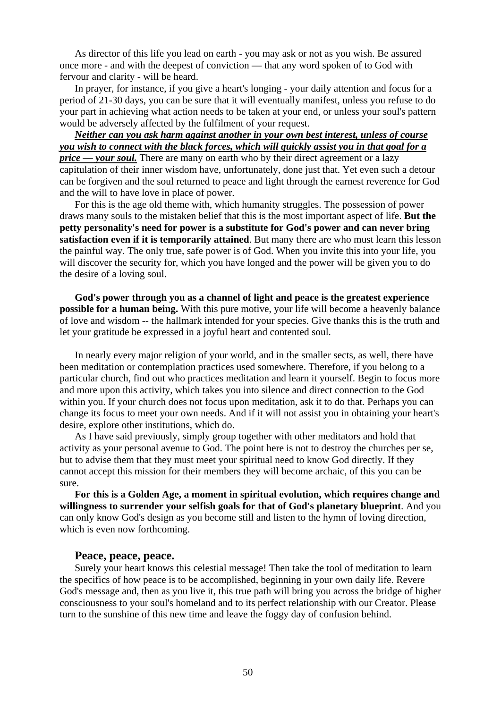As director of this life you lead on earth - you may ask or not as you wish. Be assured once more - and with the deepest of conviction — that any word spoken of to God with fervour and clarity - will be heard.

In prayer, for instance, if you give a heart's longing - your daily attention and focus for a period of 21-30 days, you can be sure that it will eventually manifest, unless you refuse to do your part in achieving what action needs to be taken at your end, or unless your soul's pattern would be adversely affected by the fulfilment of your request.

*Neither can you ask harm against another in your own best interest, unless of course you wish to connect with the black forces, which will quickly assist you in that goal for a price* — *your soul.* There are many on earth who by their direct agreement or a lazy capitulation of their inner wisdom have, unfortunately, done just that. Yet even such a detour can be forgiven and the soul returned to peace and light through the earnest reverence for God and the will to have love in place of power.

For this is the age old theme with, which humanity struggles. The possession of power draws many souls to the mistaken belief that this is the most important aspect of life. **But the petty personality's need for power is a substitute for God's power and can never bring satisfaction even if it is temporarily attained**. But many there are who must learn this lesson the painful way. The only true, safe power is of God. When you invite this into your life, you will discover the security for, which you have longed and the power will be given you to do the desire of a loving soul.

**God's power through you as a channel of light and peace is the greatest experience possible for a human being.** With this pure motive, your life will become a heavenly balance of love and wisdom -- the hallmark intended for your species. Give thanks this is the truth and let your gratitude be expressed in a joyful heart and contented soul.

In nearly every major religion of your world, and in the smaller sects, as well, there have been meditation or contemplation practices used somewhere. Therefore, if you belong to a particular church, find out who practices meditation and learn it yourself. Begin to focus more and more upon this activity, which takes you into silence and direct connection to the God within you. If your church does not focus upon meditation, ask it to do that. Perhaps you can change its focus to meet your own needs. And if it will not assist you in obtaining your heart's desire, explore other institutions, which do.

As I have said previously, simply group together with other meditators and hold that activity as your personal avenue to God. The point here is not to destroy the churches per se, but to advise them that they must meet your spiritual need to know God directly. If they cannot accept this mission for their members they will become archaic, of this you can be sure.

**For this is a Golden Age, a moment in spiritual evolution, which requires change and willingness to surrender your selfish goals for that of God's planetary blueprint**. And you can only know God's design as you become still and listen to the hymn of loving direction, which is even now forthcoming.

#### **Peace, peace, peace.**

Surely your heart knows this celestial message! Then take the tool of meditation to learn the specifics of how peace is to be accomplished, beginning in your own daily life. Revere God's message and, then as you live it, this true path will bring you across the bridge of higher consciousness to your soul's homeland and to its perfect relationship with our Creator. Please turn to the sunshine of this new time and leave the foggy day of confusion behind.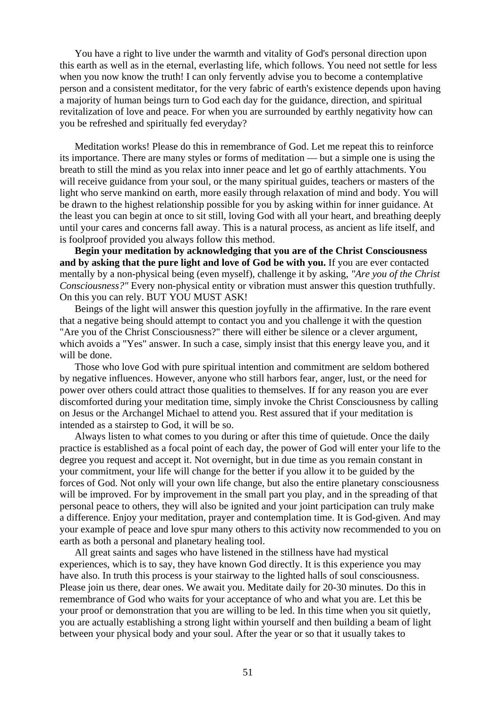You have a right to live under the warmth and vitality of God's personal direction upon this earth as well as in the eternal, everlasting life, which follows. You need not settle for less when you now know the truth! I can only fervently advise you to become a contemplative person and a consistent meditator, for the very fabric of earth's existence depends upon having a majority of human beings turn to God each day for the guidance, direction, and spiritual revitalization of love and peace. For when you are surrounded by earthly negativity how can you be refreshed and spiritually fed everyday?

Meditation works! Please do this in remembrance of God. Let me repeat this to reinforce its importance. There are many styles or forms of meditation — but a simple one is using the breath to still the mind as you relax into inner peace and let go of earthly attachments. You will receive guidance from your soul, or the many spiritual guides, teachers or masters of the light who serve mankind on earth, more easily through relaxation of mind and body. You will be drawn to the highest relationship possible for you by asking within for inner guidance. At the least you can begin at once to sit still, loving God with all your heart, and breathing deeply until your cares and concerns fall away. This is a natural process, as ancient as life itself, and is foolproof provided you always follow this method.

**Begin your meditation by acknowledging that you are of the Christ Consciousness and by asking that the pure light and love of God be with you.** If you are ever contacted mentally by a non-physical being (even myself), challenge it by asking, *"Are you of the Christ Consciousness?"* Every non-physical entity or vibration must answer this question truthfully. On this you can rely. BUT YOU MUST ASK!

Beings of the light will answer this question joyfully in the affirmative. In the rare event that a negative being should attempt to contact you and you challenge it with the question "Are you of the Christ Consciousness?" there will either be silence or a clever argument, which avoids a "Yes" answer. In such a case, simply insist that this energy leave you, and it will be done.

Those who love God with pure spiritual intention and commitment are seldom bothered by negative influences. However, anyone who still harbors fear, anger, lust, or the need for power over others could attract those qualities to themselves. If for any reason you are ever discomforted during your meditation time, simply invoke the Christ Consciousness by calling on Jesus or the Archangel Michael to attend you. Rest assured that if your meditation is intended as a stairstep to God, it will be so.

Always listen to what comes to you during or after this time of quietude. Once the daily practice is established as a focal point of each day, the power of God will enter your life to the degree you request and accept it. Not overnight, but in due time as you remain constant in your commitment, your life will change for the better if you allow it to be guided by the forces of God. Not only will your own life change, but also the entire planetary consciousness will be improved. For by improvement in the small part you play, and in the spreading of that personal peace to others, they will also be ignited and your joint participation can truly make a difference. Enjoy your meditation, prayer and contemplation time. It is God-given. And may your example of peace and love spur many others to this activity now recommended to you on earth as both a personal and planetary healing tool.

All great saints and sages who have listened in the stillness have had mystical experiences, which is to say, they have known God directly. It is this experience you may have also. In truth this process is your stairway to the lighted halls of soul consciousness. Please join us there, dear ones. We await you. Meditate daily for 20-30 minutes. Do this in remembrance of God who waits for your acceptance of who and what you are. Let this be your proof or demonstration that you are willing to be led. In this time when you sit quietly, you are actually establishing a strong light within yourself and then building a beam of light between your physical body and your soul. After the year or so that it usually takes to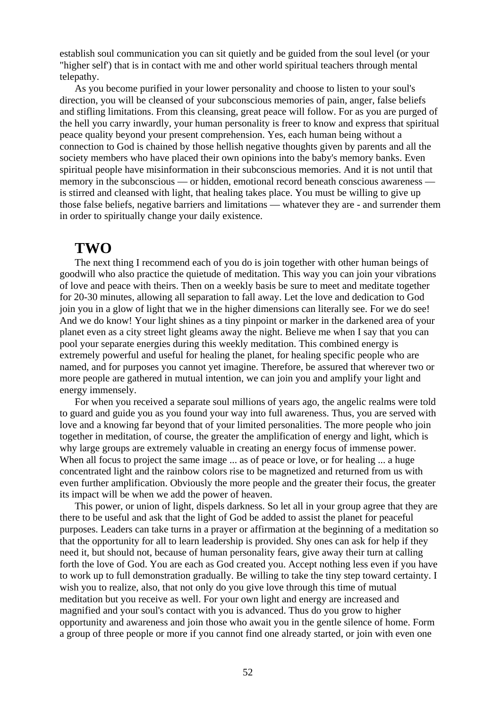establish soul communication you can sit quietly and be guided from the soul level (or your "higher self') that is in contact with me and other world spiritual teachers through mental telepathy.

As you become purified in your lower personality and choose to listen to your soul's direction, you will be cleansed of your subconscious memories of pain, anger, false beliefs and stifling limitations. From this cleansing, great peace will follow. For as you are purged of the hell you carry inwardly, your human personality is freer to know and express that spiritual peace quality beyond your present comprehension. Yes, each human being without a connection to God is chained by those hellish negative thoughts given by parents and all the society members who have placed their own opinions into the baby's memory banks. Even spiritual people have misinformation in their subconscious memories. And it is not until that memory in the subconscious — or hidden, emotional record beneath conscious awareness is stirred and cleansed with light, that healing takes place. You must be willing to give up those false beliefs, negative barriers and limitations — whatever they are - and surrender them in order to spiritually change your daily existence.

# **TWO**

The next thing I recommend each of you do is join together with other human beings of goodwill who also practice the quietude of meditation. This way you can join your vibrations of love and peace with theirs. Then on a weekly basis be sure to meet and meditate together for 20-30 minutes, allowing all separation to fall away. Let the love and dedication to God join you in a glow of light that we in the higher dimensions can literally see. For we do see! And we do know! Your light shines as a tiny pinpoint or marker in the darkened area of your planet even as a city street light gleams away the night. Believe me when I say that you can pool your separate energies during this weekly meditation. This combined energy is extremely powerful and useful for healing the planet, for healing specific people who are named, and for purposes you cannot yet imagine. Therefore, be assured that wherever two or more people are gathered in mutual intention, we can join you and amplify your light and energy immensely.

For when you received a separate soul millions of years ago, the angelic realms were told to guard and guide you as you found your way into full awareness. Thus, you are served with love and a knowing far beyond that of your limited personalities. The more people who join together in meditation, of course, the greater the amplification of energy and light, which is why large groups are extremely valuable in creating an energy focus of immense power. When all focus to project the same image ... as of peace or love, or for healing ... a huge concentrated light and the rainbow colors rise to be magnetized and returned from us with even further amplification. Obviously the more people and the greater their focus, the greater its impact will be when we add the power of heaven.

This power, or union of light, dispels darkness. So let all in your group agree that they are there to be useful and ask that the light of God be added to assist the planet for peaceful purposes. Leaders can take turns in a prayer or affirmation at the beginning of a meditation so that the opportunity for all to learn leadership is provided. Shy ones can ask for help if they need it, but should not, because of human personality fears, give away their turn at calling forth the love of God. You are each as God created you. Accept nothing less even if you have to work up to full demonstration gradually. Be willing to take the tiny step toward certainty. I wish you to realize, also, that not only do you give love through this time of mutual meditation but you receive as well. For your own light and energy are increased and magnified and your soul's contact with you is advanced. Thus do you grow to higher opportunity and awareness and join those who await you in the gentle silence of home. Form a group of three people or more if you cannot find one already started, or join with even one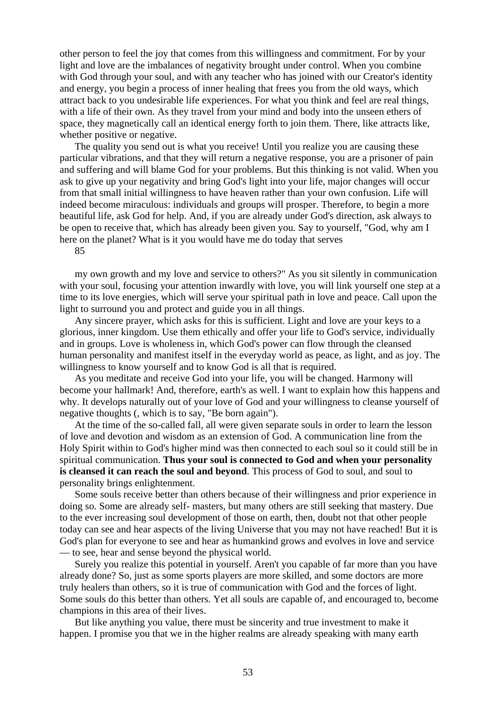other person to feel the joy that comes from this willingness and commitment. For by your light and love are the imbalances of negativity brought under control. When you combine with God through your soul, and with any teacher who has joined with our Creator's identity and energy, you begin a process of inner healing that frees you from the old ways, which attract back to you undesirable life experiences. For what you think and feel are real things, with a life of their own. As they travel from your mind and body into the unseen ethers of space, they magnetically call an identical energy forth to join them. There, like attracts like, whether positive or negative.

The quality you send out is what you receive! Until you realize you are causing these particular vibrations, and that they will return a negative response, you are a prisoner of pain and suffering and will blame God for your problems. But this thinking is not valid. When you ask to give up your negativity and bring God's light into your life, major changes will occur from that small initial willingness to have heaven rather than your own confusion. Life will indeed become miraculous: individuals and groups will prosper. Therefore, to begin a more beautiful life, ask God for help. And, if you are already under God's direction, ask always to be open to receive that, which has already been given you. Say to yourself, "God, why am I here on the planet? What is it you would have me do today that serves 85

my own growth and my love and service to others?" As you sit silently in communication with your soul, focusing your attention inwardly with love, you will link yourself one step at a time to its love energies, which will serve your spiritual path in love and peace. Call upon the light to surround you and protect and guide you in all things.

Any sincere prayer, which asks for this is sufficient. Light and love are your keys to a glorious, inner kingdom. Use them ethically and offer your life to God's service, individually and in groups. Love is wholeness in, which God's power can flow through the cleansed human personality and manifest itself in the everyday world as peace, as light, and as joy. The willingness to know yourself and to know God is all that is required.

As you meditate and receive God into your life, you will be changed. Harmony will become your hallmark! And, therefore, earth's as well. I want to explain how this happens and why. It develops naturally out of your love of God and your willingness to cleanse yourself of negative thoughts (, which is to say, "Be born again").

At the time of the so-called fall, all were given separate souls in order to learn the lesson of love and devotion and wisdom as an extension of God. A communication line from the Holy Spirit within to God's higher mind was then connected to each soul so it could still be in spiritual communication. **Thus your soul is connected to God and when your personality is cleansed it can reach the soul and beyond**. This process of God to soul, and soul to personality brings enlightenment.

Some souls receive better than others because of their willingness and prior experience in doing so. Some are already self- masters, but many others are still seeking that mastery. Due to the ever increasing soul development of those on earth, then, doubt not that other people today can see and hear aspects of the living Universe that you may not have reached! But it is God's plan for everyone to see and hear as humankind grows and evolves in love and service — to see, hear and sense beyond the physical world.

Surely you realize this potential in yourself. Aren't you capable of far more than you have already done? So, just as some sports players are more skilled, and some doctors are more truly healers than others, so it is true of communication with God and the forces of light. Some souls do this better than others. Yet all souls are capable of, and encouraged to, become champions in this area of their lives.

But like anything you value, there must be sincerity and true investment to make it happen. I promise you that we in the higher realms are already speaking with many earth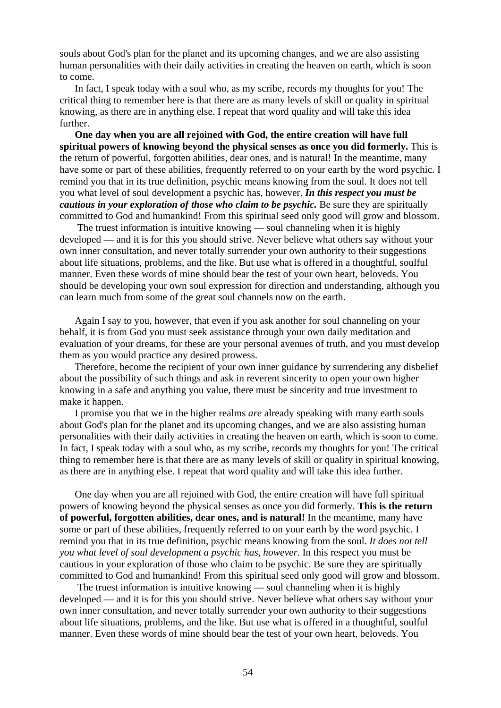souls about God's plan for the planet and its upcoming changes, and we are also assisting human personalities with their daily activities in creating the heaven on earth, which is soon to come.

In fact, I speak today with a soul who, as my scribe, records my thoughts for you! The critical thing to remember here is that there are as many levels of skill or quality in spiritual knowing, as there are in anything else. I repeat that word quality and will take this idea further.

**One day when you are all rejoined with God, the entire creation will have full spiritual powers of knowing beyond the physical senses as once you did formerly.** This is the return of powerful, forgotten abilities, dear ones, and is natural! In the meantime, many have some or part of these abilities, frequently referred to on your earth by the word psychic. I remind you that in its true definition, psychic means knowing from the soul. It does not tell you what level of soul development a psychic has, however. *In this respect you must be cautious in your exploration of those who claim to be psychic.* Be sure they are spiritually committed to God and humankind! From this spiritual seed only good will grow and blossom.

 The truest information is intuitive knowing — soul channeling when it is highly developed — and it is for this you should strive. Never believe what others say without your own inner consultation, and never totally surrender your own authority to their suggestions about life situations, problems, and the like. But use what is offered in a thoughtful, soulful manner. Even these words of mine should bear the test of your own heart, beloveds. You should be developing your own soul expression for direction and understanding, although you can learn much from some of the great soul channels now on the earth.

Again I say to you, however, that even if you ask another for soul channeling on your behalf, it is from God you must seek assistance through your own daily meditation and evaluation of your dreams, for these are your personal avenues of truth, and you must develop them as you would practice any desired prowess.

Therefore, become the recipient of your own inner guidance by surrendering any disbelief about the possibility of such things and ask in reverent sincerity to open your own higher knowing in a safe and anything you value, there must be sincerity and true investment to make it happen.

I promise you that we in the higher realms *are* already speaking with many earth souls about God's plan for the planet and its upcoming changes, and we are also assisting human personalities with their daily activities in creating the heaven on earth, which is soon to come. In fact, I speak today with a soul who, as my scribe, records my thoughts for you! The critical thing to remember here is that there are as many levels of skill or quality in spiritual knowing, as there are in anything else. I repeat that word quality and will take this idea further.

One day when you are all rejoined with God, the entire creation will have full spiritual powers of knowing beyond the physical senses as once you did formerly. **This is the return of powerful, forgotten abilities, dear ones, and is natural!** In the meantime, many have some or part of these abilities, frequently referred to on your earth by the word psychic. I remind you that in its true definition, psychic means knowing from the soul. *It does not tell you what level of soul development a psychic has, however.* In this respect you must be cautious in your exploration of those who claim to be psychic. Be sure they are spiritually committed to God and humankind! From this spiritual seed only good will grow and blossom.

 The truest information is intuitive knowing — soul channeling when it is highly developed — and it is for this you should strive. Never believe what others say without your own inner consultation, and never totally surrender your own authority to their suggestions about life situations, problems, and the like. But use what is offered in a thoughtful, soulful manner. Even these words of mine should bear the test of your own heart, beloveds. You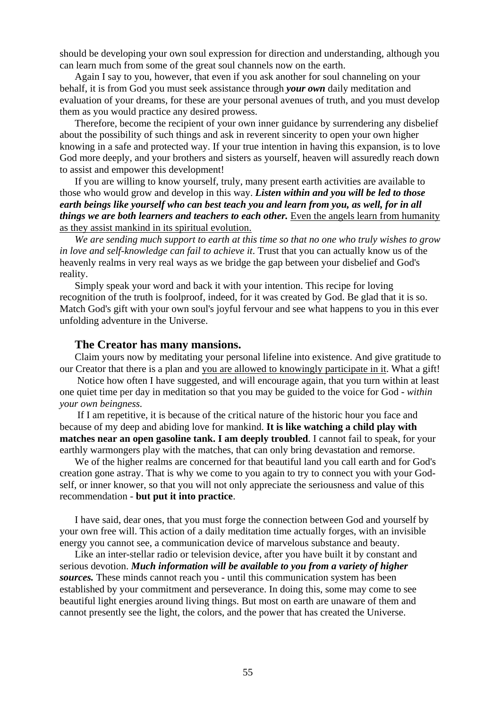should be developing your own soul expression for direction and understanding, although you can learn much from some of the great soul channels now on the earth.

Again I say to you, however, that even if you ask another for soul channeling on your behalf, it is from God you must seek assistance through *your own* daily meditation and evaluation of your dreams, for these are your personal avenues of truth, and you must develop them as you would practice any desired prowess.

Therefore, become the recipient of your own inner guidance by surrendering any disbelief about the possibility of such things and ask in reverent sincerity to open your own higher knowing in a safe and protected way. If your true intention in having this expansion, is to love God more deeply, and your brothers and sisters as yourself, heaven will assuredly reach down to assist and empower this development!

If you are willing to know yourself, truly, many present earth activities are available to those who would grow and develop in this way. *Listen within and you will be led to those earth beings like yourself who can best teach you and learn from you, as well, for in all things we are both learners and teachers to each other.* Even the angels learn from humanity as they assist mankind in its spiritual evolution.

*We are sending much support to earth at this time so that no one who truly wishes to grow in love and self-knowledge can fail to achieve it*. Trust that you can actually know us of the heavenly realms in very real ways as we bridge the gap between your disbelief and God's reality.

Simply speak your word and back it with your intention. This recipe for loving recognition of the truth is foolproof, indeed, for it was created by God. Be glad that it is so. Match God's gift with your own soul's joyful fervour and see what happens to you in this ever unfolding adventure in the Universe.

### **The Creator has many mansions.**

Claim yours now by meditating your personal lifeline into existence. And give gratitude to our Creator that there is a plan and you are allowed to knowingly participate in it. What a gift!

 Notice how often I have suggested, and will encourage again, that you turn within at least one quiet time per day in meditation so that you may be guided to the voice for God - *within your own beingness.*

 If I am repetitive, it is because of the critical nature of the historic hour you face and because of my deep and abiding love for mankind. **It is like watching a child play with matches near an open gasoline tank. I am deeply troubled**. I cannot fail to speak, for your earthly warmongers play with the matches, that can only bring devastation and remorse.

We of the higher realms are concerned for that beautiful land you call earth and for God's creation gone astray. That is why we come to you again to try to connect you with your Godself, or inner knower, so that you will not only appreciate the seriousness and value of this recommendation - **but put it into practice**.

I have said, dear ones, that you must forge the connection between God and yourself by your own free will. This action of a daily meditation time actually forges, with an invisible energy you cannot see, a communication device of marvelous substance and beauty.

Like an inter-stellar radio or television device, after you have built it by constant and serious devotion. *Much information will be available to you from a variety of higher sources.* These minds cannot reach you - until this communication system has been established by your commitment and perseverance. In doing this, some may come to see beautiful light energies around living things. But most on earth are unaware of them and cannot presently see the light, the colors, and the power that has created the Universe.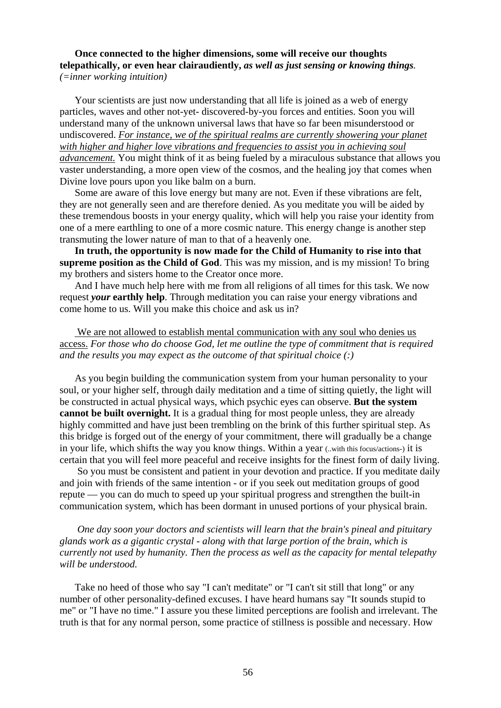### **Once connected to the higher dimensions, some will receive our thoughts telepathically, or even hear clairaudiently,** *as well as just sensing or knowing things. (=inner working intuition)*

Your scientists are just now understanding that all life is joined as a web of energy particles, waves and other not-yet- discovered-by-you forces and entities. Soon you will understand many of the unknown universal laws that have so far been misunderstood or undiscovered. *For instance, we of the spiritual realms are currently showering your planet with higher and higher love vibrations and frequencies to assist you in achieving soul advancement.* You might think of it as being fueled by a miraculous substance that allows you vaster understanding, a more open view of the cosmos, and the healing joy that comes when Divine love pours upon you like balm on a burn.

Some are aware of this love energy but many are not. Even if these vibrations are felt, they are not generally seen and are therefore denied. As you meditate you will be aided by these tremendous boosts in your energy quality, which will help you raise your identity from one of a mere earthling to one of a more cosmic nature. This energy change is another step transmuting the lower nature of man to that of a heavenly one.

**In truth, the opportunity is now made for the Child of Humanity to rise into that supreme position as the Child of God**. This was my mission, and is my mission! To bring my brothers and sisters home to the Creator once more.

And I have much help here with me from all religions of all times for this task. We now request *your* **earthly help**. Through meditation you can raise your energy vibrations and come home to us. Will you make this choice and ask us in?

We are not allowed to establish mental communication with any soul who denies us access. *For those who do choose God, let me outline the type of commitment that is required and the results you may expect as the outcome of that spiritual choice (:)* 

As you begin building the communication system from your human personality to your soul, or your higher self, through daily meditation and a time of sitting quietly, the light will be constructed in actual physical ways, which psychic eyes can observe. **But the system cannot be built overnight.** It is a gradual thing for most people unless, they are already highly committed and have just been trembling on the brink of this further spiritual step. As this bridge is forged out of the energy of your commitment, there will gradually be a change in your life, which shifts the way you know things. Within a year (..with this focus/actions-) it is certain that you will feel more peaceful and receive insights for the finest form of daily living.

 So you must be consistent and patient in your devotion and practice. If you meditate daily and join with friends of the same intention - or if you seek out meditation groups of good repute — you can do much to speed up your spiritual progress and strengthen the built-in communication system, which has been dormant in unused portions of your physical brain.

 *One day soon your doctors and scientists will learn that the brain's pineal and pituitary glands work as a gigantic crystal - along with that large portion of the brain, which is currently not used by humanity. Then the process as well as the capacity for mental telepathy will be understood.* 

Take no heed of those who say "I can't meditate" or "I can't sit still that long" or any number of other personality-defined excuses. I have heard humans say "It sounds stupid to me" or "I have no time." I assure you these limited perceptions are foolish and irrelevant. The truth is that for any normal person, some practice of stillness is possible and necessary. How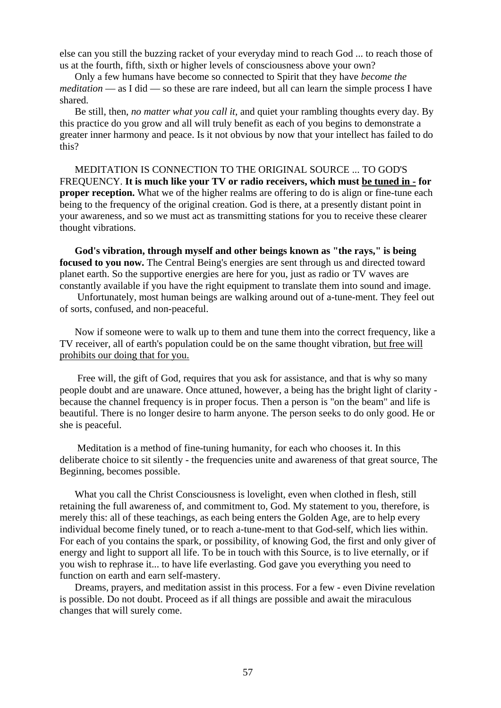else can you still the buzzing racket of your everyday mind to reach God ... to reach those of us at the fourth, fifth, sixth or higher levels of consciousness above your own?

Only a few humans have become so connected to Spirit that they have *become the meditation* — as I did — so these are rare indeed, but all can learn the simple process I have shared.

Be still, then, *no matter what you call it*, and quiet your rambling thoughts every day. By this practice do you grow and all will truly benefit as each of you begins to demonstrate a greater inner harmony and peace. Is it not obvious by now that your intellect has failed to do this?

MEDITATION IS CONNECTION TO THE ORIGINAL SOURCE ... TO GOD'S FREQUENCY. **It is much like your TV or radio receivers, which must be tuned in - for proper reception.** What we of the higher realms are offering to do is align or fine-tune each being to the frequency of the original creation. God is there, at a presently distant point in your awareness, and so we must act as transmitting stations for you to receive these clearer thought vibrations.

**God's vibration, through myself and other beings known as "the rays," is being focused to you now.** The Central Being's energies are sent through us and directed toward planet earth. So the supportive energies are here for you, just as radio or TV waves are constantly available if you have the right equipment to translate them into sound and image.

 Unfortunately, most human beings are walking around out of a-tune-ment. They feel out of sorts, confused, and non-peaceful.

Now if someone were to walk up to them and tune them into the correct frequency, like a TV receiver, all of earth's population could be on the same thought vibration, but free will prohibits our doing that for you.

 Free will, the gift of God, requires that you ask for assistance, and that is why so many people doubt and are unaware. Once attuned, however, a being has the bright light of clarity because the channel frequency is in proper focus. Then a person is "on the beam" and life is beautiful. There is no longer desire to harm anyone. The person seeks to do only good. He or she is peaceful.

 Meditation is a method of fine-tuning humanity, for each who chooses it. In this deliberate choice to sit silently - the frequencies unite and awareness of that great source, The Beginning, becomes possible.

What you call the Christ Consciousness is lovelight, even when clothed in flesh, still retaining the full awareness of, and commitment to, God. My statement to you, therefore, is merely this: all of these teachings, as each being enters the Golden Age, are to help every individual become finely tuned, or to reach a-tune-ment to that God-self, which lies within. For each of you contains the spark, or possibility, of knowing God, the first and only giver of energy and light to support all life. To be in touch with this Source, is to live eternally, or if you wish to rephrase it... to have life everlasting. God gave you everything you need to function on earth and earn self-mastery.

Dreams, prayers, and meditation assist in this process. For a few - even Divine revelation is possible. Do not doubt. Proceed as if all things are possible and await the miraculous changes that will surely come.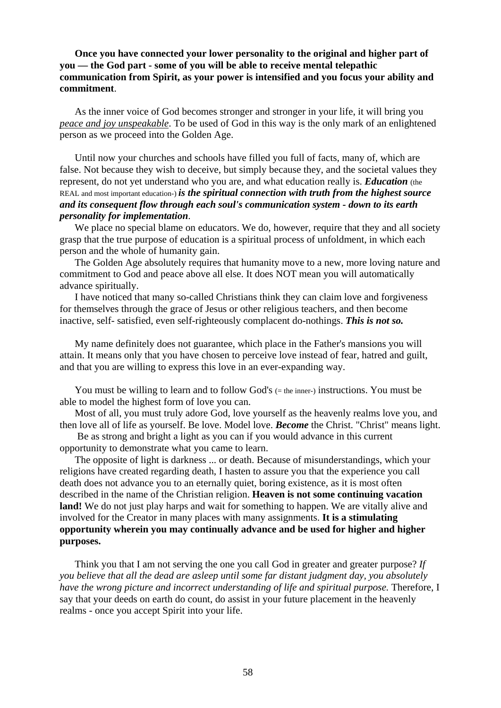**Once you have connected your lower personality to the original and higher part of you — the God part - some of you will be able to receive mental telepathic communication from Spirit, as your power is intensified and you focus your ability and commitment**.

As the inner voice of God becomes stronger and stronger in your life, it will bring you *peace and joy unspeakable*. To be used of God in this way is the only mark of an enlightened person as we proceed into the Golden Age.

Until now your churches and schools have filled you full of facts, many of, which are false. Not because they wish to deceive, but simply because they, and the societal values they represent, do not yet understand who you are, and what education really is. *Education* (the REAL and most important education-) *is the spiritual connection with truth from the highest source and its consequent flow through each soul's communication system - down to its earth personality for implementation*.

We place no special blame on educators. We do, however, require that they and all society grasp that the true purpose of education is a spiritual process of unfoldment, in which each person and the whole of humanity gain.

The Golden Age absolutely requires that humanity move to a new, more loving nature and commitment to God and peace above all else. It does NOT mean you will automatically advance spiritually.

I have noticed that many so-called Christians think they can claim love and forgiveness for themselves through the grace of Jesus or other religious teachers, and then become inactive, self- satisfied, even self-righteously complacent do-nothings. *This is not so.* 

My name definitely does not guarantee, which place in the Father's mansions you will attain. It means only that you have chosen to perceive love instead of fear, hatred and guilt, and that you are willing to express this love in an ever-expanding way.

You must be willing to learn and to follow God's (= the inner-) instructions. You must be able to model the highest form of love you can.

Most of all, you must truly adore God, love yourself as the heavenly realms love you, and then love all of life as yourself. Be love. Model love. *Become* the Christ. "Christ" means light.

 Be as strong and bright a light as you can if you would advance in this current opportunity to demonstrate what you came to learn.

The opposite of light is darkness ... or death. Because of misunderstandings, which your religions have created regarding death, I hasten to assure you that the experience you call death does not advance you to an eternally quiet, boring existence, as it is most often described in the name of the Christian religion. **Heaven is not some continuing vacation**  land! We do not just play harps and wait for something to happen. We are vitally alive and involved for the Creator in many places with many assignments. **It is a stimulating opportunity wherein you may continually advance and be used for higher and higher purposes.**

Think you that I am not serving the one you call God in greater and greater purpose? *If you believe that all the dead are asleep until some far distant judgment day, you absolutely have the wrong picture and incorrect understanding of life and spiritual purpose.* Therefore, I say that your deeds on earth do count, do assist in your future placement in the heavenly realms - once you accept Spirit into your life.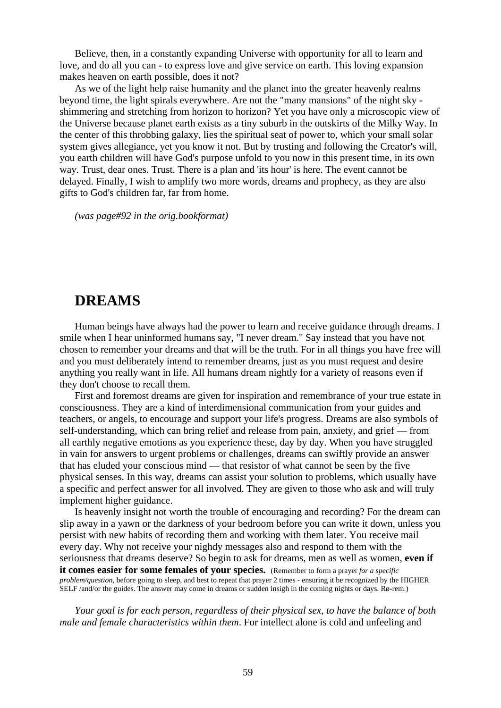Believe, then, in a constantly expanding Universe with opportunity for all to learn and love, and do all you can - to express love and give service on earth. This loving expansion makes heaven on earth possible, does it not?

As we of the light help raise humanity and the planet into the greater heavenly realms beyond time, the light spirals everywhere. Are not the "many mansions" of the night sky shimmering and stretching from horizon to horizon? Yet you have only a microscopic view of the Universe because planet earth exists as a tiny suburb in the outskirts of the Milky Way. In the center of this throbbing galaxy, lies the spiritual seat of power to, which your small solar system gives allegiance, yet you know it not. But by trusting and following the Creator's will, you earth children will have God's purpose unfold to you now in this present time, in its own way. Trust, dear ones. Trust. There is a plan and 'its hour' is here. The event cannot be delayed. Finally, I wish to amplify two more words, dreams and prophecy, as they are also gifts to God's children far, far from home.

*(was page#92 in the orig.bookformat)*

# **DREAMS**

Human beings have always had the power to learn and receive guidance through dreams. I smile when I hear uninformed humans say, "I never dream." Say instead that you have not chosen to remember your dreams and that will be the truth. For in all things you have free will and you must deliberately intend to remember dreams, just as you must request and desire anything you really want in life. All humans dream nightly for a variety of reasons even if they don't choose to recall them.

First and foremost dreams are given for inspiration and remembrance of your true estate in consciousness. They are a kind of interdimensional communication from your guides and teachers, or angels, to encourage and support your life's progress. Dreams are also symbols of self-understanding, which can bring relief and release from pain, anxiety, and grief — from all earthly negative emotions as you experience these, day by day. When you have struggled in vain for answers to urgent problems or challenges, dreams can swiftly provide an answer that has eluded your conscious mind — that resistor of what cannot be seen by the five physical senses. In this way, dreams can assist your solution to problems, which usually have a specific and perfect answer for all involved. They are given to those who ask and will truly implement higher guidance.

Is heavenly insight not worth the trouble of encouraging and recording? For the dream can slip away in a yawn or the darkness of your bedroom before you can write it down, unless you persist with new habits of recording them and working with them later. You receive mail every day. Why not receive your nighdy messages also and respond to them with the seriousness that dreams deserve? So begin to ask for dreams, men as well as women, **even if it comes easier for some females of your species.** (Remember to form a prayer *for a specific problem/question*, before going to sleep, and best to repeat that prayer 2 times - ensuring it be recognized by the HIGHER SELF /and/or the guides. The answer may come in dreams or sudden insigh in the coming nights or days. Rø-rem.)

*Your goal is for each person, regardless of their physical sex, to have the balance of both male and female characteristics within them*. For intellect alone is cold and unfeeling and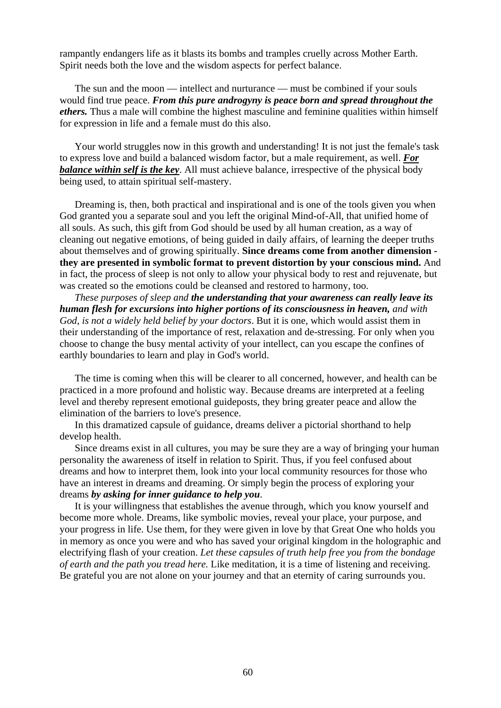rampantly endangers life as it blasts its bombs and tramples cruelly across Mother Earth. Spirit needs both the love and the wisdom aspects for perfect balance.

The sun and the moon — intellect and nurturance — must be combined if your souls would find true peace. *From this pure androgyny is peace born and spread throughout the ethers.* Thus a male will combine the highest masculine and feminine qualities within himself for expression in life and a female must do this also.

Your world struggles now in this growth and understanding! It is not just the female's task to express love and build a balanced wisdom factor, but a male requirement, as well. *For balance within self is the key*. All must achieve balance, irrespective of the physical body being used, to attain spiritual self-mastery.

Dreaming is, then, both practical and inspirational and is one of the tools given you when God granted you a separate soul and you left the original Mind-of-All, that unified home of all souls. As such, this gift from God should be used by all human creation, as a way of cleaning out negative emotions, of being guided in daily affairs, of learning the deeper truths about themselves and of growing spiritually. **Since dreams come from another dimension they are presented in symbolic format to prevent distortion by your conscious mind.** And in fact, the process of sleep is not only to allow your physical body to rest and rejuvenate, but was created so the emotions could be cleansed and restored to harmony, too.

*These purposes of sleep and the understanding that your awareness can really leave its human flesh for excursions into higher portions of its consciousness in heaven, and with God, is not a widely held belief by your doctors*. But it is one, which would assist them in their understanding of the importance of rest, relaxation and de-stressing. For only when you choose to change the busy mental activity of your intellect, can you escape the confines of earthly boundaries to learn and play in God's world.

The time is coming when this will be clearer to all concerned, however, and health can be practiced in a more profound and holistic way. Because dreams are interpreted at a feeling level and thereby represent emotional guideposts, they bring greater peace and allow the elimination of the barriers to love's presence.

In this dramatized capsule of guidance, dreams deliver a pictorial shorthand to help develop health.

Since dreams exist in all cultures, you may be sure they are a way of bringing your human personality the awareness of itself in relation to Spirit. Thus, if you feel confused about dreams and how to interpret them, look into your local community resources for those who have an interest in dreams and dreaming. Or simply begin the process of exploring your dreams *by asking for inner guidance to help you*.

It is your willingness that establishes the avenue through, which you know yourself and become more whole. Dreams, like symbolic movies, reveal your place, your purpose, and your progress in life. Use them, for they were given in love by that Great One who holds you in memory as once you were and who has saved your original kingdom in the holographic and electrifying flash of your creation. *Let these capsules of truth help free you from the bondage of earth and the path you tread here.* Like meditation, it is a time of listening and receiving. Be grateful you are not alone on your journey and that an eternity of caring surrounds you.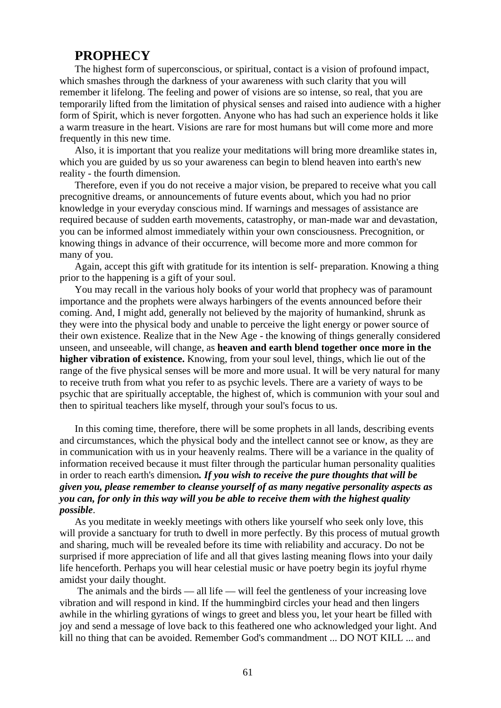## **PROPHECY**

The highest form of superconscious, or spiritual, contact is a vision of profound impact, which smashes through the darkness of your awareness with such clarity that you will remember it lifelong. The feeling and power of visions are so intense, so real, that you are temporarily lifted from the limitation of physical senses and raised into audience with a higher form of Spirit, which is never forgotten. Anyone who has had such an experience holds it like a warm treasure in the heart. Visions are rare for most humans but will come more and more frequently in this new time.

Also, it is important that you realize your meditations will bring more dreamlike states in, which you are guided by us so your awareness can begin to blend heaven into earth's new reality - the fourth dimension.

Therefore, even if you do not receive a major vision, be prepared to receive what you call precognitive dreams, or announcements of future events about, which you had no prior knowledge in your everyday conscious mind. If warnings and messages of assistance are required because of sudden earth movements, catastrophy, or man-made war and devastation, you can be informed almost immediately within your own consciousness. Precognition, or knowing things in advance of their occurrence, will become more and more common for many of you.

Again, accept this gift with gratitude for its intention is self- preparation. Knowing a thing prior to the happening is a gift of your soul.

You may recall in the various holy books of your world that prophecy was of paramount importance and the prophets were always harbingers of the events announced before their coming. And, I might add, generally not believed by the majority of humankind, shrunk as they were into the physical body and unable to perceive the light energy or power source of their own existence. Realize that in the New Age - the knowing of things generally considered unseen, and unseeable, will change, as **heaven and earth blend together once more in the higher vibration of existence.** Knowing, from your soul level, things, which lie out of the range of the five physical senses will be more and more usual. It will be very natural for many to receive truth from what you refer to as psychic levels. There are a variety of ways to be psychic that are spiritually acceptable, the highest of, which is communion with your soul and then to spiritual teachers like myself, through your soul's focus to us.

In this coming time, therefore, there will be some prophets in all lands, describing events and circumstances, which the physical body and the intellect cannot see or know, as they are in communication with us in your heavenly realms. There will be a variance in the quality of information received because it must filter through the particular human personality qualities in order to reach earth's dimension*. If you wish to receive the pure thoughts that will be given you, please remember to cleanse yourself of as many negative personality aspects as you can, for only in this way will you be able to receive them with the highest quality possible*.

As you meditate in weekly meetings with others like yourself who seek only love, this will provide a sanctuary for truth to dwell in more perfectly. By this process of mutual growth and sharing, much will be revealed before its time with reliability and accuracy. Do not be surprised if more appreciation of life and all that gives lasting meaning flows into your daily life henceforth. Perhaps you will hear celestial music or have poetry begin its joyful rhyme amidst your daily thought.

 The animals and the birds — all life — will feel the gentleness of your increasing love vibration and will respond in kind. If the hummingbird circles your head and then lingers awhile in the whirling gyrations of wings to greet and bless you, let your heart be filled with joy and send a message of love back to this feathered one who acknowledged your light. And kill no thing that can be avoided. Remember God's commandment ... DO NOT KILL ... and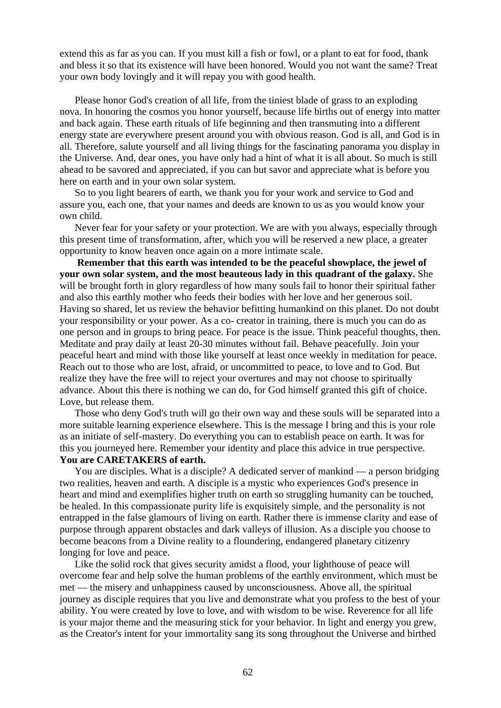extend this as far as you can. If you must kill a fish or fowl, or a plant to eat for food, thank and bless it so that its existence will have been honored. Would you not want the same? Treat your own body lovingly and it will repay you with good health.

Please honor God's creation of all life, from the tiniest blade of grass to an exploding nova. In honoring the cosmos you honor yourself, because life births out of energy into matter and back again. These earth rituals of life beginning and then transmuting into a different energy state are everywhere present around you with obvious reason. God is all, and God is in all. Therefore, salute yourself and all living things for the fascinating panorama you display in the Universe. And, dear ones, you have only had a hint of what it is all about. So much is still ahead to be savored and appreciated, if you can but savor and appreciate what is before you here on earth and in your own solar system.

So to you light bearers of earth, we thank you for your work and service to God and assure you, each one, that your names and deeds are known to us as you would know your own child.

Never fear for your safety or your protection. We are with you always, especially through this present time of transformation, after, which you will be reserved a new place, a greater opportunity to know heaven once again on a more intimate scale.

 **Remember that this earth was intended to be the peaceful showplace, the jewel of your own solar system, and the most beauteous lady in this quadrant of the galaxy.** She will be brought forth in glory regardless of how many souls fail to honor their spiritual father and also this earthly mother who feeds their bodies with her love and her generous soil. Having so shared, let us review the behavior befitting humankind on this planet. Do not doubt your responsibility or your power. As a co- creator in training, there is much you can do as one person and in groups to bring peace. For peace is the issue. Think peaceful thoughts, then. Meditate and pray daily at least 20-30 minutes without fail. Behave peacefully. Join your peaceful heart and mind with those like yourself at least once weekly in meditation for peace. Reach out to those who are lost, afraid, or uncommitted to peace, to love and to God. But realize they have the free will to reject your overtures and may not choose to spiritually advance. About this there is nothing we can do, for God himself granted this gift of choice. Love, but release them.

Those who deny God's truth will go their own way and these souls will be separated into a more suitable learning experience elsewhere. This is the message I bring and this is your role as an initiate of self-mastery. Do everything you can to establish peace on earth. It was for this you journeyed here. Remember your identity and place this advice in true perspective. **You are CARETAKERS of earth.** 

You are disciples. What is a disciple? A dedicated server of mankind — a person bridging two realities, heaven and earth. A disciple is a mystic who experiences God's presence in heart and mind and exemplifies higher truth on earth so struggling humanity can be touched, be healed. In this compassionate purity life is exquisitely simple, and the personality is not entrapped in the false glamours of living on earth. Rather there is immense clarity and ease of purpose through apparent obstacles and dark valleys of illusion. As a disciple you choose to become beacons from a Divine reality to a floundering, endangered planetary citizenry longing for love and peace.

Like the solid rock that gives security amidst a flood, your lighthouse of peace will overcome fear and help solve the human problems of the earthly environment, which must be met — the misery and unhappiness caused by unconsciousness. Above all, the spiritual journey as disciple requires that you live and demonstrate what you profess to the best of your ability. You were created by love to love, and with wisdom to be wise. Reverence for all life is your major theme and the measuring stick for your behavior. In light and energy you grew, as the Creator's intent for your immortality sang its song throughout the Universe and birthed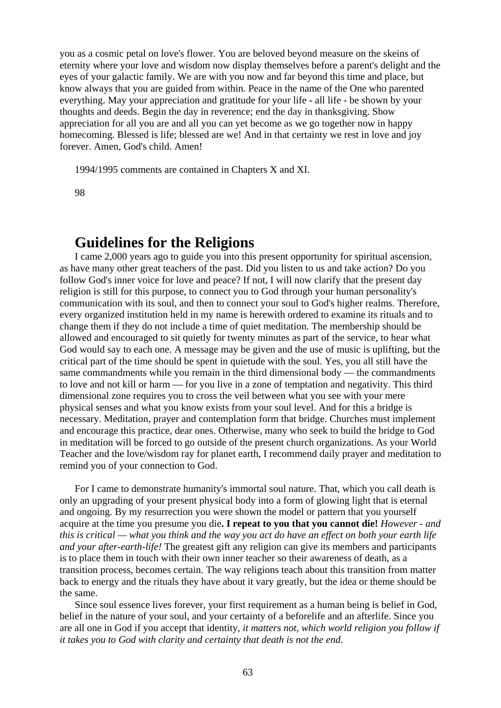you as a cosmic petal on love's flower. You are beloved beyond measure on the skeins of eternity where your love and wisdom now display themselves before a parent's delight and the eyes of your galactic family. We are with you now and far beyond this time and place, but know always that you are guided from within. Peace in the name of the One who parented everything. May your appreciation and gratitude for your life - all life - be shown by your thoughts and deeds. Begin the day in reverence; end the day in thanksgiving. Show appreciation for all you are and all you can yet become as we go together now in happy homecoming. Blessed is life; blessed are we! And in that certainty we rest in love and joy forever. Amen, God's child. Amen!

1994/1995 comments are contained in Chapters X and XI.

98

## **Guidelines for the Religions**

I came 2,000 years ago to guide you into this present opportunity for spiritual ascension, as have many other great teachers of the past. Did you listen to us and take action? Do you follow God's inner voice for love and peace? If not, I will now clarify that the present day religion is still for this purpose, to connect you to God through your human personality's communication with its soul, and then to connect your soul to God's higher realms. Therefore, every organized institution held in my name is herewith ordered to examine its rituals and to change them if they do not include a time of quiet meditation. The membership should be allowed and encouraged to sit quietly for twenty minutes as part of the service, to hear what God would say to each one. A message may be given and the use of music is uplifting, but the critical part of the time should be spent in quietude with the soul. Yes, you all still have the same commandments while you remain in the third dimensional body — the commandments to love and not kill or harm — for you live in a zone of temptation and negativity. This third dimensional zone requires you to cross the veil between what you see with your mere physical senses and what you know exists from your soul level. And for this a bridge is necessary. Meditation, prayer and contemplation form that bridge. Churches must implement and encourage this practice, dear ones. Otherwise, many who seek to build the bridge to God in meditation will be forced to go outside of the present church organizations. As your World Teacher and the love/wisdom ray for planet earth, I recommend daily prayer and meditation to remind you of your connection to God.

For I came to demonstrate humanity's immortal soul nature. That, which you call death is only an upgrading of your present physical body into a form of glowing light that is eternal and ongoing. By my resurrection you were shown the model or pattern that you yourself acquire at the time you presume you die**. I repeat to you that you cannot die!** *However - and this is critical — what you think and the way you act do have an effect on both your earth life and your after-earth-life!* The greatest gift any religion can give its members and participants is to place them in touch with their own inner teacher so their awareness of death, as a transition process, becomes certain. The way religions teach about this transition from matter back to energy and the rituals they have about it vary greatly, but the idea or theme should be the same.

Since soul essence lives forever, your first requirement as a human being is belief in God, belief in the nature of your soul, and your certainty of a beforelife and an afterlife. Since you are all one in God if you accept that identity*, it matters not, which world religion you follow if it takes you to God with clarity and certainty that death is not the end*.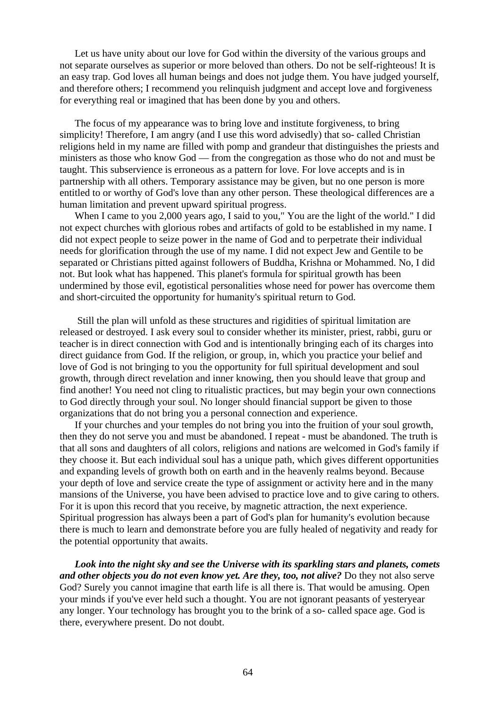Let us have unity about our love for God within the diversity of the various groups and not separate ourselves as superior or more beloved than others. Do not be self-righteous! It is an easy trap. God loves all human beings and does not judge them. You have judged yourself, and therefore others; I recommend you relinquish judgment and accept love and forgiveness for everything real or imagined that has been done by you and others.

The focus of my appearance was to bring love and institute forgiveness, to bring simplicity! Therefore, I am angry (and I use this word advisedly) that so- called Christian religions held in my name are filled with pomp and grandeur that distinguishes the priests and ministers as those who know God — from the congregation as those who do not and must be taught. This subservience is erroneous as a pattern for love. For love accepts and is in partnership with all others. Temporary assistance may be given, but no one person is more entitled to or worthy of God's love than any other person. These theological differences are a human limitation and prevent upward spiritual progress.

When I came to you 2,000 years ago, I said to you," You are the light of the world." I did not expect churches with glorious robes and artifacts of gold to be established in my name. I did not expect people to seize power in the name of God and to perpetrate their individual needs for glorification through the use of my name. I did not expect Jew and Gentile to be separated or Christians pitted against followers of Buddha, Krishna or Mohammed. No, I did not. But look what has happened. This planet's formula for spiritual growth has been undermined by those evil, egotistical personalities whose need for power has overcome them and short-circuited the opportunity for humanity's spiritual return to God.

 Still the plan will unfold as these structures and rigidities of spiritual limitation are released or destroyed. I ask every soul to consider whether its minister, priest, rabbi, guru or teacher is in direct connection with God and is intentionally bringing each of its charges into direct guidance from God. If the religion, or group, in, which you practice your belief and love of God is not bringing to you the opportunity for full spiritual development and soul growth, through direct revelation and inner knowing, then you should leave that group and find another! You need not cling to ritualistic practices, but may begin your own connections to God directly through your soul. No longer should financial support be given to those organizations that do not bring you a personal connection and experience.

If your churches and your temples do not bring you into the fruition of your soul growth, then they do not serve you and must be abandoned. I repeat - must be abandoned. The truth is that all sons and daughters of all colors, religions and nations are welcomed in God's family if they choose it. But each individual soul has a unique path, which gives different opportunities and expanding levels of growth both on earth and in the heavenly realms beyond. Because your depth of love and service create the type of assignment or activity here and in the many mansions of the Universe, you have been advised to practice love and to give caring to others. For it is upon this record that you receive, by magnetic attraction, the next experience. Spiritual progression has always been a part of God's plan for humanity's evolution because there is much to learn and demonstrate before you are fully healed of negativity and ready for the potential opportunity that awaits.

*Look into the night sky and see the Universe with its sparkling stars and planets, comets and other objects you do not even know yet. Are they, too, not alive?* Do they not also serve God? Surely you cannot imagine that earth life is all there is. That would be amusing. Open your minds if you've ever held such a thought. You are not ignorant peasants of yesteryear any longer. Your technology has brought you to the brink of a so- called space age. God is there, everywhere present. Do not doubt.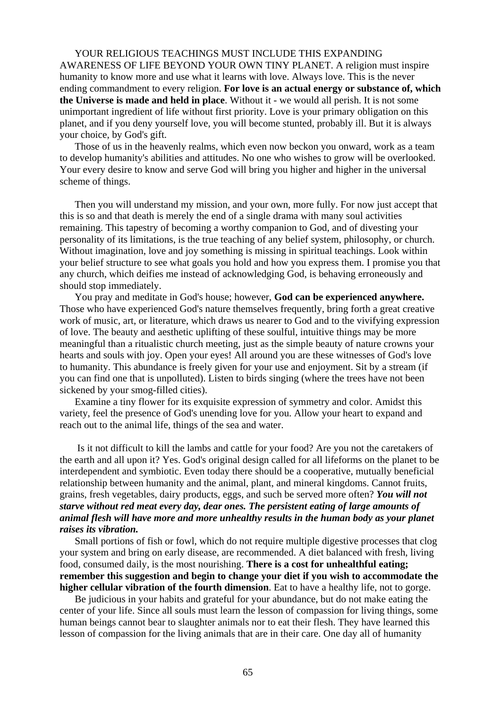YOUR RELIGIOUS TEACHINGS MUST INCLUDE THIS EXPANDING AWARENESS OF LIFE BEYOND YOUR OWN TINY PLANET. A religion must inspire humanity to know more and use what it learns with love. Always love. This is the never ending commandment to every religion. **For love is an actual energy or substance of, which the Universe is made and held in place**. Without it - we would all perish. It is not some unimportant ingredient of life without first priority. Love is your primary obligation on this planet, and if you deny yourself love, you will become stunted, probably ill. But it is always your choice, by God's gift.

Those of us in the heavenly realms, which even now beckon you onward, work as a team to develop humanity's abilities and attitudes. No one who wishes to grow will be overlooked. Your every desire to know and serve God will bring you higher and higher in the universal scheme of things.

Then you will understand my mission, and your own, more fully. For now just accept that this is so and that death is merely the end of a single drama with many soul activities remaining. This tapestry of becoming a worthy companion to God, and of divesting your personality of its limitations, is the true teaching of any belief system, philosophy, or church. Without imagination, love and joy something is missing in spiritual teachings. Look within your belief structure to see what goals you hold and how you express them. I promise you that any church, which deifies me instead of acknowledging God, is behaving erroneously and should stop immediately.

You pray and meditate in God's house; however, **God can be experienced anywhere.** Those who have experienced God's nature themselves frequently, bring forth a great creative work of music, art, or literature, which draws us nearer to God and to the vivifying expression of love. The beauty and aesthetic uplifting of these soulful, intuitive things may be more meaningful than a ritualistic church meeting, just as the simple beauty of nature crowns your hearts and souls with joy. Open your eyes! All around you are these witnesses of God's love to humanity. This abundance is freely given for your use and enjoyment. Sit by a stream (if you can find one that is unpolluted). Listen to birds singing (where the trees have not been sickened by your smog-filled cities).

Examine a tiny flower for its exquisite expression of symmetry and color. Amidst this variety, feel the presence of God's unending love for you. Allow your heart to expand and reach out to the animal life, things of the sea and water.

 Is it not difficult to kill the lambs and cattle for your food? Are you not the caretakers of the earth and all upon it? Yes. God's original design called for all lifeforms on the planet to be interdependent and symbiotic. Even today there should be a cooperative, mutually beneficial relationship between humanity and the animal, plant, and mineral kingdoms. Cannot fruits, grains, fresh vegetables, dairy products, eggs, and such be served more often? *You will not starve without red meat every day, dear ones. The persistent eating of large amounts of animal flesh will have more and more unhealthy results in the human body as your planet raises its vibration.*

Small portions of fish or fowl, which do not require multiple digestive processes that clog your system and bring on early disease, are recommended. A diet balanced with fresh, living food, consumed daily, is the most nourishing. **There is a cost for unhealthful eating; remember this suggestion and begin to change your diet if you wish to accommodate the higher cellular vibration of the fourth dimension**. Eat to have a healthy life, not to gorge.

Be judicious in your habits and grateful for your abundance, but do not make eating the center of your life. Since all souls must learn the lesson of compassion for living things, some human beings cannot bear to slaughter animals nor to eat their flesh. They have learned this lesson of compassion for the living animals that are in their care. One day all of humanity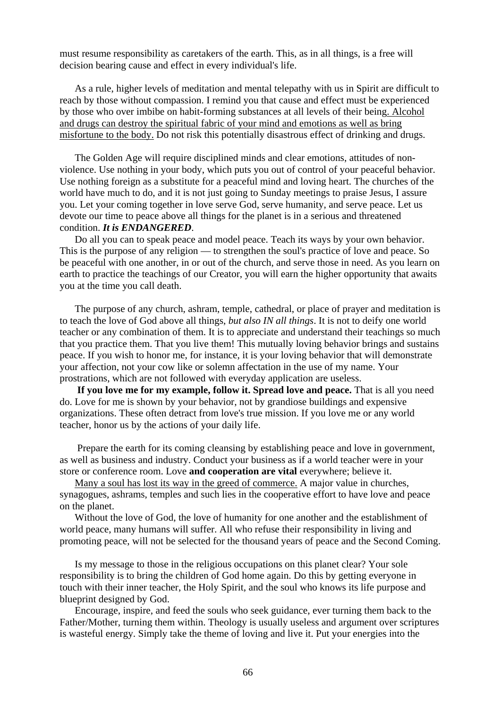must resume responsibility as caretakers of the earth. This, as in all things, is a free will decision bearing cause and effect in every individual's life.

As a rule, higher levels of meditation and mental telepathy with us in Spirit are difficult to reach by those without compassion. I remind you that cause and effect must be experienced by those who over imbibe on habit-forming substances at all levels of their being. Alcohol and drugs can destroy the spiritual fabric of your mind and emotions as well as bring misfortune to the body. Do not risk this potentially disastrous effect of drinking and drugs.

The Golden Age will require disciplined minds and clear emotions, attitudes of nonviolence. Use nothing in your body, which puts you out of control of your peaceful behavior. Use nothing foreign as a substitute for a peaceful mind and loving heart. The churches of the world have much to do, and it is not just going to Sunday meetings to praise Jesus, I assure you. Let your coming together in love serve God, serve humanity, and serve peace. Let us devote our time to peace above all things for the planet is in a serious and threatened condition. *It is ENDANGERED*.

Do all you can to speak peace and model peace. Teach its ways by your own behavior. This is the purpose of any religion — to strengthen the soul's practice of love and peace. So be peaceful with one another, in or out of the church, and serve those in need. As you learn on earth to practice the teachings of our Creator, you will earn the higher opportunity that awaits you at the time you call death.

The purpose of any church, ashram, temple, cathedral, or place of prayer and meditation is to teach the love of God above all things, *but also IN all things*. It is not to deify one world teacher or any combination of them. It is to appreciate and understand their teachings so much that you practice them. That you live them! This mutually loving behavior brings and sustains peace. If you wish to honor me, for instance, it is your loving behavior that will demonstrate your affection, not your cow like or solemn affectation in the use of my name. Your prostrations, which are not followed with everyday application are useless.

 **If you love me for my example, follow it. Spread love and peace.** That is all you need do. Love for me is shown by your behavior, not by grandiose buildings and expensive organizations. These often detract from love's true mission. If you love me or any world teacher, honor us by the actions of your daily life.

 Prepare the earth for its coming cleansing by establishing peace and love in government, as well as business and industry. Conduct your business as if a world teacher were in your store or conference room. Love **and cooperation are vital** everywhere; believe it.

Many a soul has lost its way in the greed of commerce. A major value in churches, synagogues, ashrams, temples and such lies in the cooperative effort to have love and peace on the planet.

Without the love of God, the love of humanity for one another and the establishment of world peace, many humans will suffer. All who refuse their responsibility in living and promoting peace, will not be selected for the thousand years of peace and the Second Coming.

Is my message to those in the religious occupations on this planet clear? Your sole responsibility is to bring the children of God home again. Do this by getting everyone in touch with their inner teacher, the Holy Spirit, and the soul who knows its life purpose and blueprint designed by God.

Encourage, inspire, and feed the souls who seek guidance, ever turning them back to the Father/Mother, turning them within. Theology is usually useless and argument over scriptures is wasteful energy. Simply take the theme of loving and live it. Put your energies into the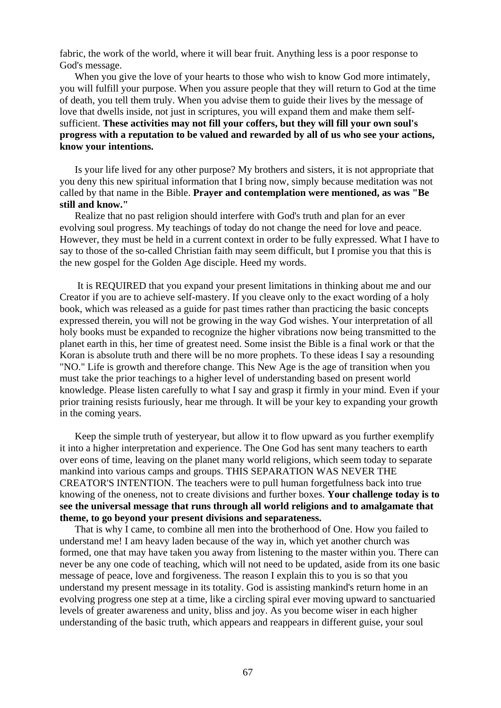fabric, the work of the world, where it will bear fruit. Anything less is a poor response to God's message.

When you give the love of your hearts to those who wish to know God more intimately, you will fulfill your purpose. When you assure people that they will return to God at the time of death, you tell them truly. When you advise them to guide their lives by the message of love that dwells inside, not just in scriptures, you will expand them and make them selfsufficient. **These activities may not fill your coffers, but they will fill your own soul's progress with a reputation to be valued and rewarded by all of us who see your actions, know your intentions.** 

Is your life lived for any other purpose? My brothers and sisters, it is not appropriate that you deny this new spiritual information that I bring now, simply because meditation was not called by that name in the Bible. **Prayer and contemplation were mentioned, as was "Be still and know."** 

Realize that no past religion should interfere with God's truth and plan for an ever evolving soul progress. My teachings of today do not change the need for love and peace. However, they must be held in a current context in order to be fully expressed. What I have to say to those of the so-called Christian faith may seem difficult, but I promise you that this is the new gospel for the Golden Age disciple. Heed my words.

 It is REQUIRED that you expand your present limitations in thinking about me and our Creator if you are to achieve self-mastery. If you cleave only to the exact wording of a holy book, which was released as a guide for past times rather than practicing the basic concepts expressed therein, you will not be growing in the way God wishes. Your interpretation of all holy books must be expanded to recognize the higher vibrations now being transmitted to the planet earth in this, her time of greatest need. Some insist the Bible is a final work or that the Koran is absolute truth and there will be no more prophets. To these ideas I say a resounding "NO." Life is growth and therefore change. This New Age is the age of transition when you must take the prior teachings to a higher level of understanding based on present world knowledge. Please listen carefully to what I say and grasp it firmly in your mind. Even if your prior training resists furiously, hear me through. It will be your key to expanding your growth in the coming years.

Keep the simple truth of yesteryear, but allow it to flow upward as you further exemplify it into a higher interpretation and experience. The One God has sent many teachers to earth over eons of time, leaving on the planet many world religions, which seem today to separate mankind into various camps and groups. THIS SEPARATION WAS NEVER THE CREATOR'S INTENTION. The teachers were to pull human forgetfulness back into true knowing of the oneness, not to create divisions and further boxes. **Your challenge today is to see the universal message that runs through all world religions and to amalgamate that theme, to go beyond your present divisions and separateness.**

That is why I came, to combine all men into the brotherhood of One. How you failed to understand me! I am heavy laden because of the way in, which yet another church was formed, one that may have taken you away from listening to the master within you. There can never be any one code of teaching, which will not need to be updated, aside from its one basic message of peace, love and forgiveness. The reason I explain this to you is so that you understand my present message in its totality. God is assisting mankind's return home in an evolving progress one step at a time, like a circling spiral ever moving upward to sanctuaried levels of greater awareness and unity, bliss and joy. As you become wiser in each higher understanding of the basic truth, which appears and reappears in different guise, your soul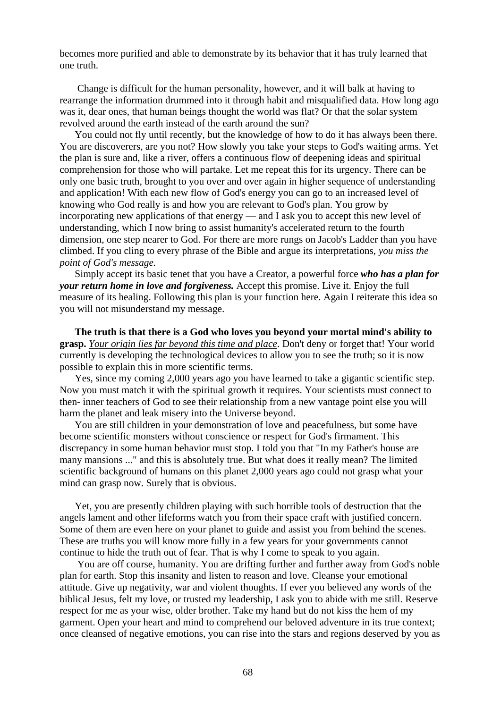becomes more purified and able to demonstrate by its behavior that it has truly learned that one truth.

 Change is difficult for the human personality, however, and it will balk at having to rearrange the information drummed into it through habit and misqualified data. How long ago was it, dear ones, that human beings thought the world was flat? Or that the solar system revolved around the earth instead of the earth around the sun?

You could not fly until recently, but the knowledge of how to do it has always been there. You are discoverers, are you not? How slowly you take your steps to God's waiting arms. Yet the plan is sure and, like a river, offers a continuous flow of deepening ideas and spiritual comprehension for those who will partake. Let me repeat this for its urgency. There can be only one basic truth, brought to you over and over again in higher sequence of understanding and application! With each new flow of God's energy you can go to an increased level of knowing who God really is and how you are relevant to God's plan. You grow by incorporating new applications of that energy — and I ask you to accept this new level of understanding, which I now bring to assist humanity's accelerated return to the fourth dimension, one step nearer to God. For there are more rungs on Jacob's Ladder than you have climbed. If you cling to every phrase of the Bible and argue its interpretations, *you miss the point of God's message.*

Simply accept its basic tenet that you have a Creator, a powerful force *who has a plan for your return home in love and forgiveness.* Accept this promise. Live it. Enjoy the full measure of its healing. Following this plan is your function here. Again I reiterate this idea so you will not misunderstand my message.

**The truth is that there is a God who loves you beyond your mortal mind's ability to grasp.** *Your origin lies far beyond this time and place*. Don't deny or forget that! Your world currently is developing the technological devices to allow you to see the truth; so it is now possible to explain this in more scientific terms.

Yes, since my coming 2,000 years ago you have learned to take a gigantic scientific step. Now you must match it with the spiritual growth it requires. Your scientists must connect to then- inner teachers of God to see their relationship from a new vantage point else you will harm the planet and leak misery into the Universe beyond.

You are still children in your demonstration of love and peacefulness, but some have become scientific monsters without conscience or respect for God's firmament. This discrepancy in some human behavior must stop. I told you that "In my Father's house are many mansions ..." and this is absolutely true. But what does it really mean? The limited scientific background of humans on this planet 2,000 years ago could not grasp what your mind can grasp now. Surely that is obvious.

Yet, you are presently children playing with such horrible tools of destruction that the angels lament and other lifeforms watch you from their space craft with justified concern. Some of them are even here on your planet to guide and assist you from behind the scenes. These are truths you will know more fully in a few years for your governments cannot continue to hide the truth out of fear. That is why I come to speak to you again.

 You are off course, humanity. You are drifting further and further away from God's noble plan for earth. Stop this insanity and listen to reason and love. Cleanse your emotional attitude. Give up negativity, war and violent thoughts. If ever you believed any words of the biblical Jesus, felt my love, or trusted my leadership, I ask you to abide with me still. Reserve respect for me as your wise, older brother. Take my hand but do not kiss the hem of my garment. Open your heart and mind to comprehend our beloved adventure in its true context; once cleansed of negative emotions, you can rise into the stars and regions deserved by you as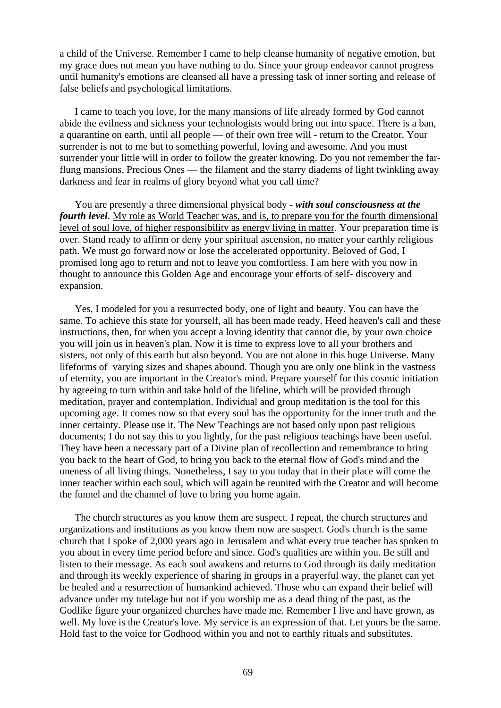a child of the Universe. Remember I came to help cleanse humanity of negative emotion, but my grace does not mean you have nothing to do. Since your group endeavor cannot progress until humanity's emotions are cleansed all have a pressing task of inner sorting and release of false beliefs and psychological limitations.

I came to teach you love, for the many mansions of life already formed by God cannot abide the evilness and sickness your technologists would bring out into space. There is a ban, a quarantine on earth, until all people — of their own free will - return to the Creator. Your surrender is not to me but to something powerful, loving and awesome. And you must surrender your little will in order to follow the greater knowing. Do you not remember the farflung mansions, Precious Ones — the filament and the starry diadems of light twinkling away darkness and fear in realms of glory beyond what you call time?

You are presently a three dimensional physical body - *with soul consciousness at the fourth level*. My role as World Teacher was, and is, to prepare you for the fourth dimensional level of soul love, of higher responsibility as energy living in matter. Your preparation time is over. Stand ready to affirm or deny your spiritual ascension, no matter your earthly religious path. We must go forward now or lose the accelerated opportunity. Beloved of God, I promised long ago to return and not to leave you comfortless. I am here with you now in thought to announce this Golden Age and encourage your efforts of self- discovery and expansion.

Yes, I modeled for you a resurrected body, one of light and beauty. You can have the same. To achieve this state for yourself, all has been made ready. Heed heaven's call and these instructions, then, for when you accept a loving identity that cannot die, by your own choice you will join us in heaven's plan. Now it is time to express love to all your brothers and sisters, not only of this earth but also beyond. You are not alone in this huge Universe. Many lifeforms of varying sizes and shapes abound. Though you are only one blink in the vastness of eternity, you are important in the Creator's mind. Prepare yourself for this cosmic initiation by agreeing to turn within and take hold of the lifeline, which will be provided through meditation, prayer and contemplation. Individual and group meditation is the tool for this upcoming age. It comes now so that every soul has the opportunity for the inner truth and the inner certainty. Please use it. The New Teachings are not based only upon past religious documents; I do not say this to you lightly, for the past religious teachings have been useful. They have been a necessary part of a Divine plan of recollection and remembrance to bring you back to the heart of God, to bring you back to the eternal flow of God's mind and the oneness of all living things. Nonetheless, I say to you today that in their place will come the inner teacher within each soul, which will again be reunited with the Creator and will become the funnel and the channel of love to bring you home again.

The church structures as you know them are suspect. I repeat, the church structures and organizations and institutions as you know them now are suspect. God's church is the same church that I spoke of 2,000 years ago in Jerusalem and what every true teacher has spoken to you about in every time period before and since. God's qualities are within you. Be still and listen to their message. As each soul awakens and returns to God through its daily meditation and through its weekly experience of sharing in groups in a prayerful way, the planet can yet be healed and a resurrection of humankind achieved. Those who can expand their belief will advance under my tutelage but not if you worship me as a dead thing of the past, as the Godlike figure your organized churches have made me. Remember I live and have grown, as well. My love is the Creator's love. My service is an expression of that. Let yours be the same. Hold fast to the voice for Godhood within you and not to earthly rituals and substitutes.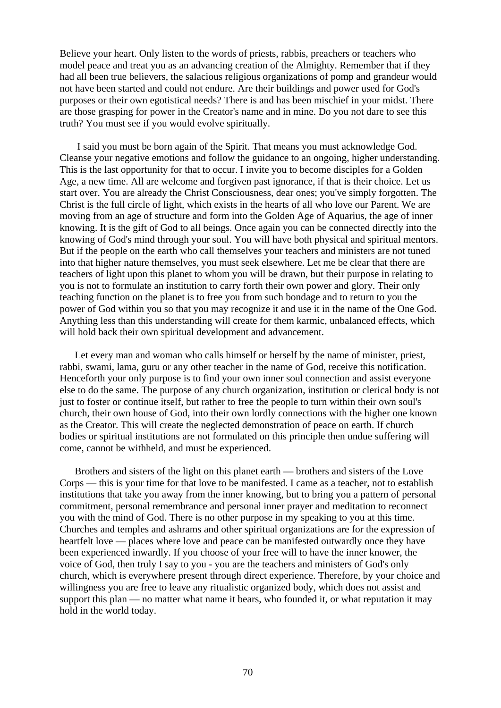Believe your heart. Only listen to the words of priests, rabbis, preachers or teachers who model peace and treat you as an advancing creation of the Almighty. Remember that if they had all been true believers, the salacious religious organizations of pomp and grandeur would not have been started and could not endure. Are their buildings and power used for God's purposes or their own egotistical needs? There is and has been mischief in your midst. There are those grasping for power in the Creator's name and in mine. Do you not dare to see this truth? You must see if you would evolve spiritually.

 I said you must be born again of the Spirit. That means you must acknowledge God. Cleanse your negative emotions and follow the guidance to an ongoing, higher understanding. This is the last opportunity for that to occur. I invite you to become disciples for a Golden Age, a new time. All are welcome and forgiven past ignorance, if that is their choice. Let us start over. You are already the Christ Consciousness, dear ones; you've simply forgotten. The Christ is the full circle of light, which exists in the hearts of all who love our Parent. We are moving from an age of structure and form into the Golden Age of Aquarius, the age of inner knowing. It is the gift of God to all beings. Once again you can be connected directly into the knowing of God's mind through your soul. You will have both physical and spiritual mentors. But if the people on the earth who call themselves your teachers and ministers are not tuned into that higher nature themselves, you must seek elsewhere. Let me be clear that there are teachers of light upon this planet to whom you will be drawn, but their purpose in relating to you is not to formulate an institution to carry forth their own power and glory. Their only teaching function on the planet is to free you from such bondage and to return to you the power of God within you so that you may recognize it and use it in the name of the One God. Anything less than this understanding will create for them karmic, unbalanced effects, which will hold back their own spiritual development and advancement.

Let every man and woman who calls himself or herself by the name of minister, priest, rabbi, swami, lama, guru or any other teacher in the name of God, receive this notification. Henceforth your only purpose is to find your own inner soul connection and assist everyone else to do the same. The purpose of any church organization, institution or clerical body is not just to foster or continue itself, but rather to free the people to turn within their own soul's church, their own house of God, into their own lordly connections with the higher one known as the Creator. This will create the neglected demonstration of peace on earth. If church bodies or spiritual institutions are not formulated on this principle then undue suffering will come, cannot be withheld, and must be experienced.

Brothers and sisters of the light on this planet earth — brothers and sisters of the Love Corps — this is your time for that love to be manifested. I came as a teacher, not to establish institutions that take you away from the inner knowing, but to bring you a pattern of personal commitment, personal remembrance and personal inner prayer and meditation to reconnect you with the mind of God. There is no other purpose in my speaking to you at this time. Churches and temples and ashrams and other spiritual organizations are for the expression of heartfelt love — places where love and peace can be manifested outwardly once they have been experienced inwardly. If you choose of your free will to have the inner knower, the voice of God, then truly I say to you - you are the teachers and ministers of God's only church, which is everywhere present through direct experience. Therefore, by your choice and willingness you are free to leave any ritualistic organized body, which does not assist and support this plan — no matter what name it bears, who founded it, or what reputation it may hold in the world today.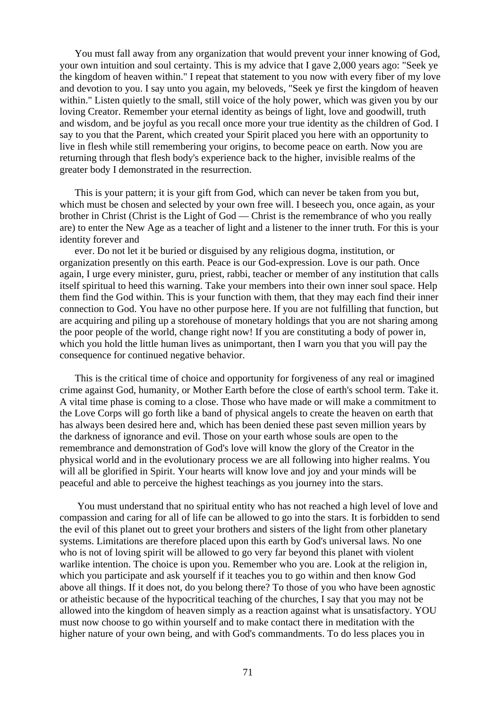You must fall away from any organization that would prevent your inner knowing of God, your own intuition and soul certainty. This is my advice that I gave 2,000 years ago: "Seek ye the kingdom of heaven within." I repeat that statement to you now with every fiber of my love and devotion to you. I say unto you again, my beloveds, "Seek ye first the kingdom of heaven within." Listen quietly to the small, still voice of the holy power, which was given you by our loving Creator. Remember your eternal identity as beings of light, love and goodwill, truth and wisdom, and be joyful as you recall once more your true identity as the children of God. I say to you that the Parent, which created your Spirit placed you here with an opportunity to live in flesh while still remembering your origins, to become peace on earth. Now you are returning through that flesh body's experience back to the higher, invisible realms of the greater body I demonstrated in the resurrection.

This is your pattern; it is your gift from God, which can never be taken from you but, which must be chosen and selected by your own free will. I beseech you, once again, as your brother in Christ (Christ is the Light of God — Christ is the remembrance of who you really are) to enter the New Age as a teacher of light and a listener to the inner truth. For this is your identity forever and

ever. Do not let it be buried or disguised by any religious dogma, institution, or organization presently on this earth. Peace is our God-expression. Love is our path. Once again, I urge every minister, guru, priest, rabbi, teacher or member of any institution that calls itself spiritual to heed this warning. Take your members into their own inner soul space. Help them find the God within. This is your function with them, that they may each find their inner connection to God. You have no other purpose here. If you are not fulfilling that function, but are acquiring and piling up a storehouse of monetary holdings that you are not sharing among the poor people of the world, change right now! If you are constituting a body of power in, which you hold the little human lives as unimportant, then I warn you that you will pay the consequence for continued negative behavior.

This is the critical time of choice and opportunity for forgiveness of any real or imagined crime against God, humanity, or Mother Earth before the close of earth's school term. Take it. A vital time phase is coming to a close. Those who have made or will make a commitment to the Love Corps will go forth like a band of physical angels to create the heaven on earth that has always been desired here and, which has been denied these past seven million years by the darkness of ignorance and evil. Those on your earth whose souls are open to the remembrance and demonstration of God's love will know the glory of the Creator in the physical world and in the evolutionary process we are all following into higher realms. You will all be glorified in Spirit. Your hearts will know love and joy and your minds will be peaceful and able to perceive the highest teachings as you journey into the stars.

 You must understand that no spiritual entity who has not reached a high level of love and compassion and caring for all of life can be allowed to go into the stars. It is forbidden to send the evil of this planet out to greet your brothers and sisters of the light from other planetary systems. Limitations are therefore placed upon this earth by God's universal laws. No one who is not of loving spirit will be allowed to go very far beyond this planet with violent warlike intention. The choice is upon you. Remember who you are. Look at the religion in, which you participate and ask yourself if it teaches you to go within and then know God above all things. If it does not, do you belong there? To those of you who have been agnostic or atheistic because of the hypocritical teaching of the churches, I say that you may not be allowed into the kingdom of heaven simply as a reaction against what is unsatisfactory. YOU must now choose to go within yourself and to make contact there in meditation with the higher nature of your own being, and with God's commandments. To do less places you in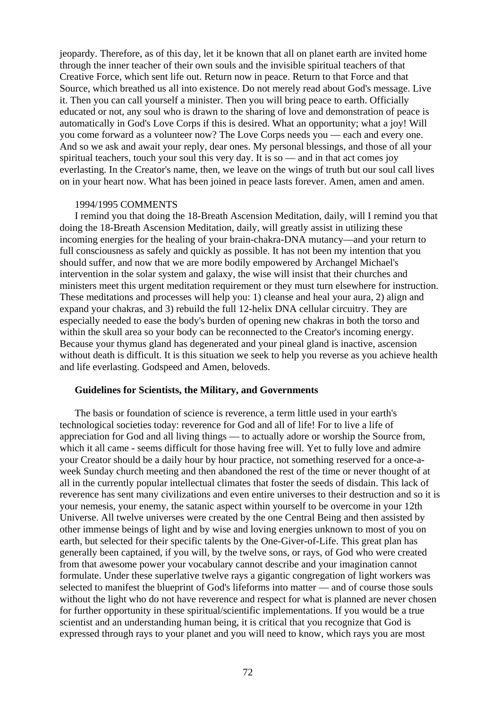jeopardy. Therefore, as of this day, let it be known that all on planet earth are invited home through the inner teacher of their own souls and the invisible spiritual teachers of that Creative Force, which sent life out. Return now in peace. Return to that Force and that Source, which breathed us all into existence. Do not merely read about God's message. Live it. Then you can call yourself a minister. Then you will bring peace to earth. Officially educated or not, any soul who is drawn to the sharing of love and demonstration of peace is automatically in God's Love Corps if this is desired. What an opportunity; what a joy! Will you come forward as a volunteer now? The Love Corps needs you — each and every one. And so we ask and await your reply, dear ones. My personal blessings, and those of all your spiritual teachers, touch your soul this very day. It is so — and in that act comes joy everlasting. In the Creator's name, then, we leave on the wings of truth but our soul call lives on in your heart now. What has been joined in peace lasts forever. Amen, amen and amen.

#### 1994/1995 COMMENTS

I remind you that doing the 18-Breath Ascension Meditation, daily, will I remind you that doing the 18-Breath Ascension Meditation, daily, will greatly assist in utilizing these incoming energies for the healing of your brain-chakra-DNA mutancy—and your return to full consciousness as safely and quickly as possible. It has not been my intention that you should suffer, and now that we are more bodily empowered by Archangel Michael's intervention in the solar system and galaxy, the wise will insist that their churches and ministers meet this urgent meditation requirement or they must turn elsewhere for instruction. These meditations and processes will help you: 1) cleanse and heal your aura, 2) align and expand your chakras, and 3) rebuild the full 12-helix DNA cellular circuitry. They are especially needed to ease the body's burden of opening new chakras in both the torso and within the skull area so your body can be reconnected to the Creator's incoming energy. Because your thymus gland has degenerated and your pineal gland is inactive, ascension without death is difficult. It is this situation we seek to help you reverse as you achieve health and life everlasting. Godspeed and Amen, beloveds.

#### **Guidelines for Scientists, the Military, and Governments**

The basis or foundation of science is reverence, a term little used in your earth's technological societies today: reverence for God and all of life! For to live a life of appreciation for God and all living things — to actually adore or worship the Source from, which it all came - seems difficult for those having free will. Yet to fully love and admire your Creator should be a daily hour by hour practice, not something reserved for a once-aweek Sunday church meeting and then abandoned the rest of the time or never thought of at all in the currently popular intellectual climates that foster the seeds of disdain. This lack of reverence has sent many civilizations and even entire universes to their destruction and so it is your nemesis, your enemy, the satanic aspect within yourself to be overcome in your 12th Universe. All twelve universes were created by the one Central Being and then assisted by other immense beings of light and by wise and loving energies unknown to most of you on earth, but selected for their specific talents by the One-Giver-of-Life. This great plan has generally been captained, if you will, by the twelve sons, or rays, of God who were created from that awesome power your vocabulary cannot describe and your imagination cannot formulate. Under these superlative twelve rays a gigantic congregation of light workers was selected to manifest the blueprint of God's lifeforms into matter — and of course those souls without the light who do not have reverence and respect for what is planned are never chosen for further opportunity in these spiritual/scientific implementations. If you would be a true scientist and an understanding human being, it is critical that you recognize that God is expressed through rays to your planet and you will need to know, which rays you are most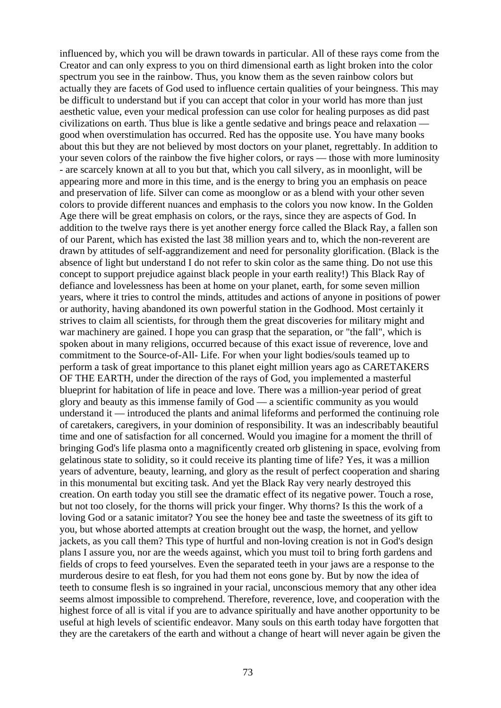influenced by, which you will be drawn towards in particular. All of these rays come from the Creator and can only express to you on third dimensional earth as light broken into the color spectrum you see in the rainbow. Thus, you know them as the seven rainbow colors but actually they are facets of God used to influence certain qualities of your beingness. This may be difficult to understand but if you can accept that color in your world has more than just aesthetic value, even your medical profession can use color for healing purposes as did past civilizations on earth. Thus blue is like a gentle sedative and brings peace and relaxation good when overstimulation has occurred. Red has the opposite use. You have many books about this but they are not believed by most doctors on your planet, regrettably. In addition to your seven colors of the rainbow the five higher colors, or rays — those with more luminosity - are scarcely known at all to you but that, which you call silvery, as in moonlight, will be appearing more and more in this time, and is the energy to bring you an emphasis on peace and preservation of life. Silver can come as moonglow or as a blend with your other seven colors to provide different nuances and emphasis to the colors you now know. In the Golden Age there will be great emphasis on colors, or the rays, since they are aspects of God. In addition to the twelve rays there is yet another energy force called the Black Ray, a fallen son of our Parent, which has existed the last 38 million years and to, which the non-reverent are drawn by attitudes of self-aggrandizement and need for personality glorification. (Black is the absence of light but understand I do not refer to skin color as the same thing. Do not use this concept to support prejudice against black people in your earth reality!) This Black Ray of defiance and lovelessness has been at home on your planet, earth, for some seven million years, where it tries to control the minds, attitudes and actions of anyone in positions of power or authority, having abandoned its own powerful station in the Godhood. Most certainly it strives to claim all scientists, for through them the great discoveries for military might and war machinery are gained. I hope you can grasp that the separation, or "the fall", which is spoken about in many religions, occurred because of this exact issue of reverence, love and commitment to the Source-of-All- Life. For when your light bodies/souls teamed up to perform a task of great importance to this planet eight million years ago as CARETAKERS OF THE EARTH, under the direction of the rays of God, you implemented a masterful blueprint for habitation of life in peace and love. There was a million-year period of great glory and beauty as this immense family of God — a scientific community as you would understand it — introduced the plants and animal lifeforms and performed the continuing role of caretakers, caregivers, in your dominion of responsibility. It was an indescribably beautiful time and one of satisfaction for all concerned. Would you imagine for a moment the thrill of bringing God's life plasma onto a magnificently created orb glistening in space, evolving from gelatinous state to solidity, so it could receive its planting time of life? Yes, it was a million years of adventure, beauty, learning, and glory as the result of perfect cooperation and sharing in this monumental but exciting task. And yet the Black Ray very nearly destroyed this creation. On earth today you still see the dramatic effect of its negative power. Touch a rose, but not too closely, for the thorns will prick your finger. Why thorns? Is this the work of a loving God or a satanic imitator? You see the honey bee and taste the sweetness of its gift to you, but whose aborted attempts at creation brought out the wasp, the hornet, and yellow jackets, as you call them? This type of hurtful and non-loving creation is not in God's design plans I assure you, nor are the weeds against, which you must toil to bring forth gardens and fields of crops to feed yourselves. Even the separated teeth in your jaws are a response to the murderous desire to eat flesh, for you had them not eons gone by. But by now the idea of teeth to consume flesh is so ingrained in your racial, unconscious memory that any other idea seems almost impossible to comprehend. Therefore, reverence, love, and cooperation with the highest force of all is vital if you are to advance spiritually and have another opportunity to be useful at high levels of scientific endeavor. Many souls on this earth today have forgotten that they are the caretakers of the earth and without a change of heart will never again be given the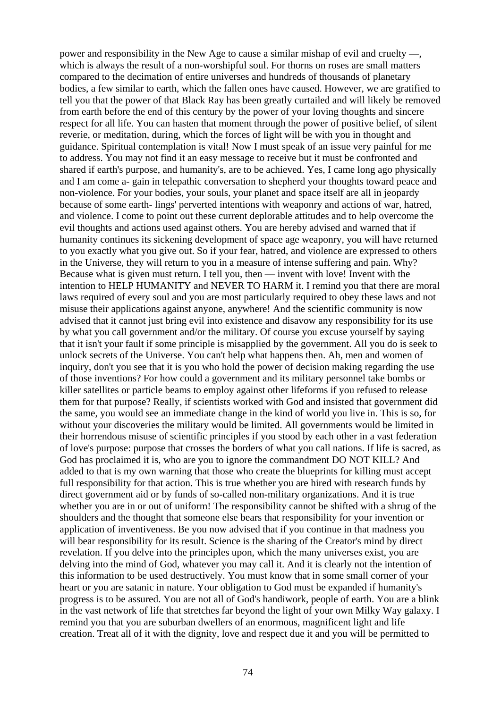power and responsibility in the New Age to cause a similar mishap of evil and cruelty —, which is always the result of a non-worshipful soul. For thorns on roses are small matters compared to the decimation of entire universes and hundreds of thousands of planetary bodies, a few similar to earth, which the fallen ones have caused. However, we are gratified to tell you that the power of that Black Ray has been greatly curtailed and will likely be removed from earth before the end of this century by the power of your loving thoughts and sincere respect for all life. You can hasten that moment through the power of positive belief, of silent reverie, or meditation, during, which the forces of light will be with you in thought and guidance. Spiritual contemplation is vital! Now I must speak of an issue very painful for me to address. You may not find it an easy message to receive but it must be confronted and shared if earth's purpose, and humanity's, are to be achieved. Yes, I came long ago physically and I am come a- gain in telepathic conversation to shepherd your thoughts toward peace and non-violence. For your bodies, your souls, your planet and space itself are all in jeopardy because of some earth- lings' perverted intentions with weaponry and actions of war, hatred, and violence. I come to point out these current deplorable attitudes and to help overcome the evil thoughts and actions used against others. You are hereby advised and warned that if humanity continues its sickening development of space age weaponry, you will have returned to you exactly what you give out. So if your fear, hatred, and violence are expressed to others in the Universe, they will return to you in a measure of intense suffering and pain. Why? Because what is given must return. I tell you, then — invent with love! Invent with the intention to HELP HUMANITY and NEVER TO HARM it. I remind you that there are moral laws required of every soul and you are most particularly required to obey these laws and not misuse their applications against anyone, anywhere! And the scientific community is now advised that it cannot just bring evil into existence and disavow any responsibility for its use by what you call government and/or the military. Of course you excuse yourself by saying that it isn't your fault if some principle is misapplied by the government. All you do is seek to unlock secrets of the Universe. You can't help what happens then. Ah, men and women of inquiry, don't you see that it is you who hold the power of decision making regarding the use of those inventions? For how could a government and its military personnel take bombs or killer satellites or particle beams to employ against other lifeforms if you refused to release them for that purpose? Really, if scientists worked with God and insisted that government did the same, you would see an immediate change in the kind of world you live in. This is so, for without your discoveries the military would be limited. All governments would be limited in their horrendous misuse of scientific principles if you stood by each other in a vast federation of love's purpose: purpose that crosses the borders of what you call nations. If life is sacred, as God has proclaimed it is, who are you to ignore the commandment DO NOT KILL? And added to that is my own warning that those who create the blueprints for killing must accept full responsibility for that action. This is true whether you are hired with research funds by direct government aid or by funds of so-called non-military organizations. And it is true whether you are in or out of uniform! The responsibility cannot be shifted with a shrug of the shoulders and the thought that someone else bears that responsibility for your invention or application of inventiveness. Be you now advised that if you continue in that madness you will bear responsibility for its result. Science is the sharing of the Creator's mind by direct revelation. If you delve into the principles upon, which the many universes exist, you are delving into the mind of God, whatever you may call it. And it is clearly not the intention of this information to be used destructively. You must know that in some small corner of your heart or you are satanic in nature. Your obligation to God must be expanded if humanity's progress is to be assured. You are not all of God's handiwork, people of earth. You are a blink in the vast network of life that stretches far beyond the light of your own Milky Way galaxy. I remind you that you are suburban dwellers of an enormous, magnificent light and life creation. Treat all of it with the dignity, love and respect due it and you will be permitted to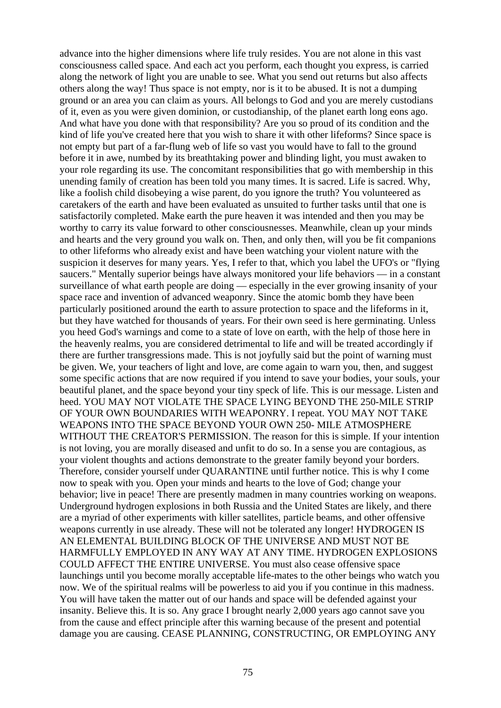advance into the higher dimensions where life truly resides. You are not alone in this vast consciousness called space. And each act you perform, each thought you express, is carried along the network of light you are unable to see. What you send out returns but also affects others along the way! Thus space is not empty, nor is it to be abused. It is not a dumping ground or an area you can claim as yours. All belongs to God and you are merely custodians of it, even as you were given dominion, or custodianship, of the planet earth long eons ago. And what have you done with that responsibility? Are you so proud of its condition and the kind of life you've created here that you wish to share it with other lifeforms? Since space is not empty but part of a far-flung web of life so vast you would have to fall to the ground before it in awe, numbed by its breathtaking power and blinding light, you must awaken to your role regarding its use. The concomitant responsibilities that go with membership in this unending family of creation has been told you many times. It is sacred. Life is sacred. Why, like a foolish child disobeying a wise parent, do you ignore the truth? You volunteered as caretakers of the earth and have been evaluated as unsuited to further tasks until that one is satisfactorily completed. Make earth the pure heaven it was intended and then you may be worthy to carry its value forward to other consciousnesses. Meanwhile, clean up your minds and hearts and the very ground you walk on. Then, and only then, will you be fit companions to other lifeforms who already exist and have been watching your violent nature with the suspicion it deserves for many years. Yes, I refer to that, which you label the UFO's or "flying saucers." Mentally superior beings have always monitored your life behaviors — in a constant surveillance of what earth people are doing — especially in the ever growing insanity of your space race and invention of advanced weaponry. Since the atomic bomb they have been particularly positioned around the earth to assure protection to space and the lifeforms in it, but they have watched for thousands of years. For their own seed is here germinating. Unless you heed God's warnings and come to a state of love on earth, with the help of those here in the heavenly realms, you are considered detrimental to life and will be treated accordingly if there are further transgressions made. This is not joyfully said but the point of warning must be given. We, your teachers of light and love, are come again to warn you, then, and suggest some specific actions that are now required if you intend to save your bodies, your souls, your beautiful planet, and the space beyond your tiny speck of life. This is our message. Listen and heed. YOU MAY NOT VIOLATE THE SPACE LYING BEYOND THE 250-MILE STRIP OF YOUR OWN BOUNDARIES WITH WEAPONRY. I repeat. YOU MAY NOT TAKE WEAPONS INTO THE SPACE BEYOND YOUR OWN 250- MILE ATMOSPHERE WITHOUT THE CREATOR'S PERMISSION. The reason for this is simple. If your intention is not loving, you are morally diseased and unfit to do so. In a sense you are contagious, as your violent thoughts and actions demonstrate to the greater family beyond your borders. Therefore, consider yourself under QUARANTINE until further notice. This is why I come now to speak with you. Open your minds and hearts to the love of God; change your behavior; live in peace! There are presently madmen in many countries working on weapons. Underground hydrogen explosions in both Russia and the United States are likely, and there are a myriad of other experiments with killer satellites, particle beams, and other offensive weapons currently in use already. These will not be tolerated any longer! HYDROGEN IS AN ELEMENTAL BUILDING BLOCK OF THE UNIVERSE AND MUST NOT BE HARMFULLY EMPLOYED IN ANY WAY AT ANY TIME. HYDROGEN EXPLOSIONS COULD AFFECT THE ENTIRE UNIVERSE. You must also cease offensive space launchings until you become morally acceptable life-mates to the other beings who watch you now. We of the spiritual realms will be powerless to aid you if you continue in this madness. You will have taken the matter out of our hands and space will be defended against your insanity. Believe this. It is so. Any grace I brought nearly 2,000 years ago cannot save you from the cause and effect principle after this warning because of the present and potential damage you are causing. CEASE PLANNING, CONSTRUCTING, OR EMPLOYING ANY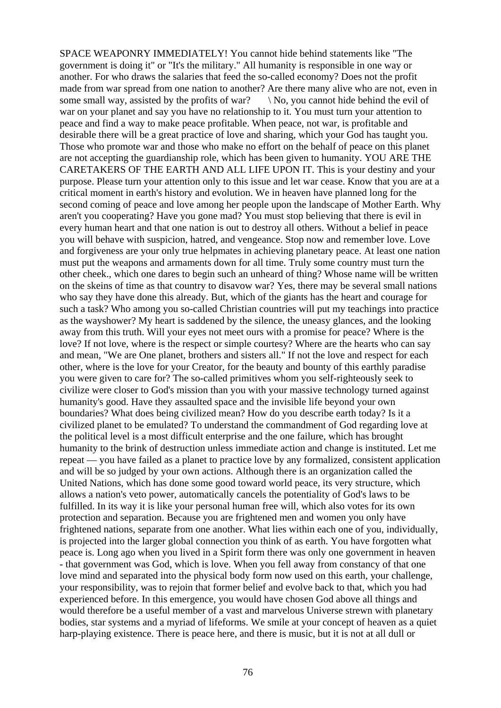SPACE WEAPONRY IMMEDIATELY! You cannot hide behind statements like "The government is doing it" or "It's the military." All humanity is responsible in one way or another. For who draws the salaries that feed the so-called economy? Does not the profit made from war spread from one nation to another? Are there many alive who are not, even in some small way, assisted by the profits of war?  $\setminus$  No, you cannot hide behind the evil of war on your planet and say you have no relationship to it. You must turn your attention to peace and find a way to make peace profitable. When peace, not war, is profitable and desirable there will be a great practice of love and sharing, which your God has taught you. Those who promote war and those who make no effort on the behalf of peace on this planet are not accepting the guardianship role, which has been given to humanity. YOU ARE THE CARETAKERS OF THE EARTH AND ALL LIFE UPON IT. This is your destiny and your purpose. Please turn your attention only to this issue and let war cease. Know that you are at a critical moment in earth's history and evolution. We in heaven have planned long for the second coming of peace and love among her people upon the landscape of Mother Earth. Why aren't you cooperating? Have you gone mad? You must stop believing that there is evil in every human heart and that one nation is out to destroy all others. Without a belief in peace you will behave with suspicion, hatred, and vengeance. Stop now and remember love. Love and forgiveness are your only true helpmates in achieving planetary peace. At least one nation must put the weapons and armaments down for all time. Truly some country must turn the other cheek., which one dares to begin such an unheard of thing? Whose name will be written on the skeins of time as that country to disavow war? Yes, there may be several small nations who say they have done this already. But, which of the giants has the heart and courage for such a task? Who among you so-called Christian countries will put my teachings into practice as the wayshower? My heart is saddened by the silence, the uneasy glances, and the looking away from this truth. Will your eyes not meet ours with a promise for peace? Where is the love? If not love, where is the respect or simple courtesy? Where are the hearts who can say and mean, "We are One planet, brothers and sisters all." If not the love and respect for each other, where is the love for your Creator, for the beauty and bounty of this earthly paradise you were given to care for? The so-called primitives whom you self-righteously seek to civilize were closer to God's mission than you with your massive technology turned against humanity's good. Have they assaulted space and the invisible life beyond your own boundaries? What does being civilized mean? How do you describe earth today? Is it a civilized planet to be emulated? To understand the commandment of God regarding love at the political level is a most difficult enterprise and the one failure, which has brought humanity to the brink of destruction unless immediate action and change is instituted. Let me repeat — you have failed as a planet to practice love by any formalized, consistent application and will be so judged by your own actions. Although there is an organization called the United Nations, which has done some good toward world peace, its very structure, which allows a nation's veto power, automatically cancels the potentiality of God's laws to be fulfilled. In its way it is like your personal human free will, which also votes for its own protection and separation. Because you are frightened men and women you only have frightened nations, separate from one another. What lies within each one of you, individually, is projected into the larger global connection you think of as earth. You have forgotten what peace is. Long ago when you lived in a Spirit form there was only one government in heaven - that government was God, which is love. When you fell away from constancy of that one love mind and separated into the physical body form now used on this earth, your challenge, your responsibility, was to rejoin that former belief and evolve back to that, which you had experienced before. In this emergence, you would have chosen God above all things and would therefore be a useful member of a vast and marvelous Universe strewn with planetary bodies, star systems and a myriad of lifeforms. We smile at your concept of heaven as a quiet harp-playing existence. There is peace here, and there is music, but it is not at all dull or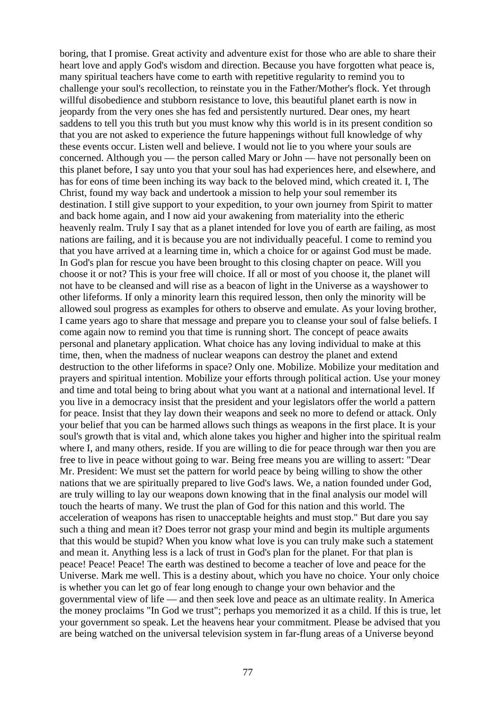boring, that I promise. Great activity and adventure exist for those who are able to share their heart love and apply God's wisdom and direction. Because you have forgotten what peace is, many spiritual teachers have come to earth with repetitive regularity to remind you to challenge your soul's recollection, to reinstate you in the Father/Mother's flock. Yet through willful disobedience and stubborn resistance to love, this beautiful planet earth is now in jeopardy from the very ones she has fed and persistently nurtured. Dear ones, my heart saddens to tell you this truth but you must know why this world is in its present condition so that you are not asked to experience the future happenings without full knowledge of why these events occur. Listen well and believe. I would not lie to you where your souls are concerned. Although you — the person called Mary or John — have not personally been on this planet before, I say unto you that your soul has had experiences here, and elsewhere, and has for eons of time been inching its way back to the beloved mind, which created it. I, The Christ, found my way back and undertook a mission to help your soul remember its destination. I still give support to your expedition, to your own journey from Spirit to matter and back home again, and I now aid your awakening from materiality into the etheric heavenly realm. Truly I say that as a planet intended for love you of earth are failing, as most nations are failing, and it is because you are not individually peaceful. I come to remind you that you have arrived at a learning time in, which a choice for or against God must be made. In God's plan for rescue you have been brought to this closing chapter on peace. Will you choose it or not? This is your free will choice. If all or most of you choose it, the planet will not have to be cleansed and will rise as a beacon of light in the Universe as a wayshower to other lifeforms. If only a minority learn this required lesson, then only the minority will be allowed soul progress as examples for others to observe and emulate. As your loving brother, I came years ago to share that message and prepare you to cleanse your soul of false beliefs. I come again now to remind you that time is running short. The concept of peace awaits personal and planetary application. What choice has any loving individual to make at this time, then, when the madness of nuclear weapons can destroy the planet and extend destruction to the other lifeforms in space? Only one. Mobilize. Mobilize your meditation and prayers and spiritual intention. Mobilize your efforts through political action. Use your money and time and total being to bring about what you want at a national and international level. If you live in a democracy insist that the president and your legislators offer the world a pattern for peace. Insist that they lay down their weapons and seek no more to defend or attack. Only your belief that you can be harmed allows such things as weapons in the first place. It is your soul's growth that is vital and, which alone takes you higher and higher into the spiritual realm where I, and many others, reside. If you are willing to die for peace through war then you are free to live in peace without going to war. Being free means you are willing to assert: "Dear Mr. President: We must set the pattern for world peace by being willing to show the other nations that we are spiritually prepared to live God's laws. We, a nation founded under God, are truly willing to lay our weapons down knowing that in the final analysis our model will touch the hearts of many. We trust the plan of God for this nation and this world. The acceleration of weapons has risen to unacceptable heights and must stop." But dare you say such a thing and mean it? Does terror not grasp your mind and begin its multiple arguments that this would be stupid? When you know what love is you can truly make such a statement and mean it. Anything less is a lack of trust in God's plan for the planet. For that plan is peace! Peace! Peace! The earth was destined to become a teacher of love and peace for the Universe. Mark me well. This is a destiny about, which you have no choice. Your only choice is whether you can let go of fear long enough to change your own behavior and the governmental view of life — and then seek love and peace as an ultimate reality. In America the money proclaims "In God we trust"; perhaps you memorized it as a child. If this is true, let your government so speak. Let the heavens hear your commitment. Please be advised that you are being watched on the universal television system in far-flung areas of a Universe beyond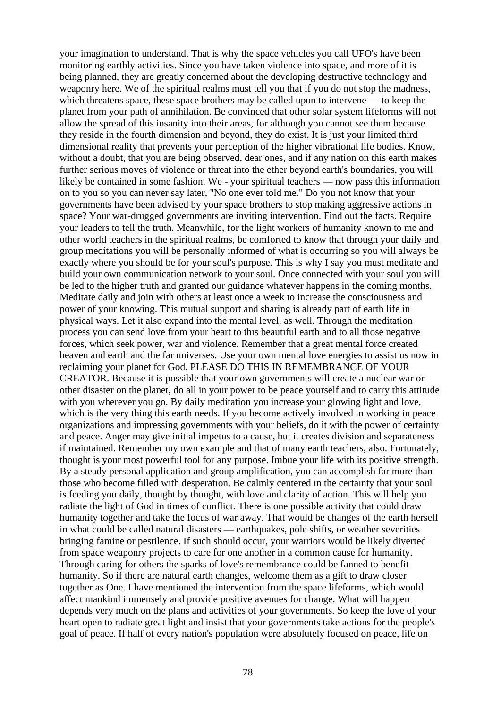your imagination to understand. That is why the space vehicles you call UFO's have been monitoring earthly activities. Since you have taken violence into space, and more of it is being planned, they are greatly concerned about the developing destructive technology and weaponry here. We of the spiritual realms must tell you that if you do not stop the madness, which threatens space, these space brothers may be called upon to intervene — to keep the planet from your path of annihilation. Be convinced that other solar system lifeforms will not allow the spread of this insanity into their areas, for although you cannot see them because they reside in the fourth dimension and beyond, they do exist. It is just your limited third dimensional reality that prevents your perception of the higher vibrational life bodies. Know, without a doubt, that you are being observed, dear ones, and if any nation on this earth makes further serious moves of violence or threat into the ether beyond earth's boundaries, you will likely be contained in some fashion. We - your spiritual teachers — now pass this information on to you so you can never say later, "No one ever told me." Do you not know that your governments have been advised by your space brothers to stop making aggressive actions in space? Your war-drugged governments are inviting intervention. Find out the facts. Require your leaders to tell the truth. Meanwhile, for the light workers of humanity known to me and other world teachers in the spiritual realms, be comforted to know that through your daily and group meditations you will be personally informed of what is occurring so you will always be exactly where you should be for your soul's purpose. This is why I say you must meditate and build your own communication network to your soul. Once connected with your soul you will be led to the higher truth and granted our guidance whatever happens in the coming months. Meditate daily and join with others at least once a week to increase the consciousness and power of your knowing. This mutual support and sharing is already part of earth life in physical ways. Let it also expand into the mental level, as well. Through the meditation process you can send love from your heart to this beautiful earth and to all those negative forces, which seek power, war and violence. Remember that a great mental force created heaven and earth and the far universes. Use your own mental love energies to assist us now in reclaiming your planet for God. PLEASE DO THIS IN REMEMBRANCE OF YOUR CREATOR. Because it is possible that your own governments will create a nuclear war or other disaster on the planet, do all in your power to be peace yourself and to carry this attitude with you wherever you go. By daily meditation you increase your glowing light and love, which is the very thing this earth needs. If you become actively involved in working in peace organizations and impressing governments with your beliefs, do it with the power of certainty and peace. Anger may give initial impetus to a cause, but it creates division and separateness if maintained. Remember my own example and that of many earth teachers, also. Fortunately, thought is your most powerful tool for any purpose. Imbue your life with its positive strength. By a steady personal application and group amplification, you can accomplish far more than those who become filled with desperation. Be calmly centered in the certainty that your soul is feeding you daily, thought by thought, with love and clarity of action. This will help you radiate the light of God in times of conflict. There is one possible activity that could draw humanity together and take the focus of war away. That would be changes of the earth herself in what could be called natural disasters — earthquakes, pole shifts, or weather severities bringing famine or pestilence. If such should occur, your warriors would be likely diverted from space weaponry projects to care for one another in a common cause for humanity. Through caring for others the sparks of love's remembrance could be fanned to benefit humanity. So if there are natural earth changes, welcome them as a gift to draw closer together as One. I have mentioned the intervention from the space lifeforms, which would affect mankind immensely and provide positive avenues for change. What will happen depends very much on the plans and activities of your governments. So keep the love of your heart open to radiate great light and insist that your governments take actions for the people's goal of peace. If half of every nation's population were absolutely focused on peace, life on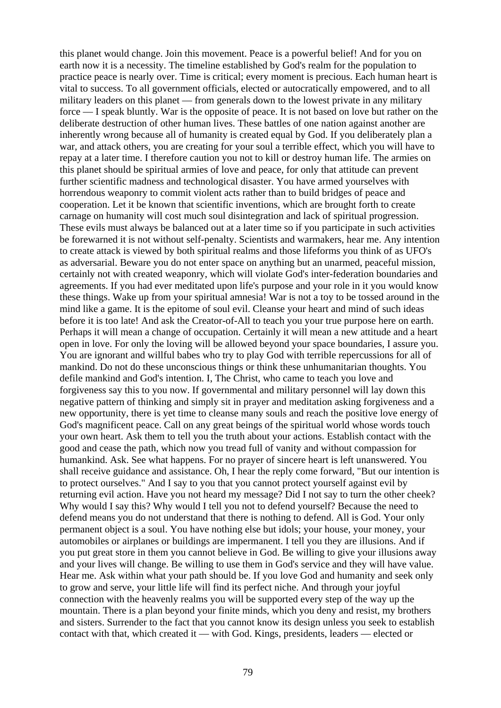this planet would change. Join this movement. Peace is a powerful belief! And for you on earth now it is a necessity. The timeline established by God's realm for the population to practice peace is nearly over. Time is critical; every moment is precious. Each human heart is vital to success. To all government officials, elected or autocratically empowered, and to all military leaders on this planet — from generals down to the lowest private in any military force — I speak bluntly. War is the opposite of peace. It is not based on love but rather on the deliberate destruction of other human lives. These battles of one nation against another are inherently wrong because all of humanity is created equal by God. If you deliberately plan a war, and attack others, you are creating for your soul a terrible effect, which you will have to repay at a later time. I therefore caution you not to kill or destroy human life. The armies on this planet should be spiritual armies of love and peace, for only that attitude can prevent further scientific madness and technological disaster. You have armed yourselves with horrendous weaponry to commit violent acts rather than to build bridges of peace and cooperation. Let it be known that scientific inventions, which are brought forth to create carnage on humanity will cost much soul disintegration and lack of spiritual progression. These evils must always be balanced out at a later time so if you participate in such activities be forewarned it is not without self-penalty. Scientists and warmakers, hear me. Any intention to create attack is viewed by both spiritual realms and those lifeforms you think of as UFO's as adversarial. Beware you do not enter space on anything but an unarmed, peaceful mission, certainly not with created weaponry, which will violate God's inter-federation boundaries and agreements. If you had ever meditated upon life's purpose and your role in it you would know these things. Wake up from your spiritual amnesia! War is not a toy to be tossed around in the mind like a game. It is the epitome of soul evil. Cleanse your heart and mind of such ideas before it is too late! And ask the Creator-of-All to teach you your true purpose here on earth. Perhaps it will mean a change of occupation. Certainly it will mean a new attitude and a heart open in love. For only the loving will be allowed beyond your space boundaries, I assure you. You are ignorant and willful babes who try to play God with terrible repercussions for all of mankind. Do not do these unconscious things or think these unhumanitarian thoughts. You defile mankind and God's intention. I, The Christ, who came to teach you love and forgiveness say this to you now. If governmental and military personnel will lay down this negative pattern of thinking and simply sit in prayer and meditation asking forgiveness and a new opportunity, there is yet time to cleanse many souls and reach the positive love energy of God's magnificent peace. Call on any great beings of the spiritual world whose words touch your own heart. Ask them to tell you the truth about your actions. Establish contact with the good and cease the path, which now you tread full of vanity and without compassion for humankind. Ask. See what happens. For no prayer of sincere heart is left unanswered. You shall receive guidance and assistance. Oh, I hear the reply come forward, "But our intention is to protect ourselves." And I say to you that you cannot protect yourself against evil by returning evil action. Have you not heard my message? Did I not say to turn the other cheek? Why would I say this? Why would I tell you not to defend yourself? Because the need to defend means you do not understand that there is nothing to defend. All is God. Your only permanent object is a soul. You have nothing else but idols; your house, your money, your automobiles or airplanes or buildings are impermanent. I tell you they are illusions. And if you put great store in them you cannot believe in God. Be willing to give your illusions away and your lives will change. Be willing to use them in God's service and they will have value. Hear me. Ask within what your path should be. If you love God and humanity and seek only to grow and serve, your little life will find its perfect niche. And through your joyful connection with the heavenly realms you will be supported every step of the way up the mountain. There is a plan beyond your finite minds, which you deny and resist, my brothers and sisters. Surrender to the fact that you cannot know its design unless you seek to establish contact with that, which created it — with God. Kings, presidents, leaders — elected or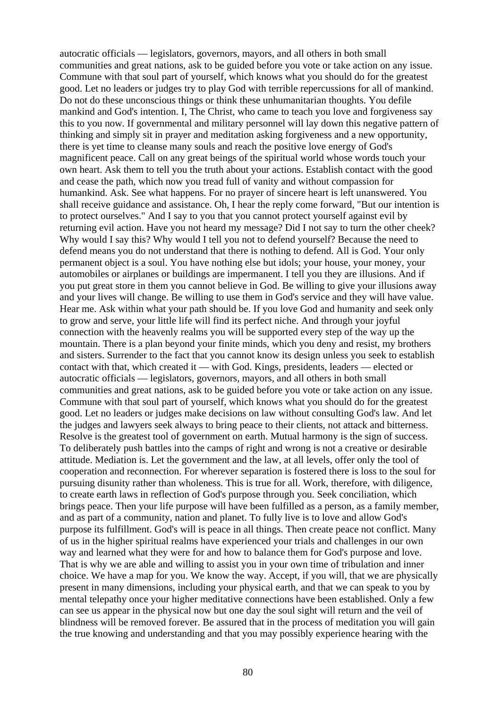autocratic officials — legislators, governors, mayors, and all others in both small communities and great nations, ask to be guided before you vote or take action on any issue. Commune with that soul part of yourself, which knows what you should do for the greatest good. Let no leaders or judges try to play God with terrible repercussions for all of mankind. Do not do these unconscious things or think these unhumanitarian thoughts. You defile mankind and God's intention. I, The Christ, who came to teach you love and forgiveness say this to you now. If governmental and military personnel will lay down this negative pattern of thinking and simply sit in prayer and meditation asking forgiveness and a new opportunity, there is yet time to cleanse many souls and reach the positive love energy of God's magnificent peace. Call on any great beings of the spiritual world whose words touch your own heart. Ask them to tell you the truth about your actions. Establish contact with the good and cease the path, which now you tread full of vanity and without compassion for humankind. Ask. See what happens. For no prayer of sincere heart is left unanswered. You shall receive guidance and assistance. Oh, I hear the reply come forward, "But our intention is to protect ourselves." And I say to you that you cannot protect yourself against evil by returning evil action. Have you not heard my message? Did I not say to turn the other cheek? Why would I say this? Why would I tell you not to defend yourself? Because the need to defend means you do not understand that there is nothing to defend. All is God. Your only permanent object is a soul. You have nothing else but idols; your house, your money, your automobiles or airplanes or buildings are impermanent. I tell you they are illusions. And if you put great store in them you cannot believe in God. Be willing to give your illusions away and your lives will change. Be willing to use them in God's service and they will have value. Hear me. Ask within what your path should be. If you love God and humanity and seek only to grow and serve, your little life will find its perfect niche. And through your joyful connection with the heavenly realms you will be supported every step of the way up the mountain. There is a plan beyond your finite minds, which you deny and resist, my brothers and sisters. Surrender to the fact that you cannot know its design unless you seek to establish contact with that, which created it — with God. Kings, presidents, leaders — elected or autocratic officials — legislators, governors, mayors, and all others in both small communities and great nations, ask to be guided before you vote or take action on any issue. Commune with that soul part of yourself, which knows what you should do for the greatest good. Let no leaders or judges make decisions on law without consulting God's law. And let the judges and lawyers seek always to bring peace to their clients, not attack and bitterness. Resolve is the greatest tool of government on earth. Mutual harmony is the sign of success. To deliberately push battles into the camps of right and wrong is not a creative or desirable attitude. Mediation is. Let the government and the law, at all levels, offer only the tool of cooperation and reconnection. For wherever separation is fostered there is loss to the soul for pursuing disunity rather than wholeness. This is true for all. Work, therefore, with diligence, to create earth laws in reflection of God's purpose through you. Seek conciliation, which brings peace. Then your life purpose will have been fulfilled as a person, as a family member, and as part of a community, nation and planet. To fully live is to love and allow God's purpose its fulfillment. God's will is peace in all things. Then create peace not conflict. Many of us in the higher spiritual realms have experienced your trials and challenges in our own way and learned what they were for and how to balance them for God's purpose and love. That is why we are able and willing to assist you in your own time of tribulation and inner choice. We have a map for you. We know the way. Accept, if you will, that we are physically present in many dimensions, including your physical earth, and that we can speak to you by mental telepathy once your higher meditative connections have been established. Only a few can see us appear in the physical now but one day the soul sight will return and the veil of blindness will be removed forever. Be assured that in the process of meditation you will gain the true knowing and understanding and that you may possibly experience hearing with the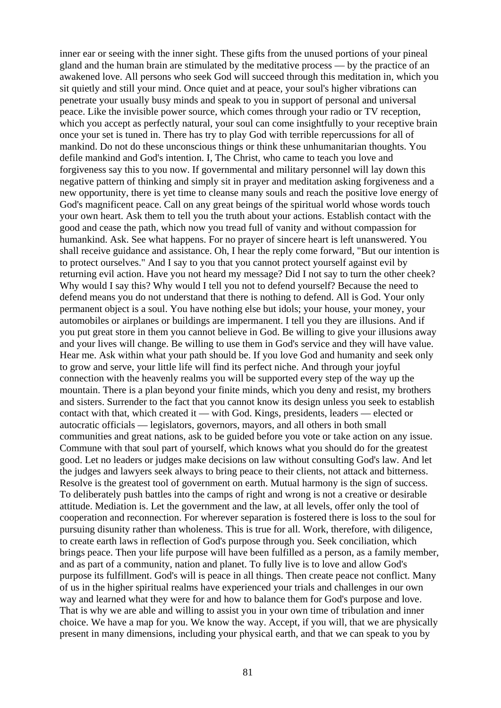inner ear or seeing with the inner sight. These gifts from the unused portions of your pineal gland and the human brain are stimulated by the meditative process — by the practice of an awakened love. All persons who seek God will succeed through this meditation in, which you sit quietly and still your mind. Once quiet and at peace, your soul's higher vibrations can penetrate your usually busy minds and speak to you in support of personal and universal peace. Like the invisible power source, which comes through your radio or TV reception, which you accept as perfectly natural, your soul can come insightfully to your receptive brain once your set is tuned in. There has try to play God with terrible repercussions for all of mankind. Do not do these unconscious things or think these unhumanitarian thoughts. You defile mankind and God's intention. I, The Christ, who came to teach you love and forgiveness say this to you now. If governmental and military personnel will lay down this negative pattern of thinking and simply sit in prayer and meditation asking forgiveness and a new opportunity, there is yet time to cleanse many souls and reach the positive love energy of God's magnificent peace. Call on any great beings of the spiritual world whose words touch your own heart. Ask them to tell you the truth about your actions. Establish contact with the good and cease the path, which now you tread full of vanity and without compassion for humankind. Ask. See what happens. For no prayer of sincere heart is left unanswered. You shall receive guidance and assistance. Oh, I hear the reply come forward, "But our intention is to protect ourselves." And I say to you that you cannot protect yourself against evil by returning evil action. Have you not heard my message? Did I not say to turn the other cheek? Why would I say this? Why would I tell you not to defend yourself? Because the need to defend means you do not understand that there is nothing to defend. All is God. Your only permanent object is a soul. You have nothing else but idols; your house, your money, your automobiles or airplanes or buildings are impermanent. I tell you they are illusions. And if you put great store in them you cannot believe in God. Be willing to give your illusions away and your lives will change. Be willing to use them in God's service and they will have value. Hear me. Ask within what your path should be. If you love God and humanity and seek only to grow and serve, your little life will find its perfect niche. And through your joyful connection with the heavenly realms you will be supported every step of the way up the mountain. There is a plan beyond your finite minds, which you deny and resist, my brothers and sisters. Surrender to the fact that you cannot know its design unless you seek to establish contact with that, which created it — with God. Kings, presidents, leaders — elected or autocratic officials — legislators, governors, mayors, and all others in both small communities and great nations, ask to be guided before you vote or take action on any issue. Commune with that soul part of yourself, which knows what you should do for the greatest good. Let no leaders or judges make decisions on law without consulting God's law. And let the judges and lawyers seek always to bring peace to their clients, not attack and bitterness. Resolve is the greatest tool of government on earth. Mutual harmony is the sign of success. To deliberately push battles into the camps of right and wrong is not a creative or desirable attitude. Mediation is. Let the government and the law, at all levels, offer only the tool of cooperation and reconnection. For wherever separation is fostered there is loss to the soul for pursuing disunity rather than wholeness. This is true for all. Work, therefore, with diligence, to create earth laws in reflection of God's purpose through you. Seek conciliation, which brings peace. Then your life purpose will have been fulfilled as a person, as a family member, and as part of a community, nation and planet. To fully live is to love and allow God's purpose its fulfillment. God's will is peace in all things. Then create peace not conflict. Many of us in the higher spiritual realms have experienced your trials and challenges in our own way and learned what they were for and how to balance them for God's purpose and love. That is why we are able and willing to assist you in your own time of tribulation and inner choice. We have a map for you. We know the way. Accept, if you will, that we are physically present in many dimensions, including your physical earth, and that we can speak to you by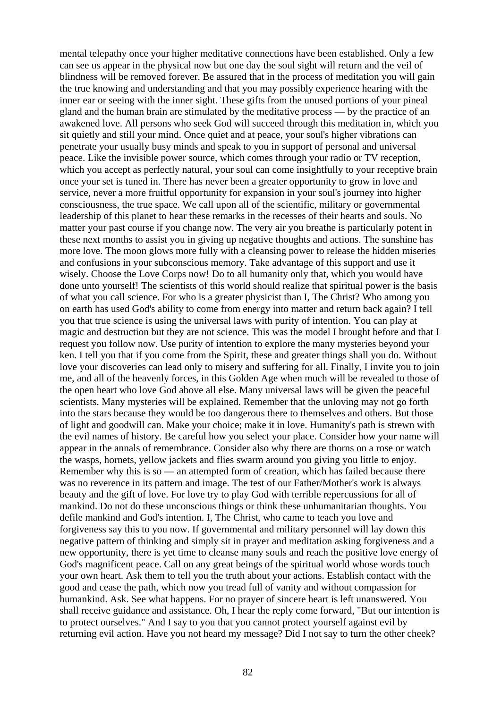mental telepathy once your higher meditative connections have been established. Only a few can see us appear in the physical now but one day the soul sight will return and the veil of blindness will be removed forever. Be assured that in the process of meditation you will gain the true knowing and understanding and that you may possibly experience hearing with the inner ear or seeing with the inner sight. These gifts from the unused portions of your pineal gland and the human brain are stimulated by the meditative process — by the practice of an awakened love. All persons who seek God will succeed through this meditation in, which you sit quietly and still your mind. Once quiet and at peace, your soul's higher vibrations can penetrate your usually busy minds and speak to you in support of personal and universal peace. Like the invisible power source, which comes through your radio or TV reception, which you accept as perfectly natural, your soul can come insightfully to your receptive brain once your set is tuned in. There has never been a greater opportunity to grow in love and service, never a more fruitful opportunity for expansion in your soul's journey into higher consciousness, the true space. We call upon all of the scientific, military or governmental leadership of this planet to hear these remarks in the recesses of their hearts and souls. No matter your past course if you change now. The very air you breathe is particularly potent in these next months to assist you in giving up negative thoughts and actions. The sunshine has more love. The moon glows more fully with a cleansing power to release the hidden miseries and confusions in your subconscious memory. Take advantage of this support and use it wisely. Choose the Love Corps now! Do to all humanity only that, which you would have done unto yourself! The scientists of this world should realize that spiritual power is the basis of what you call science. For who is a greater physicist than I, The Christ? Who among you on earth has used God's ability to come from energy into matter and return back again? I tell you that true science is using the universal laws with purity of intention. You can play at magic and destruction but they are not science. This was the model I brought before and that I request you follow now. Use purity of intention to explore the many mysteries beyond your ken. I tell you that if you come from the Spirit, these and greater things shall you do. Without love your discoveries can lead only to misery and suffering for all. Finally, I invite you to join me, and all of the heavenly forces, in this Golden Age when much will be revealed to those of the open heart who love God above all else. Many universal laws will be given the peaceful scientists. Many mysteries will be explained. Remember that the unloving may not go forth into the stars because they would be too dangerous there to themselves and others. But those of light and goodwill can. Make your choice; make it in love. Humanity's path is strewn with the evil names of history. Be careful how you select your place. Consider how your name will appear in the annals of remembrance. Consider also why there are thorns on a rose or watch the wasps, hornets, yellow jackets and flies swarm around you giving you little to enjoy. Remember why this is so — an attempted form of creation, which has failed because there was no reverence in its pattern and image. The test of our Father/Mother's work is always beauty and the gift of love. For love try to play God with terrible repercussions for all of mankind. Do not do these unconscious things or think these unhumanitarian thoughts. You defile mankind and God's intention. I, The Christ, who came to teach you love and forgiveness say this to you now. If governmental and military personnel will lay down this negative pattern of thinking and simply sit in prayer and meditation asking forgiveness and a new opportunity, there is yet time to cleanse many souls and reach the positive love energy of God's magnificent peace. Call on any great beings of the spiritual world whose words touch your own heart. Ask them to tell you the truth about your actions. Establish contact with the good and cease the path, which now you tread full of vanity and without compassion for humankind. Ask. See what happens. For no prayer of sincere heart is left unanswered. You shall receive guidance and assistance. Oh, I hear the reply come forward, "But our intention is to protect ourselves." And I say to you that you cannot protect yourself against evil by returning evil action. Have you not heard my message? Did I not say to turn the other cheek?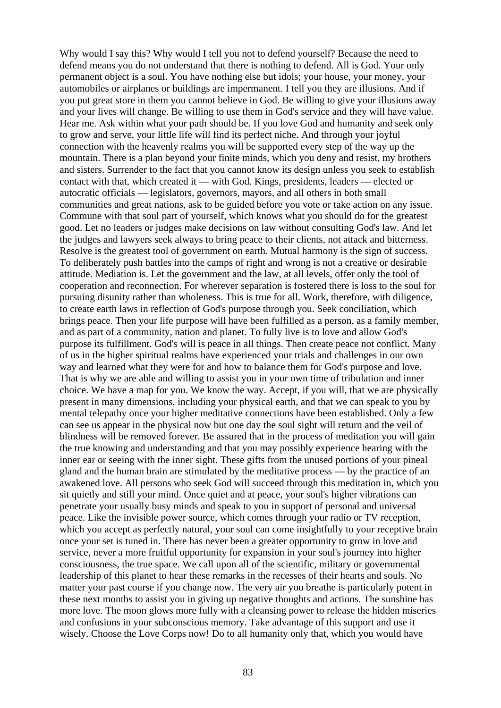Why would I say this? Why would I tell you not to defend yourself? Because the need to defend means you do not understand that there is nothing to defend. All is God. Your only permanent object is a soul. You have nothing else but idols; your house, your money, your automobiles or airplanes or buildings are impermanent. I tell you they are illusions. And if you put great store in them you cannot believe in God. Be willing to give your illusions away and your lives will change. Be willing to use them in God's service and they will have value. Hear me. Ask within what your path should be. If you love God and humanity and seek only to grow and serve, your little life will find its perfect niche. And through your joyful connection with the heavenly realms you will be supported every step of the way up the mountain. There is a plan beyond your finite minds, which you deny and resist, my brothers and sisters. Surrender to the fact that you cannot know its design unless you seek to establish contact with that, which created it — with God. Kings, presidents, leaders — elected or autocratic officials — legislators, governors, mayors, and all others in both small communities and great nations, ask to be guided before you vote or take action on any issue. Commune with that soul part of yourself, which knows what you should do for the greatest good. Let no leaders or judges make decisions on law without consulting God's law. And let the judges and lawyers seek always to bring peace to their clients, not attack and bitterness. Resolve is the greatest tool of government on earth. Mutual harmony is the sign of success. To deliberately push battles into the camps of right and wrong is not a creative or desirable attitude. Mediation is. Let the government and the law, at all levels, offer only the tool of cooperation and reconnection. For wherever separation is fostered there is loss to the soul for pursuing disunity rather than wholeness. This is true for all. Work, therefore, with diligence, to create earth laws in reflection of God's purpose through you. Seek conciliation, which brings peace. Then your life purpose will have been fulfilled as a person, as a family member, and as part of a community, nation and planet. To fully live is to love and allow God's purpose its fulfillment. God's will is peace in all things. Then create peace not conflict. Many of us in the higher spiritual realms have experienced your trials and challenges in our own way and learned what they were for and how to balance them for God's purpose and love. That is why we are able and willing to assist you in your own time of tribulation and inner choice. We have a map for you. We know the way. Accept, if you will, that we are physically present in many dimensions, including your physical earth, and that we can speak to you by mental telepathy once your higher meditative connections have been established. Only a few can see us appear in the physical now but one day the soul sight will return and the veil of blindness will be removed forever. Be assured that in the process of meditation you will gain the true knowing and understanding and that you may possibly experience hearing with the inner ear or seeing with the inner sight. These gifts from the unused portions of your pineal gland and the human brain are stimulated by the meditative process — by the practice of an awakened love. All persons who seek God will succeed through this meditation in, which you sit quietly and still your mind. Once quiet and at peace, your soul's higher vibrations can penetrate your usually busy minds and speak to you in support of personal and universal peace. Like the invisible power source, which comes through your radio or TV reception, which you accept as perfectly natural, your soul can come insightfully to your receptive brain once your set is tuned in. There has never been a greater opportunity to grow in love and service, never a more fruitful opportunity for expansion in your soul's journey into higher consciousness, the true space. We call upon all of the scientific, military or governmental leadership of this planet to hear these remarks in the recesses of their hearts and souls. No matter your past course if you change now. The very air you breathe is particularly potent in these next months to assist you in giving up negative thoughts and actions. The sunshine has more love. The moon glows more fully with a cleansing power to release the hidden miseries and confusions in your subconscious memory. Take advantage of this support and use it wisely. Choose the Love Corps now! Do to all humanity only that, which you would have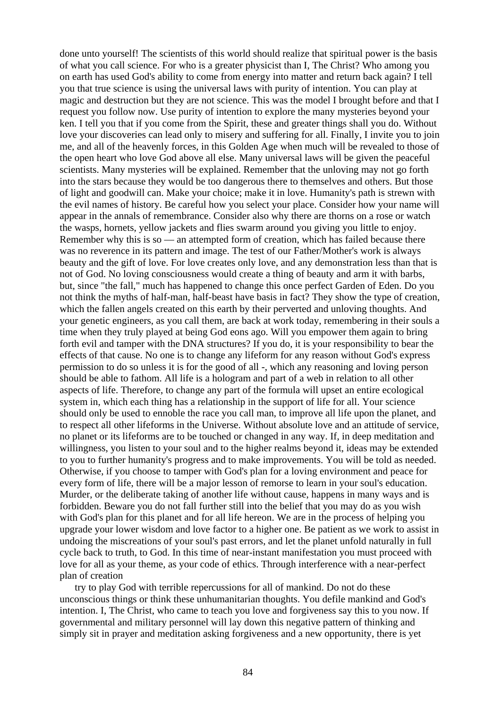done unto yourself! The scientists of this world should realize that spiritual power is the basis of what you call science. For who is a greater physicist than I, The Christ? Who among you on earth has used God's ability to come from energy into matter and return back again? I tell you that true science is using the universal laws with purity of intention. You can play at magic and destruction but they are not science. This was the model I brought before and that I request you follow now. Use purity of intention to explore the many mysteries beyond your ken. I tell you that if you come from the Spirit, these and greater things shall you do. Without love your discoveries can lead only to misery and suffering for all. Finally, I invite you to join me, and all of the heavenly forces, in this Golden Age when much will be revealed to those of the open heart who love God above all else. Many universal laws will be given the peaceful scientists. Many mysteries will be explained. Remember that the unloving may not go forth into the stars because they would be too dangerous there to themselves and others. But those of light and goodwill can. Make your choice; make it in love. Humanity's path is strewn with the evil names of history. Be careful how you select your place. Consider how your name will appear in the annals of remembrance. Consider also why there are thorns on a rose or watch the wasps, hornets, yellow jackets and flies swarm around you giving you little to enjoy. Remember why this is so — an attempted form of creation, which has failed because there was no reverence in its pattern and image. The test of our Father/Mother's work is always beauty and the gift of love. For love creates only love, and any demonstration less than that is not of God. No loving consciousness would create a thing of beauty and arm it with barbs, but, since "the fall," much has happened to change this once perfect Garden of Eden. Do you not think the myths of half-man, half-beast have basis in fact? They show the type of creation, which the fallen angels created on this earth by their perverted and unloving thoughts. And your genetic engineers, as you call them, are back at work today, remembering in their souls a time when they truly played at being God eons ago. Will you empower them again to bring forth evil and tamper with the DNA structures? If you do, it is your responsibility to bear the effects of that cause. No one is to change any lifeform for any reason without God's express permission to do so unless it is for the good of all -, which any reasoning and loving person should be able to fathom. All life is a hologram and part of a web in relation to all other aspects of life. Therefore, to change any part of the formula will upset an entire ecological system in, which each thing has a relationship in the support of life for all. Your science should only be used to ennoble the race you call man, to improve all life upon the planet, and to respect all other lifeforms in the Universe. Without absolute love and an attitude of service, no planet or its lifeforms are to be touched or changed in any way. If, in deep meditation and willingness, you listen to your soul and to the higher realms beyond it, ideas may be extended to you to further humanity's progress and to make improvements. You will be told as needed. Otherwise, if you choose to tamper with God's plan for a loving environment and peace for every form of life, there will be a major lesson of remorse to learn in your soul's education. Murder, or the deliberate taking of another life without cause, happens in many ways and is forbidden. Beware you do not fall further still into the belief that you may do as you wish with God's plan for this planet and for all life hereon. We are in the process of helping you upgrade your lower wisdom and love factor to a higher one. Be patient as we work to assist in undoing the miscreations of your soul's past errors, and let the planet unfold naturally in full cycle back to truth, to God. In this time of near-instant manifestation you must proceed with love for all as your theme, as your code of ethics. Through interference with a near-perfect plan of creation

try to play God with terrible repercussions for all of mankind. Do not do these unconscious things or think these unhumanitarian thoughts. You defile mankind and God's intention. I, The Christ, who came to teach you love and forgiveness say this to you now. If governmental and military personnel will lay down this negative pattern of thinking and simply sit in prayer and meditation asking forgiveness and a new opportunity, there is yet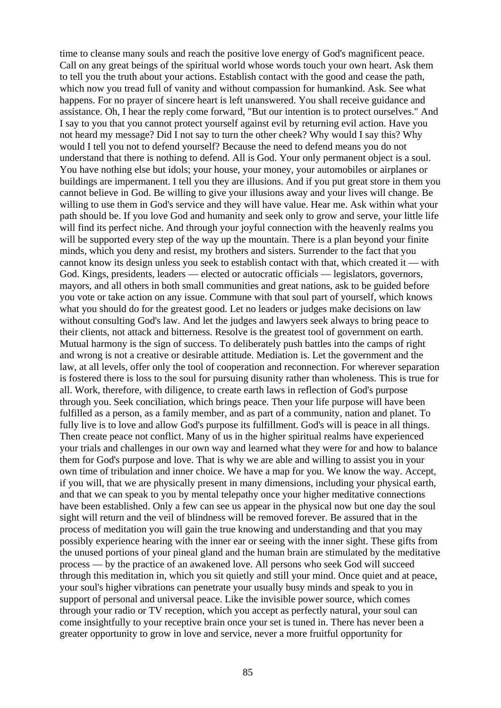time to cleanse many souls and reach the positive love energy of God's magnificent peace. Call on any great beings of the spiritual world whose words touch your own heart. Ask them to tell you the truth about your actions. Establish contact with the good and cease the path, which now you tread full of vanity and without compassion for humankind. Ask. See what happens. For no prayer of sincere heart is left unanswered. You shall receive guidance and assistance. Oh, I hear the reply come forward, "But our intention is to protect ourselves." And I say to you that you cannot protect yourself against evil by returning evil action. Have you not heard my message? Did I not say to turn the other cheek? Why would I say this? Why would I tell you not to defend yourself? Because the need to defend means you do not understand that there is nothing to defend. All is God. Your only permanent object is a soul. You have nothing else but idols; your house, your money, your automobiles or airplanes or buildings are impermanent. I tell you they are illusions. And if you put great store in them you cannot believe in God. Be willing to give your illusions away and your lives will change. Be willing to use them in God's service and they will have value. Hear me. Ask within what your path should be. If you love God and humanity and seek only to grow and serve, your little life will find its perfect niche. And through your joyful connection with the heavenly realms you will be supported every step of the way up the mountain. There is a plan beyond your finite minds, which you deny and resist, my brothers and sisters. Surrender to the fact that you cannot know its design unless you seek to establish contact with that, which created it — with God. Kings, presidents, leaders — elected or autocratic officials — legislators, governors, mayors, and all others in both small communities and great nations, ask to be guided before you vote or take action on any issue. Commune with that soul part of yourself, which knows what you should do for the greatest good. Let no leaders or judges make decisions on law without consulting God's law. And let the judges and lawyers seek always to bring peace to their clients, not attack and bitterness. Resolve is the greatest tool of government on earth. Mutual harmony is the sign of success. To deliberately push battles into the camps of right and wrong is not a creative or desirable attitude. Mediation is. Let the government and the law, at all levels, offer only the tool of cooperation and reconnection. For wherever separation is fostered there is loss to the soul for pursuing disunity rather than wholeness. This is true for all. Work, therefore, with diligence, to create earth laws in reflection of God's purpose through you. Seek conciliation, which brings peace. Then your life purpose will have been fulfilled as a person, as a family member, and as part of a community, nation and planet. To fully live is to love and allow God's purpose its fulfillment. God's will is peace in all things. Then create peace not conflict. Many of us in the higher spiritual realms have experienced your trials and challenges in our own way and learned what they were for and how to balance them for God's purpose and love. That is why we are able and willing to assist you in your own time of tribulation and inner choice. We have a map for you. We know the way. Accept, if you will, that we are physically present in many dimensions, including your physical earth, and that we can speak to you by mental telepathy once your higher meditative connections have been established. Only a few can see us appear in the physical now but one day the soul sight will return and the veil of blindness will be removed forever. Be assured that in the process of meditation you will gain the true knowing and understanding and that you may possibly experience hearing with the inner ear or seeing with the inner sight. These gifts from the unused portions of your pineal gland and the human brain are stimulated by the meditative process — by the practice of an awakened love. All persons who seek God will succeed through this meditation in, which you sit quietly and still your mind. Once quiet and at peace, your soul's higher vibrations can penetrate your usually busy minds and speak to you in support of personal and universal peace. Like the invisible power source, which comes through your radio or TV reception, which you accept as perfectly natural, your soul can come insightfully to your receptive brain once your set is tuned in. There has never been a greater opportunity to grow in love and service, never a more fruitful opportunity for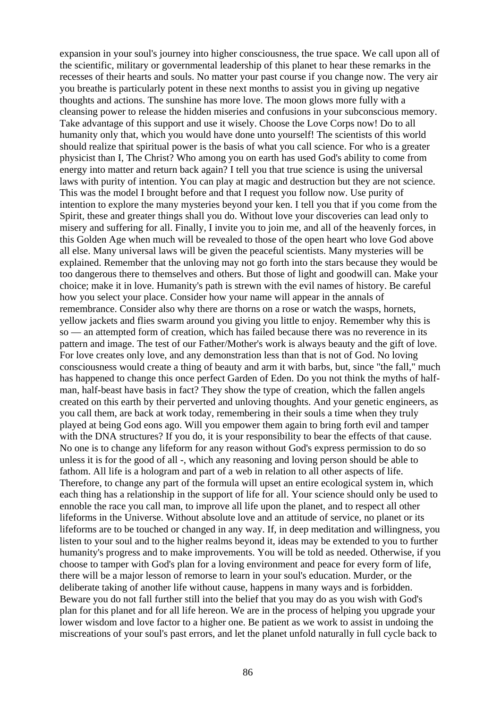expansion in your soul's journey into higher consciousness, the true space. We call upon all of the scientific, military or governmental leadership of this planet to hear these remarks in the recesses of their hearts and souls. No matter your past course if you change now. The very air you breathe is particularly potent in these next months to assist you in giving up negative thoughts and actions. The sunshine has more love. The moon glows more fully with a cleansing power to release the hidden miseries and confusions in your subconscious memory. Take advantage of this support and use it wisely. Choose the Love Corps now! Do to all humanity only that, which you would have done unto yourself! The scientists of this world should realize that spiritual power is the basis of what you call science. For who is a greater physicist than I, The Christ? Who among you on earth has used God's ability to come from energy into matter and return back again? I tell you that true science is using the universal laws with purity of intention. You can play at magic and destruction but they are not science. This was the model I brought before and that I request you follow now. Use purity of intention to explore the many mysteries beyond your ken. I tell you that if you come from the Spirit, these and greater things shall you do. Without love your discoveries can lead only to misery and suffering for all. Finally, I invite you to join me, and all of the heavenly forces, in this Golden Age when much will be revealed to those of the open heart who love God above all else. Many universal laws will be given the peaceful scientists. Many mysteries will be explained. Remember that the unloving may not go forth into the stars because they would be too dangerous there to themselves and others. But those of light and goodwill can. Make your choice; make it in love. Humanity's path is strewn with the evil names of history. Be careful how you select your place. Consider how your name will appear in the annals of remembrance. Consider also why there are thorns on a rose or watch the wasps, hornets, yellow jackets and flies swarm around you giving you little to enjoy. Remember why this is so — an attempted form of creation, which has failed because there was no reverence in its pattern and image. The test of our Father/Mother's work is always beauty and the gift of love. For love creates only love, and any demonstration less than that is not of God. No loving consciousness would create a thing of beauty and arm it with barbs, but, since "the fall," much has happened to change this once perfect Garden of Eden. Do you not think the myths of halfman, half-beast have basis in fact? They show the type of creation, which the fallen angels created on this earth by their perverted and unloving thoughts. And your genetic engineers, as you call them, are back at work today, remembering in their souls a time when they truly played at being God eons ago. Will you empower them again to bring forth evil and tamper with the DNA structures? If you do, it is your responsibility to bear the effects of that cause. No one is to change any lifeform for any reason without God's express permission to do so unless it is for the good of all -, which any reasoning and loving person should be able to fathom. All life is a hologram and part of a web in relation to all other aspects of life. Therefore, to change any part of the formula will upset an entire ecological system in, which each thing has a relationship in the support of life for all. Your science should only be used to ennoble the race you call man, to improve all life upon the planet, and to respect all other lifeforms in the Universe. Without absolute love and an attitude of service, no planet or its lifeforms are to be touched or changed in any way. If, in deep meditation and willingness, you listen to your soul and to the higher realms beyond it, ideas may be extended to you to further humanity's progress and to make improvements. You will be told as needed. Otherwise, if you choose to tamper with God's plan for a loving environment and peace for every form of life, there will be a major lesson of remorse to learn in your soul's education. Murder, or the deliberate taking of another life without cause, happens in many ways and is forbidden. Beware you do not fall further still into the belief that you may do as you wish with God's plan for this planet and for all life hereon. We are in the process of helping you upgrade your lower wisdom and love factor to a higher one. Be patient as we work to assist in undoing the miscreations of your soul's past errors, and let the planet unfold naturally in full cycle back to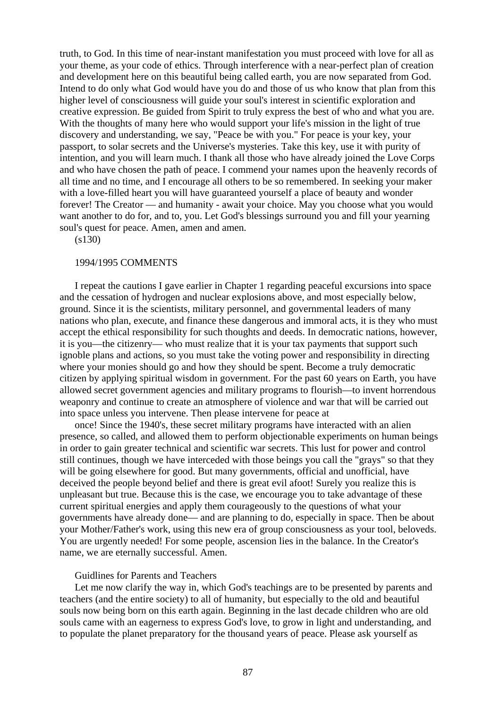truth, to God. In this time of near-instant manifestation you must proceed with love for all as your theme, as your code of ethics. Through interference with a near-perfect plan of creation and development here on this beautiful being called earth, you are now separated from God. Intend to do only what God would have you do and those of us who know that plan from this higher level of consciousness will guide your soul's interest in scientific exploration and creative expression. Be guided from Spirit to truly express the best of who and what you are. With the thoughts of many here who would support your life's mission in the light of true discovery and understanding, we say, "Peace be with you." For peace is your key, your passport, to solar secrets and the Universe's mysteries. Take this key, use it with purity of intention, and you will learn much. I thank all those who have already joined the Love Corps and who have chosen the path of peace. I commend your names upon the heavenly records of all time and no time, and I encourage all others to be so remembered. In seeking your maker with a love-filled heart you will have guaranteed yourself a place of beauty and wonder forever! The Creator — and humanity - await your choice. May you choose what you would want another to do for, and to, you. Let God's blessings surround you and fill your yearning soul's quest for peace. Amen, amen and amen.

(s130)

## 1994/1995 COMMENTS

I repeat the cautions I gave earlier in Chapter 1 regarding peaceful excursions into space and the cessation of hydrogen and nuclear explosions above, and most especially below, ground. Since it is the scientists, military personnel, and governmental leaders of many nations who plan, execute, and finance these dangerous and immoral acts, it is they who must accept the ethical responsibility for such thoughts and deeds. In democratic nations, however, it is you—the citizenry— who must realize that it is your tax payments that support such ignoble plans and actions, so you must take the voting power and responsibility in directing where your monies should go and how they should be spent. Become a truly democratic citizen by applying spiritual wisdom in government. For the past 60 years on Earth, you have allowed secret government agencies and military programs to flourish—to invent horrendous weaponry and continue to create an atmosphere of violence and war that will be carried out into space unless you intervene. Then please intervene for peace at

once! Since the 1940's, these secret military programs have interacted with an alien presence, so called, and allowed them to perform objectionable experiments on human beings in order to gain greater technical and scientific war secrets. This lust for power and control still continues, though we have interceded with those beings you call the "grays" so that they will be going elsewhere for good. But many governments, official and unofficial, have deceived the people beyond belief and there is great evil afoot! Surely you realize this is unpleasant but true. Because this is the case, we encourage you to take advantage of these current spiritual energies and apply them courageously to the questions of what your governments have already done— and are planning to do, especially in space. Then be about your Mother/Father's work, using this new era of group consciousness as your tool, beloveds. You are urgently needed! For some people, ascension lies in the balance. In the Creator's name, we are eternally successful. Amen.

# Guidlines for Parents and Teachers

Let me now clarify the way in, which God's teachings are to be presented by parents and teachers (and the entire society) to all of humanity, but especially to the old and beautiful souls now being born on this earth again. Beginning in the last decade children who are old souls came with an eagerness to express God's love, to grow in light and understanding, and to populate the planet preparatory for the thousand years of peace. Please ask yourself as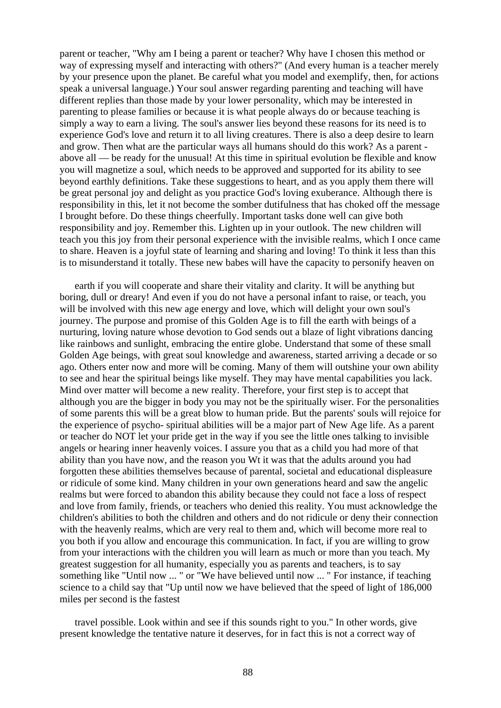parent or teacher, "Why am I being a parent or teacher? Why have I chosen this method or way of expressing myself and interacting with others?" (And every human is a teacher merely by your presence upon the planet. Be careful what you model and exemplify, then, for actions speak a universal language.) Your soul answer regarding parenting and teaching will have different replies than those made by your lower personality, which may be interested in parenting to please families or because it is what people always do or because teaching is simply a way to earn a living. The soul's answer lies beyond these reasons for its need is to experience God's love and return it to all living creatures. There is also a deep desire to learn and grow. Then what are the particular ways all humans should do this work? As a parent above all — be ready for the unusual! At this time in spiritual evolution be flexible and know you will magnetize a soul, which needs to be approved and supported for its ability to see beyond earthly definitions. Take these suggestions to heart, and as you apply them there will be great personal joy and delight as you practice God's loving exuberance. Although there is responsibility in this, let it not become the somber dutifulness that has choked off the message I brought before. Do these things cheerfully. Important tasks done well can give both responsibility and joy. Remember this. Lighten up in your outlook. The new children will teach you this joy from their personal experience with the invisible realms, which I once came to share. Heaven is a joyful state of learning and sharing and loving! To think it less than this is to misunderstand it totally. These new babes will have the capacity to personify heaven on

earth if you will cooperate and share their vitality and clarity. It will be anything but boring, dull or dreary! And even if you do not have a personal infant to raise, or teach, you will be involved with this new age energy and love, which will delight your own soul's journey. The purpose and promise of this Golden Age is to fill the earth with beings of a nurturing, loving nature whose devotion to God sends out a blaze of light vibrations dancing like rainbows and sunlight, embracing the entire globe. Understand that some of these small Golden Age beings, with great soul knowledge and awareness, started arriving a decade or so ago. Others enter now and more will be coming. Many of them will outshine your own ability to see and hear the spiritual beings like myself. They may have mental capabilities you lack. Mind over matter will become a new reality. Therefore, your first step is to accept that although you are the bigger in body you may not be the spiritually wiser. For the personalities of some parents this will be a great blow to human pride. But the parents' souls will rejoice for the experience of psycho- spiritual abilities will be a major part of New Age life. As a parent or teacher do NOT let your pride get in the way if you see the little ones talking to invisible angels or hearing inner heavenly voices. I assure you that as a child you had more of that ability than you have now, and the reason you Wt it was that the adults around you had forgotten these abilities themselves because of parental, societal and educational displeasure or ridicule of some kind. Many children in your own generations heard and saw the angelic realms but were forced to abandon this ability because they could not face a loss of respect and love from family, friends, or teachers who denied this reality. You must acknowledge the children's abilities to both the children and others and do not ridicule or deny their connection with the heavenly realms, which are very real to them and, which will become more real to you both if you allow and encourage this communication. In fact, if you are willing to grow from your interactions with the children you will learn as much or more than you teach. My greatest suggestion for all humanity, especially you as parents and teachers, is to say something like "Until now ... " or "We have believed until now ... " For instance, if teaching science to a child say that "Up until now we have believed that the speed of light of 186,000 miles per second is the fastest

travel possible. Look within and see if this sounds right to you." In other words, give present knowledge the tentative nature it deserves, for in fact this is not a correct way of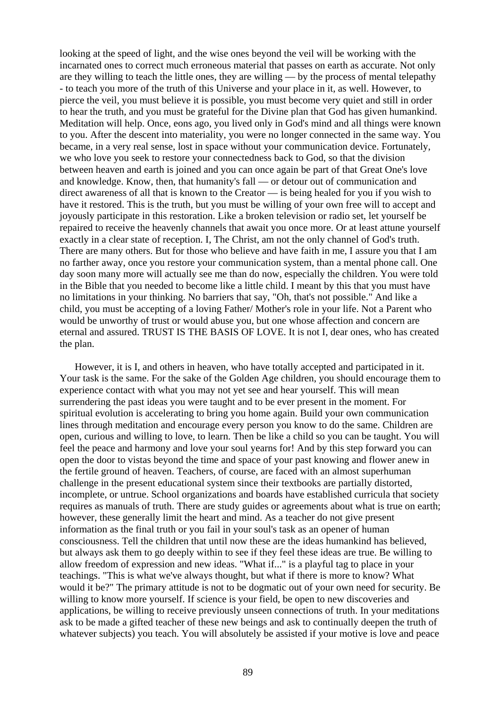looking at the speed of light, and the wise ones beyond the veil will be working with the incarnated ones to correct much erroneous material that passes on earth as accurate. Not only are they willing to teach the little ones, they are willing — by the process of mental telepathy - to teach you more of the truth of this Universe and your place in it, as well. However, to pierce the veil, you must believe it is possible, you must become very quiet and still in order to hear the truth, and you must be grateful for the Divine plan that God has given humankind. Meditation will help. Once, eons ago, you lived only in God's mind and all things were known to you. After the descent into materiality, you were no longer connected in the same way. You became, in a very real sense, lost in space without your communication device. Fortunately, we who love you seek to restore your connectedness back to God, so that the division between heaven and earth is joined and you can once again be part of that Great One's love and knowledge. Know, then, that humanity's fall — or detour out of communication and direct awareness of all that is known to the Creator — is being healed for you if you wish to have it restored. This is the truth, but you must be willing of your own free will to accept and joyously participate in this restoration. Like a broken television or radio set, let yourself be repaired to receive the heavenly channels that await you once more. Or at least attune yourself exactly in a clear state of reception. I, The Christ, am not the only channel of God's truth. There are many others. But for those who believe and have faith in me, I assure you that I am no farther away, once you restore your communication system, than a mental phone call. One day soon many more will actually see me than do now, especially the children. You were told in the Bible that you needed to become like a little child. I meant by this that you must have no limitations in your thinking. No barriers that say, "Oh, that's not possible." And like a child, you must be accepting of a loving Father/ Mother's role in your life. Not a Parent who would be unworthy of trust or would abuse you, but one whose affection and concern are eternal and assured. TRUST IS THE BASIS OF LOVE. It is not I, dear ones, who has created the plan.

However, it is I, and others in heaven, who have totally accepted and participated in it. Your task is the same. For the sake of the Golden Age children, you should encourage them to experience contact with what you may not yet see and hear yourself. This will mean surrendering the past ideas you were taught and to be ever present in the moment. For spiritual evolution is accelerating to bring you home again. Build your own communication lines through meditation and encourage every person you know to do the same. Children are open, curious and willing to love, to learn. Then be like a child so you can be taught. You will feel the peace and harmony and love your soul yearns for! And by this step forward you can open the door to vistas beyond the time and space of your past knowing and flower anew in the fertile ground of heaven. Teachers, of course, are faced with an almost superhuman challenge in the present educational system since their textbooks are partially distorted, incomplete, or untrue. School organizations and boards have established curricula that society requires as manuals of truth. There are study guides or agreements about what is true on earth; however, these generally limit the heart and mind. As a teacher do not give present information as the final truth or you fail in your soul's task as an opener of human consciousness. Tell the children that until now these are the ideas humankind has believed, but always ask them to go deeply within to see if they feel these ideas are true. Be willing to allow freedom of expression and new ideas. "What if..." is a playful tag to place in your teachings. "This is what we've always thought, but what if there is more to know? What would it be?" The primary attitude is not to be dogmatic out of your own need for security. Be willing to know more yourself. If science is your field, be open to new discoveries and applications, be willing to receive previously unseen connections of truth. In your meditations ask to be made a gifted teacher of these new beings and ask to continually deepen the truth of whatever subjects) you teach. You will absolutely be assisted if your motive is love and peace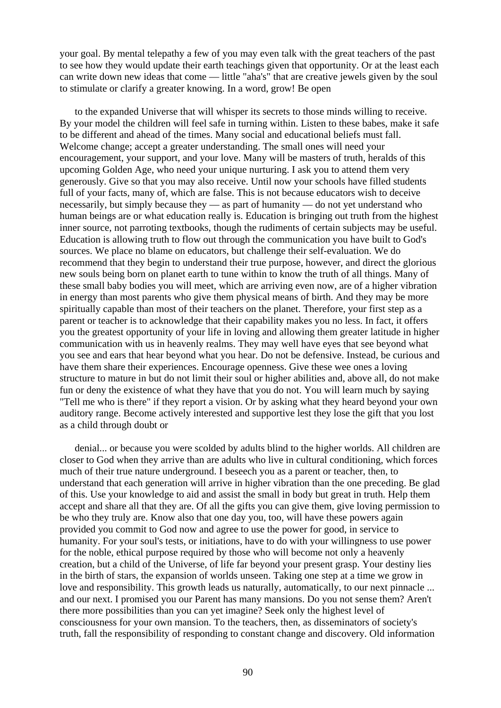your goal. By mental telepathy a few of you may even talk with the great teachers of the past to see how they would update their earth teachings given that opportunity. Or at the least each can write down new ideas that come — little "aha's" that are creative jewels given by the soul to stimulate or clarify a greater knowing. In a word, grow! Be open

to the expanded Universe that will whisper its secrets to those minds willing to receive. By your model the children will feel safe in turning within. Listen to these babes, make it safe to be different and ahead of the times. Many social and educational beliefs must fall. Welcome change; accept a greater understanding. The small ones will need your encouragement, your support, and your love. Many will be masters of truth, heralds of this upcoming Golden Age, who need your unique nurturing. I ask you to attend them very generously. Give so that you may also receive. Until now your schools have filled students full of your facts, many of, which are false. This is not because educators wish to deceive necessarily, but simply because they — as part of humanity — do not yet understand who human beings are or what education really is. Education is bringing out truth from the highest inner source, not parroting textbooks, though the rudiments of certain subjects may be useful. Education is allowing truth to flow out through the communication you have built to God's sources. We place no blame on educators, but challenge their self-evaluation. We do recommend that they begin to understand their true purpose, however, and direct the glorious new souls being born on planet earth to tune within to know the truth of all things. Many of these small baby bodies you will meet, which are arriving even now, are of a higher vibration in energy than most parents who give them physical means of birth. And they may be more spiritually capable than most of their teachers on the planet. Therefore, your first step as a parent or teacher is to acknowledge that their capability makes you no less. In fact, it offers you the greatest opportunity of your life in loving and allowing them greater latitude in higher communication with us in heavenly realms. They may well have eyes that see beyond what you see and ears that hear beyond what you hear. Do not be defensive. Instead, be curious and have them share their experiences. Encourage openness. Give these wee ones a loving structure to mature in but do not limit their soul or higher abilities and, above all, do not make fun or deny the existence of what they have that you do not. You will learn much by saying "Tell me who is there" if they report a vision. Or by asking what they heard beyond your own auditory range. Become actively interested and supportive lest they lose the gift that you lost as a child through doubt or

denial... or because you were scolded by adults blind to the higher worlds. All children are closer to God when they arrive than are adults who live in cultural conditioning, which forces much of their true nature underground. I beseech you as a parent or teacher, then, to understand that each generation will arrive in higher vibration than the one preceding. Be glad of this. Use your knowledge to aid and assist the small in body but great in truth. Help them accept and share all that they are. Of all the gifts you can give them, give loving permission to be who they truly are. Know also that one day you, too, will have these powers again provided you commit to God now and agree to use the power for good, in service to humanity. For your soul's tests, or initiations, have to do with your willingness to use power for the noble, ethical purpose required by those who will become not only a heavenly creation, but a child of the Universe, of life far beyond your present grasp. Your destiny lies in the birth of stars, the expansion of worlds unseen. Taking one step at a time we grow in love and responsibility. This growth leads us naturally, automatically, to our next pinnacle ... and our next. I promised you our Parent has many mansions. Do you not sense them? Aren't there more possibilities than you can yet imagine? Seek only the highest level of consciousness for your own mansion. To the teachers, then, as disseminators of society's truth, fall the responsibility of responding to constant change and discovery. Old information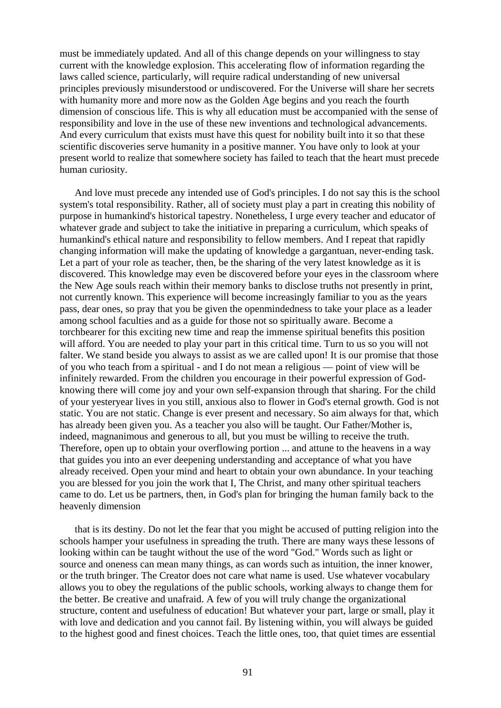must be immediately updated. And all of this change depends on your willingness to stay current with the knowledge explosion. This accelerating flow of information regarding the laws called science, particularly, will require radical understanding of new universal principles previously misunderstood or undiscovered. For the Universe will share her secrets with humanity more and more now as the Golden Age begins and you reach the fourth dimension of conscious life. This is why all education must be accompanied with the sense of responsibility and love in the use of these new inventions and technological advancements. And every curriculum that exists must have this quest for nobility built into it so that these scientific discoveries serve humanity in a positive manner. You have only to look at your present world to realize that somewhere society has failed to teach that the heart must precede human curiosity.

And love must precede any intended use of God's principles. I do not say this is the school system's total responsibility. Rather, all of society must play a part in creating this nobility of purpose in humankind's historical tapestry. Nonetheless, I urge every teacher and educator of whatever grade and subject to take the initiative in preparing a curriculum, which speaks of humankind's ethical nature and responsibility to fellow members. And I repeat that rapidly changing information will make the updating of knowledge a gargantuan, never-ending task. Let a part of your role as teacher, then, be the sharing of the very latest knowledge as it is discovered. This knowledge may even be discovered before your eyes in the classroom where the New Age souls reach within their memory banks to disclose truths not presently in print, not currently known. This experience will become increasingly familiar to you as the years pass, dear ones, so pray that you be given the openmindedness to take your place as a leader among school faculties and as a guide for those not so spiritually aware. Become a torchbearer for this exciting new time and reap the immense spiritual benefits this position will afford. You are needed to play your part in this critical time. Turn to us so you will not falter. We stand beside you always to assist as we are called upon! It is our promise that those of you who teach from a spiritual - and I do not mean a religious — point of view will be infinitely rewarded. From the children you encourage in their powerful expression of Godknowing there will come joy and your own self-expansion through that sharing. For the child of your yesteryear lives in you still, anxious also to flower in God's eternal growth. God is not static. You are not static. Change is ever present and necessary. So aim always for that, which has already been given you. As a teacher you also will be taught. Our Father/Mother is, indeed, magnanimous and generous to all, but you must be willing to receive the truth. Therefore, open up to obtain your overflowing portion ... and attune to the heavens in a way that guides you into an ever deepening understanding and acceptance of what you have already received. Open your mind and heart to obtain your own abundance. In your teaching you are blessed for you join the work that I, The Christ, and many other spiritual teachers came to do. Let us be partners, then, in God's plan for bringing the human family back to the heavenly dimension

that is its destiny. Do not let the fear that you might be accused of putting religion into the schools hamper your usefulness in spreading the truth. There are many ways these lessons of looking within can be taught without the use of the word "God." Words such as light or source and oneness can mean many things, as can words such as intuition, the inner knower, or the truth bringer. The Creator does not care what name is used. Use whatever vocabulary allows you to obey the regulations of the public schools, working always to change them for the better. Be creative and unafraid. A few of you will truly change the organizational structure, content and usefulness of education! But whatever your part, large or small, play it with love and dedication and you cannot fail. By listening within, you will always be guided to the highest good and finest choices. Teach the little ones, too, that quiet times are essential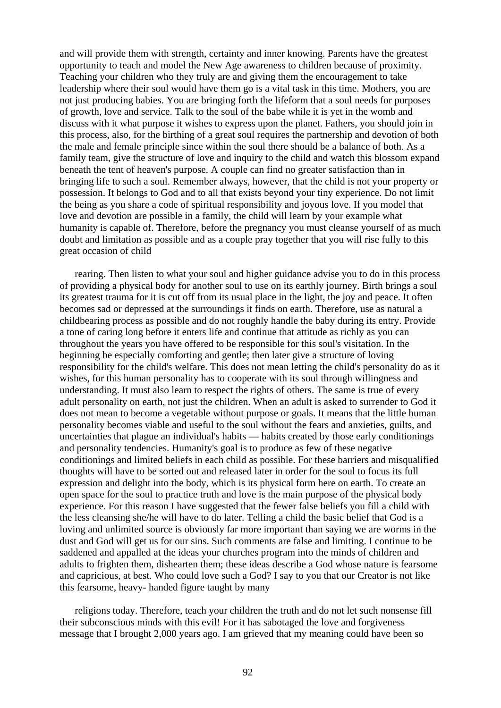and will provide them with strength, certainty and inner knowing. Parents have the greatest opportunity to teach and model the New Age awareness to children because of proximity. Teaching your children who they truly are and giving them the encouragement to take leadership where their soul would have them go is a vital task in this time. Mothers, you are not just producing babies. You are bringing forth the lifeform that a soul needs for purposes of growth, love and service. Talk to the soul of the babe while it is yet in the womb and discuss with it what purpose it wishes to express upon the planet. Fathers, you should join in this process, also, for the birthing of a great soul requires the partnership and devotion of both the male and female principle since within the soul there should be a balance of both. As a family team, give the structure of love and inquiry to the child and watch this blossom expand beneath the tent of heaven's purpose. A couple can find no greater satisfaction than in bringing life to such a soul. Remember always, however, that the child is not your property or possession. It belongs to God and to all that exists beyond your tiny experience. Do not limit the being as you share a code of spiritual responsibility and joyous love. If you model that love and devotion are possible in a family, the child will learn by your example what humanity is capable of. Therefore, before the pregnancy you must cleanse yourself of as much doubt and limitation as possible and as a couple pray together that you will rise fully to this great occasion of child

rearing. Then listen to what your soul and higher guidance advise you to do in this process of providing a physical body for another soul to use on its earthly journey. Birth brings a soul its greatest trauma for it is cut off from its usual place in the light, the joy and peace. It often becomes sad or depressed at the surroundings it finds on earth. Therefore, use as natural a childbearing process as possible and do not roughly handle the baby during its entry. Provide a tone of caring long before it enters life and continue that attitude as richly as you can throughout the years you have offered to be responsible for this soul's visitation. In the beginning be especially comforting and gentle; then later give a structure of loving responsibility for the child's welfare. This does not mean letting the child's personality do as it wishes, for this human personality has to cooperate with its soul through willingness and understanding. It must also learn to respect the rights of others. The same is true of every adult personality on earth, not just the children. When an adult is asked to surrender to God it does not mean to become a vegetable without purpose or goals. It means that the little human personality becomes viable and useful to the soul without the fears and anxieties, guilts, and uncertainties that plague an individual's habits — habits created by those early conditionings and personality tendencies. Humanity's goal is to produce as few of these negative conditionings and limited beliefs in each child as possible. For these barriers and misqualified thoughts will have to be sorted out and released later in order for the soul to focus its full expression and delight into the body, which is its physical form here on earth. To create an open space for the soul to practice truth and love is the main purpose of the physical body experience. For this reason I have suggested that the fewer false beliefs you fill a child with the less cleansing she/he will have to do later. Telling a child the basic belief that God is a loving and unlimited source is obviously far more important than saying we are worms in the dust and God will get us for our sins. Such comments are false and limiting. I continue to be saddened and appalled at the ideas your churches program into the minds of children and adults to frighten them, dishearten them; these ideas describe a God whose nature is fearsome and capricious, at best. Who could love such a God? I say to you that our Creator is not like this fearsome, heavy- handed figure taught by many

religions today. Therefore, teach your children the truth and do not let such nonsense fill their subconscious minds with this evil! For it has sabotaged the love and forgiveness message that I brought 2,000 years ago. I am grieved that my meaning could have been so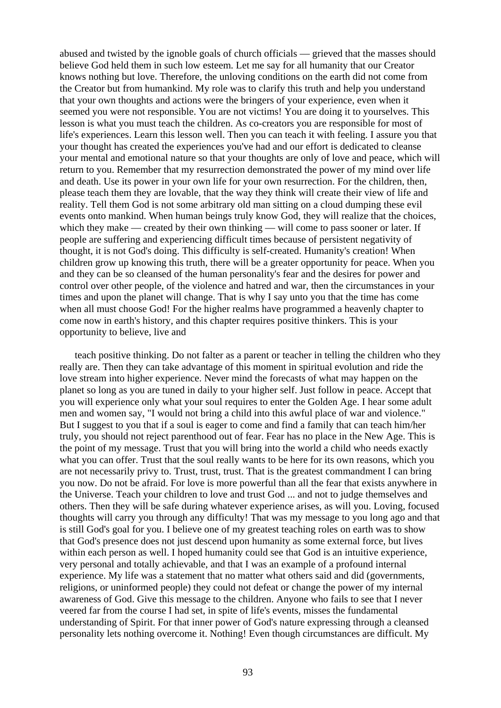abused and twisted by the ignoble goals of church officials — grieved that the masses should believe God held them in such low esteem. Let me say for all humanity that our Creator knows nothing but love. Therefore, the unloving conditions on the earth did not come from the Creator but from humankind. My role was to clarify this truth and help you understand that your own thoughts and actions were the bringers of your experience, even when it seemed you were not responsible. You are not victims! You are doing it to yourselves. This lesson is what you must teach the children. As co-creators you are responsible for most of life's experiences. Learn this lesson well. Then you can teach it with feeling. I assure you that your thought has created the experiences you've had and our effort is dedicated to cleanse your mental and emotional nature so that your thoughts are only of love and peace, which will return to you. Remember that my resurrection demonstrated the power of my mind over life and death. Use its power in your own life for your own resurrection. For the children, then, please teach them they are lovable, that the way they think will create their view of life and reality. Tell them God is not some arbitrary old man sitting on a cloud dumping these evil events onto mankind. When human beings truly know God, they will realize that the choices, which they make — created by their own thinking — will come to pass sooner or later. If people are suffering and experiencing difficult times because of persistent negativity of thought, it is not God's doing. This difficulty is self-created. Humanity's creation! When children grow up knowing this truth, there will be a greater opportunity for peace. When you and they can be so cleansed of the human personality's fear and the desires for power and control over other people, of the violence and hatred and war, then the circumstances in your times and upon the planet will change. That is why I say unto you that the time has come when all must choose God! For the higher realms have programmed a heavenly chapter to come now in earth's history, and this chapter requires positive thinkers. This is your opportunity to believe, live and

teach positive thinking. Do not falter as a parent or teacher in telling the children who they really are. Then they can take advantage of this moment in spiritual evolution and ride the love stream into higher experience. Never mind the forecasts of what may happen on the planet so long as you are tuned in daily to your higher self. Just follow in peace. Accept that you will experience only what your soul requires to enter the Golden Age. I hear some adult men and women say, "I would not bring a child into this awful place of war and violence." But I suggest to you that if a soul is eager to come and find a family that can teach him/her truly, you should not reject parenthood out of fear. Fear has no place in the New Age. This is the point of my message. Trust that you will bring into the world a child who needs exactly what you can offer. Trust that the soul really wants to be here for its own reasons, which you are not necessarily privy to. Trust, trust, trust. That is the greatest commandment I can bring you now. Do not be afraid. For love is more powerful than all the fear that exists anywhere in the Universe. Teach your children to love and trust God ... and not to judge themselves and others. Then they will be safe during whatever experience arises, as will you. Loving, focused thoughts will carry you through any difficulty! That was my message to you long ago and that is still God's goal for you. I believe one of my greatest teaching roles on earth was to show that God's presence does not just descend upon humanity as some external force, but lives within each person as well. I hoped humanity could see that God is an intuitive experience, very personal and totally achievable, and that I was an example of a profound internal experience. My life was a statement that no matter what others said and did (governments, religions, or uninformed people) they could not defeat or change the power of my internal awareness of God. Give this message to the children. Anyone who fails to see that I never veered far from the course I had set, in spite of life's events, misses the fundamental understanding of Spirit. For that inner power of God's nature expressing through a cleansed personality lets nothing overcome it. Nothing! Even though circumstances are difficult. My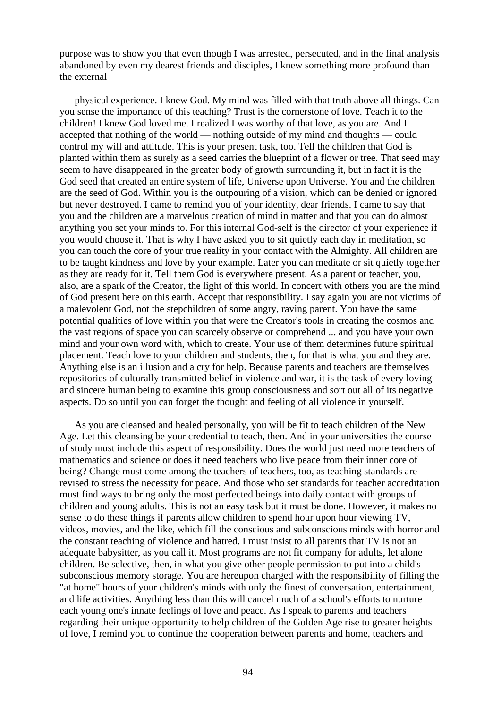purpose was to show you that even though I was arrested, persecuted, and in the final analysis abandoned by even my dearest friends and disciples, I knew something more profound than the external

physical experience. I knew God. My mind was filled with that truth above all things. Can you sense the importance of this teaching? Trust is the cornerstone of love. Teach it to the children! I knew God loved me. I realized I was worthy of that love, as you are. And I accepted that nothing of the world — nothing outside of my mind and thoughts — could control my will and attitude. This is your present task, too. Tell the children that God is planted within them as surely as a seed carries the blueprint of a flower or tree. That seed may seem to have disappeared in the greater body of growth surrounding it, but in fact it is the God seed that created an entire system of life, Universe upon Universe. You and the children are the seed of God. Within you is the outpouring of a vision, which can be denied or ignored but never destroyed. I came to remind you of your identity, dear friends. I came to say that you and the children are a marvelous creation of mind in matter and that you can do almost anything you set your minds to. For this internal God-self is the director of your experience if you would choose it. That is why I have asked you to sit quietly each day in meditation, so you can touch the core of your true reality in your contact with the Almighty. All children are to be taught kindness and love by your example. Later you can meditate or sit quietly together as they are ready for it. Tell them God is everywhere present. As a parent or teacher, you, also, are a spark of the Creator, the light of this world. In concert with others you are the mind of God present here on this earth. Accept that responsibility. I say again you are not victims of a malevolent God, not the stepchildren of some angry, raving parent. You have the same potential qualities of love within you that were the Creator's tools in creating the cosmos and the vast regions of space you can scarcely observe or comprehend ... and you have your own mind and your own word with, which to create. Your use of them determines future spiritual placement. Teach love to your children and students, then, for that is what you and they are. Anything else is an illusion and a cry for help. Because parents and teachers are themselves repositories of culturally transmitted belief in violence and war, it is the task of every loving and sincere human being to examine this group consciousness and sort out all of its negative aspects. Do so until you can forget the thought and feeling of all violence in yourself.

As you are cleansed and healed personally, you will be fit to teach children of the New Age. Let this cleansing be your credential to teach, then. And in your universities the course of study must include this aspect of responsibility. Does the world just need more teachers of mathematics and science or does it need teachers who live peace from their inner core of being? Change must come among the teachers of teachers, too, as teaching standards are revised to stress the necessity for peace. And those who set standards for teacher accreditation must find ways to bring only the most perfected beings into daily contact with groups of children and young adults. This is not an easy task but it must be done. However, it makes no sense to do these things if parents allow children to spend hour upon hour viewing TV, videos, movies, and the like, which fill the conscious and subconscious minds with horror and the constant teaching of violence and hatred. I must insist to all parents that TV is not an adequate babysitter, as you call it. Most programs are not fit company for adults, let alone children. Be selective, then, in what you give other people permission to put into a child's subconscious memory storage. You are hereupon charged with the responsibility of filling the "at home" hours of your children's minds with only the finest of conversation, entertainment, and life activities. Anything less than this will cancel much of a school's efforts to nurture each young one's innate feelings of love and peace. As I speak to parents and teachers regarding their unique opportunity to help children of the Golden Age rise to greater heights of love, I remind you to continue the cooperation between parents and home, teachers and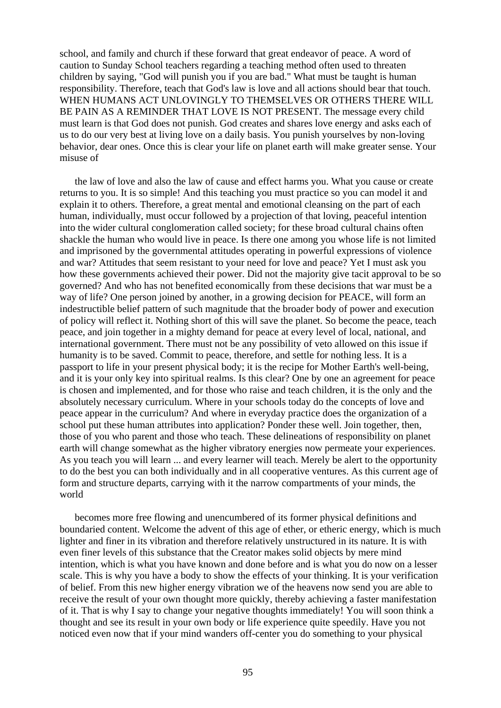school, and family and church if these forward that great endeavor of peace. A word of caution to Sunday School teachers regarding a teaching method often used to threaten children by saying, "God will punish you if you are bad." What must be taught is human responsibility. Therefore, teach that God's law is love and all actions should bear that touch. WHEN HUMANS ACT UNLOVINGLY TO THEMSELVES OR OTHERS THERE WILL BE PAIN AS A REMINDER THAT LOVE IS NOT PRESENT. The message every child must learn is that God does not punish. God creates and shares love energy and asks each of us to do our very best at living love on a daily basis. You punish yourselves by non-loving behavior, dear ones. Once this is clear your life on planet earth will make greater sense. Your misuse of

the law of love and also the law of cause and effect harms you. What you cause or create returns to you. It is so simple! And this teaching you must practice so you can model it and explain it to others. Therefore, a great mental and emotional cleansing on the part of each human, individually, must occur followed by a projection of that loving, peaceful intention into the wider cultural conglomeration called society; for these broad cultural chains often shackle the human who would live in peace. Is there one among you whose life is not limited and imprisoned by the governmental attitudes operating in powerful expressions of violence and war? Attitudes that seem resistant to your need for love and peace? Yet I must ask you how these governments achieved their power. Did not the majority give tacit approval to be so governed? And who has not benefited economically from these decisions that war must be a way of life? One person joined by another, in a growing decision for PEACE, will form an indestructible belief pattern of such magnitude that the broader body of power and execution of policy will reflect it. Nothing short of this will save the planet. So become the peace, teach peace, and join together in a mighty demand for peace at every level of local, national, and international government. There must not be any possibility of veto allowed on this issue if humanity is to be saved. Commit to peace, therefore, and settle for nothing less. It is a passport to life in your present physical body; it is the recipe for Mother Earth's well-being, and it is your only key into spiritual realms. Is this clear? One by one an agreement for peace is chosen and implemented, and for those who raise and teach children, it is the only and the absolutely necessary curriculum. Where in your schools today do the concepts of love and peace appear in the curriculum? And where in everyday practice does the organization of a school put these human attributes into application? Ponder these well. Join together, then, those of you who parent and those who teach. These delineations of responsibility on planet earth will change somewhat as the higher vibratory energies now permeate your experiences. As you teach you will learn ... and every learner will teach. Merely be alert to the opportunity to do the best you can both individually and in all cooperative ventures. As this current age of form and structure departs, carrying with it the narrow compartments of your minds, the world

becomes more free flowing and unencumbered of its former physical definitions and boundaried content. Welcome the advent of this age of ether, or etheric energy, which is much lighter and finer in its vibration and therefore relatively unstructured in its nature. It is with even finer levels of this substance that the Creator makes solid objects by mere mind intention, which is what you have known and done before and is what you do now on a lesser scale. This is why you have a body to show the effects of your thinking. It is your verification of belief. From this new higher energy vibration we of the heavens now send you are able to receive the result of your own thought more quickly, thereby achieving a faster manifestation of it. That is why I say to change your negative thoughts immediately! You will soon think a thought and see its result in your own body or life experience quite speedily. Have you not noticed even now that if your mind wanders off-center you do something to your physical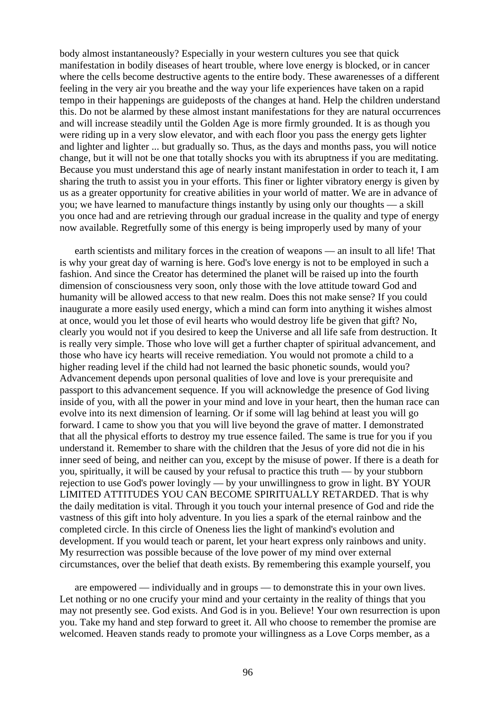body almost instantaneously? Especially in your western cultures you see that quick manifestation in bodily diseases of heart trouble, where love energy is blocked, or in cancer where the cells become destructive agents to the entire body. These awarenesses of a different feeling in the very air you breathe and the way your life experiences have taken on a rapid tempo in their happenings are guideposts of the changes at hand. Help the children understand this. Do not be alarmed by these almost instant manifestations for they are natural occurrences and will increase steadily until the Golden Age is more firmly grounded. It is as though you were riding up in a very slow elevator, and with each floor you pass the energy gets lighter and lighter and lighter ... but gradually so. Thus, as the days and months pass, you will notice change, but it will not be one that totally shocks you with its abruptness if you are meditating. Because you must understand this age of nearly instant manifestation in order to teach it, I am sharing the truth to assist you in your efforts. This finer or lighter vibratory energy is given by us as a greater opportunity for creative abilities in your world of matter. We are in advance of you; we have learned to manufacture things instantly by using only our thoughts — a skill you once had and are retrieving through our gradual increase in the quality and type of energy now available. Regretfully some of this energy is being improperly used by many of your

earth scientists and military forces in the creation of weapons — an insult to all life! That is why your great day of warning is here. God's love energy is not to be employed in such a fashion. And since the Creator has determined the planet will be raised up into the fourth dimension of consciousness very soon, only those with the love attitude toward God and humanity will be allowed access to that new realm. Does this not make sense? If you could inaugurate a more easily used energy, which a mind can form into anything it wishes almost at once, would you let those of evil hearts who would destroy life be given that gift? No, clearly you would not if you desired to keep the Universe and all life safe from destruction. It is really very simple. Those who love will get a further chapter of spiritual advancement, and those who have icy hearts will receive remediation. You would not promote a child to a higher reading level if the child had not learned the basic phonetic sounds, would you? Advancement depends upon personal qualities of love and love is your prerequisite and passport to this advancement sequence. If you will acknowledge the presence of God living inside of you, with all the power in your mind and love in your heart, then the human race can evolve into its next dimension of learning. Or if some will lag behind at least you will go forward. I came to show you that you will live beyond the grave of matter. I demonstrated that all the physical efforts to destroy my true essence failed. The same is true for you if you understand it. Remember to share with the children that the Jesus of yore did not die in his inner seed of being, and neither can you, except by the misuse of power. If there is a death for you, spiritually, it will be caused by your refusal to practice this truth — by your stubborn rejection to use God's power lovingly — by your unwillingness to grow in light. BY YOUR LIMITED ATTITUDES YOU CAN BECOME SPIRITUALLY RETARDED. That is why the daily meditation is vital. Through it you touch your internal presence of God and ride the vastness of this gift into holy adventure. In you lies a spark of the eternal rainbow and the completed circle. In this circle of Oneness lies the light of mankind's evolution and development. If you would teach or parent, let your heart express only rainbows and unity. My resurrection was possible because of the love power of my mind over external circumstances, over the belief that death exists. By remembering this example yourself, you

are empowered — individually and in groups — to demonstrate this in your own lives. Let nothing or no one crucify your mind and your certainty in the reality of things that you may not presently see. God exists. And God is in you. Believe! Your own resurrection is upon you. Take my hand and step forward to greet it. All who choose to remember the promise are welcomed. Heaven stands ready to promote your willingness as a Love Corps member, as a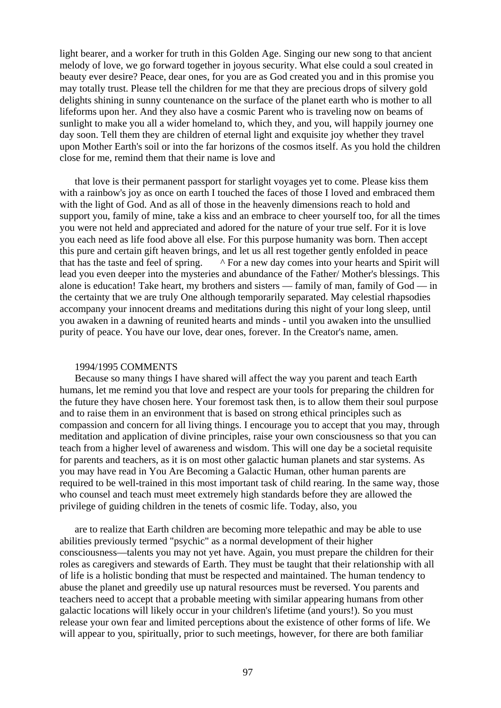light bearer, and a worker for truth in this Golden Age. Singing our new song to that ancient melody of love, we go forward together in joyous security. What else could a soul created in beauty ever desire? Peace, dear ones, for you are as God created you and in this promise you may totally trust. Please tell the children for me that they are precious drops of silvery gold delights shining in sunny countenance on the surface of the planet earth who is mother to all lifeforms upon her. And they also have a cosmic Parent who is traveling now on beams of sunlight to make you all a wider homeland to, which they, and you, will happily journey one day soon. Tell them they are children of eternal light and exquisite joy whether they travel upon Mother Earth's soil or into the far horizons of the cosmos itself. As you hold the children close for me, remind them that their name is love and

that love is their permanent passport for starlight voyages yet to come. Please kiss them with a rainbow's joy as once on earth I touched the faces of those I loved and embraced them with the light of God. And as all of those in the heavenly dimensions reach to hold and support you, family of mine, take a kiss and an embrace to cheer yourself too, for all the times you were not held and appreciated and adored for the nature of your true self. For it is love you each need as life food above all else. For this purpose humanity was born. Then accept this pure and certain gift heaven brings, and let us all rest together gently enfolded in peace that has the taste and feel of spring.  $\wedge$  For a new day comes into your hearts and Spirit will lead you even deeper into the mysteries and abundance of the Father/ Mother's blessings. This alone is education! Take heart, my brothers and sisters — family of man, family of God — in the certainty that we are truly One although temporarily separated. May celestial rhapsodies accompany your innocent dreams and meditations during this night of your long sleep, until you awaken in a dawning of reunited hearts and minds - until you awaken into the unsullied purity of peace. You have our love, dear ones, forever. In the Creator's name, amen.

## 1994/1995 COMMENTS

Because so many things I have shared will affect the way you parent and teach Earth humans, let me remind you that love and respect are your tools for preparing the children for the future they have chosen here. Your foremost task then, is to allow them their soul purpose and to raise them in an environment that is based on strong ethical principles such as compassion and concern for all living things. I encourage you to accept that you may, through meditation and application of divine principles, raise your own consciousness so that you can teach from a higher level of awareness and wisdom. This will one day be a societal requisite for parents and teachers, as it is on most other galactic human planets and star systems. As you may have read in You Are Becoming a Galactic Human, other human parents are required to be well-trained in this most important task of child rearing. In the same way, those who counsel and teach must meet extremely high standards before they are allowed the privilege of guiding children in the tenets of cosmic life. Today, also, you

are to realize that Earth children are becoming more telepathic and may be able to use abilities previously termed "psychic" as a normal development of their higher consciousness—talents you may not yet have. Again, you must prepare the children for their roles as caregivers and stewards of Earth. They must be taught that their relationship with all of life is a holistic bonding that must be respected and maintained. The human tendency to abuse the planet and greedily use up natural resources must be reversed. You parents and teachers need to accept that a probable meeting with similar appearing humans from other galactic locations will likely occur in your children's lifetime (and yours!). So you must release your own fear and limited perceptions about the existence of other forms of life. We will appear to you, spiritually, prior to such meetings, however, for there are both familiar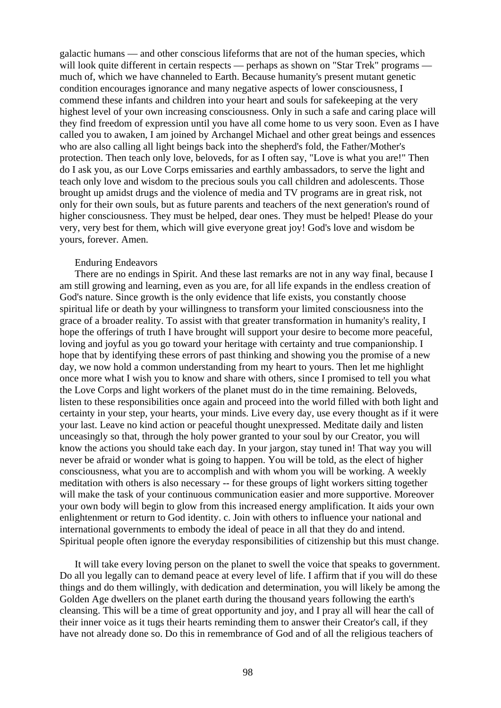galactic humans — and other conscious lifeforms that are not of the human species, which will look quite different in certain respects — perhaps as shown on "Star Trek" programs much of, which we have channeled to Earth. Because humanity's present mutant genetic condition encourages ignorance and many negative aspects of lower consciousness, I commend these infants and children into your heart and souls for safekeeping at the very highest level of your own increasing consciousness. Only in such a safe and caring place will they find freedom of expression until you have all come home to us very soon. Even as I have called you to awaken, I am joined by Archangel Michael and other great beings and essences who are also calling all light beings back into the shepherd's fold, the Father/Mother's protection. Then teach only love, beloveds, for as I often say, "Love is what you are!" Then do I ask you, as our Love Corps emissaries and earthly ambassadors, to serve the light and teach only love and wisdom to the precious souls you call children and adolescents. Those brought up amidst drugs and the violence of media and TV programs are in great risk, not only for their own souls, but as future parents and teachers of the next generation's round of higher consciousness. They must be helped, dear ones. They must be helped! Please do your very, very best for them, which will give everyone great joy! God's love and wisdom be yours, forever. Amen.

# Enduring Endeavors

There are no endings in Spirit. And these last remarks are not in any way final, because I am still growing and learning, even as you are, for all life expands in the endless creation of God's nature. Since growth is the only evidence that life exists, you constantly choose spiritual life or death by your willingness to transform your limited consciousness into the grace of a broader reality. To assist with that greater transformation in humanity's reality, I hope the offerings of truth I have brought will support your desire to become more peaceful, loving and joyful as you go toward your heritage with certainty and true companionship. I hope that by identifying these errors of past thinking and showing you the promise of a new day, we now hold a common understanding from my heart to yours. Then let me highlight once more what I wish you to know and share with others, since I promised to tell you what the Love Corps and light workers of the planet must do in the time remaining. Beloveds, listen to these responsibilities once again and proceed into the world filled with both light and certainty in your step, your hearts, your minds. Live every day, use every thought as if it were your last. Leave no kind action or peaceful thought unexpressed. Meditate daily and listen unceasingly so that, through the holy power granted to your soul by our Creator, you will know the actions you should take each day. In your jargon, stay tuned in! That way you will never be afraid or wonder what is going to happen. You will be told, as the elect of higher consciousness, what you are to accomplish and with whom you will be working. A weekly meditation with others is also necessary -- for these groups of light workers sitting together will make the task of your continuous communication easier and more supportive. Moreover your own body will begin to glow from this increased energy amplification. It aids your own enlightenment or return to God identity. c. Join with others to influence your national and international governments to embody the ideal of peace in all that they do and intend. Spiritual people often ignore the everyday responsibilities of citizenship but this must change.

It will take every loving person on the planet to swell the voice that speaks to government. Do all you legally can to demand peace at every level of life. I affirm that if you will do these things and do them willingly, with dedication and determination, you will likely be among the Golden Age dwellers on the planet earth during the thousand years following the earth's cleansing. This will be a time of great opportunity and joy, and I pray all will hear the call of their inner voice as it tugs their hearts reminding them to answer their Creator's call, if they have not already done so. Do this in remembrance of God and of all the religious teachers of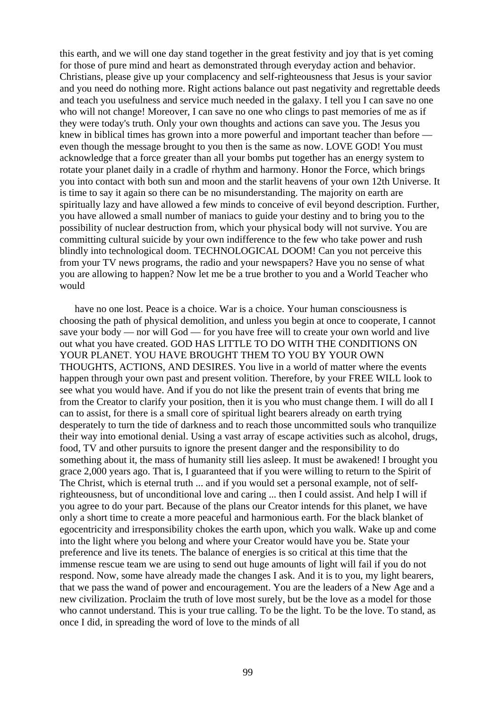this earth, and we will one day stand together in the great festivity and joy that is yet coming for those of pure mind and heart as demonstrated through everyday action and behavior. Christians, please give up your complacency and self-righteousness that Jesus is your savior and you need do nothing more. Right actions balance out past negativity and regrettable deeds and teach you usefulness and service much needed in the galaxy. I tell you I can save no one who will not change! Moreover, I can save no one who clings to past memories of me as if they were today's truth. Only your own thoughts and actions can save you. The Jesus you knew in biblical times has grown into a more powerful and important teacher than before even though the message brought to you then is the same as now. LOVE GOD! You must acknowledge that a force greater than all your bombs put together has an energy system to rotate your planet daily in a cradle of rhythm and harmony. Honor the Force, which brings you into contact with both sun and moon and the starlit heavens of your own 12th Universe. It is time to say it again so there can be no misunderstanding. The majority on earth are spiritually lazy and have allowed a few minds to conceive of evil beyond description. Further, you have allowed a small number of maniacs to guide your destiny and to bring you to the possibility of nuclear destruction from, which your physical body will not survive. You are committing cultural suicide by your own indifference to the few who take power and rush blindly into technological doom. TECHNOLOGICAL DOOM! Can you not perceive this from your TV news programs, the radio and your newspapers? Have you no sense of what you are allowing to happen? Now let me be a true brother to you and a World Teacher who would

have no one lost. Peace is a choice. War is a choice. Your human consciousness is choosing the path of physical demolition, and unless you begin at once to cooperate, I cannot save your body — nor will God — for you have free will to create your own world and live out what you have created. GOD HAS LITTLE TO DO WITH THE CONDITIONS ON YOUR PLANET. YOU HAVE BROUGHT THEM TO YOU BY YOUR OWN THOUGHTS, ACTIONS, AND DESIRES. You live in a world of matter where the events happen through your own past and present volition. Therefore, by your FREE WILL look to see what you would have. And if you do not like the present train of events that bring me from the Creator to clarify your position, then it is you who must change them. I will do all I can to assist, for there is a small core of spiritual light bearers already on earth trying desperately to turn the tide of darkness and to reach those uncommitted souls who tranquilize their way into emotional denial. Using a vast array of escape activities such as alcohol, drugs, food, TV and other pursuits to ignore the present danger and the responsibility to do something about it, the mass of humanity still lies asleep. It must be awakened! I brought you grace 2,000 years ago. That is, I guaranteed that if you were willing to return to the Spirit of The Christ, which is eternal truth ... and if you would set a personal example, not of selfrighteousness, but of unconditional love and caring ... then I could assist. And help I will if you agree to do your part. Because of the plans our Creator intends for this planet, we have only a short time to create a more peaceful and harmonious earth. For the black blanket of egocentricity and irresponsibility chokes the earth upon, which you walk. Wake up and come into the light where you belong and where your Creator would have you be. State your preference and live its tenets. The balance of energies is so critical at this time that the immense rescue team we are using to send out huge amounts of light will fail if you do not respond. Now, some have already made the changes I ask. And it is to you, my light bearers, that we pass the wand of power and encouragement. You are the leaders of a New Age and a new civilization. Proclaim the truth of love most surely, but be the love as a model for those who cannot understand. This is your true calling. To be the light. To be the love. To stand, as once I did, in spreading the word of love to the minds of all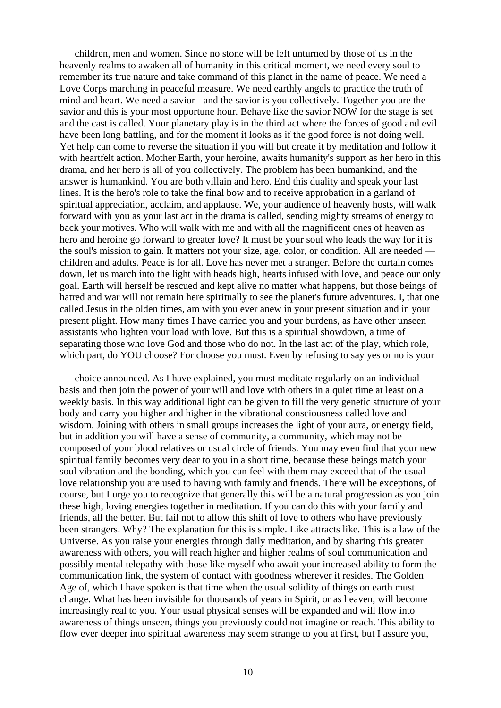children, men and women. Since no stone will be left unturned by those of us in the heavenly realms to awaken all of humanity in this critical moment, we need every soul to remember its true nature and take command of this planet in the name of peace. We need a Love Corps marching in peaceful measure. We need earthly angels to practice the truth of mind and heart. We need a savior - and the savior is you collectively. Together you are the savior and this is your most opportune hour. Behave like the savior NOW for the stage is set and the cast is called. Your planetary play is in the third act where the forces of good and evil have been long battling, and for the moment it looks as if the good force is not doing well. Yet help can come to reverse the situation if you will but create it by meditation and follow it with heartfelt action. Mother Earth, your heroine, awaits humanity's support as her hero in this drama, and her hero is all of you collectively. The problem has been humankind, and the answer is humankind. You are both villain and hero. End this duality and speak your last lines. It is the hero's role to take the final bow and to receive approbation in a garland of spiritual appreciation, acclaim, and applause. We, your audience of heavenly hosts, will walk forward with you as your last act in the drama is called, sending mighty streams of energy to back your motives. Who will walk with me and with all the magnificent ones of heaven as hero and heroine go forward to greater love? It must be your soul who leads the way for it is the soul's mission to gain. It matters not your size, age, color, or condition. All are needed children and adults. Peace is for all. Love has never met a stranger. Before the curtain comes down, let us march into the light with heads high, hearts infused with love, and peace our only goal. Earth will herself be rescued and kept alive no matter what happens, but those beings of hatred and war will not remain here spiritually to see the planet's future adventures. I, that one called Jesus in the olden times, am with you ever anew in your present situation and in your present plight. How many times I have carried you and your burdens, as have other unseen assistants who lighten your load with love. But this is a spiritual showdown, a time of separating those who love God and those who do not. In the last act of the play, which role, which part, do YOU choose? For choose you must. Even by refusing to say yes or no is your

choice announced. As I have explained, you must meditate regularly on an individual basis and then join the power of your will and love with others in a quiet time at least on a weekly basis. In this way additional light can be given to fill the very genetic structure of your body and carry you higher and higher in the vibrational consciousness called love and wisdom. Joining with others in small groups increases the light of your aura, or energy field, but in addition you will have a sense of community, a community, which may not be composed of your blood relatives or usual circle of friends. You may even find that your new spiritual family becomes very dear to you in a short time, because these beings match your soul vibration and the bonding, which you can feel with them may exceed that of the usual love relationship you are used to having with family and friends. There will be exceptions, of course, but I urge you to recognize that generally this will be a natural progression as you join these high, loving energies together in meditation. If you can do this with your family and friends, all the better. But fail not to allow this shift of love to others who have previously been strangers. Why? The explanation for this is simple. Like attracts like. This is a law of the Universe. As you raise your energies through daily meditation, and by sharing this greater awareness with others, you will reach higher and higher realms of soul communication and possibly mental telepathy with those like myself who await your increased ability to form the communication link, the system of contact with goodness wherever it resides. The Golden Age of, which I have spoken is that time when the usual solidity of things on earth must change. What has been invisible for thousands of years in Spirit, or as heaven, will become increasingly real to you. Your usual physical senses will be expanded and will flow into awareness of things unseen, things you previously could not imagine or reach. This ability to flow ever deeper into spiritual awareness may seem strange to you at first, but I assure you,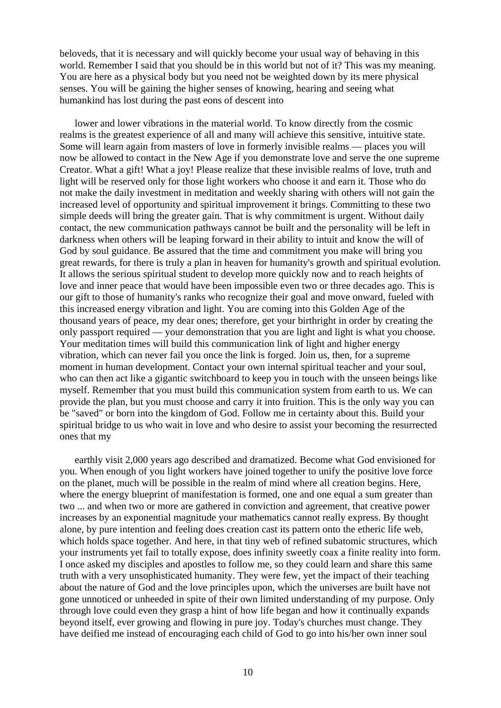beloveds, that it is necessary and will quickly become your usual way of behaving in this world. Remember I said that you should be in this world but not of it? This was my meaning. You are here as a physical body but you need not be weighted down by its mere physical senses. You will be gaining the higher senses of knowing, hearing and seeing what humankind has lost during the past eons of descent into

lower and lower vibrations in the material world. To know directly from the cosmic realms is the greatest experience of all and many will achieve this sensitive, intuitive state. Some will learn again from masters of love in formerly invisible realms — places you will now be allowed to contact in the New Age if you demonstrate love and serve the one supreme Creator. What a gift! What a joy! Please realize that these invisible realms of love, truth and light will be reserved only for those light workers who choose it and earn it. Those who do not make the daily investment in meditation and weekly sharing with others will not gain the increased level of opportunity and spiritual improvement it brings. Committing to these two simple deeds will bring the greater gain. That is why commitment is urgent. Without daily contact, the new communication pathways cannot be built and the personality will be left in darkness when others will be leaping forward in their ability to intuit and know the will of God by soul guidance. Be assured that the time and commitment you make will bring you great rewards, for there is truly a plan in heaven for humanity's growth and spiritual evolution. It allows the serious spiritual student to develop more quickly now and to reach heights of love and inner peace that would have been impossible even two or three decades ago. This is our gift to those of humanity's ranks who recognize their goal and move onward, fueled with this increased energy vibration and light. You are coming into this Golden Age of the thousand years of peace, my dear ones; therefore, get your birthright in order by creating the only passport required — your demonstration that you are light and light is what you choose. Your meditation times will build this communication link of light and higher energy vibration, which can never fail you once the link is forged. Join us, then, for a supreme moment in human development. Contact your own internal spiritual teacher and your soul, who can then act like a gigantic switchboard to keep you in touch with the unseen beings like myself. Remember that you must build this communication system from earth to us. We can provide the plan, but you must choose and carry it into fruition. This is the only way you can be "saved" or born into the kingdom of God. Follow me in certainty about this. Build your spiritual bridge to us who wait in love and who desire to assist your becoming the resurrected ones that my

earthly visit 2,000 years ago described and dramatized. Become what God envisioned for you. When enough of you light workers have joined together to unify the positive love force on the planet, much will be possible in the realm of mind where all creation begins. Here, where the energy blueprint of manifestation is formed, one and one equal a sum greater than two ... and when two or more are gathered in conviction and agreement, that creative power increases by an exponential magnitude your mathematics cannot really express. By thought alone, by pure intention and feeling does creation cast its pattern onto the etheric life web, which holds space together. And here, in that tiny web of refined subatomic structures, which your instruments yet fail to totally expose, does infinity sweetly coax a finite reality into form. I once asked my disciples and apostles to follow me, so they could learn and share this same truth with a very unsophisticated humanity. They were few, yet the impact of their teaching about the nature of God and the love principles upon, which the universes are built have not gone unnoticed or unheeded in spite of their own limited understanding of my purpose. Only through love could even they grasp a hint of how life began and how it continually expands beyond itself, ever growing and flowing in pure joy. Today's churches must change. They have deified me instead of encouraging each child of God to go into his/her own inner soul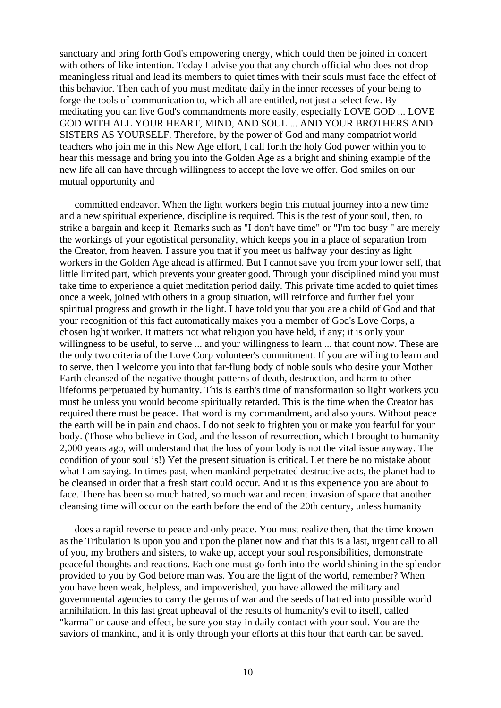sanctuary and bring forth God's empowering energy, which could then be joined in concert with others of like intention. Today I advise you that any church official who does not drop meaningless ritual and lead its members to quiet times with their souls must face the effect of this behavior. Then each of you must meditate daily in the inner recesses of your being to forge the tools of communication to, which all are entitled, not just a select few. By meditating you can live God's commandments more easily, especially LOVE GOD ... LOVE GOD WITH ALL YOUR HEART, MIND, AND SOUL ... AND YOUR BROTHERS AND SISTERS AS YOURSELF. Therefore, by the power of God and many compatriot world teachers who join me in this New Age effort, I call forth the holy God power within you to hear this message and bring you into the Golden Age as a bright and shining example of the new life all can have through willingness to accept the love we offer. God smiles on our mutual opportunity and

committed endeavor. When the light workers begin this mutual journey into a new time and a new spiritual experience, discipline is required. This is the test of your soul, then, to strike a bargain and keep it. Remarks such as "I don't have time" or "I'm too busy " are merely the workings of your egotistical personality, which keeps you in a place of separation from the Creator, from heaven. I assure you that if you meet us halfway your destiny as light workers in the Golden Age ahead is affirmed. But I cannot save you from your lower self, that little limited part, which prevents your greater good. Through your disciplined mind you must take time to experience a quiet meditation period daily. This private time added to quiet times once a week, joined with others in a group situation, will reinforce and further fuel your spiritual progress and growth in the light. I have told you that you are a child of God and that your recognition of this fact automatically makes you a member of God's Love Corps, a chosen light worker. It matters not what religion you have held, if any; it is only your willingness to be useful, to serve ... and your willingness to learn ... that count now. These are the only two criteria of the Love Corp volunteer's commitment. If you are willing to learn and to serve, then I welcome you into that far-flung body of noble souls who desire your Mother Earth cleansed of the negative thought patterns of death, destruction, and harm to other lifeforms perpetuated by humanity. This is earth's time of transformation so light workers you must be unless you would become spiritually retarded. This is the time when the Creator has required there must be peace. That word is my commandment, and also yours. Without peace the earth will be in pain and chaos. I do not seek to frighten you or make you fearful for your body. (Those who believe in God, and the lesson of resurrection, which I brought to humanity 2,000 years ago, will understand that the loss of your body is not the vital issue anyway. The condition of your soul is!) Yet the present situation is critical. Let there be no mistake about what I am saying. In times past, when mankind perpetrated destructive acts, the planet had to be cleansed in order that a fresh start could occur. And it is this experience you are about to face. There has been so much hatred, so much war and recent invasion of space that another cleansing time will occur on the earth before the end of the 20th century, unless humanity

does a rapid reverse to peace and only peace. You must realize then, that the time known as the Tribulation is upon you and upon the planet now and that this is a last, urgent call to all of you, my brothers and sisters, to wake up, accept your soul responsibilities, demonstrate peaceful thoughts and reactions. Each one must go forth into the world shining in the splendor provided to you by God before man was. You are the light of the world, remember? When you have been weak, helpless, and impoverished, you have allowed the military and governmental agencies to carry the germs of war and the seeds of hatred into possible world annihilation. In this last great upheaval of the results of humanity's evil to itself, called "karma" or cause and effect, be sure you stay in daily contact with your soul. You are the saviors of mankind, and it is only through your efforts at this hour that earth can be saved.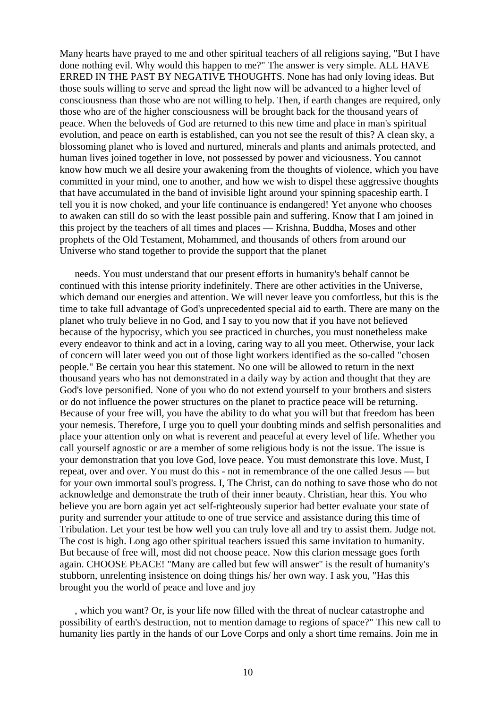Many hearts have prayed to me and other spiritual teachers of all religions saying, "But I have done nothing evil. Why would this happen to me?" The answer is very simple. ALL HAVE ERRED IN THE PAST BY NEGATIVE THOUGHTS. None has had only loving ideas. But those souls willing to serve and spread the light now will be advanced to a higher level of consciousness than those who are not willing to help. Then, if earth changes are required, only those who are of the higher consciousness will be brought back for the thousand years of peace. When the beloveds of God are returned to this new time and place in man's spiritual evolution, and peace on earth is established, can you not see the result of this? A clean sky, a blossoming planet who is loved and nurtured, minerals and plants and animals protected, and human lives joined together in love, not possessed by power and viciousness. You cannot know how much we all desire your awakening from the thoughts of violence, which you have committed in your mind, one to another, and how we wish to dispel these aggressive thoughts that have accumulated in the band of invisible light around your spinning spaceship earth. I tell you it is now choked, and your life continuance is endangered! Yet anyone who chooses to awaken can still do so with the least possible pain and suffering. Know that I am joined in this project by the teachers of all times and places — Krishna, Buddha, Moses and other prophets of the Old Testament, Mohammed, and thousands of others from around our Universe who stand together to provide the support that the planet

needs. You must understand that our present efforts in humanity's behalf cannot be continued with this intense priority indefinitely. There are other activities in the Universe, which demand our energies and attention. We will never leave you comfortless, but this is the time to take full advantage of God's unprecedented special aid to earth. There are many on the planet who truly believe in no God, and I say to you now that if you have not believed because of the hypocrisy, which you see practiced in churches, you must nonetheless make every endeavor to think and act in a loving, caring way to all you meet. Otherwise, your lack of concern will later weed you out of those light workers identified as the so-called "chosen people." Be certain you hear this statement. No one will be allowed to return in the next thousand years who has not demonstrated in a daily way by action and thought that they are God's love personified. None of you who do not extend yourself to your brothers and sisters or do not influence the power structures on the planet to practice peace will be returning. Because of your free will, you have the ability to do what you will but that freedom has been your nemesis. Therefore, I urge you to quell your doubting minds and selfish personalities and place your attention only on what is reverent and peaceful at every level of life. Whether you call yourself agnostic or are a member of some religious body is not the issue. The issue is your demonstration that you love God, love peace. You must demonstrate this love. Must, I repeat, over and over. You must do this - not in remembrance of the one called Jesus — but for your own immortal soul's progress. I, The Christ, can do nothing to save those who do not acknowledge and demonstrate the truth of their inner beauty. Christian, hear this. You who believe you are born again yet act self-righteously superior had better evaluate your state of purity and surrender your attitude to one of true service and assistance during this time of Tribulation. Let your test be how well you can truly love all and try to assist them. Judge not. The cost is high. Long ago other spiritual teachers issued this same invitation to humanity. But because of free will, most did not choose peace. Now this clarion message goes forth again. CHOOSE PEACE! "Many are called but few will answer" is the result of humanity's stubborn, unrelenting insistence on doing things his/ her own way. I ask you, "Has this brought you the world of peace and love and joy

, which you want? Or, is your life now filled with the threat of nuclear catastrophe and possibility of earth's destruction, not to mention damage to regions of space?" This new call to humanity lies partly in the hands of our Love Corps and only a short time remains. Join me in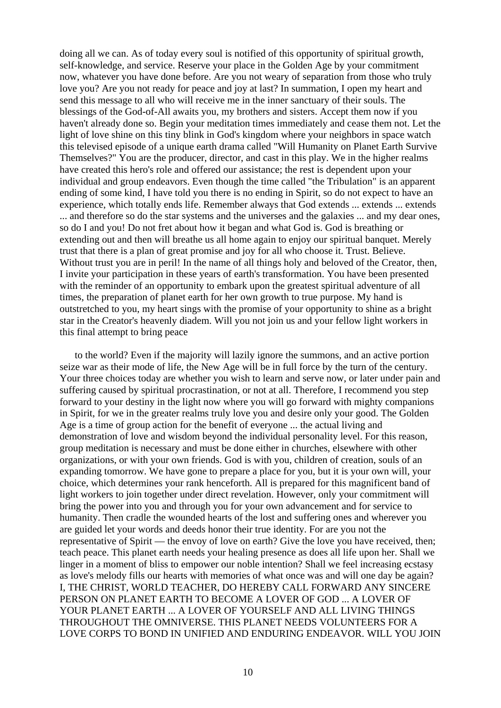doing all we can. As of today every soul is notified of this opportunity of spiritual growth, self-knowledge, and service. Reserve your place in the Golden Age by your commitment now, whatever you have done before. Are you not weary of separation from those who truly love you? Are you not ready for peace and joy at last? In summation, I open my heart and send this message to all who will receive me in the inner sanctuary of their souls. The blessings of the God-of-All awaits you, my brothers and sisters. Accept them now if you haven't already done so. Begin your meditation times immediately and cease them not. Let the light of love shine on this tiny blink in God's kingdom where your neighbors in space watch this televised episode of a unique earth drama called "Will Humanity on Planet Earth Survive Themselves?" You are the producer, director, and cast in this play. We in the higher realms have created this hero's role and offered our assistance; the rest is dependent upon your individual and group endeavors. Even though the time called "the Tribulation" is an apparent ending of some kind, I have told you there is no ending in Spirit, so do not expect to have an experience, which totally ends life. Remember always that God extends ... extends ... extends ... and therefore so do the star systems and the universes and the galaxies ... and my dear ones, so do I and you! Do not fret about how it began and what God is. God is breathing or extending out and then will breathe us all home again to enjoy our spiritual banquet. Merely trust that there is a plan of great promise and joy for all who choose it. Trust. Believe. Without trust you are in peril! In the name of all things holy and beloved of the Creator, then, I invite your participation in these years of earth's transformation. You have been presented with the reminder of an opportunity to embark upon the greatest spiritual adventure of all times, the preparation of planet earth for her own growth to true purpose. My hand is outstretched to you, my heart sings with the promise of your opportunity to shine as a bright star in the Creator's heavenly diadem. Will you not join us and your fellow light workers in this final attempt to bring peace

to the world? Even if the majority will lazily ignore the summons, and an active portion seize war as their mode of life, the New Age will be in full force by the turn of the century. Your three choices today are whether you wish to learn and serve now, or later under pain and suffering caused by spiritual procrastination, or not at all. Therefore, I recommend you step forward to your destiny in the light now where you will go forward with mighty companions in Spirit, for we in the greater realms truly love you and desire only your good. The Golden Age is a time of group action for the benefit of everyone ... the actual living and demonstration of love and wisdom beyond the individual personality level. For this reason, group meditation is necessary and must be done either in churches, elsewhere with other organizations, or with your own friends. God is with you, children of creation, souls of an expanding tomorrow. We have gone to prepare a place for you, but it is your own will, your choice, which determines your rank henceforth. All is prepared for this magnificent band of light workers to join together under direct revelation. However, only your commitment will bring the power into you and through you for your own advancement and for service to humanity. Then cradle the wounded hearts of the lost and suffering ones and wherever you are guided let your words and deeds honor their true identity. For are you not the representative of Spirit — the envoy of love on earth? Give the love you have received, then; teach peace. This planet earth needs your healing presence as does all life upon her. Shall we linger in a moment of bliss to empower our noble intention? Shall we feel increasing ecstasy as love's melody fills our hearts with memories of what once was and will one day be again? I, THE CHRIST, WORLD TEACHER, DO HEREBY CALL FORWARD ANY SINCERE PERSON ON PLANET EARTH TO BECOME A LOVER OF GOD ... A LOVER OF YOUR PLANET EARTH ... A LOVER OF YOURSELF AND ALL LIVING THINGS THROUGHOUT THE OMNIVERSE. THIS PLANET NEEDS VOLUNTEERS FOR A LOVE CORPS TO BOND IN UNIFIED AND ENDURING ENDEAVOR. WILL YOU JOIN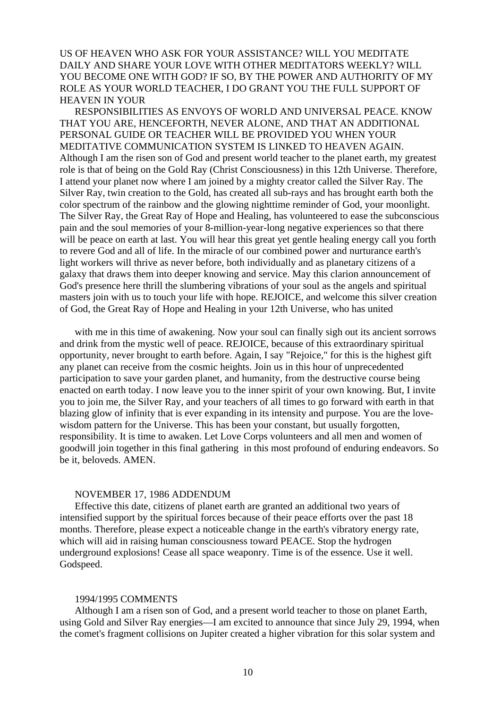US OF HEAVEN WHO ASK FOR YOUR ASSISTANCE? WILL YOU MEDITATE DAILY AND SHARE YOUR LOVE WITH OTHER MEDITATORS WEEKLY? WILL YOU BECOME ONE WITH GOD? IF SO, BY THE POWER AND AUTHORITY OF MY ROLE AS YOUR WORLD TEACHER, I DO GRANT YOU THE FULL SUPPORT OF HEAVEN IN YOUR

RESPONSIBILITIES AS ENVOYS OF WORLD AND UNIVERSAL PEACE. KNOW THAT YOU ARE, HENCEFORTH, NEVER ALONE, AND THAT AN ADDITIONAL PERSONAL GUIDE OR TEACHER WILL BE PROVIDED YOU WHEN YOUR MEDITATIVE COMMUNICATION SYSTEM IS LINKED TO HEAVEN AGAIN. Although I am the risen son of God and present world teacher to the planet earth, my greatest role is that of being on the Gold Ray (Christ Consciousness) in this 12th Universe. Therefore, I attend your planet now where I am joined by a mighty creator called the Silver Ray. The Silver Ray, twin creation to the Gold, has created all sub-rays and has brought earth both the color spectrum of the rainbow and the glowing nighttime reminder of God, your moonlight. The Silver Ray, the Great Ray of Hope and Healing, has volunteered to ease the subconscious pain and the soul memories of your 8-million-year-long negative experiences so that there will be peace on earth at last. You will hear this great yet gentle healing energy call you forth to revere God and all of life. In the miracle of our combined power and nurturance earth's light workers will thrive as never before, both individually and as planetary citizens of a galaxy that draws them into deeper knowing and service. May this clarion announcement of God's presence here thrill the slumbering vibrations of your soul as the angels and spiritual masters join with us to touch your life with hope. REJOICE, and welcome this silver creation of God, the Great Ray of Hope and Healing in your 12th Universe, who has united

with me in this time of awakening. Now your soul can finally sigh out its ancient sorrows and drink from the mystic well of peace. REJOICE, because of this extraordinary spiritual opportunity, never brought to earth before. Again, I say "Rejoice," for this is the highest gift any planet can receive from the cosmic heights. Join us in this hour of unprecedented participation to save your garden planet, and humanity, from the destructive course being enacted on earth today. I now leave you to the inner spirit of your own knowing. But, I invite you to join me, the Silver Ray, and your teachers of all times to go forward with earth in that blazing glow of infinity that is ever expanding in its intensity and purpose. You are the lovewisdom pattern for the Universe. This has been your constant, but usually forgotten, responsibility. It is time to awaken. Let Love Corps volunteers and all men and women of goodwill join together in this final gathering in this most profound of enduring endeavors. So be it, beloveds. AMEN.

#### NOVEMBER 17, 1986 ADDENDUM

Effective this date, citizens of planet earth are granted an additional two years of intensified support by the spiritual forces because of their peace efforts over the past 18 months. Therefore, please expect a noticeable change in the earth's vibratory energy rate, which will aid in raising human consciousness toward PEACE. Stop the hydrogen underground explosions! Cease all space weaponry. Time is of the essence. Use it well. Godspeed.

#### 1994/1995 COMMENTS

Although I am a risen son of God, and a present world teacher to those on planet Earth, using Gold and Silver Ray energies—I am excited to announce that since July 29, 1994, when the comet's fragment collisions on Jupiter created a higher vibration for this solar system and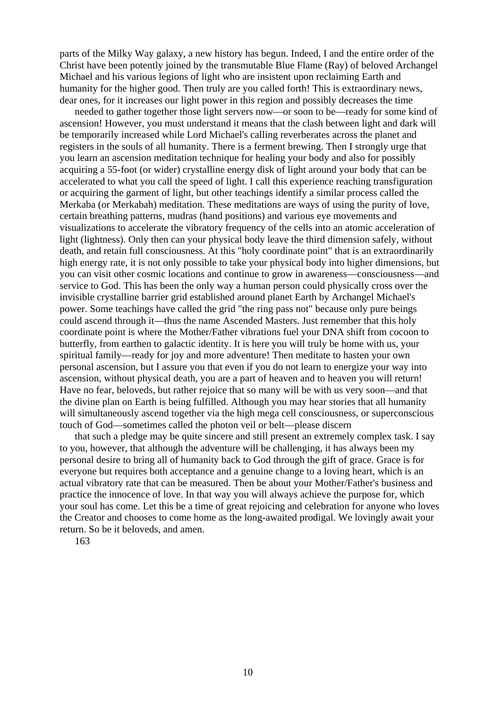parts of the Milky Way galaxy, a new history has begun. Indeed, I and the entire order of the Christ have been potently joined by the transmutable Blue Flame (Ray) of beloved Archangel Michael and his various legions of light who are insistent upon reclaiming Earth and humanity for the higher good. Then truly are you called forth! This is extraordinary news, dear ones, for it increases our light power in this region and possibly decreases the time

needed to gather together those light servers now—or soon to be—ready for some kind of ascension! However, you must understand it means that the clash between light and dark will be temporarily increased while Lord Michael's calling reverberates across the planet and registers in the souls of all humanity. There is a ferment brewing. Then I strongly urge that you learn an ascension meditation technique for healing your body and also for possibly acquiring a 55-foot (or wider) crystalline energy disk of light around your body that can be accelerated to what you call the speed of light. I call this experience reaching transfiguration or acquiring the garment of light, but other teachings identify a similar process called the Merkaba (or Merkabah) meditation. These meditations are ways of using the purity of love, certain breathing patterns, mudras (hand positions) and various eye movements and visualizations to accelerate the vibratory frequency of the cells into an atomic acceleration of light (lightness). Only then can your physical body leave the third dimension safely, without death, and retain full consciousness. At this "holy coordinate point" that is an extraordinarily high energy rate, it is not only possible to take your physical body into higher dimensions, but you can visit other cosmic locations and continue to grow in awareness—consciousness—and service to God. This has been the only way a human person could physically cross over the invisible crystalline barrier grid established around planet Earth by Archangel Michael's power. Some teachings have called the grid "the ring pass not" because only pure beings could ascend through it—thus the name Ascended Masters. Just remember that this holy coordinate point is where the Mother/Father vibrations fuel your DNA shift from cocoon to butterfly, from earthen to galactic identity. It is here you will truly be home with us, your spiritual family—ready for joy and more adventure! Then meditate to hasten your own personal ascension, but I assure you that even if you do not learn to energize your way into ascension, without physical death, you are a part of heaven and to heaven you will return! Have no fear, beloveds, but rather rejoice that so many will be with us very soon—and that the divine plan on Earth is being fulfilled. Although you may hear stories that all humanity will simultaneously ascend together via the high mega cell consciousness, or superconscious touch of God—sometimes called the photon veil or belt—please discern

that such a pledge may be quite sincere and still present an extremely complex task. I say to you, however, that although the adventure will be challenging, it has always been my personal desire to bring all of humanity back to God through the gift of grace. Grace is for everyone but requires both acceptance and a genuine change to a loving heart, which is an actual vibratory rate that can be measured. Then be about your Mother/Father's business and practice the innocence of love. In that way you will always achieve the purpose for, which your soul has come. Let this be a time of great rejoicing and celebration for anyone who loves the Creator and chooses to come home as the long-awaited prodigal. We lovingly await your return. So be it beloveds, and amen.

163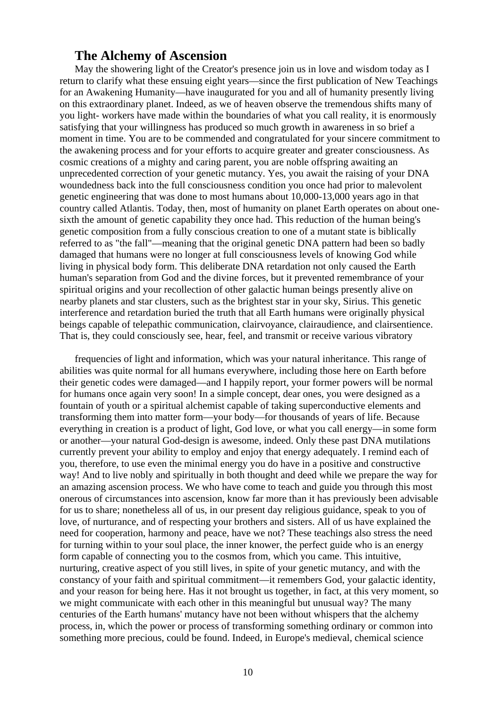# **The Alchemy of Ascension**

May the showering light of the Creator's presence join us in love and wisdom today as I return to clarify what these ensuing eight years—since the first publication of New Teachings for an Awakening Humanity—have inaugurated for you and all of humanity presently living on this extraordinary planet. Indeed, as we of heaven observe the tremendous shifts many of you light- workers have made within the boundaries of what you call reality, it is enormously satisfying that your willingness has produced so much growth in awareness in so brief a moment in time. You are to be commended and congratulated for your sincere commitment to the awakening process and for your efforts to acquire greater and greater consciousness. As cosmic creations of a mighty and caring parent, you are noble offspring awaiting an unprecedented correction of your genetic mutancy. Yes, you await the raising of your DNA woundedness back into the full consciousness condition you once had prior to malevolent genetic engineering that was done to most humans about 10,000-13,000 years ago in that country called Atlantis. Today, then, most of humanity on planet Earth operates on about onesixth the amount of genetic capability they once had. This reduction of the human being's genetic composition from a fully conscious creation to one of a mutant state is biblically referred to as "the fall"—meaning that the original genetic DNA pattern had been so badly damaged that humans were no longer at full consciousness levels of knowing God while living in physical body form. This deliberate DNA retardation not only caused the Earth human's separation from God and the divine forces, but it prevented remembrance of your spiritual origins and your recollection of other galactic human beings presently alive on nearby planets and star clusters, such as the brightest star in your sky, Sirius. This genetic interference and retardation buried the truth that all Earth humans were originally physical beings capable of telepathic communication, clairvoyance, clairaudience, and clairsentience. That is, they could consciously see, hear, feel, and transmit or receive various vibratory

frequencies of light and information, which was your natural inheritance. This range of abilities was quite normal for all humans everywhere, including those here on Earth before their genetic codes were damaged—and I happily report, your former powers will be normal for humans once again very soon! In a simple concept, dear ones, you were designed as a fountain of youth or a spiritual alchemist capable of taking superconductive elements and transforming them into matter form—your body—for thousands of years of life. Because everything in creation is a product of light, God love, or what you call energy—in some form or another—your natural God-design is awesome, indeed. Only these past DNA mutilations currently prevent your ability to employ and enjoy that energy adequately. I remind each of you, therefore, to use even the minimal energy you do have in a positive and constructive way! And to live nobly and spiritually in both thought and deed while we prepare the way for an amazing ascension process. We who have come to teach and guide you through this most onerous of circumstances into ascension, know far more than it has previously been advisable for us to share; nonetheless all of us, in our present day religious guidance, speak to you of love, of nurturance, and of respecting your brothers and sisters. All of us have explained the need for cooperation, harmony and peace, have we not? These teachings also stress the need for turning within to your soul place, the inner knower, the perfect guide who is an energy form capable of connecting you to the cosmos from, which you came. This intuitive, nurturing, creative aspect of you still lives, in spite of your genetic mutancy, and with the constancy of your faith and spiritual commitment—it remembers God, your galactic identity, and your reason for being here. Has it not brought us together, in fact, at this very moment, so we might communicate with each other in this meaningful but unusual way? The many centuries of the Earth humans' mutancy have not been without whispers that the alchemy process, in, which the power or process of transforming something ordinary or common into something more precious, could be found. Indeed, in Europe's medieval, chemical science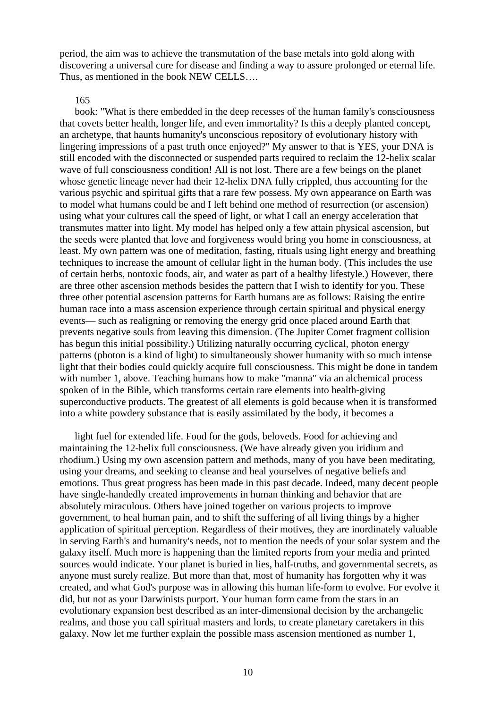period, the aim was to achieve the transmutation of the base metals into gold along with discovering a universal cure for disease and finding a way to assure prolonged or eternal life. Thus, as mentioned in the book NEW CELLS….

#### 165

book: "What is there embedded in the deep recesses of the human family's consciousness that covets better health, longer life, and even immortality? Is this a deeply planted concept, an archetype, that haunts humanity's unconscious repository of evolutionary history with lingering impressions of a past truth once enjoyed?" My answer to that is YES, your DNA is still encoded with the disconnected or suspended parts required to reclaim the 12-helix scalar wave of full consciousness condition! All is not lost. There are a few beings on the planet whose genetic lineage never had their 12-helix DNA fully crippled, thus accounting for the various psychic and spiritual gifts that a rare few possess. My own appearance on Earth was to model what humans could be and I left behind one method of resurrection (or ascension) using what your cultures call the speed of light, or what I call an energy acceleration that transmutes matter into light. My model has helped only a few attain physical ascension, but the seeds were planted that love and forgiveness would bring you home in consciousness, at least. My own pattern was one of meditation, fasting, rituals using light energy and breathing techniques to increase the amount of cellular light in the human body. (This includes the use of certain herbs, nontoxic foods, air, and water as part of a healthy lifestyle.) However, there are three other ascension methods besides the pattern that I wish to identify for you. These three other potential ascension patterns for Earth humans are as follows: Raising the entire human race into a mass ascension experience through certain spiritual and physical energy events— such as realigning or removing the energy grid once placed around Earth that prevents negative souls from leaving this dimension. (The Jupiter Comet fragment collision has begun this initial possibility.) Utilizing naturally occurring cyclical, photon energy patterns (photon is a kind of light) to simultaneously shower humanity with so much intense light that their bodies could quickly acquire full consciousness. This might be done in tandem with number 1, above. Teaching humans how to make "manna" via an alchemical process spoken of in the Bible, which transforms certain rare elements into health-giving superconductive products. The greatest of all elements is gold because when it is transformed into a white powdery substance that is easily assimilated by the body, it becomes a

light fuel for extended life. Food for the gods, beloveds. Food for achieving and maintaining the 12-helix full consciousness. (We have already given you iridium and rhodium.) Using my own ascension pattern and methods, many of you have been meditating, using your dreams, and seeking to cleanse and heal yourselves of negative beliefs and emotions. Thus great progress has been made in this past decade. Indeed, many decent people have single-handedly created improvements in human thinking and behavior that are absolutely miraculous. Others have joined together on various projects to improve government, to heal human pain, and to shift the suffering of all living things by a higher application of spiritual perception. Regardless of their motives, they are inordinately valuable in serving Earth's and humanity's needs, not to mention the needs of your solar system and the galaxy itself. Much more is happening than the limited reports from your media and printed sources would indicate. Your planet is buried in lies, half-truths, and governmental secrets, as anyone must surely realize. But more than that, most of humanity has forgotten why it was created, and what God's purpose was in allowing this human life-form to evolve. For evolve it did, but not as your Darwinists purport. Your human form came from the stars in an evolutionary expansion best described as an inter-dimensional decision by the archangelic realms, and those you call spiritual masters and lords, to create planetary caretakers in this galaxy. Now let me further explain the possible mass ascension mentioned as number 1,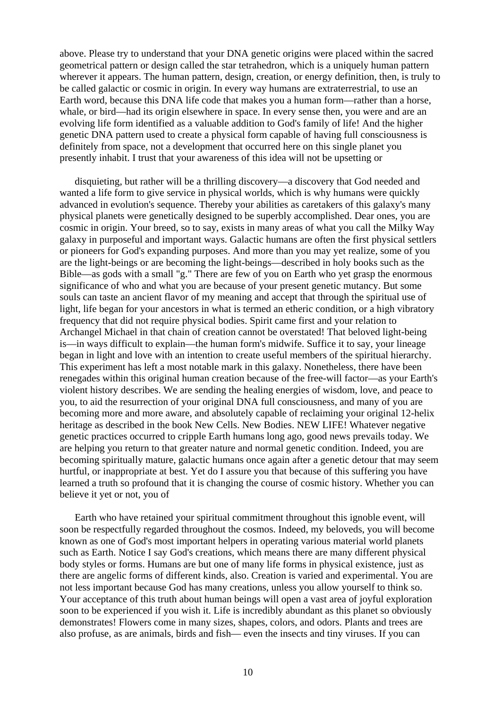above. Please try to understand that your DNA genetic origins were placed within the sacred geometrical pattern or design called the star tetrahedron, which is a uniquely human pattern wherever it appears. The human pattern, design, creation, or energy definition, then, is truly to be called galactic or cosmic in origin. In every way humans are extraterrestrial, to use an Earth word, because this DNA life code that makes you a human form—rather than a horse, whale, or bird—had its origin elsewhere in space. In every sense then, you were and are an evolving life form identified as a valuable addition to God's family of life! And the higher genetic DNA pattern used to create a physical form capable of having full consciousness is definitely from space, not a development that occurred here on this single planet you presently inhabit. I trust that your awareness of this idea will not be upsetting or

disquieting, but rather will be a thrilling discovery—a discovery that God needed and wanted a life form to give service in physical worlds, which is why humans were quickly advanced in evolution's sequence. Thereby your abilities as caretakers of this galaxy's many physical planets were genetically designed to be superbly accomplished. Dear ones, you are cosmic in origin. Your breed, so to say, exists in many areas of what you call the Milky Way galaxy in purposeful and important ways. Galactic humans are often the first physical settlers or pioneers for God's expanding purposes. And more than you may yet realize, some of you are the light-beings or are becoming the light-beings—described in holy books such as the Bible—as gods with a small "g." There are few of you on Earth who yet grasp the enormous significance of who and what you are because of your present genetic mutancy. But some souls can taste an ancient flavor of my meaning and accept that through the spiritual use of light, life began for your ancestors in what is termed an etheric condition, or a high vibratory frequency that did not require physical bodies. Spirit came first and your relation to Archangel Michael in that chain of creation cannot be overstated! That beloved light-being is—in ways difficult to explain—the human form's midwife. Suffice it to say, your lineage began in light and love with an intention to create useful members of the spiritual hierarchy. This experiment has left a most notable mark in this galaxy. Nonetheless, there have been renegades within this original human creation because of the free-will factor—as your Earth's violent history describes. We are sending the healing energies of wisdom, love, and peace to you, to aid the resurrection of your original DNA full consciousness, and many of you are becoming more and more aware, and absolutely capable of reclaiming your original 12-helix heritage as described in the book New Cells. New Bodies. NEW LIFE! Whatever negative genetic practices occurred to cripple Earth humans long ago, good news prevails today. We are helping you return to that greater nature and normal genetic condition. Indeed, you are becoming spiritually mature, galactic humans once again after a genetic detour that may seem hurtful, or inappropriate at best. Yet do I assure you that because of this suffering you have learned a truth so profound that it is changing the course of cosmic history. Whether you can believe it yet or not, you of

Earth who have retained your spiritual commitment throughout this ignoble event, will soon be respectfully regarded throughout the cosmos. Indeed, my beloveds, you will become known as one of God's most important helpers in operating various material world planets such as Earth. Notice I say God's creations, which means there are many different physical body styles or forms. Humans are but one of many life forms in physical existence, just as there are angelic forms of different kinds, also. Creation is varied and experimental. You are not less important because God has many creations, unless you allow yourself to think so. Your acceptance of this truth about human beings will open a vast area of joyful exploration soon to be experienced if you wish it. Life is incredibly abundant as this planet so obviously demonstrates! Flowers come in many sizes, shapes, colors, and odors. Plants and trees are also profuse, as are animals, birds and fish— even the insects and tiny viruses. If you can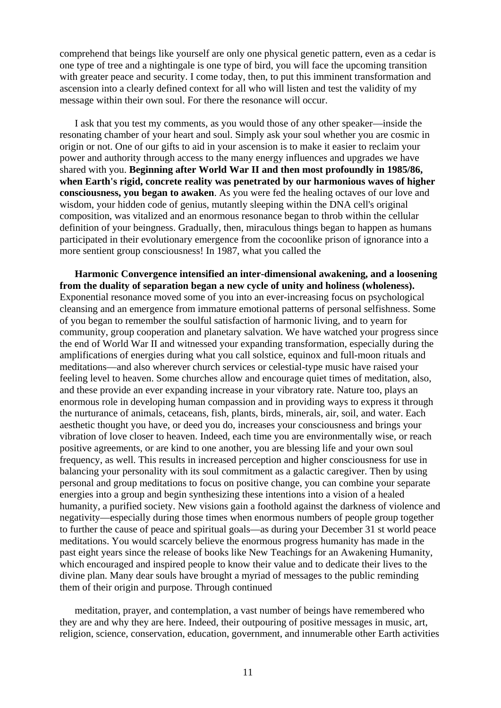comprehend that beings like yourself are only one physical genetic pattern, even as a cedar is one type of tree and a nightingale is one type of bird, you will face the upcoming transition with greater peace and security. I come today, then, to put this imminent transformation and ascension into a clearly defined context for all who will listen and test the validity of my message within their own soul. For there the resonance will occur.

I ask that you test my comments, as you would those of any other speaker—inside the resonating chamber of your heart and soul. Simply ask your soul whether you are cosmic in origin or not. One of our gifts to aid in your ascension is to make it easier to reclaim your power and authority through access to the many energy influences and upgrades we have shared with you. **Beginning after World War II and then most profoundly in 1985/86, when Earth's rigid, concrete reality was penetrated by our harmonious waves of higher consciousness, you began to awaken**. As you were fed the healing octaves of our love and wisdom, your hidden code of genius, mutantly sleeping within the DNA cell's original composition, was vitalized and an enormous resonance began to throb within the cellular definition of your beingness. Gradually, then, miraculous things began to happen as humans participated in their evolutionary emergence from the cocoonlike prison of ignorance into a more sentient group consciousness! In 1987, what you called the

**Harmonic Convergence intensified an inter-dimensional awakening, and a loosening from the duality of separation began a new cycle of unity and holiness (wholeness).** Exponential resonance moved some of you into an ever-increasing focus on psychological cleansing and an emergence from immature emotional patterns of personal selfishness. Some of you began to remember the soulful satisfaction of harmonic living, and to yearn for community, group cooperation and planetary salvation. We have watched your progress since the end of World War II and witnessed your expanding transformation, especially during the amplifications of energies during what you call solstice, equinox and full-moon rituals and meditations—and also wherever church services or celestial-type music have raised your feeling level to heaven. Some churches allow and encourage quiet times of meditation, also, and these provide an ever expanding increase in your vibratory rate. Nature too, plays an enormous role in developing human compassion and in providing ways to express it through the nurturance of animals, cetaceans, fish, plants, birds, minerals, air, soil, and water. Each aesthetic thought you have, or deed you do, increases your consciousness and brings your vibration of love closer to heaven. Indeed, each time you are environmentally wise, or reach positive agreements, or are kind to one another, you are blessing life and your own soul frequency, as well. This results in increased perception and higher consciousness for use in balancing your personality with its soul commitment as a galactic caregiver. Then by using personal and group meditations to focus on positive change, you can combine your separate energies into a group and begin synthesizing these intentions into a vision of a healed humanity, a purified society. New visions gain a foothold against the darkness of violence and negativity—especially during those times when enormous numbers of people group together to further the cause of peace and spiritual goals—as during your December 31 st world peace meditations. You would scarcely believe the enormous progress humanity has made in the past eight years since the release of books like New Teachings for an Awakening Humanity, which encouraged and inspired people to know their value and to dedicate their lives to the divine plan. Many dear souls have brought a myriad of messages to the public reminding them of their origin and purpose. Through continued

meditation, prayer, and contemplation, a vast number of beings have remembered who they are and why they are here. Indeed, their outpouring of positive messages in music, art, religion, science, conservation, education, government, and innumerable other Earth activities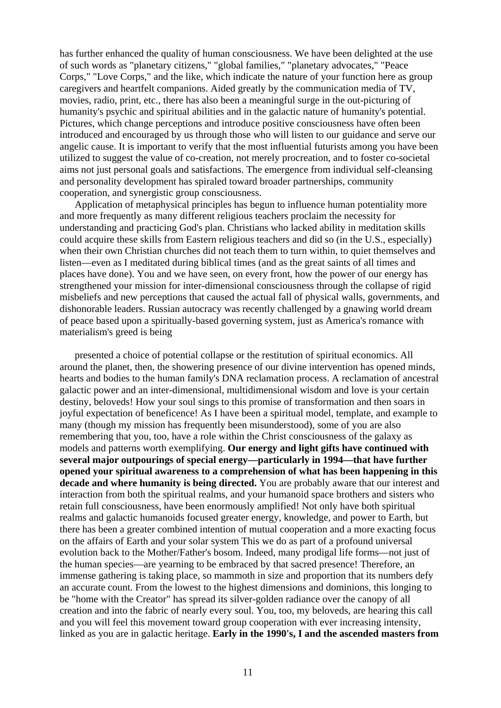has further enhanced the quality of human consciousness. We have been delighted at the use of such words as "planetary citizens," "global families," "planetary advocates," "Peace Corps," "Love Corps," and the like, which indicate the nature of your function here as group caregivers and heartfelt companions. Aided greatly by the communication media of TV, movies, radio, print, etc., there has also been a meaningful surge in the out-picturing of humanity's psychic and spiritual abilities and in the galactic nature of humanity's potential. Pictures, which change perceptions and introduce positive consciousness have often been introduced and encouraged by us through those who will listen to our guidance and serve our angelic cause. It is important to verify that the most influential futurists among you have been utilized to suggest the value of co-creation, not merely procreation, and to foster co-societal aims not just personal goals and satisfactions. The emergence from individual self-cleansing and personality development has spiraled toward broader partnerships, community cooperation, and synergistic group consciousness.

Application of metaphysical principles has begun to influence human potentiality more and more frequently as many different religious teachers proclaim the necessity for understanding and practicing God's plan. Christians who lacked ability in meditation skills could acquire these skills from Eastern religious teachers and did so (in the U.S., especially) when their own Christian churches did not teach them to turn within, to quiet themselves and listen—even as I meditated during biblical times (and as the great saints of all times and places have done). You and we have seen, on every front, how the power of our energy has strengthened your mission for inter-dimensional consciousness through the collapse of rigid misbeliefs and new perceptions that caused the actual fall of physical walls, governments, and dishonorable leaders. Russian autocracy was recently challenged by a gnawing world dream of peace based upon a spiritually-based governing system, just as America's romance with materialism's greed is being

presented a choice of potential collapse or the restitution of spiritual economics. All around the planet, then, the showering presence of our divine intervention has opened minds, hearts and bodies to the human family's DNA reclamation process. A reclamation of ancestral galactic power and an inter-dimensional, multidimensional wisdom and love is your certain destiny, beloveds! How your soul sings to this promise of transformation and then soars in joyful expectation of beneficence! As I have been a spiritual model, template, and example to many (though my mission has frequently been misunderstood), some of you are also remembering that you, too, have a role within the Christ consciousness of the galaxy as models and patterns worth exemplifying. **Our energy and light gifts have continued with several major outpourings of special energy—particularly in 1994—that have further opened your spiritual awareness to a comprehension of what has been happening in this decade and where humanity is being directed.** You are probably aware that our interest and interaction from both the spiritual realms, and your humanoid space brothers and sisters who retain full consciousness, have been enormously amplified! Not only have both spiritual realms and galactic humanoids focused greater energy, knowledge, and power to Earth, but there has been a greater combined intention of mutual cooperation and a more exacting focus on the affairs of Earth and your solar system This we do as part of a profound universal evolution back to the Mother/Father's bosom. Indeed, many prodigal life forms—not just of the human species—are yearning to be embraced by that sacred presence! Therefore, an immense gathering is taking place, so mammoth in size and proportion that its numbers defy an accurate count. From the lowest to the highest dimensions and dominions, this longing to be "home with the Creator" has spread its silver-golden radiance over the canopy of all creation and into the fabric of nearly every soul. You, too, my beloveds, are hearing this call and you will feel this movement toward group cooperation with ever increasing intensity, linked as you are in galactic heritage. **Early in the 1990's, I and the ascended masters from**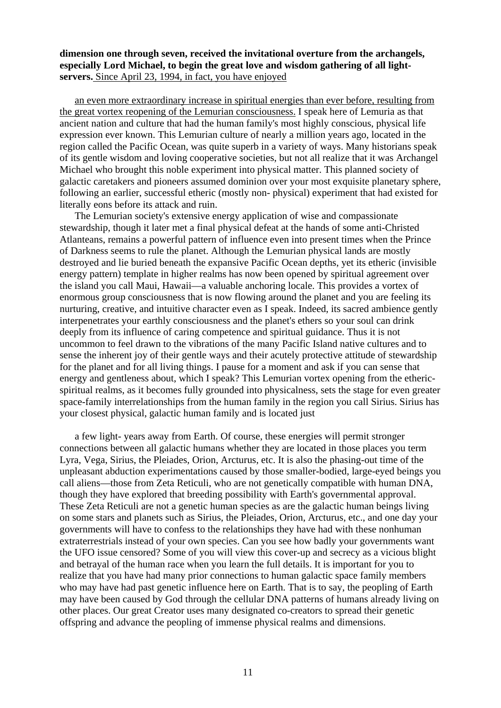## **dimension one through seven, received the invitational overture from the archangels, especially Lord Michael, to begin the great love and wisdom gathering of all lightservers.** Since April 23, 1994, in fact, you have enjoyed

an even more extraordinary increase in spiritual energies than ever before, resulting from the great vortex reopening of the Lemurian consciousness. I speak here of Lemuria as that ancient nation and culture that had the human family's most highly conscious, physical life expression ever known. This Lemurian culture of nearly a million years ago, located in the region called the Pacific Ocean, was quite superb in a variety of ways. Many historians speak of its gentle wisdom and loving cooperative societies, but not all realize that it was Archangel Michael who brought this noble experiment into physical matter. This planned society of galactic caretakers and pioneers assumed dominion over your most exquisite planetary sphere, following an earlier, successful etheric (mostly non- physical) experiment that had existed for literally eons before its attack and ruin.

The Lemurian society's extensive energy application of wise and compassionate stewardship, though it later met a final physical defeat at the hands of some anti-Christed Atlanteans, remains a powerful pattern of influence even into present times when the Prince of Darkness seems to rule the planet. Although the Lemurian physical lands are mostly destroyed and lie buried beneath the expansive Pacific Ocean depths, yet its etheric (invisible energy pattern) template in higher realms has now been opened by spiritual agreement over the island you call Maui, Hawaii—a valuable anchoring locale. This provides a vortex of enormous group consciousness that is now flowing around the planet and you are feeling its nurturing, creative, and intuitive character even as I speak. Indeed, its sacred ambience gently interpenetrates your earthly consciousness and the planet's ethers so your soul can drink deeply from its influence of caring competence and spiritual guidance. Thus it is not uncommon to feel drawn to the vibrations of the many Pacific Island native cultures and to sense the inherent joy of their gentle ways and their acutely protective attitude of stewardship for the planet and for all living things. I pause for a moment and ask if you can sense that energy and gentleness about, which I speak? This Lemurian vortex opening from the ethericspiritual realms, as it becomes fully grounded into physicalness, sets the stage for even greater space-family interrelationships from the human family in the region you call Sirius. Sirius has your closest physical, galactic human family and is located just

a few light- years away from Earth. Of course, these energies will permit stronger connections between all galactic humans whether they are located in those places you term Lyra, Vega, Sirius, the Pleiades, Orion, Arcturus, etc. It is also the phasing-out time of the unpleasant abduction experimentations caused by those smaller-bodied, large-eyed beings you call aliens—those from Zeta Reticuli, who are not genetically compatible with human DNA, though they have explored that breeding possibility with Earth's governmental approval. These Zeta Reticuli are not a genetic human species as are the galactic human beings living on some stars and planets such as Sirius, the Pleiades, Orion, Arcturus, etc., and one day your governments will have to confess to the relationships they have had with these nonhuman extraterrestrials instead of your own species. Can you see how badly your governments want the UFO issue censored? Some of you will view this cover-up and secrecy as a vicious blight and betrayal of the human race when you learn the full details. It is important for you to realize that you have had many prior connections to human galactic space family members who may have had past genetic influence here on Earth. That is to say, the peopling of Earth may have been caused by God through the cellular DNA patterns of humans already living on other places. Our great Creator uses many designated co-creators to spread their genetic offspring and advance the peopling of immense physical realms and dimensions.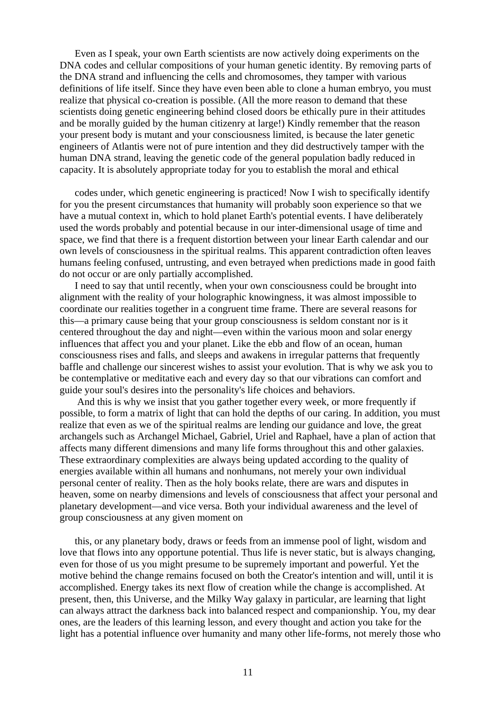Even as I speak, your own Earth scientists are now actively doing experiments on the DNA codes and cellular compositions of your human genetic identity. By removing parts of the DNA strand and influencing the cells and chromosomes, they tamper with various definitions of life itself. Since they have even been able to clone a human embryo, you must realize that physical co-creation is possible. (All the more reason to demand that these scientists doing genetic engineering behind closed doors be ethically pure in their attitudes and be morally guided by the human citizenry at large!) Kindly remember that the reason your present body is mutant and your consciousness limited, is because the later genetic engineers of Atlantis were not of pure intention and they did destructively tamper with the human DNA strand, leaving the genetic code of the general population badly reduced in capacity. It is absolutely appropriate today for you to establish the moral and ethical

codes under, which genetic engineering is practiced! Now I wish to specifically identify for you the present circumstances that humanity will probably soon experience so that we have a mutual context in, which to hold planet Earth's potential events. I have deliberately used the words probably and potential because in our inter-dimensional usage of time and space, we find that there is a frequent distortion between your linear Earth calendar and our own levels of consciousness in the spiritual realms. This apparent contradiction often leaves humans feeling confused, untrusting, and even betrayed when predictions made in good faith do not occur or are only partially accomplished.

I need to say that until recently, when your own consciousness could be brought into alignment with the reality of your holographic knowingness, it was almost impossible to coordinate our realities together in a congruent time frame. There are several reasons for this—a primary cause being that your group consciousness is seldom constant nor is it centered throughout the day and night—even within the various moon and solar energy influences that affect you and your planet. Like the ebb and flow of an ocean, human consciousness rises and falls, and sleeps and awakens in irregular patterns that frequently baffle and challenge our sincerest wishes to assist your evolution. That is why we ask you to be contemplative or meditative each and every day so that our vibrations can comfort and guide your soul's desires into the personality's life choices and behaviors.

 And this is why we insist that you gather together every week, or more frequently if possible, to form a matrix of light that can hold the depths of our caring. In addition, you must realize that even as we of the spiritual realms are lending our guidance and love, the great archangels such as Archangel Michael, Gabriel, Uriel and Raphael, have a plan of action that affects many different dimensions and many life forms throughout this and other galaxies. These extraordinary complexities are always being updated according to the quality of energies available within all humans and nonhumans, not merely your own individual personal center of reality. Then as the holy books relate, there are wars and disputes in heaven, some on nearby dimensions and levels of consciousness that affect your personal and planetary development—and vice versa. Both your individual awareness and the level of group consciousness at any given moment on

this, or any planetary body, draws or feeds from an immense pool of light, wisdom and love that flows into any opportune potential. Thus life is never static, but is always changing, even for those of us you might presume to be supremely important and powerful. Yet the motive behind the change remains focused on both the Creator's intention and will, until it is accomplished. Energy takes its next flow of creation while the change is accomplished. At present, then, this Universe, and the Milky Way galaxy in particular, are learning that light can always attract the darkness back into balanced respect and companionship. You, my dear ones, are the leaders of this learning lesson, and every thought and action you take for the light has a potential influence over humanity and many other life-forms, not merely those who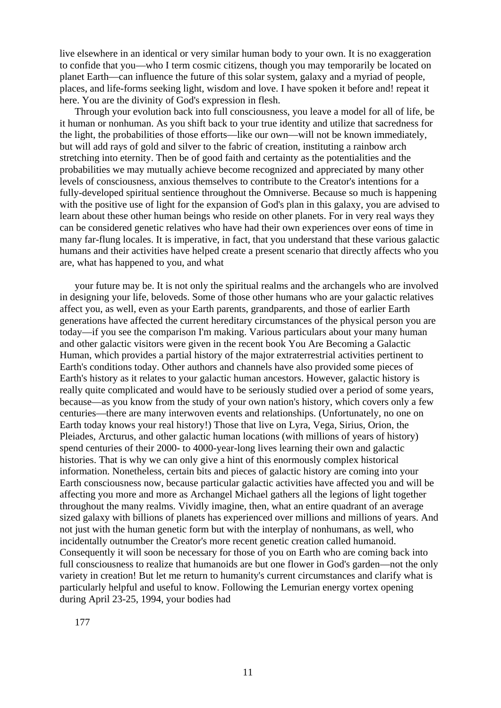live elsewhere in an identical or very similar human body to your own. It is no exaggeration to confide that you—who I term cosmic citizens, though you may temporarily be located on planet Earth—can influence the future of this solar system, galaxy and a myriad of people, places, and life-forms seeking light, wisdom and love. I have spoken it before and! repeat it here. You are the divinity of God's expression in flesh.

Through your evolution back into full consciousness, you leave a model for all of life, be it human or nonhuman. As you shift back to your true identity and utilize that sacredness for the light, the probabilities of those efforts—like our own—will not be known immediately, but will add rays of gold and silver to the fabric of creation, instituting a rainbow arch stretching into eternity. Then be of good faith and certainty as the potentialities and the probabilities we may mutually achieve become recognized and appreciated by many other levels of consciousness, anxious themselves to contribute to the Creator's intentions for a fully-developed spiritual sentience throughout the Omniverse. Because so much is happening with the positive use of light for the expansion of God's plan in this galaxy, you are advised to learn about these other human beings who reside on other planets. For in very real ways they can be considered genetic relatives who have had their own experiences over eons of time in many far-flung locales. It is imperative, in fact, that you understand that these various galactic humans and their activities have helped create a present scenario that directly affects who you are, what has happened to you, and what

your future may be. It is not only the spiritual realms and the archangels who are involved in designing your life, beloveds. Some of those other humans who are your galactic relatives affect you, as well, even as your Earth parents, grandparents, and those of earlier Earth generations have affected the current hereditary circumstances of the physical person you are today—if you see the comparison I'm making. Various particulars about your many human and other galactic visitors were given in the recent book You Are Becoming a Galactic Human, which provides a partial history of the major extraterrestrial activities pertinent to Earth's conditions today. Other authors and channels have also provided some pieces of Earth's history as it relates to your galactic human ancestors. However, galactic history is really quite complicated and would have to be seriously studied over a period of some years, because—as you know from the study of your own nation's history, which covers only a few centuries—there are many interwoven events and relationships. (Unfortunately, no one on Earth today knows your real history!) Those that live on Lyra, Vega, Sirius, Orion, the Pleiades, Arcturus, and other galactic human locations (with millions of years of history) spend centuries of their 2000- to 4000-year-long lives learning their own and galactic histories. That is why we can only give a hint of this enormously complex historical information. Nonetheless, certain bits and pieces of galactic history are coming into your Earth consciousness now, because particular galactic activities have affected you and will be affecting you more and more as Archangel Michael gathers all the legions of light together throughout the many realms. Vividly imagine, then, what an entire quadrant of an average sized galaxy with billions of planets has experienced over millions and millions of years. And not just with the human genetic form but with the interplay of nonhumans, as well, who incidentally outnumber the Creator's more recent genetic creation called humanoid. Consequently it will soon be necessary for those of you on Earth who are coming back into full consciousness to realize that humanoids are but one flower in God's garden—not the only variety in creation! But let me return to humanity's current circumstances and clarify what is particularly helpful and useful to know. Following the Lemurian energy vortex opening during April 23-25, 1994, your bodies had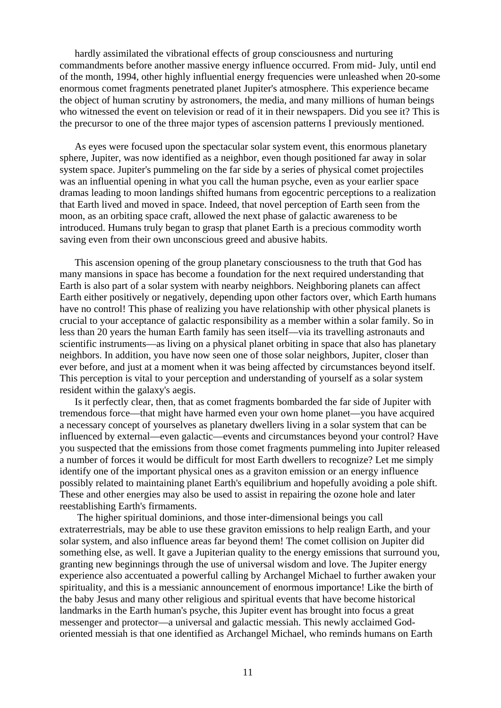hardly assimilated the vibrational effects of group consciousness and nurturing commandments before another massive energy influence occurred. From mid- July, until end of the month, 1994, other highly influential energy frequencies were unleashed when 20-some enormous comet fragments penetrated planet Jupiter's atmosphere. This experience became the object of human scrutiny by astronomers, the media, and many millions of human beings who witnessed the event on television or read of it in their newspapers. Did you see it? This is the precursor to one of the three major types of ascension patterns I previously mentioned.

As eyes were focused upon the spectacular solar system event, this enormous planetary sphere, Jupiter, was now identified as a neighbor, even though positioned far away in solar system space. Jupiter's pummeling on the far side by a series of physical comet projectiles was an influential opening in what you call the human psyche, even as your earlier space dramas leading to moon landings shifted humans from egocentric perceptions to a realization that Earth lived and moved in space. Indeed, that novel perception of Earth seen from the moon, as an orbiting space craft, allowed the next phase of galactic awareness to be introduced. Humans truly began to grasp that planet Earth is a precious commodity worth saving even from their own unconscious greed and abusive habits.

This ascension opening of the group planetary consciousness to the truth that God has many mansions in space has become a foundation for the next required understanding that Earth is also part of a solar system with nearby neighbors. Neighboring planets can affect Earth either positively or negatively, depending upon other factors over, which Earth humans have no control! This phase of realizing you have relationship with other physical planets is crucial to your acceptance of galactic responsibility as a member within a solar family. So in less than 20 years the human Earth family has seen itself—via its travelling astronauts and scientific instruments—as living on a physical planet orbiting in space that also has planetary neighbors. In addition, you have now seen one of those solar neighbors, Jupiter, closer than ever before, and just at a moment when it was being affected by circumstances beyond itself. This perception is vital to your perception and understanding of yourself as a solar system resident within the galaxy's aegis.

Is it perfectly clear, then, that as comet fragments bombarded the far side of Jupiter with tremendous force—that might have harmed even your own home planet—you have acquired a necessary concept of yourselves as planetary dwellers living in a solar system that can be influenced by external—even galactic—events and circumstances beyond your control? Have you suspected that the emissions from those comet fragments pummeling into Jupiter released a number of forces it would be difficult for most Earth dwellers to recognize? Let me simply identify one of the important physical ones as a graviton emission or an energy influence possibly related to maintaining planet Earth's equilibrium and hopefully avoiding a pole shift. These and other energies may also be used to assist in repairing the ozone hole and later reestablishing Earth's firmaments.

 The higher spiritual dominions, and those inter-dimensional beings you call extraterrestrials, may be able to use these graviton emissions to help realign Earth, and your solar system, and also influence areas far beyond them! The comet collision on Jupiter did something else, as well. It gave a Jupiterian quality to the energy emissions that surround you, granting new beginnings through the use of universal wisdom and love. The Jupiter energy experience also accentuated a powerful calling by Archangel Michael to further awaken your spirituality, and this is a messianic announcement of enormous importance! Like the birth of the baby Jesus and many other religious and spiritual events that have become historical landmarks in the Earth human's psyche, this Jupiter event has brought into focus a great messenger and protector—a universal and galactic messiah. This newly acclaimed Godoriented messiah is that one identified as Archangel Michael, who reminds humans on Earth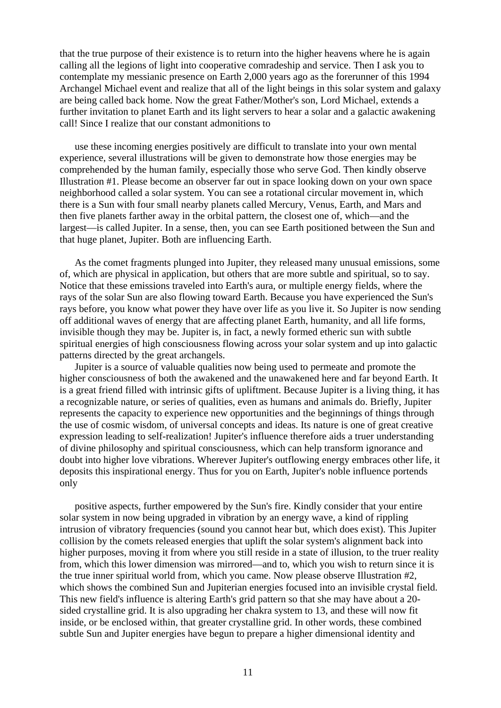that the true purpose of their existence is to return into the higher heavens where he is again calling all the legions of light into cooperative comradeship and service. Then I ask you to contemplate my messianic presence on Earth 2,000 years ago as the forerunner of this 1994 Archangel Michael event and realize that all of the light beings in this solar system and galaxy are being called back home. Now the great Father/Mother's son, Lord Michael, extends a further invitation to planet Earth and its light servers to hear a solar and a galactic awakening call! Since I realize that our constant admonitions to

use these incoming energies positively are difficult to translate into your own mental experience, several illustrations will be given to demonstrate how those energies may be comprehended by the human family, especially those who serve God. Then kindly observe Illustration #1. Please become an observer far out in space looking down on your own space neighborhood called a solar system. You can see a rotational circular movement in, which there is a Sun with four small nearby planets called Mercury, Venus, Earth, and Mars and then five planets farther away in the orbital pattern, the closest one of, which—and the largest—is called Jupiter. In a sense, then, you can see Earth positioned between the Sun and that huge planet, Jupiter. Both are influencing Earth.

As the comet fragments plunged into Jupiter, they released many unusual emissions, some of, which are physical in application, but others that are more subtle and spiritual, so to say. Notice that these emissions traveled into Earth's aura, or multiple energy fields, where the rays of the solar Sun are also flowing toward Earth. Because you have experienced the Sun's rays before, you know what power they have over life as you live it. So Jupiter is now sending off additional waves of energy that are affecting planet Earth, humanity, and all life forms, invisible though they may be. Jupiter is, in fact, a newly formed etheric sun with subtle spiritual energies of high consciousness flowing across your solar system and up into galactic patterns directed by the great archangels.

Jupiter is a source of valuable qualities now being used to permeate and promote the higher consciousness of both the awakened and the unawakened here and far beyond Earth. It is a great friend filled with intrinsic gifts of upliftment. Because Jupiter is a living thing, it has a recognizable nature, or series of qualities, even as humans and animals do. Briefly, Jupiter represents the capacity to experience new opportunities and the beginnings of things through the use of cosmic wisdom, of universal concepts and ideas. Its nature is one of great creative expression leading to self-realization! Jupiter's influence therefore aids a truer understanding of divine philosophy and spiritual consciousness, which can help transform ignorance and doubt into higher love vibrations. Wherever Jupiter's outflowing energy embraces other life, it deposits this inspirational energy. Thus for you on Earth, Jupiter's noble influence portends only

positive aspects, further empowered by the Sun's fire. Kindly consider that your entire solar system in now being upgraded in vibration by an energy wave, a kind of rippling intrusion of vibratory frequencies (sound you cannot hear but, which does exist). This Jupiter collision by the comets released energies that uplift the solar system's alignment back into higher purposes, moving it from where you still reside in a state of illusion, to the truer reality from, which this lower dimension was mirrored—and to, which you wish to return since it is the true inner spiritual world from, which you came. Now please observe Illustration #2, which shows the combined Sun and Jupiterian energies focused into an invisible crystal field. This new field's influence is altering Earth's grid pattern so that she may have about a 20 sided crystalline grid. It is also upgrading her chakra system to 13, and these will now fit inside, or be enclosed within, that greater crystalline grid. In other words, these combined subtle Sun and Jupiter energies have begun to prepare a higher dimensional identity and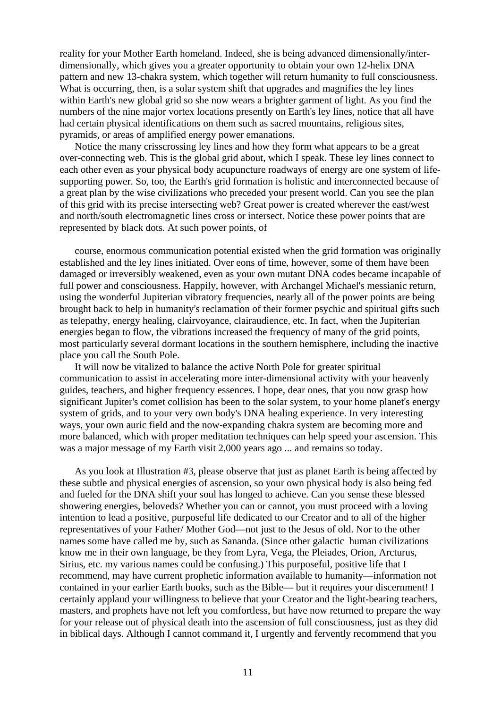reality for your Mother Earth homeland. Indeed, she is being advanced dimensionally/interdimensionally, which gives you a greater opportunity to obtain your own 12-helix DNA pattern and new 13-chakra system, which together will return humanity to full consciousness. What is occurring, then, is a solar system shift that upgrades and magnifies the ley lines within Earth's new global grid so she now wears a brighter garment of light. As you find the numbers of the nine major vortex locations presently on Earth's ley lines, notice that all have had certain physical identifications on them such as sacred mountains, religious sites, pyramids, or areas of amplified energy power emanations.

Notice the many crisscrossing ley lines and how they form what appears to be a great over-connecting web. This is the global grid about, which I speak. These ley lines connect to each other even as your physical body acupuncture roadways of energy are one system of lifesupporting power. So, too, the Earth's grid formation is holistic and interconnected because of a great plan by the wise civilizations who preceded your present world. Can you see the plan of this grid with its precise intersecting web? Great power is created wherever the east/west and north/south electromagnetic lines cross or intersect. Notice these power points that are represented by black dots. At such power points, of

course, enormous communication potential existed when the grid formation was originally established and the ley lines initiated. Over eons of time, however, some of them have been damaged or irreversibly weakened, even as your own mutant DNA codes became incapable of full power and consciousness. Happily, however, with Archangel Michael's messianic return, using the wonderful Jupiterian vibratory frequencies, nearly all of the power points are being brought back to help in humanity's reclamation of their former psychic and spiritual gifts such as telepathy, energy healing, clairvoyance, clairaudience, etc. In fact, when the Jupiterian energies began to flow, the vibrations increased the frequency of many of the grid points, most particularly several dormant locations in the southern hemisphere, including the inactive place you call the South Pole.

It will now be vitalized to balance the active North Pole for greater spiritual communication to assist in accelerating more inter-dimensional activity with your heavenly guides, teachers, and higher frequency essences. I hope, dear ones, that you now grasp how significant Jupiter's comet collision has been to the solar system, to your home planet's energy system of grids, and to your very own body's DNA healing experience. In very interesting ways, your own auric field and the now-expanding chakra system are becoming more and more balanced, which with proper meditation techniques can help speed your ascension. This was a major message of my Earth visit 2,000 years ago ... and remains so today.

As you look at Illustration #3, please observe that just as planet Earth is being affected by these subtle and physical energies of ascension, so your own physical body is also being fed and fueled for the DNA shift your soul has longed to achieve. Can you sense these blessed showering energies, beloveds? Whether you can or cannot, you must proceed with a loving intention to lead a positive, purposeful life dedicated to our Creator and to all of the higher representatives of your Father/ Mother God—not just to the Jesus of old. Nor to the other names some have called me by, such as Sananda. (Since other galactic human civilizations know me in their own language, be they from Lyra, Vega, the Pleiades, Orion, Arcturus, Sirius, etc. my various names could be confusing.) This purposeful, positive life that I recommend, may have current prophetic information available to humanity—information not contained in your earlier Earth books, such as the Bible— but it requires your discernment! I certainly applaud your willingness to believe that your Creator and the light-bearing teachers, masters, and prophets have not left you comfortless, but have now returned to prepare the way for your release out of physical death into the ascension of full consciousness, just as they did in biblical days. Although I cannot command it, I urgently and fervently recommend that you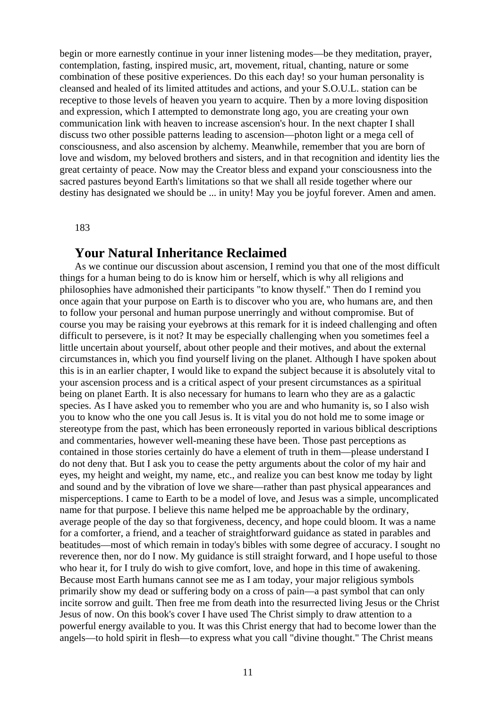begin or more earnestly continue in your inner listening modes—be they meditation, prayer, contemplation, fasting, inspired music, art, movement, ritual, chanting, nature or some combination of these positive experiences. Do this each day! so your human personality is cleansed and healed of its limited attitudes and actions, and your S.O.U.L. station can be receptive to those levels of heaven you yearn to acquire. Then by a more loving disposition and expression, which I attempted to demonstrate long ago, you are creating your own communication link with heaven to increase ascension's hour. In the next chapter I shall discuss two other possible patterns leading to ascension—photon light or a mega cell of consciousness, and also ascension by alchemy. Meanwhile, remember that you are born of love and wisdom, my beloved brothers and sisters, and in that recognition and identity lies the great certainty of peace. Now may the Creator bless and expand your consciousness into the sacred pastures beyond Earth's limitations so that we shall all reside together where our destiny has designated we should be ... in unity! May you be joyful forever. Amen and amen.

183

# **Your Natural Inheritance Reclaimed**

As we continue our discussion about ascension, I remind you that one of the most difficult things for a human being to do is know him or herself, which is why all religions and philosophies have admonished their participants "to know thyself." Then do I remind you once again that your purpose on Earth is to discover who you are, who humans are, and then to follow your personal and human purpose unerringly and without compromise. But of course you may be raising your eyebrows at this remark for it is indeed challenging and often difficult to persevere, is it not? It may be especially challenging when you sometimes feel a little uncertain about yourself, about other people and their motives, and about the external circumstances in, which you find yourself living on the planet. Although I have spoken about this is in an earlier chapter, I would like to expand the subject because it is absolutely vital to your ascension process and is a critical aspect of your present circumstances as a spiritual being on planet Earth. It is also necessary for humans to learn who they are as a galactic species. As I have asked you to remember who you are and who humanity is, so I also wish you to know who the one you call Jesus is. It is vital you do not hold me to some image or stereotype from the past, which has been erroneously reported in various biblical descriptions and commentaries, however well-meaning these have been. Those past perceptions as contained in those stories certainly do have a element of truth in them—please understand I do not deny that. But I ask you to cease the petty arguments about the color of my hair and eyes, my height and weight, my name, etc., and realize you can best know me today by light and sound and by the vibration of love we share—rather than past physical appearances and misperceptions. I came to Earth to be a model of love, and Jesus was a simple, uncomplicated name for that purpose. I believe this name helped me be approachable by the ordinary, average people of the day so that forgiveness, decency, and hope could bloom. It was a name for a comforter, a friend, and a teacher of straightforward guidance as stated in parables and beatitudes—most of which remain in today's bibles with some degree of accuracy. I sought no reverence then, nor do I now. My guidance is still straight forward, and I hope useful to those who hear it, for I truly do wish to give comfort, love, and hope in this time of awakening. Because most Earth humans cannot see me as I am today, your major religious symbols primarily show my dead or suffering body on a cross of pain—a past symbol that can only incite sorrow and guilt. Then free me from death into the resurrected living Jesus or the Christ Jesus of now. On this book's cover I have used The Christ simply to draw attention to a powerful energy available to you. It was this Christ energy that had to become lower than the angels—to hold spirit in flesh—to express what you call "divine thought." The Christ means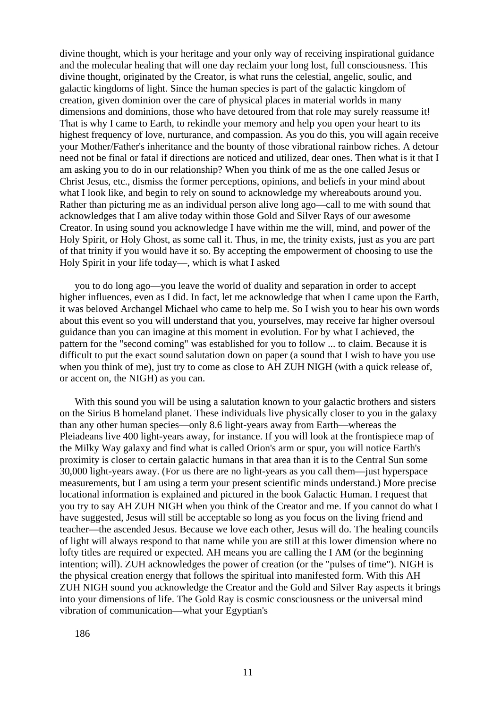divine thought, which is your heritage and your only way of receiving inspirational guidance and the molecular healing that will one day reclaim your long lost, full consciousness. This divine thought, originated by the Creator, is what runs the celestial, angelic, soulic, and galactic kingdoms of light. Since the human species is part of the galactic kingdom of creation, given dominion over the care of physical places in material worlds in many dimensions and dominions, those who have detoured from that role may surely reassume it! That is why I came to Earth, to rekindle your memory and help you open your heart to its highest frequency of love, nurturance, and compassion. As you do this, you will again receive your Mother/Father's inheritance and the bounty of those vibrational rainbow riches. A detour need not be final or fatal if directions are noticed and utilized, dear ones. Then what is it that I am asking you to do in our relationship? When you think of me as the one called Jesus or Christ Jesus, etc., dismiss the former perceptions, opinions, and beliefs in your mind about what I look like, and begin to rely on sound to acknowledge my whereabouts around you. Rather than picturing me as an individual person alive long ago—call to me with sound that acknowledges that I am alive today within those Gold and Silver Rays of our awesome Creator. In using sound you acknowledge I have within me the will, mind, and power of the Holy Spirit, or Holy Ghost, as some call it. Thus, in me, the trinity exists, just as you are part of that trinity if you would have it so. By accepting the empowerment of choosing to use the Holy Spirit in your life today—, which is what I asked

you to do long ago—you leave the world of duality and separation in order to accept higher influences, even as I did. In fact, let me acknowledge that when I came upon the Earth, it was beloved Archangel Michael who came to help me. So I wish you to hear his own words about this event so you will understand that you, yourselves, may receive far higher oversoul guidance than you can imagine at this moment in evolution. For by what I achieved, the pattern for the "second coming" was established for you to follow ... to claim. Because it is difficult to put the exact sound salutation down on paper (a sound that I wish to have you use when you think of me), just try to come as close to AH ZUH NIGH (with a quick release of, or accent on, the NIGH) as you can.

With this sound you will be using a salutation known to your galactic brothers and sisters on the Sirius B homeland planet. These individuals live physically closer to you in the galaxy than any other human species—only 8.6 light-years away from Earth—whereas the Pleiadeans live 400 light-years away, for instance. If you will look at the frontispiece map of the Milky Way galaxy and find what is called Orion's arm or spur, you will notice Earth's proximity is closer to certain galactic humans in that area than it is to the Central Sun some 30,000 light-years away. (For us there are no light-years as you call them—just hyperspace measurements, but I am using a term your present scientific minds understand.) More precise locational information is explained and pictured in the book Galactic Human. I request that you try to say AH ZUH NIGH when you think of the Creator and me. If you cannot do what I have suggested, Jesus will still be acceptable so long as you focus on the living friend and teacher—the ascended Jesus. Because we love each other, Jesus will do. The healing councils of light will always respond to that name while you are still at this lower dimension where no lofty titles are required or expected. AH means you are calling the I AM (or the beginning intention; will). ZUH acknowledges the power of creation (or the "pulses of time"). NIGH is the physical creation energy that follows the spiritual into manifested form. With this AH ZUH NIGH sound you acknowledge the Creator and the Gold and Silver Ray aspects it brings into your dimensions of life. The Gold Ray is cosmic consciousness or the universal mind vibration of communication—what your Egyptian's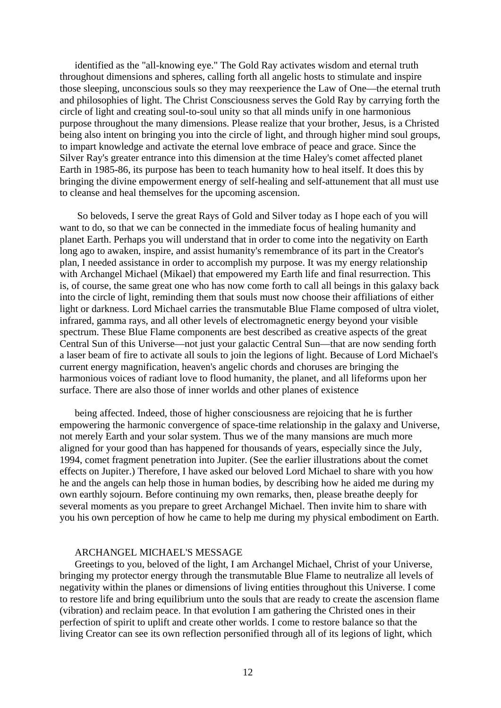identified as the "all-knowing eye." The Gold Ray activates wisdom and eternal truth throughout dimensions and spheres, calling forth all angelic hosts to stimulate and inspire those sleeping, unconscious souls so they may reexperience the Law of One—the eternal truth and philosophies of light. The Christ Consciousness serves the Gold Ray by carrying forth the circle of light and creating soul-to-soul unity so that all minds unify in one harmonious purpose throughout the many dimensions. Please realize that your brother, Jesus, is a Christed being also intent on bringing you into the circle of light, and through higher mind soul groups, to impart knowledge and activate the eternal love embrace of peace and grace. Since the Silver Ray's greater entrance into this dimension at the time Haley's comet affected planet Earth in 1985-86, its purpose has been to teach humanity how to heal itself. It does this by bringing the divine empowerment energy of self-healing and self-attunement that all must use to cleanse and heal themselves for the upcoming ascension.

 So beloveds, I serve the great Rays of Gold and Silver today as I hope each of you will want to do, so that we can be connected in the immediate focus of healing humanity and planet Earth. Perhaps you will understand that in order to come into the negativity on Earth long ago to awaken, inspire, and assist humanity's remembrance of its part in the Creator's plan, I needed assistance in order to accomplish my purpose. It was my energy relationship with Archangel Michael (Mikael) that empowered my Earth life and final resurrection. This is, of course, the same great one who has now come forth to call all beings in this galaxy back into the circle of light, reminding them that souls must now choose their affiliations of either light or darkness. Lord Michael carries the transmutable Blue Flame composed of ultra violet, infrared, gamma rays, and all other levels of electromagnetic energy beyond your visible spectrum. These Blue Flame components are best described as creative aspects of the great Central Sun of this Universe—not just your galactic Central Sun—that are now sending forth a laser beam of fire to activate all souls to join the legions of light. Because of Lord Michael's current energy magnification, heaven's angelic chords and choruses are bringing the harmonious voices of radiant love to flood humanity, the planet, and all lifeforms upon her surface. There are also those of inner worlds and other planes of existence

being affected. Indeed, those of higher consciousness are rejoicing that he is further empowering the harmonic convergence of space-time relationship in the galaxy and Universe, not merely Earth and your solar system. Thus we of the many mansions are much more aligned for your good than has happened for thousands of years, especially since the July, 1994, comet fragment penetration into Jupiter. (See the earlier illustrations about the comet effects on Jupiter.) Therefore, I have asked our beloved Lord Michael to share with you how he and the angels can help those in human bodies, by describing how he aided me during my own earthly sojourn. Before continuing my own remarks, then, please breathe deeply for several moments as you prepare to greet Archangel Michael. Then invite him to share with you his own perception of how he came to help me during my physical embodiment on Earth.

#### ARCHANGEL MICHAEL'S MESSAGE

Greetings to you, beloved of the light, I am Archangel Michael, Christ of your Universe, bringing my protector energy through the transmutable Blue Flame to neutralize all levels of negativity within the planes or dimensions of living entities throughout this Universe. I come to restore life and bring equilibrium unto the souls that are ready to create the ascension flame (vibration) and reclaim peace. In that evolution I am gathering the Christed ones in their perfection of spirit to uplift and create other worlds. I come to restore balance so that the living Creator can see its own reflection personified through all of its legions of light, which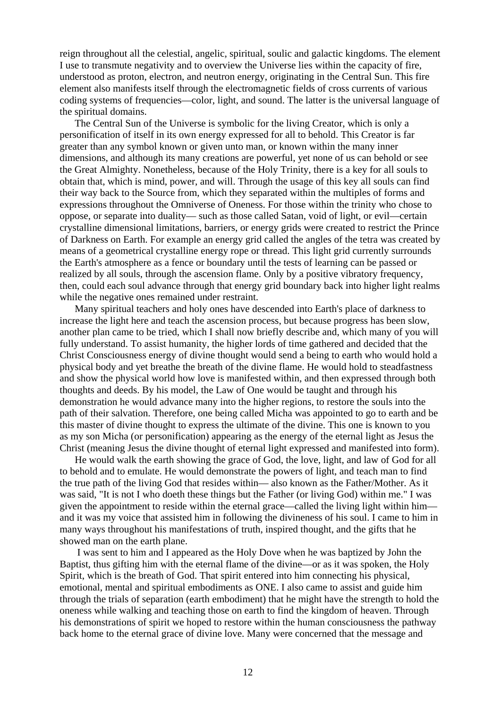reign throughout all the celestial, angelic, spiritual, soulic and galactic kingdoms. The element I use to transmute negativity and to overview the Universe lies within the capacity of fire, understood as proton, electron, and neutron energy, originating in the Central Sun. This fire element also manifests itself through the electromagnetic fields of cross currents of various coding systems of frequencies—color, light, and sound. The latter is the universal language of the spiritual domains.

The Central Sun of the Universe is symbolic for the living Creator, which is only a personification of itself in its own energy expressed for all to behold. This Creator is far greater than any symbol known or given unto man, or known within the many inner dimensions, and although its many creations are powerful, yet none of us can behold or see the Great Almighty. Nonetheless, because of the Holy Trinity, there is a key for all souls to obtain that, which is mind, power, and will. Through the usage of this key all souls can find their way back to the Source from, which they separated within the multiples of forms and expressions throughout the Omniverse of Oneness. For those within the trinity who chose to oppose, or separate into duality— such as those called Satan, void of light, or evil—certain crystalline dimensional limitations, barriers, or energy grids were created to restrict the Prince of Darkness on Earth. For example an energy grid called the angles of the tetra was created by means of a geometrical crystalline energy rope or thread. This light grid currently surrounds the Earth's atmosphere as a fence or boundary until the tests of learning can be passed or realized by all souls, through the ascension flame. Only by a positive vibratory frequency, then, could each soul advance through that energy grid boundary back into higher light realms while the negative ones remained under restraint.

Many spiritual teachers and holy ones have descended into Earth's place of darkness to increase the light here and teach the ascension process, but because progress has been slow, another plan came to be tried, which I shall now briefly describe and, which many of you will fully understand. To assist humanity, the higher lords of time gathered and decided that the Christ Consciousness energy of divine thought would send a being to earth who would hold a physical body and yet breathe the breath of the divine flame. He would hold to steadfastness and show the physical world how love is manifested within, and then expressed through both thoughts and deeds. By his model, the Law of One would be taught and through his demonstration he would advance many into the higher regions, to restore the souls into the path of their salvation. Therefore, one being called Micha was appointed to go to earth and be this master of divine thought to express the ultimate of the divine. This one is known to you as my son Micha (or personification) appearing as the energy of the eternal light as Jesus the Christ (meaning Jesus the divine thought of eternal light expressed and manifested into form).

He would walk the earth showing the grace of God, the love, light, and law of God for all to behold and to emulate. He would demonstrate the powers of light, and teach man to find the true path of the living God that resides within— also known as the Father/Mother. As it was said, "It is not I who doeth these things but the Father (or living God) within me." I was given the appointment to reside within the eternal grace—called the living light within him and it was my voice that assisted him in following the divineness of his soul. I came to him in many ways throughout his manifestations of truth, inspired thought, and the gifts that he showed man on the earth plane.

 I was sent to him and I appeared as the Holy Dove when he was baptized by John the Baptist, thus gifting him with the eternal flame of the divine—or as it was spoken, the Holy Spirit, which is the breath of God. That spirit entered into him connecting his physical, emotional, mental and spiritual embodiments as ONE. I also came to assist and guide him through the trials of separation (earth embodiment) that he might have the strength to hold the oneness while walking and teaching those on earth to find the kingdom of heaven. Through his demonstrations of spirit we hoped to restore within the human consciousness the pathway back home to the eternal grace of divine love. Many were concerned that the message and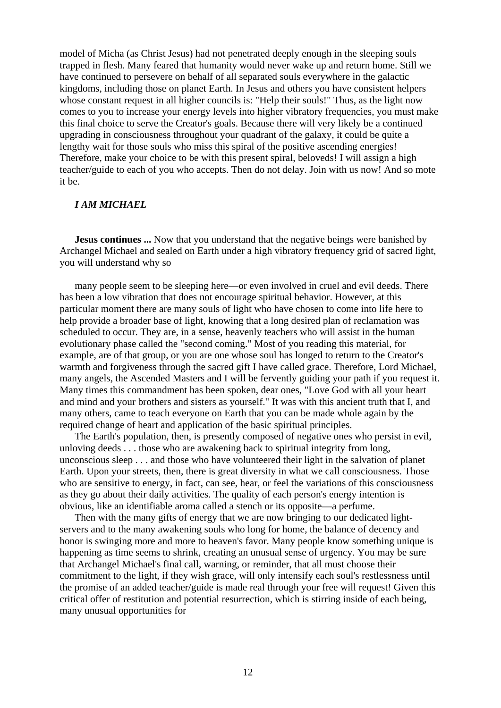model of Micha (as Christ Jesus) had not penetrated deeply enough in the sleeping souls trapped in flesh. Many feared that humanity would never wake up and return home. Still we have continued to persevere on behalf of all separated souls everywhere in the galactic kingdoms, including those on planet Earth. In Jesus and others you have consistent helpers whose constant request in all higher councils is: "Help their souls!" Thus, as the light now comes to you to increase your energy levels into higher vibratory frequencies, you must make this final choice to serve the Creator's goals. Because there will very likely be a continued upgrading in consciousness throughout your quadrant of the galaxy, it could be quite a lengthy wait for those souls who miss this spiral of the positive ascending energies! Therefore, make your choice to be with this present spiral, beloveds! I will assign a high teacher/guide to each of you who accepts. Then do not delay. Join with us now! And so mote it be.

### *I AM MICHAEL*

**Jesus continues ...** Now that you understand that the negative beings were banished by Archangel Michael and sealed on Earth under a high vibratory frequency grid of sacred light, you will understand why so

many people seem to be sleeping here—or even involved in cruel and evil deeds. There has been a low vibration that does not encourage spiritual behavior. However, at this particular moment there are many souls of light who have chosen to come into life here to help provide a broader base of light, knowing that a long desired plan of reclamation was scheduled to occur. They are, in a sense, heavenly teachers who will assist in the human evolutionary phase called the "second coming." Most of you reading this material, for example, are of that group, or you are one whose soul has longed to return to the Creator's warmth and forgiveness through the sacred gift I have called grace. Therefore, Lord Michael, many angels, the Ascended Masters and I will be fervently guiding your path if you request it. Many times this commandment has been spoken, dear ones, "Love God with all your heart and mind and your brothers and sisters as yourself." It was with this ancient truth that I, and many others, came to teach everyone on Earth that you can be made whole again by the required change of heart and application of the basic spiritual principles.

The Earth's population, then, is presently composed of negative ones who persist in evil, unloving deeds . . . those who are awakening back to spiritual integrity from long, unconscious sleep . . . and those who have volunteered their light in the salvation of planet Earth. Upon your streets, then, there is great diversity in what we call consciousness. Those who are sensitive to energy, in fact, can see, hear, or feel the variations of this consciousness as they go about their daily activities. The quality of each person's energy intention is obvious, like an identifiable aroma called a stench or its opposite—a perfume.

Then with the many gifts of energy that we are now bringing to our dedicated lightservers and to the many awakening souls who long for home, the balance of decency and honor is swinging more and more to heaven's favor. Many people know something unique is happening as time seems to shrink, creating an unusual sense of urgency. You may be sure that Archangel Michael's final call, warning, or reminder, that all must choose their commitment to the light, if they wish grace, will only intensify each soul's restlessness until the promise of an added teacher/guide is made real through your free will request! Given this critical offer of restitution and potential resurrection, which is stirring inside of each being, many unusual opportunities for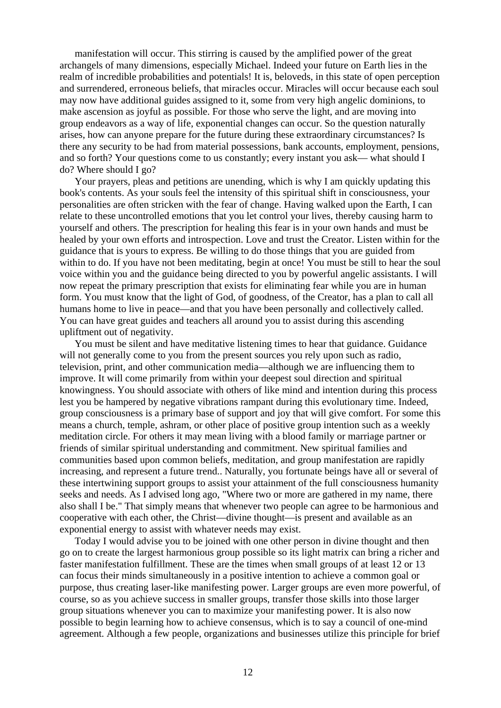manifestation will occur. This stirring is caused by the amplified power of the great archangels of many dimensions, especially Michael. Indeed your future on Earth lies in the realm of incredible probabilities and potentials! It is, beloveds, in this state of open perception and surrendered, erroneous beliefs, that miracles occur. Miracles will occur because each soul may now have additional guides assigned to it, some from very high angelic dominions, to make ascension as joyful as possible. For those who serve the light, and are moving into group endeavors as a way of life, exponential changes can occur. So the question naturally arises, how can anyone prepare for the future during these extraordinary circumstances? Is there any security to be had from material possessions, bank accounts, employment, pensions, and so forth? Your questions come to us constantly; every instant you ask— what should I do? Where should I go?

Your prayers, pleas and petitions are unending, which is why I am quickly updating this book's contents. As your souls feel the intensity of this spiritual shift in consciousness, your personalities are often stricken with the fear of change. Having walked upon the Earth, I can relate to these uncontrolled emotions that you let control your lives, thereby causing harm to yourself and others. The prescription for healing this fear is in your own hands and must be healed by your own efforts and introspection. Love and trust the Creator. Listen within for the guidance that is yours to express. Be willing to do those things that you are guided from within to do. If you have not been meditating, begin at once! You must be still to hear the soul voice within you and the guidance being directed to you by powerful angelic assistants. I will now repeat the primary prescription that exists for eliminating fear while you are in human form. You must know that the light of God, of goodness, of the Creator, has a plan to call all humans home to live in peace—and that you have been personally and collectively called. You can have great guides and teachers all around you to assist during this ascending upliftment out of negativity.

You must be silent and have meditative listening times to hear that guidance. Guidance will not generally come to you from the present sources you rely upon such as radio, television, print, and other communication media—although we are influencing them to improve. It will come primarily from within your deepest soul direction and spiritual knowingness. You should associate with others of like mind and intention during this process lest you be hampered by negative vibrations rampant during this evolutionary time. Indeed, group consciousness is a primary base of support and joy that will give comfort. For some this means a church, temple, ashram, or other place of positive group intention such as a weekly meditation circle. For others it may mean living with a blood family or marriage partner or friends of similar spiritual understanding and commitment. New spiritual families and communities based upon common beliefs, meditation, and group manifestation are rapidly increasing, and represent a future trend.. Naturally, you fortunate beings have all or several of these intertwining support groups to assist your attainment of the full consciousness humanity seeks and needs. As I advised long ago, "Where two or more are gathered in my name, there also shall I be." That simply means that whenever two people can agree to be harmonious and cooperative with each other, the Christ—divine thought—is present and available as an exponential energy to assist with whatever needs may exist.

Today I would advise you to be joined with one other person in divine thought and then go on to create the largest harmonious group possible so its light matrix can bring a richer and faster manifestation fulfillment. These are the times when small groups of at least 12 or 13 can focus their minds simultaneously in a positive intention to achieve a common goal or purpose, thus creating laser-like manifesting power. Larger groups are even more powerful, of course, so as you achieve success in smaller groups, transfer those skills into those larger group situations whenever you can to maximize your manifesting power. It is also now possible to begin learning how to achieve consensus, which is to say a council of one-mind agreement. Although a few people, organizations and businesses utilize this principle for brief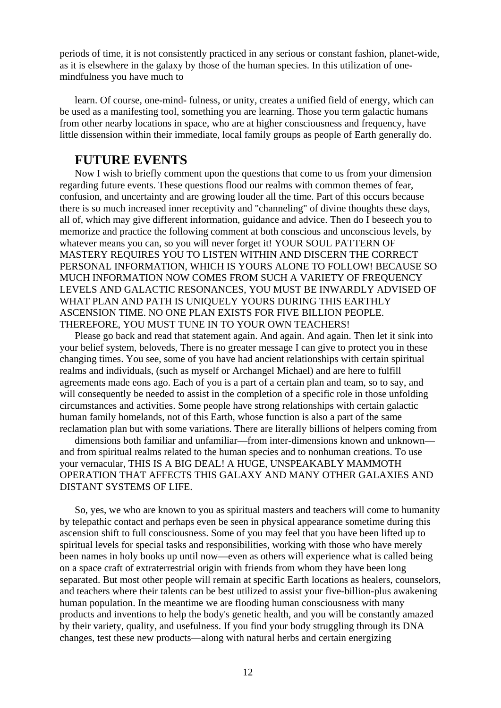periods of time, it is not consistently practiced in any serious or constant fashion, planet-wide, as it is elsewhere in the galaxy by those of the human species. In this utilization of onemindfulness you have much to

learn. Of course, one-mind- fulness, or unity, creates a unified field of energy, which can be used as a manifesting tool, something you are learning. Those you term galactic humans from other nearby locations in space, who are at higher consciousness and frequency, have little dissension within their immediate, local family groups as people of Earth generally do.

# **FUTURE EVENTS**

Now I wish to briefly comment upon the questions that come to us from your dimension regarding future events. These questions flood our realms with common themes of fear, confusion, and uncertainty and are growing louder all the time. Part of this occurs because there is so much increased inner receptivity and "channeling" of divine thoughts these days, all of, which may give different information, guidance and advice. Then do I beseech you to memorize and practice the following comment at both conscious and unconscious levels, by whatever means you can, so you will never forget it! YOUR SOUL PATTERN OF MASTERY REQUIRES YOU TO LISTEN WITHIN AND DISCERN THE CORRECT PERSONAL INFORMATION, WHICH IS YOURS ALONE TO FOLLOW! BECAUSE SO MUCH INFORMATION NOW COMES FROM SUCH A VARIETY OF FREQUENCY LEVELS AND GALACTIC RESONANCES, YOU MUST BE INWARDLY ADVISED OF WHAT PLAN AND PATH IS UNIQUELY YOURS DURING THIS EARTHLY ASCENSION TIME. NO ONE PLAN EXISTS FOR FIVE BILLION PEOPLE. THEREFORE, YOU MUST TUNE IN TO YOUR OWN TEACHERS!

Please go back and read that statement again. And again. And again. Then let it sink into your belief system, beloveds, There is no greater message I can give to protect you in these changing times. You see, some of you have had ancient relationships with certain spiritual realms and individuals, (such as myself or Archangel Michael) and are here to fulfill agreements made eons ago. Each of you is a part of a certain plan and team, so to say, and will consequently be needed to assist in the completion of a specific role in those unfolding circumstances and activities. Some people have strong relationships with certain galactic human family homelands, not of this Earth, whose function is also a part of the same reclamation plan but with some variations. There are literally billions of helpers coming from

dimensions both familiar and unfamiliar—from inter-dimensions known and unknown and from spiritual realms related to the human species and to nonhuman creations. To use your vernacular, THIS IS A BIG DEAL! A HUGE, UNSPEAKABLY MAMMOTH OPERATION THAT AFFECTS THIS GALAXY AND MANY OTHER GALAXIES AND DISTANT SYSTEMS OF LIFE.

So, yes, we who are known to you as spiritual masters and teachers will come to humanity by telepathic contact and perhaps even be seen in physical appearance sometime during this ascension shift to full consciousness. Some of you may feel that you have been lifted up to spiritual levels for special tasks and responsibilities, working with those who have merely been names in holy books up until now—even as others will experience what is called being on a space craft of extraterrestrial origin with friends from whom they have been long separated. But most other people will remain at specific Earth locations as healers, counselors, and teachers where their talents can be best utilized to assist your five-billion-plus awakening human population. In the meantime we are flooding human consciousness with many products and inventions to help the body's genetic health, and you will be constantly amazed by their variety, quality, and usefulness. If you find your body struggling through its DNA changes, test these new products—along with natural herbs and certain energizing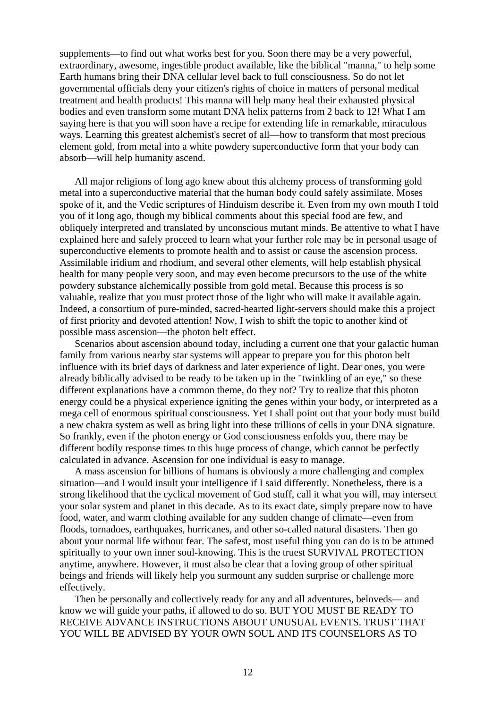supplements—to find out what works best for you. Soon there may be a very powerful, extraordinary, awesome, ingestible product available, like the biblical "manna," to help some Earth humans bring their DNA cellular level back to full consciousness. So do not let governmental officials deny your citizen's rights of choice in matters of personal medical treatment and health products! This manna will help many heal their exhausted physical bodies and even transform some mutant DNA helix patterns from 2 back to 12! What I am saying here is that you will soon have a recipe for extending life in remarkable, miraculous ways. Learning this greatest alchemist's secret of all—how to transform that most precious element gold, from metal into a white powdery superconductive form that your body can absorb—will help humanity ascend.

All major religions of long ago knew about this alchemy process of transforming gold metal into a superconductive material that the human body could safely assimilate. Moses spoke of it, and the Vedic scriptures of Hinduism describe it. Even from my own mouth I told you of it long ago, though my biblical comments about this special food are few, and obliquely interpreted and translated by unconscious mutant minds. Be attentive to what I have explained here and safely proceed to learn what your further role may be in personal usage of superconductive elements to promote health and to assist or cause the ascension process. Assimilable iridium and rhodium, and several other elements, will help establish physical health for many people very soon, and may even become precursors to the use of the white powdery substance alchemically possible from gold metal. Because this process is so valuable, realize that you must protect those of the light who will make it available again. Indeed, a consortium of pure-minded, sacred-hearted light-servers should make this a project of first priority and devoted attention! Now, I wish to shift the topic to another kind of possible mass ascension—the photon belt effect.

Scenarios about ascension abound today, including a current one that your galactic human family from various nearby star systems will appear to prepare you for this photon belt influence with its brief days of darkness and later experience of light. Dear ones, you were already biblically advised to be ready to be taken up in the "twinkling of an eye," so these different explanations have a common theme, do they not? Try to realize that this photon energy could be a physical experience igniting the genes within your body, or interpreted as a mega cell of enormous spiritual consciousness. Yet I shall point out that your body must build a new chakra system as well as bring light into these trillions of cells in your DNA signature. So frankly, even if the photon energy or God consciousness enfolds you, there may be different bodily response times to this huge process of change, which cannot be perfectly calculated in advance. Ascension for one individual is easy to manage.

A mass ascension for billions of humans is obviously a more challenging and complex situation—and I would insult your intelligence if I said differently. Nonetheless, there is a strong likelihood that the cyclical movement of God stuff, call it what you will, may intersect your solar system and planet in this decade. As to its exact date, simply prepare now to have food, water, and warm clothing available for any sudden change of climate—even from floods, tornadoes, earthquakes, hurricanes, and other so-called natural disasters. Then go about your normal life without fear. The safest, most useful thing you can do is to be attuned spiritually to your own inner soul-knowing. This is the truest SURVIVAL PROTECTION anytime, anywhere. However, it must also be clear that a loving group of other spiritual beings and friends will likely help you surmount any sudden surprise or challenge more effectively.

Then be personally and collectively ready for any and all adventures, beloveds— and know we will guide your paths, if allowed to do so. BUT YOU MUST BE READY TO RECEIVE ADVANCE INSTRUCTIONS ABOUT UNUSUAL EVENTS. TRUST THAT YOU WILL BE ADVISED BY YOUR OWN SOUL AND ITS COUNSELORS AS TO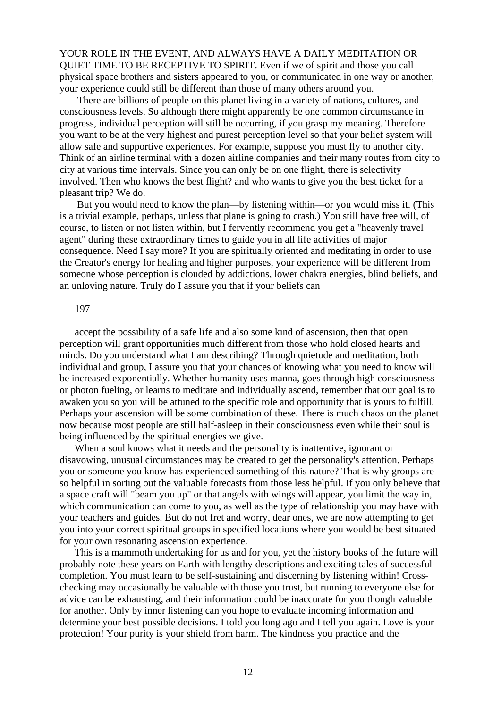YOUR ROLE IN THE EVENT, AND ALWAYS HAVE A DAILY MEDITATION OR QUIET TIME TO BE RECEPTIVE TO SPIRIT. Even if we of spirit and those you call physical space brothers and sisters appeared to you, or communicated in one way or another, your experience could still be different than those of many others around you.

 There are billions of people on this planet living in a variety of nations, cultures, and consciousness levels. So although there might apparently be one common circumstance in progress, individual perception will still be occurring, if you grasp my meaning. Therefore you want to be at the very highest and purest perception level so that your belief system will allow safe and supportive experiences. For example, suppose you must fly to another city. Think of an airline terminal with a dozen airline companies and their many routes from city to city at various time intervals. Since you can only be on one flight, there is selectivity involved. Then who knows the best flight? and who wants to give you the best ticket for a pleasant trip? We do.

 But you would need to know the plan—by listening within—or you would miss it. (This is a trivial example, perhaps, unless that plane is going to crash.) You still have free will, of course, to listen or not listen within, but I fervently recommend you get a "heavenly travel agent" during these extraordinary times to guide you in all life activities of major consequence. Need I say more? If you are spiritually oriented and meditating in order to use the Creator's energy for healing and higher purposes, your experience will be different from someone whose perception is clouded by addictions, lower chakra energies, blind beliefs, and an unloving nature. Truly do I assure you that if your beliefs can

### 197

accept the possibility of a safe life and also some kind of ascension, then that open perception will grant opportunities much different from those who hold closed hearts and minds. Do you understand what I am describing? Through quietude and meditation, both individual and group, I assure you that your chances of knowing what you need to know will be increased exponentially. Whether humanity uses manna, goes through high consciousness or photon fueling, or learns to meditate and individually ascend, remember that our goal is to awaken you so you will be attuned to the specific role and opportunity that is yours to fulfill. Perhaps your ascension will be some combination of these. There is much chaos on the planet now because most people are still half-asleep in their consciousness even while their soul is being influenced by the spiritual energies we give.

When a soul knows what it needs and the personality is inattentive, ignorant or disavowing, unusual circumstances may be created to get the personality's attention. Perhaps you or someone you know has experienced something of this nature? That is why groups are so helpful in sorting out the valuable forecasts from those less helpful. If you only believe that a space craft will "beam you up" or that angels with wings will appear, you limit the way in, which communication can come to you, as well as the type of relationship you may have with your teachers and guides. But do not fret and worry, dear ones, we are now attempting to get you into your correct spiritual groups in specified locations where you would be best situated for your own resonating ascension experience.

This is a mammoth undertaking for us and for you, yet the history books of the future will probably note these years on Earth with lengthy descriptions and exciting tales of successful completion. You must learn to be self-sustaining and discerning by listening within! Crosschecking may occasionally be valuable with those you trust, but running to everyone else for advice can be exhausting, and their information could be inaccurate for you though valuable for another. Only by inner listening can you hope to evaluate incoming information and determine your best possible decisions. I told you long ago and I tell you again. Love is your protection! Your purity is your shield from harm. The kindness you practice and the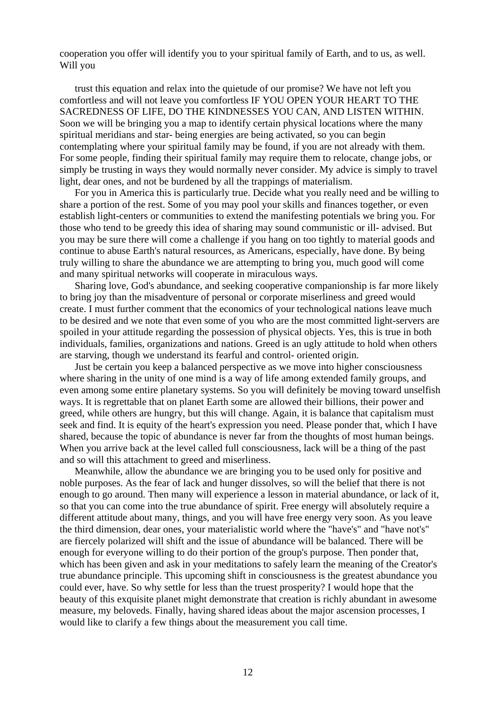cooperation you offer will identify you to your spiritual family of Earth, and to us, as well. Will you

trust this equation and relax into the quietude of our promise? We have not left you comfortless and will not leave you comfortless IF YOU OPEN YOUR HEART TO THE SACREDNESS OF LIFE, DO THE KINDNESSES YOU CAN, AND LISTEN WITHIN. Soon we will be bringing you a map to identify certain physical locations where the many spiritual meridians and star- being energies are being activated, so you can begin contemplating where your spiritual family may be found, if you are not already with them. For some people, finding their spiritual family may require them to relocate, change jobs, or simply be trusting in ways they would normally never consider. My advice is simply to travel light, dear ones, and not be burdened by all the trappings of materialism.

For you in America this is particularly true. Decide what you really need and be willing to share a portion of the rest. Some of you may pool your skills and finances together, or even establish light-centers or communities to extend the manifesting potentials we bring you. For those who tend to be greedy this idea of sharing may sound communistic or ill- advised. But you may be sure there will come a challenge if you hang on too tightly to material goods and continue to abuse Earth's natural resources, as Americans, especially, have done. By being truly willing to share the abundance we are attempting to bring you, much good will come and many spiritual networks will cooperate in miraculous ways.

Sharing love, God's abundance, and seeking cooperative companionship is far more likely to bring joy than the misadventure of personal or corporate miserliness and greed would create. I must further comment that the economics of your technological nations leave much to be desired and we note that even some of you who are the most committed light-servers are spoiled in your attitude regarding the possession of physical objects. Yes, this is true in both individuals, families, organizations and nations. Greed is an ugly attitude to hold when others are starving, though we understand its fearful and control- oriented origin.

Just be certain you keep a balanced perspective as we move into higher consciousness where sharing in the unity of one mind is a way of life among extended family groups, and even among some entire planetary systems. So you will definitely be moving toward unselfish ways. It is regrettable that on planet Earth some are allowed their billions, their power and greed, while others are hungry, but this will change. Again, it is balance that capitalism must seek and find. It is equity of the heart's expression you need. Please ponder that, which I have shared, because the topic of abundance is never far from the thoughts of most human beings. When you arrive back at the level called full consciousness, lack will be a thing of the past and so will this attachment to greed and miserliness.

Meanwhile, allow the abundance we are bringing you to be used only for positive and noble purposes. As the fear of lack and hunger dissolves, so will the belief that there is not enough to go around. Then many will experience a lesson in material abundance, or lack of it, so that you can come into the true abundance of spirit. Free energy will absolutely require a different attitude about many, things, and you will have free energy very soon. As you leave the third dimension, dear ones, your materialistic world where the "have's" and "have not's" are fiercely polarized will shift and the issue of abundance will be balanced. There will be enough for everyone willing to do their portion of the group's purpose. Then ponder that, which has been given and ask in your meditations to safely learn the meaning of the Creator's true abundance principle. This upcoming shift in consciousness is the greatest abundance you could ever, have. So why settle for less than the truest prosperity? I would hope that the beauty of this exquisite planet might demonstrate that creation is richly abundant in awesome measure, my beloveds. Finally, having shared ideas about the major ascension processes, I would like to clarify a few things about the measurement you call time.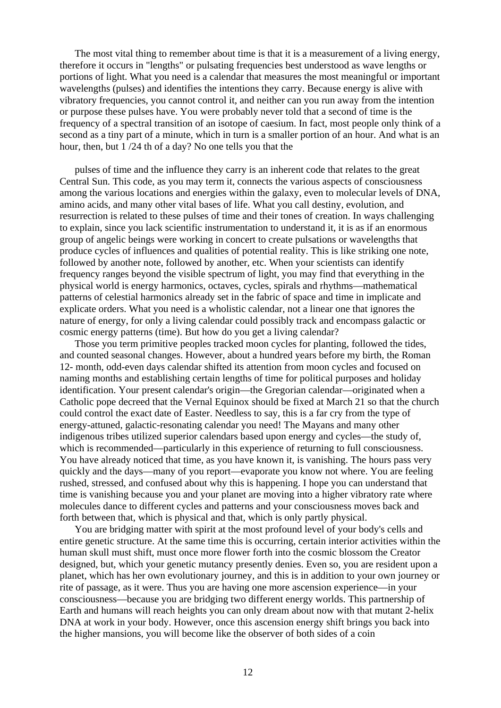The most vital thing to remember about time is that it is a measurement of a living energy, therefore it occurs in "lengths" or pulsating frequencies best understood as wave lengths or portions of light. What you need is a calendar that measures the most meaningful or important wavelengths (pulses) and identifies the intentions they carry. Because energy is alive with vibratory frequencies, you cannot control it, and neither can you run away from the intention or purpose these pulses have. You were probably never told that a second of time is the frequency of a spectral transition of an isotope of caesium. In fact, most people only think of a second as a tiny part of a minute, which in turn is a smaller portion of an hour. And what is an hour, then, but 1 /24 th of a day? No one tells you that the

pulses of time and the influence they carry is an inherent code that relates to the great Central Sun. This code, as you may term it, connects the various aspects of consciousness among the various locations and energies within the galaxy, even to molecular levels of DNA, amino acids, and many other vital bases of life. What you call destiny, evolution, and resurrection is related to these pulses of time and their tones of creation. In ways challenging to explain, since you lack scientific instrumentation to understand it, it is as if an enormous group of angelic beings were working in concert to create pulsations or wavelengths that produce cycles of influences and qualities of potential reality. This is like striking one note, followed by another note, followed by another, etc. When your scientists can identify frequency ranges beyond the visible spectrum of light, you may find that everything in the physical world is energy harmonics, octaves, cycles, spirals and rhythms—mathematical patterns of celestial harmonics already set in the fabric of space and time in implicate and explicate orders. What you need is a wholistic calendar, not a linear one that ignores the nature of energy, for only a living calendar could possibly track and encompass galactic or cosmic energy patterns (time). But how do you get a living calendar?

Those you term primitive peoples tracked moon cycles for planting, followed the tides, and counted seasonal changes. However, about a hundred years before my birth, the Roman 12- month, odd-even days calendar shifted its attention from moon cycles and focused on naming months and establishing certain lengths of time for political purposes and holiday identification. Your present calendar's origin—the Gregorian calendar—originated when a Catholic pope decreed that the Vernal Equinox should be fixed at March 21 so that the church could control the exact date of Easter. Needless to say, this is a far cry from the type of energy-attuned, galactic-resonating calendar you need! The Mayans and many other indigenous tribes utilized superior calendars based upon energy and cycles—the study of, which is recommended—particularly in this experience of returning to full consciousness. You have already noticed that time, as you have known it, is vanishing. The hours pass very quickly and the days—many of you report—evaporate you know not where. You are feeling rushed, stressed, and confused about why this is happening. I hope you can understand that time is vanishing because you and your planet are moving into a higher vibratory rate where molecules dance to different cycles and patterns and your consciousness moves back and forth between that, which is physical and that, which is only partly physical.

You are bridging matter with spirit at the most profound level of your body's cells and entire genetic structure. At the same time this is occurring, certain interior activities within the human skull must shift, must once more flower forth into the cosmic blossom the Creator designed, but, which your genetic mutancy presently denies. Even so, you are resident upon a planet, which has her own evolutionary journey, and this is in addition to your own journey or rite of passage, as it were. Thus you are having one more ascension experience—in your consciousness—because you are bridging two different energy worlds. This partnership of Earth and humans will reach heights you can only dream about now with that mutant 2-helix DNA at work in your body. However, once this ascension energy shift brings you back into the higher mansions, you will become like the observer of both sides of a coin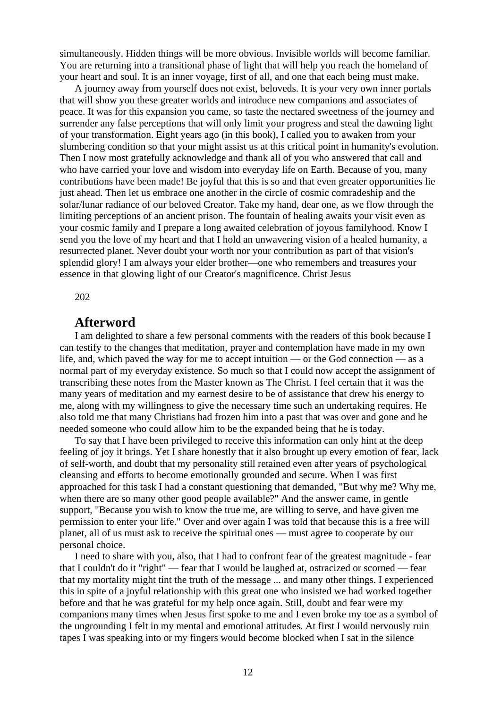simultaneously. Hidden things will be more obvious. Invisible worlds will become familiar. You are returning into a transitional phase of light that will help you reach the homeland of your heart and soul. It is an inner voyage, first of all, and one that each being must make.

A journey away from yourself does not exist, beloveds. It is your very own inner portals that will show you these greater worlds and introduce new companions and associates of peace. It was for this expansion you came, so taste the nectared sweetness of the journey and surrender any false perceptions that will only limit your progress and steal the dawning light of your transformation. Eight years ago (in this book), I called you to awaken from your slumbering condition so that your might assist us at this critical point in humanity's evolution. Then I now most gratefully acknowledge and thank all of you who answered that call and who have carried your love and wisdom into everyday life on Earth. Because of you, many contributions have been made! Be joyful that this is so and that even greater opportunities lie just ahead. Then let us embrace one another in the circle of cosmic comradeship and the solar/lunar radiance of our beloved Creator. Take my hand, dear one, as we flow through the limiting perceptions of an ancient prison. The fountain of healing awaits your visit even as your cosmic family and I prepare a long awaited celebration of joyous familyhood. Know I send you the love of my heart and that I hold an unwavering vision of a healed humanity, a resurrected planet. Never doubt your worth nor your contribution as part of that vision's splendid glory! I am always your elder brother—one who remembers and treasures your essence in that glowing light of our Creator's magnificence. Christ Jesus

202

# **Afterword**

I am delighted to share a few personal comments with the readers of this book because I can testify to the changes that meditation, prayer and contemplation have made in my own life, and, which paved the way for me to accept intuition — or the God connection — as a normal part of my everyday existence. So much so that I could now accept the assignment of transcribing these notes from the Master known as The Christ. I feel certain that it was the many years of meditation and my earnest desire to be of assistance that drew his energy to me, along with my willingness to give the necessary time such an undertaking requires. He also told me that many Christians had frozen him into a past that was over and gone and he needed someone who could allow him to be the expanded being that he is today.

To say that I have been privileged to receive this information can only hint at the deep feeling of joy it brings. Yet I share honestly that it also brought up every emotion of fear, lack of self-worth, and doubt that my personality still retained even after years of psychological cleansing and efforts to become emotionally grounded and secure. When I was first approached for this task I had a constant questioning that demanded, "But why me? Why me, when there are so many other good people available?" And the answer came, in gentle support, "Because you wish to know the true me, are willing to serve, and have given me permission to enter your life." Over and over again I was told that because this is a free will planet, all of us must ask to receive the spiritual ones — must agree to cooperate by our personal choice.

I need to share with you, also, that I had to confront fear of the greatest magnitude - fear that I couldn't do it "right" — fear that I would be laughed at, ostracized or scorned — fear that my mortality might tint the truth of the message ... and many other things. I experienced this in spite of a joyful relationship with this great one who insisted we had worked together before and that he was grateful for my help once again. Still, doubt and fear were my companions many times when Jesus first spoke to me and I even broke my toe as a symbol of the ungrounding I felt in my mental and emotional attitudes. At first I would nervously ruin tapes I was speaking into or my fingers would become blocked when I sat in the silence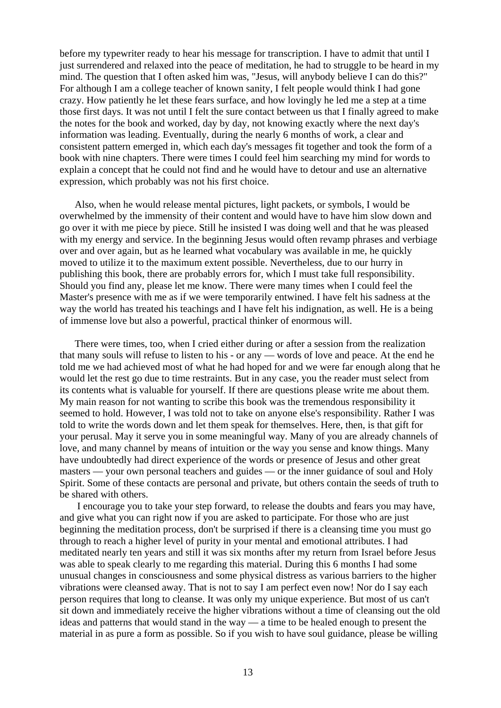before my typewriter ready to hear his message for transcription. I have to admit that until I just surrendered and relaxed into the peace of meditation, he had to struggle to be heard in my mind. The question that I often asked him was, "Jesus, will anybody believe I can do this?" For although I am a college teacher of known sanity, I felt people would think I had gone crazy. How patiently he let these fears surface, and how lovingly he led me a step at a time those first days. It was not until I felt the sure contact between us that I finally agreed to make the notes for the book and worked, day by day, not knowing exactly where the next day's information was leading. Eventually, during the nearly 6 months of work, a clear and consistent pattern emerged in, which each day's messages fit together and took the form of a book with nine chapters. There were times I could feel him searching my mind for words to explain a concept that he could not find and he would have to detour and use an alternative expression, which probably was not his first choice.

Also, when he would release mental pictures, light packets, or symbols, I would be overwhelmed by the immensity of their content and would have to have him slow down and go over it with me piece by piece. Still he insisted I was doing well and that he was pleased with my energy and service. In the beginning Jesus would often revamp phrases and verbiage over and over again, but as he learned what vocabulary was available in me, he quickly moved to utilize it to the maximum extent possible. Nevertheless, due to our hurry in publishing this book, there are probably errors for, which I must take full responsibility. Should you find any, please let me know. There were many times when I could feel the Master's presence with me as if we were temporarily entwined. I have felt his sadness at the way the world has treated his teachings and I have felt his indignation, as well. He is a being of immense love but also a powerful, practical thinker of enormous will.

There were times, too, when I cried either during or after a session from the realization that many souls will refuse to listen to his - or any — words of love and peace. At the end he told me we had achieved most of what he had hoped for and we were far enough along that he would let the rest go due to time restraints. But in any case, you the reader must select from its contents what is valuable for yourself. If there are questions please write me about them. My main reason for not wanting to scribe this book was the tremendous responsibility it seemed to hold. However, I was told not to take on anyone else's responsibility. Rather I was told to write the words down and let them speak for themselves. Here, then, is that gift for your perusal. May it serve you in some meaningful way. Many of you are already channels of love, and many channel by means of intuition or the way you sense and know things. Many have undoubtedly had direct experience of the words or presence of Jesus and other great masters — your own personal teachers and guides — or the inner guidance of soul and Holy Spirit. Some of these contacts are personal and private, but others contain the seeds of truth to be shared with others.

 I encourage you to take your step forward, to release the doubts and fears you may have, and give what you can right now if you are asked to participate. For those who are just beginning the meditation process, don't be surprised if there is a cleansing time you must go through to reach a higher level of purity in your mental and emotional attributes. I had meditated nearly ten years and still it was six months after my return from Israel before Jesus was able to speak clearly to me regarding this material. During this 6 months I had some unusual changes in consciousness and some physical distress as various barriers to the higher vibrations were cleansed away. That is not to say I am perfect even now! Nor do I say each person requires that long to cleanse. It was only my unique experience. But most of us can't sit down and immediately receive the higher vibrations without a time of cleansing out the old ideas and patterns that would stand in the way — a time to be healed enough to present the material in as pure a form as possible. So if you wish to have soul guidance, please be willing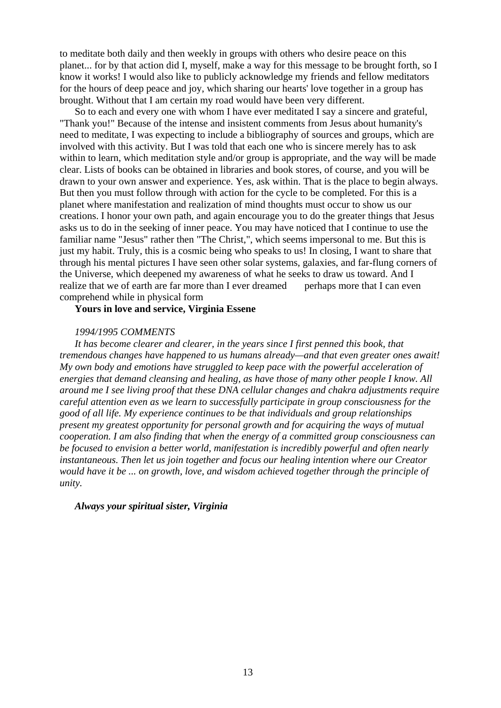to meditate both daily and then weekly in groups with others who desire peace on this planet... for by that action did I, myself, make a way for this message to be brought forth, so I know it works! I would also like to publicly acknowledge my friends and fellow meditators for the hours of deep peace and joy, which sharing our hearts' love together in a group has brought. Without that I am certain my road would have been very different.

So to each and every one with whom I have ever meditated I say a sincere and grateful, "Thank you!" Because of the intense and insistent comments from Jesus about humanity's need to meditate, I was expecting to include a bibliography of sources and groups, which are involved with this activity. But I was told that each one who is sincere merely has to ask within to learn, which meditation style and/or group is appropriate, and the way will be made clear. Lists of books can be obtained in libraries and book stores, of course, and you will be drawn to your own answer and experience. Yes, ask within. That is the place to begin always. But then you must follow through with action for the cycle to be completed. For this is a planet where manifestation and realization of mind thoughts must occur to show us our creations. I honor your own path, and again encourage you to do the greater things that Jesus asks us to do in the seeking of inner peace. You may have noticed that I continue to use the familiar name "Jesus" rather then "The Christ,", which seems impersonal to me. But this is just my habit. Truly, this is a cosmic being who speaks to us! In closing, I want to share that through his mental pictures I have seen other solar systems, galaxies, and far-flung corners of the Universe, which deepened my awareness of what he seeks to draw us toward. And I realize that we of earth are far more than I ever dreamed perhaps more that I can even comprehend while in physical form

## **Yours in love and service, Virginia Essene**

## *1994/1995 COMMENTS*

It has become clearer and clearer, in the years since I first penned this book, that *tremendous changes have happened to us humans already—and that even greater ones await! My own body and emotions have struggled to keep pace with the powerful acceleration of energies that demand cleansing and healing, as have those of many other people I know. All around me I see living proof that these DNA cellular changes and chakra adjustments require careful attention even as we learn to successfully participate in group consciousness for the good of all life. My experience continues to be that individuals and group relationships present my greatest opportunity for personal growth and for acquiring the ways of mutual cooperation. I am also finding that when the energy of a committed group consciousness can be focused to envision a better world, manifestation is incredibly powerful and often nearly instantaneous. Then let us join together and focus our healing intention where our Creator would have it be ... on growth, love, and wisdom achieved together through the principle of unity.* 

### *Always your spiritual sister, Virginia*